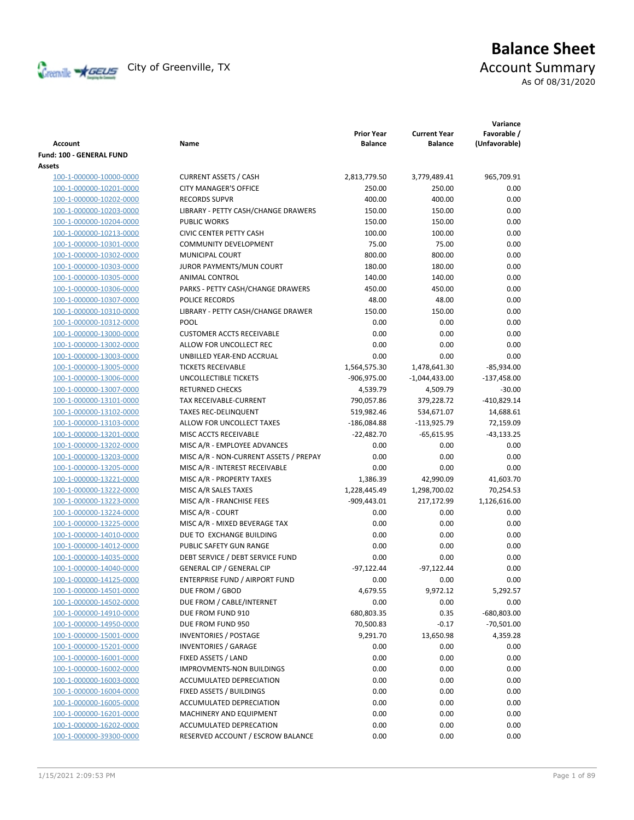

# **Balance Sheet** Creenville Strategy City of Greenville, TX Account Summary

As Of 08/31/2020

| <b>Account</b>           | Name                                   | <b>Prior Year</b><br><b>Balance</b> | <b>Current Year</b><br><b>Balance</b> | Variance<br>Favorable /<br>(Unfavorable) |
|--------------------------|----------------------------------------|-------------------------------------|---------------------------------------|------------------------------------------|
| Fund: 100 - GENERAL FUND |                                        |                                     |                                       |                                          |
| Assets                   |                                        |                                     |                                       |                                          |
| 100-1-000000-10000-0000  | <b>CURRENT ASSETS / CASH</b>           | 2,813,779.50                        | 3,779,489.41                          | 965,709.91                               |
| 100-1-000000-10201-0000  | <b>CITY MANAGER'S OFFICE</b>           | 250.00                              | 250.00                                | 0.00                                     |
| 100-1-000000-10202-0000  | <b>RECORDS SUPVR</b>                   | 400.00                              | 400.00                                | 0.00                                     |
| 100-1-000000-10203-0000  | LIBRARY - PETTY CASH/CHANGE DRAWERS    | 150.00                              | 150.00                                | 0.00                                     |
| 100-1-000000-10204-0000  | <b>PUBLIC WORKS</b>                    | 150.00                              | 150.00                                | 0.00                                     |
| 100-1-000000-10213-0000  | <b>CIVIC CENTER PETTY CASH</b>         | 100.00                              | 100.00                                | 0.00                                     |
| 100-1-000000-10301-0000  | <b>COMMUNITY DEVELOPMENT</b>           | 75.00                               | 75.00                                 | 0.00                                     |
| 100-1-000000-10302-0000  | MUNICIPAL COURT                        | 800.00                              | 800.00                                | 0.00                                     |
| 100-1-000000-10303-0000  | JUROR PAYMENTS/MUN COURT               | 180.00                              | 180.00                                | 0.00                                     |
| 100-1-000000-10305-0000  | ANIMAL CONTROL                         | 140.00                              | 140.00                                | 0.00                                     |
| 100-1-000000-10306-0000  | PARKS - PETTY CASH/CHANGE DRAWERS      | 450.00                              | 450.00                                | 0.00                                     |
| 100-1-000000-10307-0000  | POLICE RECORDS                         | 48.00                               | 48.00                                 | 0.00                                     |
| 100-1-000000-10310-0000  | LIBRARY - PETTY CASH/CHANGE DRAWER     | 150.00                              | 150.00                                | 0.00                                     |
| 100-1-000000-10312-0000  | <b>POOL</b>                            | 0.00                                | 0.00                                  | 0.00                                     |
| 100-1-000000-13000-0000  | <b>CUSTOMER ACCTS RECEIVABLE</b>       | 0.00                                | 0.00                                  | 0.00                                     |
| 100-1-000000-13002-0000  | ALLOW FOR UNCOLLECT REC                | 0.00                                | 0.00                                  | 0.00                                     |
| 100-1-000000-13003-0000  | UNBILLED YEAR-END ACCRUAL              | 0.00                                | 0.00                                  | 0.00                                     |
| 100-1-000000-13005-0000  | <b>TICKETS RECEIVABLE</b>              | 1,564,575.30                        | 1,478,641.30                          | $-85,934.00$                             |
| 100-1-000000-13006-0000  | UNCOLLECTIBLE TICKETS                  | $-906,975.00$                       | $-1,044,433.00$                       | $-137,458.00$                            |
| 100-1-000000-13007-0000  | <b>RETURNED CHECKS</b>                 | 4,539.79                            | 4,509.79                              | $-30.00$                                 |
| 100-1-000000-13101-0000  | TAX RECEIVABLE-CURRENT                 | 790,057.86                          | 379,228.72                            | $-410,829.14$                            |
| 100-1-000000-13102-0000  | <b>TAXES REC-DELINQUENT</b>            | 519,982.46                          | 534,671.07                            | 14,688.61                                |
| 100-1-000000-13103-0000  | ALLOW FOR UNCOLLECT TAXES              | $-186,084.88$                       | $-113,925.79$                         | 72,159.09                                |
| 100-1-000000-13201-0000  | MISC ACCTS RECEIVABLE                  | $-22,482.70$                        | $-65,615.95$                          | $-43,133.25$                             |
| 100-1-000000-13202-0000  | MISC A/R - EMPLOYEE ADVANCES           | 0.00                                | 0.00                                  | 0.00                                     |
| 100-1-000000-13203-0000  | MISC A/R - NON-CURRENT ASSETS / PREPAY | 0.00                                | 0.00                                  | 0.00                                     |
| 100-1-000000-13205-0000  | MISC A/R - INTEREST RECEIVABLE         | 0.00                                | 0.00                                  | 0.00                                     |
| 100-1-000000-13221-0000  | MISC A/R - PROPERTY TAXES              | 1,386.39                            | 42,990.09                             | 41,603.70                                |
| 100-1-000000-13222-0000  | MISC A/R SALES TAXES                   | 1,228,445.49                        | 1,298,700.02                          | 70,254.53                                |
| 100-1-000000-13223-0000  | MISC A/R - FRANCHISE FEES              | $-909,443.01$                       | 217,172.99                            | 1,126,616.00                             |
| 100-1-000000-13224-0000  | MISC A/R - COURT                       | 0.00                                | 0.00                                  | 0.00                                     |
| 100-1-000000-13225-0000  | MISC A/R - MIXED BEVERAGE TAX          | 0.00                                | 0.00                                  | 0.00                                     |
| 100-1-000000-14010-0000  | DUE TO EXCHANGE BUILDING               | 0.00                                | 0.00                                  | 0.00                                     |
| 100-1-000000-14012-0000  | PUBLIC SAFETY GUN RANGE                | 0.00                                | 0.00                                  | 0.00                                     |
| 100-1-000000-14035-0000  | DEBT SERVICE / DEBT SERVICE FUND       | 0.00                                | 0.00                                  | 0.00                                     |
| 100-1-000000-14040-0000  | <b>GENERAL CIP / GENERAL CIP</b>       | $-97,122.44$                        | $-97,122.44$                          | 0.00                                     |
| 100-1-000000-14125-0000  | ENTERPRISE FUND / AIRPORT FUND         | 0.00                                | 0.00                                  | 0.00                                     |
| 100-1-000000-14501-0000  | DUE FROM / GBOD                        | 4,679.55                            | 9,972.12                              | 5,292.57                                 |
| 100-1-000000-14502-0000  | DUE FROM / CABLE/INTERNET              | 0.00                                | 0.00                                  | 0.00                                     |
| 100-1-000000-14910-0000  | DUE FROM FUND 910                      | 680,803.35                          | 0.35                                  | -680,803.00                              |
| 100-1-000000-14950-0000  | DUE FROM FUND 950                      | 70,500.83                           | $-0.17$                               | $-70,501.00$                             |
| 100-1-000000-15001-0000  | <b>INVENTORIES / POSTAGE</b>           | 9,291.70                            | 13,650.98                             | 4,359.28                                 |
| 100-1-000000-15201-0000  | <b>INVENTORIES / GARAGE</b>            | 0.00                                | 0.00                                  | 0.00                                     |
| 100-1-000000-16001-0000  | FIXED ASSETS / LAND                    | 0.00                                | 0.00                                  | 0.00                                     |
| 100-1-000000-16002-0000  | <b>IMPROVMENTS-NON BUILDINGS</b>       | 0.00                                | 0.00                                  | 0.00                                     |
| 100-1-000000-16003-0000  | ACCUMULATED DEPRECIATION               | 0.00                                | 0.00                                  | 0.00                                     |
| 100-1-000000-16004-0000  | FIXED ASSETS / BUILDINGS               | 0.00                                | 0.00                                  | 0.00                                     |
| 100-1-000000-16005-0000  | ACCUMULATED DEPRECIATION               | 0.00                                | 0.00                                  | 0.00                                     |
| 100-1-000000-16201-0000  | MACHINERY AND EQUIPMENT                | 0.00                                | 0.00                                  | 0.00                                     |
| 100-1-000000-16202-0000  | ACCUMULATED DEPRECATION                | 0.00                                | 0.00                                  | 0.00                                     |
| 100-1-000000-39300-0000  | RESERVED ACCOUNT / ESCROW BALANCE      | 0.00                                | 0.00                                  | 0.00                                     |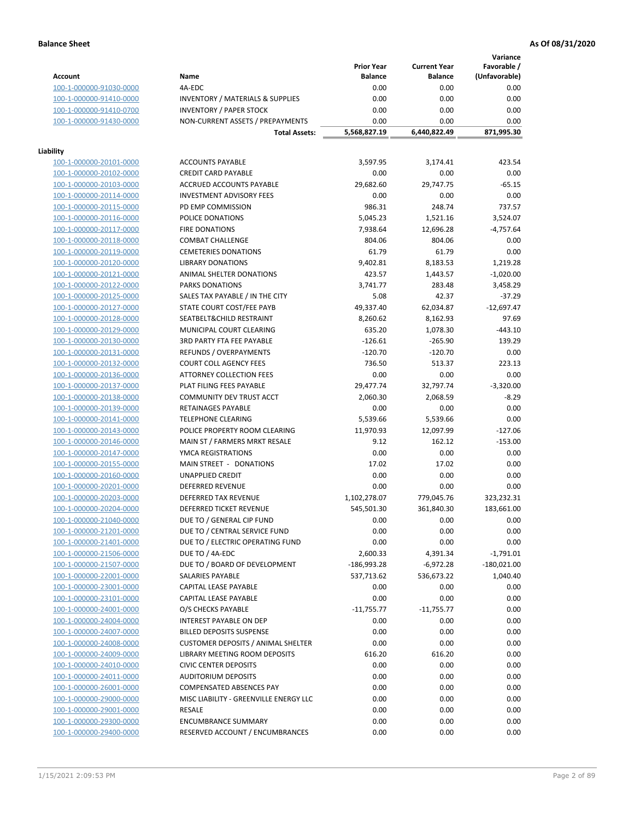**Variance**

|                                                                        | <b>Prior Year</b> | <b>Current Year</b> | Favorable /   |
|------------------------------------------------------------------------|-------------------|---------------------|---------------|
| Name<br>Account                                                        | <b>Balance</b>    | <b>Balance</b>      | (Unfavorable) |
| 4A-EDC<br>100-1-000000-91030-0000                                      | 0.00              | 0.00                | 0.00          |
| <b>INVENTORY / MATERIALS &amp; SUPPLIES</b><br>100-1-000000-91410-0000 | 0.00              | 0.00                | 0.00          |
| 100-1-000000-91410-0700<br><b>INVENTORY / PAPER STOCK</b>              | 0.00              | 0.00                | 0.00          |
| 100-1-000000-91430-0000<br>NON-CURRENT ASSETS / PREPAYMENTS            | 0.00              | 0.00                | 0.00          |
| <b>Total Assets:</b>                                                   | 5,568,827.19      | 6,440,822.49        | 871,995.30    |
|                                                                        |                   |                     |               |
| Liability                                                              |                   |                     |               |
| <b>ACCOUNTS PAYABLE</b><br>100-1-000000-20101-0000                     | 3,597.95          | 3,174.41            | 423.54        |
| 100-1-000000-20102-0000<br><b>CREDIT CARD PAYABLE</b>                  | 0.00              | 0.00                | 0.00          |
| 100-1-000000-20103-0000<br>ACCRUED ACCOUNTS PAYABLE                    | 29,682.60         | 29,747.75           | $-65.15$      |
| 100-1-000000-20114-0000<br><b>INVESTMENT ADVISORY FEES</b>             | 0.00              | 0.00                | 0.00          |
| 100-1-000000-20115-0000<br>PD EMP COMMISSION                           | 986.31            | 248.74              | 737.57        |
| 100-1-000000-20116-0000<br>POLICE DONATIONS                            | 5,045.23          | 1,521.16            | 3,524.07      |
|                                                                        |                   |                     |               |
| 100-1-000000-20117-0000<br><b>FIRE DONATIONS</b>                       | 7,938.64          | 12,696.28           | $-4,757.64$   |
| 100-1-000000-20118-0000<br><b>COMBAT CHALLENGE</b>                     | 804.06            | 804.06              | 0.00          |
| 100-1-000000-20119-0000<br><b>CEMETERIES DONATIONS</b>                 | 61.79             | 61.79               | 0.00          |
| 100-1-000000-20120-0000<br><b>LIBRARY DONATIONS</b>                    | 9,402.81          | 8,183.53            | 1,219.28      |
| 100-1-000000-20121-0000<br>ANIMAL SHELTER DONATIONS                    | 423.57            | 1,443.57            | $-1,020.00$   |
| 100-1-000000-20122-0000<br><b>PARKS DONATIONS</b>                      | 3,741.77          | 283.48              | 3,458.29      |
| 100-1-000000-20125-0000<br>SALES TAX PAYABLE / IN THE CITY             | 5.08              | 42.37               | $-37.29$      |
| 100-1-000000-20127-0000<br>STATE COURT COST/FEE PAYB                   | 49,337.40         | 62,034.87           | $-12,697.47$  |
| 100-1-000000-20128-0000<br>SEATBELT&CHILD RESTRAINT                    | 8,260.62          | 8,162.93            | 97.69         |
| 100-1-000000-20129-0000<br>MUNICIPAL COURT CLEARING                    | 635.20            | 1,078.30            | $-443.10$     |
| 100-1-000000-20130-0000<br><b>3RD PARTY FTA FEE PAYABLE</b>            | $-126.61$         | $-265.90$           | 139.29        |
| 100-1-000000-20131-0000<br>REFUNDS / OVERPAYMENTS                      | $-120.70$         | $-120.70$           | 0.00          |
| 100-1-000000-20132-0000<br><b>COURT COLL AGENCY FEES</b>               | 736.50            | 513.37              | 223.13        |
| 100-1-000000-20136-0000<br><b>ATTORNEY COLLECTION FEES</b>             | 0.00              | 0.00                | 0.00          |
| 100-1-000000-20137-0000<br>PLAT FILING FEES PAYABLE                    | 29,477.74         | 32,797.74           | $-3,320.00$   |
| COMMUNITY DEV TRUST ACCT<br>100-1-000000-20138-0000                    | 2,060.30          | 2,068.59            | $-8.29$       |
| 100-1-000000-20139-0000<br>RETAINAGES PAYABLE                          | 0.00              | 0.00                | 0.00          |
| 100-1-000000-20141-0000<br><b>TELEPHONE CLEARING</b>                   | 5,539.66          | 5,539.66            | 0.00          |
| POLICE PROPERTY ROOM CLEARING<br>100-1-000000-20143-0000               | 11,970.93         | 12,097.99           | $-127.06$     |
| 100-1-000000-20146-0000<br>MAIN ST / FARMERS MRKT RESALE               | 9.12              | 162.12              | $-153.00$     |
| YMCA REGISTRATIONS                                                     | 0.00              | 0.00                | 0.00          |
| 100-1-000000-20147-0000                                                |                   |                     |               |
| 100-1-000000-20155-0000<br>MAIN STREET - DONATIONS                     | 17.02             | 17.02               | 0.00          |
| 100-1-000000-20160-0000<br><b>UNAPPLIED CREDIT</b>                     | 0.00              | 0.00                | 0.00          |
| 100-1-000000-20201-0000<br><b>DEFERRED REVENUE</b>                     | 0.00              | 0.00                | 0.00          |
| 100-1-000000-20203-0000<br>DEFERRED TAX REVENUE                        | 1,102,278.07      | 779,045.76          | 323,232.31    |
| DEFERRED TICKET REVENUE<br>100-1-000000-20204-0000                     | 545,501.30        | 361,840.30          | 183,661.00    |
| 100-1-000000-21040-0000<br>DUE TO / GENERAL CIP FUND                   | 0.00              | 0.00                | 0.00          |
| 100-1-000000-21201-0000<br>DUE TO / CENTRAL SERVICE FUND               | 0.00              | 0.00                | 0.00          |
| DUE TO / ELECTRIC OPERATING FUND<br>100-1-000000-21401-0000            | 0.00              | 0.00                | 0.00          |
| 100-1-000000-21506-0000<br>DUE TO / 4A-EDC                             | 2,600.33          | 4,391.34            | $-1,791.01$   |
| DUE TO / BOARD OF DEVELOPMENT<br>100-1-000000-21507-0000               | $-186,993.28$     | -6,972.28           | $-180,021.00$ |
| SALARIES PAYABLE<br>100-1-000000-22001-0000                            | 537,713.62        | 536,673.22          | 1,040.40      |
| 100-1-000000-23001-0000<br>CAPITAL LEASE PAYABLE                       | 0.00              | 0.00                | 0.00          |
| 100-1-000000-23101-0000<br>CAPITAL LEASE PAYABLE                       | 0.00              | 0.00                | 0.00          |
| 100-1-000000-24001-0000<br>O/S CHECKS PAYABLE                          | $-11,755.77$      | $-11,755.77$        | 0.00          |
| 100-1-000000-24004-0000<br>INTEREST PAYABLE ON DEP                     | 0.00              | 0.00                | 0.00          |
| 100-1-000000-24007-0000<br><b>BILLED DEPOSITS SUSPENSE</b>             | 0.00              | 0.00                | 0.00          |
| 100-1-000000-24008-0000<br><b>CUSTOMER DEPOSITS / ANIMAL SHELTER</b>   | 0.00              | 0.00                | 0.00          |
| 100-1-000000-24009-0000<br>LIBRARY MEETING ROOM DEPOSITS               | 616.20            | 616.20              | 0.00          |
| 100-1-000000-24010-0000<br><b>CIVIC CENTER DEPOSITS</b>                | 0.00              | 0.00                | 0.00          |
|                                                                        |                   |                     |               |
| 100-1-000000-24011-0000<br><b>AUDITORIUM DEPOSITS</b>                  | 0.00              | 0.00                | 0.00          |
| COMPENSATED ABSENCES PAY<br>100-1-000000-26001-0000                    | 0.00              | 0.00                | 0.00          |
| 100-1-000000-29000-0000<br>MISC LIABILITY - GREENVILLE ENERGY LLC      | 0.00              | 0.00                | 0.00          |
| RESALE<br>100-1-000000-29001-0000                                      | 0.00              | 0.00                | 0.00          |
| 100-1-000000-29300-0000<br><b>ENCUMBRANCE SUMMARY</b>                  | 0.00              | 0.00                | 0.00          |
| 100-1-000000-29400-0000<br>RESERVED ACCOUNT / ENCUMBRANCES             | 0.00              | 0.00                | 0.00          |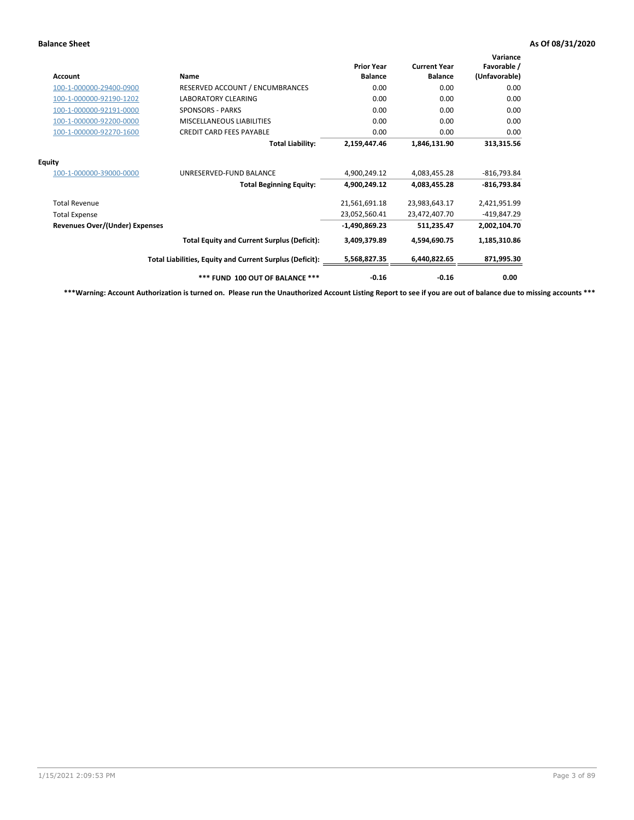| <b>Account</b>                        | Name                                                     | <b>Prior Year</b><br><b>Balance</b> | <b>Current Year</b><br><b>Balance</b> | Variance<br>Favorable /<br>(Unfavorable) |
|---------------------------------------|----------------------------------------------------------|-------------------------------------|---------------------------------------|------------------------------------------|
| 100-1-000000-29400-0900               | RESERVED ACCOUNT / ENCUMBRANCES                          | 0.00                                | 0.00                                  | 0.00                                     |
| 100-1-000000-92190-1202               | <b>LABORATORY CLEARING</b>                               | 0.00                                | 0.00                                  | 0.00                                     |
| 100-1-000000-92191-0000               | <b>SPONSORS - PARKS</b>                                  | 0.00                                | 0.00                                  | 0.00                                     |
| 100-1-000000-92200-0000               | MISCELLANEOUS LIABILITIES                                | 0.00                                | 0.00                                  | 0.00                                     |
| 100-1-000000-92270-1600               | <b>CREDIT CARD FEES PAYABLE</b>                          | 0.00                                | 0.00                                  | 0.00                                     |
|                                       | <b>Total Liability:</b>                                  | 2,159,447.46                        | 1,846,131.90                          | 313,315.56                               |
| <b>Equity</b>                         |                                                          |                                     |                                       |                                          |
| 100-1-000000-39000-0000               | UNRESERVED-FUND BALANCE                                  | 4,900,249.12                        | 4,083,455.28                          | $-816,793.84$                            |
|                                       | <b>Total Beginning Equity:</b>                           | 4,900,249.12                        | 4,083,455.28                          | $-816,793.84$                            |
| <b>Total Revenue</b>                  |                                                          | 21,561,691.18                       | 23,983,643.17                         | 2,421,951.99                             |
| <b>Total Expense</b>                  |                                                          | 23,052,560.41                       | 23,472,407.70                         | -419,847.29                              |
| <b>Revenues Over/(Under) Expenses</b> |                                                          | $-1,490,869.23$                     | 511,235.47                            | 2,002,104.70                             |
|                                       | <b>Total Equity and Current Surplus (Deficit):</b>       | 3,409,379.89                        | 4,594,690.75                          | 1,185,310.86                             |
|                                       | Total Liabilities, Equity and Current Surplus (Deficit): | 5,568,827.35                        | 6,440,822.65                          | 871,995.30                               |
|                                       | *** FUND 100 OUT OF BALANCE ***                          | $-0.16$                             | $-0.16$                               | 0.00                                     |

**\*\*\*Warning: Account Authorization is turned on. Please run the Unauthorized Account Listing Report to see if you are out of balance due to missing accounts \*\*\***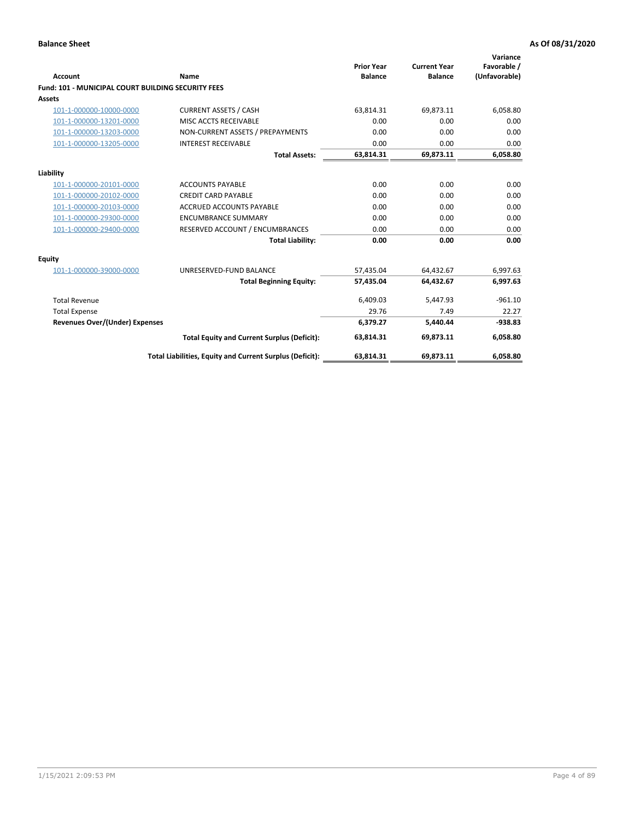| Account                                                   | <b>Name</b>                                              | <b>Prior Year</b><br><b>Balance</b> | <b>Current Year</b><br><b>Balance</b> | Variance<br>Favorable /<br>(Unfavorable) |
|-----------------------------------------------------------|----------------------------------------------------------|-------------------------------------|---------------------------------------|------------------------------------------|
| <b>Fund: 101 - MUNICIPAL COURT BUILDING SECURITY FEES</b> |                                                          |                                     |                                       |                                          |
| Assets                                                    |                                                          |                                     |                                       |                                          |
| 101-1-000000-10000-0000                                   | <b>CURRENT ASSETS / CASH</b>                             | 63,814.31                           | 69,873.11                             | 6,058.80                                 |
| 101-1-000000-13201-0000                                   | MISC ACCTS RECEIVABLE                                    | 0.00                                | 0.00                                  | 0.00                                     |
| 101-1-000000-13203-0000                                   | NON-CURRENT ASSETS / PREPAYMENTS                         | 0.00                                | 0.00                                  | 0.00                                     |
| 101-1-000000-13205-0000                                   | <b>INTEREST RECEIVABLE</b>                               | 0.00                                | 0.00                                  | 0.00                                     |
|                                                           | <b>Total Assets:</b>                                     | 63,814.31                           | 69,873.11                             | 6,058.80                                 |
| Liability                                                 |                                                          |                                     |                                       |                                          |
| 101-1-000000-20101-0000                                   | <b>ACCOUNTS PAYABLE</b>                                  | 0.00                                | 0.00                                  | 0.00                                     |
| 101-1-000000-20102-0000                                   | <b>CREDIT CARD PAYABLE</b>                               | 0.00                                | 0.00                                  | 0.00                                     |
| 101-1-000000-20103-0000                                   | <b>ACCRUED ACCOUNTS PAYABLE</b>                          | 0.00                                | 0.00                                  | 0.00                                     |
| 101-1-000000-29300-0000                                   | <b>ENCUMBRANCE SUMMARY</b>                               | 0.00                                | 0.00                                  | 0.00                                     |
| 101-1-000000-29400-0000                                   | RESERVED ACCOUNT / ENCUMBRANCES                          | 0.00                                | 0.00                                  | 0.00                                     |
|                                                           | <b>Total Liability:</b>                                  | 0.00                                | 0.00                                  | 0.00                                     |
| <b>Equity</b>                                             |                                                          |                                     |                                       |                                          |
| 101-1-000000-39000-0000                                   | UNRESERVED-FUND BALANCE                                  | 57,435.04                           | 64,432.67                             | 6,997.63                                 |
|                                                           | <b>Total Beginning Equity:</b>                           | 57,435.04                           | 64,432.67                             | 6,997.63                                 |
| <b>Total Revenue</b>                                      |                                                          | 6,409.03                            | 5,447.93                              | $-961.10$                                |
| <b>Total Expense</b>                                      |                                                          | 29.76                               | 7.49                                  | 22.27                                    |
| Revenues Over/(Under) Expenses                            |                                                          | 6,379.27                            | 5,440.44                              | $-938.83$                                |
|                                                           | <b>Total Equity and Current Surplus (Deficit):</b>       | 63,814.31                           | 69.873.11                             | 6,058.80                                 |
|                                                           | Total Liabilities, Equity and Current Surplus (Deficit): | 63,814.31                           | 69,873.11                             | 6,058.80                                 |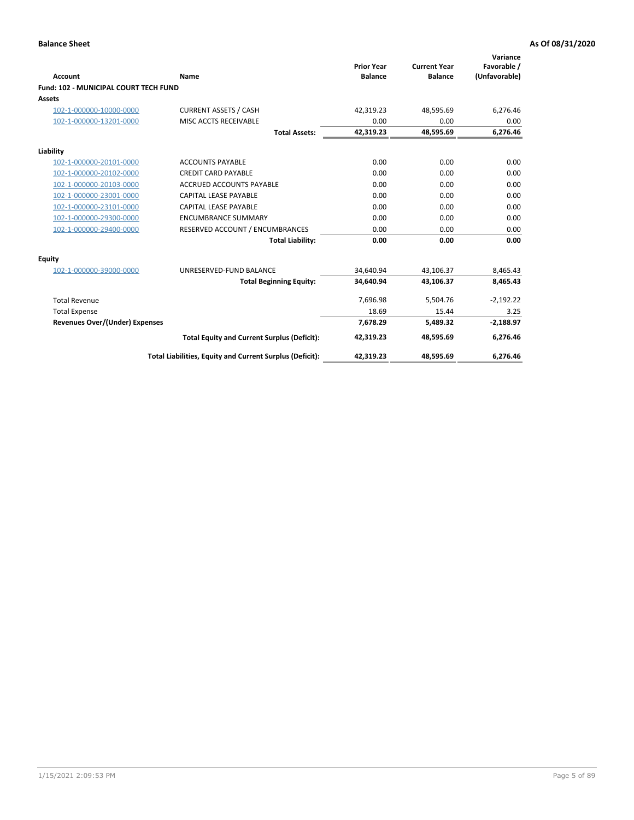| Account                                      | Name                                                     | <b>Prior Year</b><br><b>Balance</b> | <b>Current Year</b><br><b>Balance</b> | Variance<br>Favorable /<br>(Unfavorable) |
|----------------------------------------------|----------------------------------------------------------|-------------------------------------|---------------------------------------|------------------------------------------|
| <b>Fund: 102 - MUNICIPAL COURT TECH FUND</b> |                                                          |                                     |                                       |                                          |
| Assets                                       |                                                          |                                     |                                       |                                          |
| 102-1-000000-10000-0000                      | <b>CURRENT ASSETS / CASH</b>                             | 42,319.23                           | 48,595.69                             | 6,276.46                                 |
| 102-1-000000-13201-0000                      | MISC ACCTS RECEIVABLE                                    | 0.00                                | 0.00                                  | 0.00                                     |
|                                              | <b>Total Assets:</b>                                     | 42,319.23                           | 48,595.69                             | 6,276.46                                 |
| Liability                                    |                                                          |                                     |                                       |                                          |
| 102-1-000000-20101-0000                      | <b>ACCOUNTS PAYABLE</b>                                  | 0.00                                | 0.00                                  | 0.00                                     |
| 102-1-000000-20102-0000                      | <b>CREDIT CARD PAYABLE</b>                               | 0.00                                | 0.00                                  | 0.00                                     |
| 102-1-000000-20103-0000                      | <b>ACCRUED ACCOUNTS PAYABLE</b>                          | 0.00                                | 0.00                                  | 0.00                                     |
| 102-1-000000-23001-0000                      | CAPITAL LEASE PAYABLE                                    | 0.00                                | 0.00                                  | 0.00                                     |
| 102-1-000000-23101-0000                      | <b>CAPITAL LEASE PAYABLE</b>                             | 0.00                                | 0.00                                  | 0.00                                     |
| 102-1-000000-29300-0000                      | <b>ENCUMBRANCE SUMMARY</b>                               | 0.00                                | 0.00                                  | 0.00                                     |
| 102-1-000000-29400-0000                      | RESERVED ACCOUNT / ENCUMBRANCES                          | 0.00                                | 0.00                                  | 0.00                                     |
|                                              | <b>Total Liability:</b>                                  | 0.00                                | 0.00                                  | 0.00                                     |
| <b>Equity</b>                                |                                                          |                                     |                                       |                                          |
| 102-1-000000-39000-0000                      | UNRESERVED-FUND BALANCE                                  | 34,640.94                           | 43,106.37                             | 8,465.43                                 |
|                                              | <b>Total Beginning Equity:</b>                           | 34,640.94                           | 43,106.37                             | 8,465.43                                 |
| <b>Total Revenue</b>                         |                                                          | 7,696.98                            | 5,504.76                              | $-2,192.22$                              |
| <b>Total Expense</b>                         |                                                          | 18.69                               | 15.44                                 | 3.25                                     |
| <b>Revenues Over/(Under) Expenses</b>        |                                                          | 7,678.29                            | 5,489.32                              | $-2,188.97$                              |
|                                              | <b>Total Equity and Current Surplus (Deficit):</b>       | 42,319.23                           | 48,595.69                             | 6,276.46                                 |
|                                              | Total Liabilities, Equity and Current Surplus (Deficit): | 42,319.23                           | 48,595.69                             | 6,276.46                                 |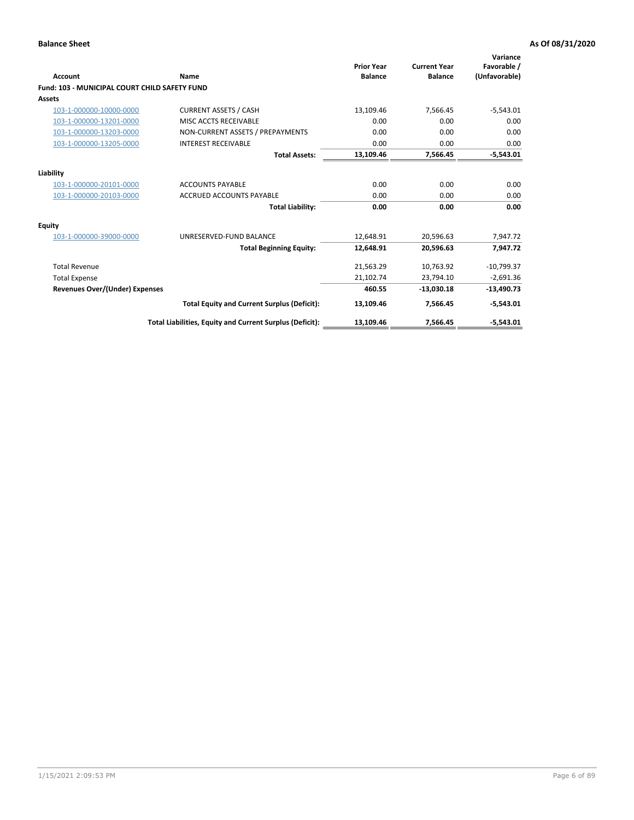| <b>Account</b>                                       | Name                                                     | <b>Prior Year</b><br><b>Balance</b> | <b>Current Year</b><br><b>Balance</b> | Variance<br>Favorable /<br>(Unfavorable) |
|------------------------------------------------------|----------------------------------------------------------|-------------------------------------|---------------------------------------|------------------------------------------|
| <b>Fund: 103 - MUNICIPAL COURT CHILD SAFETY FUND</b> |                                                          |                                     |                                       |                                          |
| <b>Assets</b>                                        |                                                          |                                     |                                       |                                          |
| 103-1-000000-10000-0000                              | <b>CURRENT ASSETS / CASH</b>                             | 13,109.46                           | 7,566.45                              | $-5,543.01$                              |
| 103-1-000000-13201-0000                              | MISC ACCTS RECEIVABLE                                    | 0.00                                | 0.00                                  | 0.00                                     |
| 103-1-000000-13203-0000                              | NON-CURRENT ASSETS / PREPAYMENTS                         | 0.00                                | 0.00                                  | 0.00                                     |
| 103-1-000000-13205-0000                              | <b>INTEREST RECEIVABLE</b>                               | 0.00                                | 0.00                                  | 0.00                                     |
|                                                      | <b>Total Assets:</b>                                     | 13,109.46                           | 7,566.45                              | $-5,543.01$                              |
| Liability                                            |                                                          |                                     |                                       |                                          |
| 103-1-000000-20101-0000                              | <b>ACCOUNTS PAYABLE</b>                                  | 0.00                                | 0.00                                  | 0.00                                     |
| 103-1-000000-20103-0000                              | <b>ACCRUED ACCOUNTS PAYABLE</b>                          | 0.00                                | 0.00                                  | 0.00                                     |
|                                                      | <b>Total Liability:</b>                                  | 0.00                                | 0.00                                  | 0.00                                     |
| Equity                                               |                                                          |                                     |                                       |                                          |
| 103-1-000000-39000-0000                              | UNRESERVED-FUND BALANCE                                  | 12,648.91                           | 20,596.63                             | 7,947.72                                 |
|                                                      | <b>Total Beginning Equity:</b>                           | 12,648.91                           | 20,596.63                             | 7,947.72                                 |
| <b>Total Revenue</b>                                 |                                                          | 21,563.29                           | 10,763.92                             | $-10,799.37$                             |
| <b>Total Expense</b>                                 |                                                          | 21,102.74                           | 23,794.10                             | $-2,691.36$                              |
| <b>Revenues Over/(Under) Expenses</b>                |                                                          | 460.55                              | $-13,030.18$                          | $-13,490.73$                             |
|                                                      | <b>Total Equity and Current Surplus (Deficit):</b>       | 13,109.46                           | 7,566.45                              | $-5,543.01$                              |
|                                                      | Total Liabilities, Equity and Current Surplus (Deficit): | 13,109.46                           | 7,566.45                              | $-5,543.01$                              |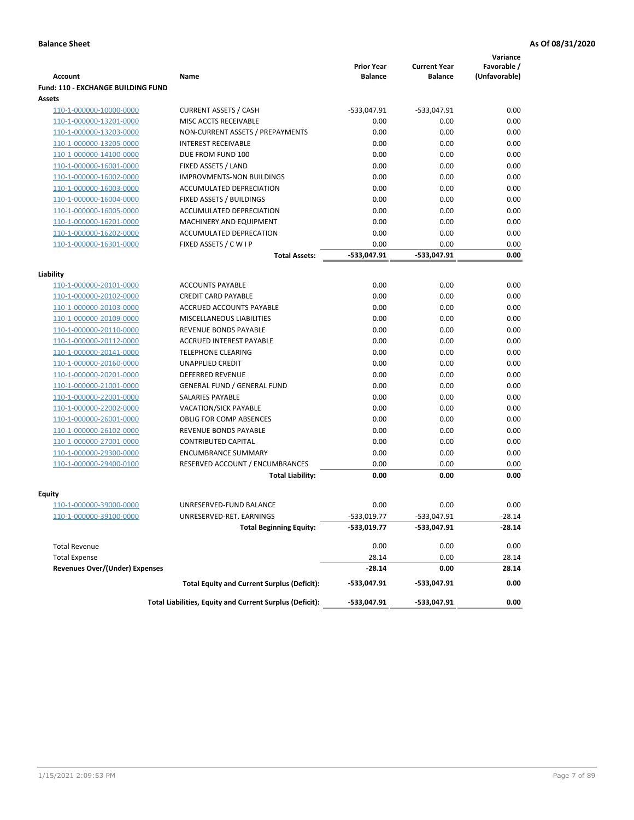|                                           |                                                          |                                     |                                       | Variance                     |
|-------------------------------------------|----------------------------------------------------------|-------------------------------------|---------------------------------------|------------------------------|
| <b>Account</b>                            | Name                                                     | <b>Prior Year</b><br><b>Balance</b> | <b>Current Year</b><br><b>Balance</b> | Favorable /<br>(Unfavorable) |
| <b>Fund: 110 - EXCHANGE BUILDING FUND</b> |                                                          |                                     |                                       |                              |
| Assets                                    |                                                          |                                     |                                       |                              |
| 110-1-000000-10000-0000                   | <b>CURRENT ASSETS / CASH</b>                             | -533,047.91                         | $-533,047.91$                         | 0.00                         |
| 110-1-000000-13201-0000                   | MISC ACCTS RECEIVABLE                                    | 0.00                                | 0.00                                  | 0.00                         |
| 110-1-000000-13203-0000                   | NON-CURRENT ASSETS / PREPAYMENTS                         | 0.00                                | 0.00                                  | 0.00                         |
| 110-1-000000-13205-0000                   | <b>INTEREST RECEIVABLE</b>                               | 0.00                                | 0.00                                  | 0.00                         |
| 110-1-000000-14100-0000                   | DUE FROM FUND 100                                        | 0.00                                | 0.00                                  | 0.00                         |
| 110-1-000000-16001-0000                   | FIXED ASSETS / LAND                                      | 0.00                                | 0.00                                  | 0.00                         |
| 110-1-000000-16002-0000                   | <b>IMPROVMENTS-NON BUILDINGS</b>                         | 0.00                                | 0.00                                  | 0.00                         |
| 110-1-000000-16003-0000                   | ACCUMULATED DEPRECIATION                                 | 0.00                                | 0.00                                  | 0.00                         |
| 110-1-000000-16004-0000                   | FIXED ASSETS / BUILDINGS                                 | 0.00                                | 0.00                                  | 0.00                         |
| 110-1-000000-16005-0000                   | ACCUMULATED DEPRECIATION                                 | 0.00                                | 0.00                                  | 0.00                         |
| 110-1-000000-16201-0000                   | <b>MACHINERY AND EQUIPMENT</b>                           | 0.00                                | 0.00                                  | 0.00                         |
| 110-1-000000-16202-0000                   | ACCUMULATED DEPRECATION                                  | 0.00                                | 0.00                                  | 0.00                         |
| 110-1-000000-16301-0000                   | FIXED ASSETS / C W I P                                   | 0.00                                | 0.00                                  | 0.00                         |
|                                           | <b>Total Assets:</b>                                     | $-533,047.91$                       | -533,047.91                           | 0.00                         |
| Liability                                 |                                                          |                                     |                                       |                              |
| 110-1-000000-20101-0000                   | <b>ACCOUNTS PAYABLE</b>                                  | 0.00                                | 0.00                                  | 0.00                         |
| 110-1-000000-20102-0000                   | <b>CREDIT CARD PAYABLE</b>                               | 0.00                                | 0.00                                  | 0.00                         |
| 110-1-000000-20103-0000                   | ACCRUED ACCOUNTS PAYABLE                                 | 0.00                                | 0.00                                  | 0.00                         |
| 110-1-000000-20109-0000                   | MISCELLANEOUS LIABILITIES                                | 0.00                                | 0.00                                  | 0.00                         |
| 110-1-000000-20110-0000                   | REVENUE BONDS PAYABLE                                    | 0.00                                | 0.00                                  | 0.00                         |
| 110-1-000000-20112-0000                   | <b>ACCRUED INTEREST PAYABLE</b>                          | 0.00                                | 0.00                                  | 0.00                         |
| 110-1-000000-20141-0000                   | <b>TELEPHONE CLEARING</b>                                | 0.00                                | 0.00                                  | 0.00                         |
| 110-1-000000-20160-0000                   | <b>UNAPPLIED CREDIT</b>                                  | 0.00                                | 0.00                                  | 0.00                         |
| 110-1-000000-20201-0000                   | <b>DEFERRED REVENUE</b>                                  | 0.00                                | 0.00                                  | 0.00                         |
| 110-1-000000-21001-0000                   | <b>GENERAL FUND / GENERAL FUND</b>                       | 0.00                                | 0.00                                  | 0.00                         |
| 110-1-000000-22001-0000                   | SALARIES PAYABLE                                         | 0.00                                | 0.00                                  | 0.00                         |
| 110-1-000000-22002-0000                   | <b>VACATION/SICK PAYABLE</b>                             | 0.00                                | 0.00                                  | 0.00                         |
| 110-1-000000-26001-0000                   | <b>OBLIG FOR COMP ABSENCES</b>                           | 0.00                                | 0.00                                  | 0.00                         |
| 110-1-000000-26102-0000                   | REVENUE BONDS PAYABLE                                    | 0.00                                | 0.00                                  | 0.00                         |
| 110-1-000000-27001-0000                   | <b>CONTRIBUTED CAPITAL</b>                               | 0.00                                | 0.00                                  | 0.00                         |
| 110-1-000000-29300-0000                   | <b>ENCUMBRANCE SUMMARY</b>                               | 0.00                                | 0.00                                  | 0.00                         |
| 110-1-000000-29400-0100                   | RESERVED ACCOUNT / ENCUMBRANCES                          | 0.00                                | 0.00                                  | 0.00                         |
|                                           | <b>Total Liability:</b>                                  | 0.00                                | 0.00                                  | 0.00                         |
|                                           |                                                          |                                     |                                       |                              |
| <b>Equity</b>                             | UNRESERVED-FUND BALANCE                                  | 0.00                                | 0.00                                  |                              |
| 110-1-000000-39000-0000                   |                                                          | $-533,019.77$                       |                                       | 0.00<br>$-28.14$             |
| <u>110-1-000000-39100-0000</u>            | UNRESERVED-RET. EARNINGS                                 |                                     | -533,047.91                           |                              |
|                                           | <b>Total Beginning Equity:</b>                           | -533,019.77                         | -533,047.91                           | -28.14                       |
| <b>Total Revenue</b>                      |                                                          | 0.00                                | 0.00                                  | 0.00                         |
| <b>Total Expense</b>                      |                                                          | 28.14                               | 0.00                                  | 28.14                        |
| <b>Revenues Over/(Under) Expenses</b>     |                                                          | $-28.14$                            | 0.00                                  | 28.14                        |
|                                           | <b>Total Equity and Current Surplus (Deficit):</b>       | -533,047.91                         | -533,047.91                           | 0.00                         |
|                                           | Total Liabilities, Equity and Current Surplus (Deficit): | -533,047.91                         | -533,047.91                           | 0.00                         |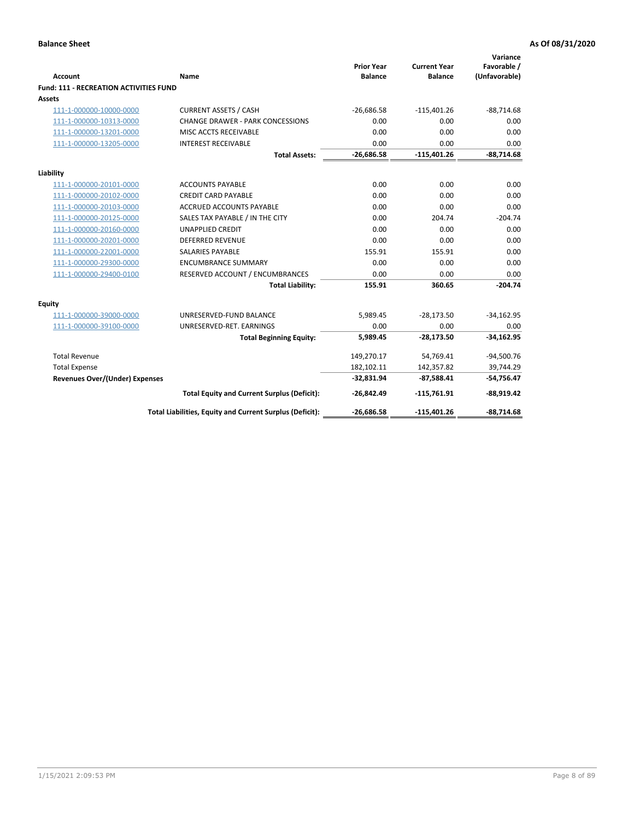|                                               |                                                          | <b>Prior Year</b> | <b>Current Year</b> | Variance<br>Favorable / |
|-----------------------------------------------|----------------------------------------------------------|-------------------|---------------------|-------------------------|
| Account                                       | Name                                                     | <b>Balance</b>    | <b>Balance</b>      | (Unfavorable)           |
| <b>Fund: 111 - RECREATION ACTIVITIES FUND</b> |                                                          |                   |                     |                         |
| Assets                                        |                                                          |                   |                     |                         |
| 111-1-000000-10000-0000                       | <b>CURRENT ASSETS / CASH</b>                             | $-26,686.58$      | $-115,401.26$       | $-88,714.68$            |
| 111-1-000000-10313-0000                       | <b>CHANGE DRAWER - PARK CONCESSIONS</b>                  | 0.00              | 0.00                | 0.00                    |
| 111-1-000000-13201-0000                       | MISC ACCTS RECEIVABLE                                    | 0.00              | 0.00                | 0.00                    |
| 111-1-000000-13205-0000                       | <b>INTEREST RECEIVABLE</b>                               | 0.00              | 0.00                | 0.00                    |
|                                               | <b>Total Assets:</b>                                     | $-26,686.58$      | $-115,401.26$       | $-88,714.68$            |
| Liability                                     |                                                          |                   |                     |                         |
| 111-1-000000-20101-0000                       | <b>ACCOUNTS PAYABLE</b>                                  | 0.00              | 0.00                | 0.00                    |
| 111-1-000000-20102-0000                       | <b>CREDIT CARD PAYABLE</b>                               | 0.00              | 0.00                | 0.00                    |
| 111-1-000000-20103-0000                       | ACCRUED ACCOUNTS PAYABLE                                 | 0.00              | 0.00                | 0.00                    |
| 111-1-000000-20125-0000                       | SALES TAX PAYABLE / IN THE CITY                          | 0.00              | 204.74              | $-204.74$               |
| 111-1-000000-20160-0000                       | <b>UNAPPLIED CREDIT</b>                                  | 0.00              | 0.00                | 0.00                    |
| 111-1-000000-20201-0000                       | <b>DEFERRED REVENUE</b>                                  | 0.00              | 0.00                | 0.00                    |
| 111-1-000000-22001-0000                       | <b>SALARIES PAYABLE</b>                                  | 155.91            | 155.91              | 0.00                    |
| 111-1-000000-29300-0000                       | <b>ENCUMBRANCE SUMMARY</b>                               | 0.00              | 0.00                | 0.00                    |
| 111-1-000000-29400-0100                       | RESERVED ACCOUNT / ENCUMBRANCES                          | 0.00              | 0.00                | 0.00                    |
|                                               | <b>Total Liability:</b>                                  | 155.91            | 360.65              | $-204.74$               |
| <b>Equity</b>                                 |                                                          |                   |                     |                         |
| 111-1-000000-39000-0000                       | UNRESERVED-FUND BALANCE                                  | 5,989.45          | $-28,173.50$        | $-34,162.95$            |
| 111-1-000000-39100-0000                       | UNRESERVED-RET. EARNINGS                                 | 0.00              | 0.00                | 0.00                    |
|                                               | <b>Total Beginning Equity:</b>                           | 5,989.45          | $-28,173.50$        | $-34,162.95$            |
| <b>Total Revenue</b>                          |                                                          | 149,270.17        | 54,769.41           | $-94,500.76$            |
| <b>Total Expense</b>                          |                                                          | 182,102.11        | 142,357.82          | 39,744.29               |
| Revenues Over/(Under) Expenses                |                                                          | $-32,831.94$      | $-87,588.41$        | $-54,756.47$            |
|                                               | <b>Total Equity and Current Surplus (Deficit):</b>       | $-26,842.49$      | $-115,761.91$       | $-88,919.42$            |
|                                               | Total Liabilities, Equity and Current Surplus (Deficit): | $-26,686.58$      | $-115,401.26$       | $-88,714.68$            |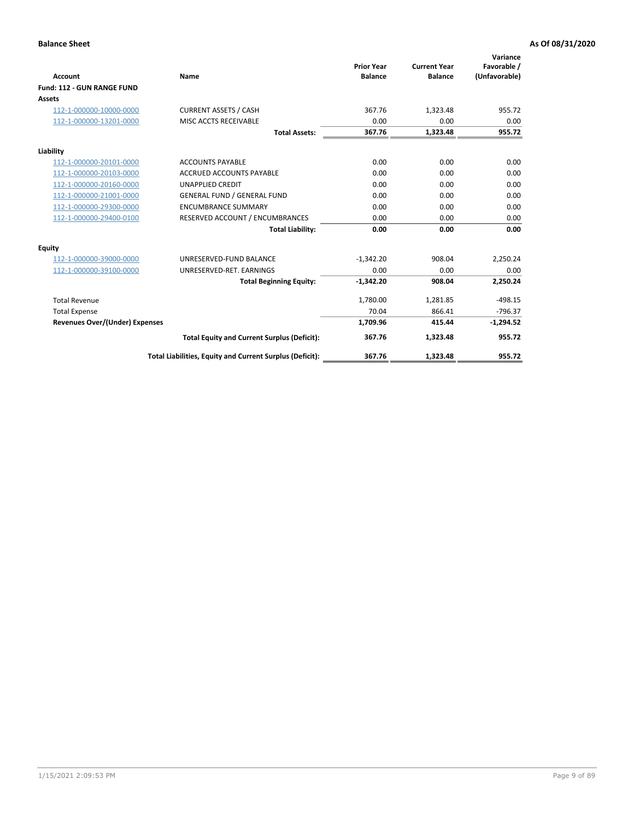|                                   |                                                          |                                     |                                       | Variance                     |
|-----------------------------------|----------------------------------------------------------|-------------------------------------|---------------------------------------|------------------------------|
| <b>Account</b>                    | Name                                                     | <b>Prior Year</b><br><b>Balance</b> | <b>Current Year</b><br><b>Balance</b> | Favorable /<br>(Unfavorable) |
| <b>Fund: 112 - GUN RANGE FUND</b> |                                                          |                                     |                                       |                              |
| <b>Assets</b>                     |                                                          |                                     |                                       |                              |
| 112-1-000000-10000-0000           | <b>CURRENT ASSETS / CASH</b>                             | 367.76                              | 1,323.48                              | 955.72                       |
| 112-1-000000-13201-0000           | MISC ACCTS RECEIVABLE                                    | 0.00                                | 0.00                                  | 0.00                         |
|                                   | <b>Total Assets:</b>                                     | 367.76                              | 1,323.48                              | 955.72                       |
| Liability                         |                                                          |                                     |                                       |                              |
| 112-1-000000-20101-0000           | <b>ACCOUNTS PAYABLE</b>                                  | 0.00                                | 0.00                                  | 0.00                         |
| 112-1-000000-20103-0000           | <b>ACCRUED ACCOUNTS PAYABLE</b>                          | 0.00                                | 0.00                                  | 0.00                         |
| 112-1-000000-20160-0000           | <b>UNAPPLIED CREDIT</b>                                  | 0.00                                | 0.00                                  | 0.00                         |
| 112-1-000000-21001-0000           | <b>GENERAL FUND / GENERAL FUND</b>                       | 0.00                                | 0.00                                  | 0.00                         |
| 112-1-000000-29300-0000           | <b>ENCUMBRANCE SUMMARY</b>                               | 0.00                                | 0.00                                  | 0.00                         |
| 112-1-000000-29400-0100           | RESERVED ACCOUNT / ENCUMBRANCES                          | 0.00                                | 0.00                                  | 0.00                         |
|                                   | <b>Total Liability:</b>                                  | 0.00                                | 0.00                                  | 0.00                         |
| Equity                            |                                                          |                                     |                                       |                              |
| 112-1-000000-39000-0000           | UNRESERVED-FUND BALANCE                                  | $-1,342.20$                         | 908.04                                | 2,250.24                     |
| 112-1-000000-39100-0000           | UNRESERVED-RET. EARNINGS                                 | 0.00                                | 0.00                                  | 0.00                         |
|                                   | <b>Total Beginning Equity:</b>                           | $-1,342.20$                         | 908.04                                | 2,250.24                     |
| <b>Total Revenue</b>              |                                                          | 1,780.00                            | 1,281.85                              | $-498.15$                    |
| <b>Total Expense</b>              |                                                          | 70.04                               | 866.41                                | $-796.37$                    |
| Revenues Over/(Under) Expenses    |                                                          | 1,709.96                            | 415.44                                | $-1,294.52$                  |
|                                   | <b>Total Equity and Current Surplus (Deficit):</b>       | 367.76                              | 1,323.48                              | 955.72                       |
|                                   | Total Liabilities, Equity and Current Surplus (Deficit): | 367.76                              | 1,323.48                              | 955.72                       |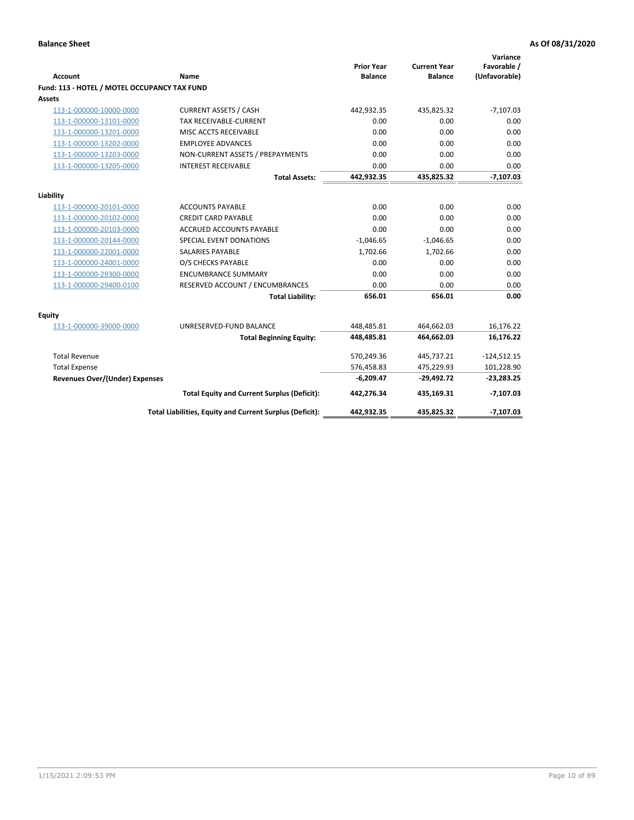| <b>Account</b>                               | Name                                                     | <b>Prior Year</b><br><b>Balance</b> | <b>Current Year</b><br><b>Balance</b> | Variance<br>Favorable /<br>(Unfavorable) |
|----------------------------------------------|----------------------------------------------------------|-------------------------------------|---------------------------------------|------------------------------------------|
| Fund: 113 - HOTEL / MOTEL OCCUPANCY TAX FUND |                                                          |                                     |                                       |                                          |
| Assets                                       |                                                          |                                     |                                       |                                          |
| 113-1-000000-10000-0000                      | <b>CURRENT ASSETS / CASH</b>                             | 442,932.35                          | 435,825.32                            | $-7,107.03$                              |
| 113-1-000000-13101-0000                      | TAX RECEIVABLE-CURRENT                                   | 0.00                                | 0.00                                  | 0.00                                     |
| 113-1-000000-13201-0000                      | MISC ACCTS RECEIVABLE                                    | 0.00                                | 0.00                                  | 0.00                                     |
| 113-1-000000-13202-0000                      | <b>EMPLOYEE ADVANCES</b>                                 | 0.00                                | 0.00                                  | 0.00                                     |
| 113-1-000000-13203-0000                      | NON-CURRENT ASSETS / PREPAYMENTS                         | 0.00                                | 0.00                                  | 0.00                                     |
| 113-1-000000-13205-0000                      | <b>INTEREST RECEIVABLE</b>                               | 0.00                                | 0.00                                  | 0.00                                     |
|                                              | <b>Total Assets:</b>                                     | 442,932.35                          | 435,825.32                            | $-7,107.03$                              |
|                                              |                                                          |                                     |                                       |                                          |
| Liability                                    |                                                          |                                     |                                       |                                          |
| 113-1-000000-20101-0000                      | <b>ACCOUNTS PAYABLE</b>                                  | 0.00                                | 0.00                                  | 0.00                                     |
| 113-1-000000-20102-0000                      | <b>CREDIT CARD PAYABLE</b>                               | 0.00                                | 0.00                                  | 0.00                                     |
| 113-1-000000-20103-0000                      | ACCRUED ACCOUNTS PAYABLE                                 | 0.00                                | 0.00                                  | 0.00                                     |
| 113-1-000000-20144-0000                      | SPECIAL EVENT DONATIONS                                  | $-1,046.65$                         | $-1,046.65$                           | 0.00                                     |
| 113-1-000000-22001-0000                      | <b>SALARIES PAYABLE</b>                                  | 1,702.66                            | 1,702.66                              | 0.00                                     |
| 113-1-000000-24001-0000                      | O/S CHECKS PAYABLE                                       | 0.00                                | 0.00                                  | 0.00                                     |
| 113-1-000000-29300-0000                      | <b>ENCUMBRANCE SUMMARY</b>                               | 0.00                                | 0.00                                  | 0.00                                     |
| 113-1-000000-29400-0100                      | RESERVED ACCOUNT / ENCUMBRANCES                          | 0.00                                | 0.00                                  | 0.00                                     |
|                                              | <b>Total Liability:</b>                                  | 656.01                              | 656.01                                | 0.00                                     |
| Equity                                       |                                                          |                                     |                                       |                                          |
| 113-1-000000-39000-0000                      | UNRESERVED-FUND BALANCE                                  | 448,485.81                          | 464,662.03                            | 16,176.22                                |
|                                              | <b>Total Beginning Equity:</b>                           | 448,485.81                          | 464,662.03                            | 16,176.22                                |
| <b>Total Revenue</b>                         |                                                          | 570,249.36                          | 445,737.21                            | $-124,512.15$                            |
| <b>Total Expense</b>                         |                                                          | 576,458.83                          | 475,229.93                            | 101,228.90                               |
| <b>Revenues Over/(Under) Expenses</b>        |                                                          | $-6,209.47$                         | $-29,492.72$                          | $-23,283.25$                             |
|                                              | <b>Total Equity and Current Surplus (Deficit):</b>       | 442,276.34                          | 435,169.31                            | $-7,107.03$                              |
|                                              | Total Liabilities, Equity and Current Surplus (Deficit): | 442,932.35                          | 435,825.32                            | $-7,107.03$                              |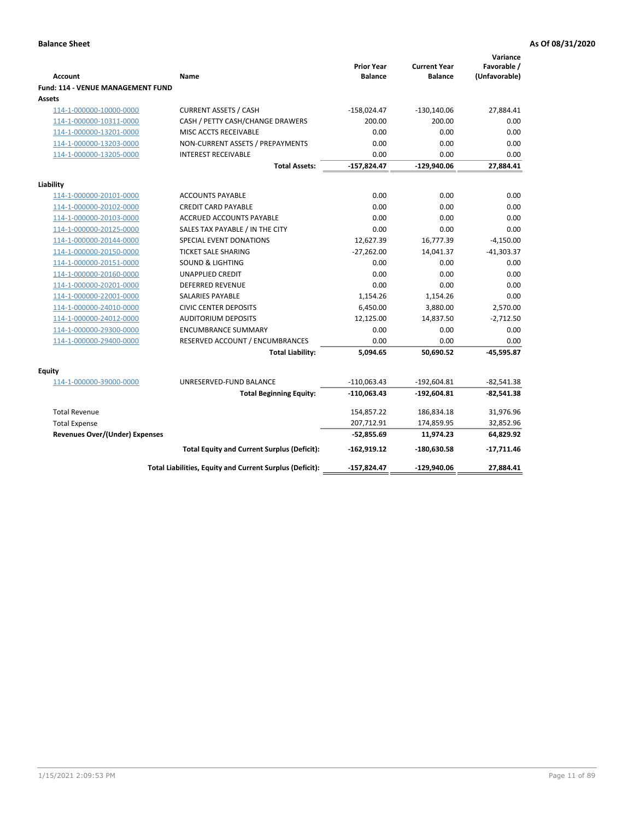| <b>Account</b>                              | <b>Name</b>                                              | <b>Prior Year</b><br><b>Balance</b> | <b>Current Year</b><br><b>Balance</b> | Variance<br>Favorable /<br>(Unfavorable) |
|---------------------------------------------|----------------------------------------------------------|-------------------------------------|---------------------------------------|------------------------------------------|
| Fund: 114 - VENUE MANAGEMENT FUND<br>Assets |                                                          |                                     |                                       |                                          |
| 114-1-000000-10000-0000                     | <b>CURRENT ASSETS / CASH</b>                             | $-158,024.47$                       | $-130,140.06$                         | 27,884.41                                |
| 114-1-000000-10311-0000                     | CASH / PETTY CASH/CHANGE DRAWERS                         | 200.00                              | 200.00                                | 0.00                                     |
| 114-1-000000-13201-0000                     | MISC ACCTS RECEIVABLE                                    | 0.00                                | 0.00                                  | 0.00                                     |
| 114-1-000000-13203-0000                     | NON-CURRENT ASSETS / PREPAYMENTS                         | 0.00                                | 0.00                                  | 0.00                                     |
| 114-1-000000-13205-0000                     | <b>INTEREST RECEIVABLE</b>                               | 0.00                                | 0.00                                  | 0.00                                     |
|                                             | <b>Total Assets:</b>                                     | -157,824.47                         | $-129,940.06$                         | 27,884.41                                |
| Liability                                   |                                                          |                                     |                                       |                                          |
| 114-1-000000-20101-0000                     | <b>ACCOUNTS PAYABLE</b>                                  | 0.00                                | 0.00                                  | 0.00                                     |
| 114-1-000000-20102-0000                     | <b>CREDIT CARD PAYABLE</b>                               | 0.00                                | 0.00                                  | 0.00                                     |
| 114-1-000000-20103-0000                     | <b>ACCRUED ACCOUNTS PAYABLE</b>                          | 0.00                                | 0.00                                  | 0.00                                     |
| 114-1-000000-20125-0000                     | SALES TAX PAYABLE / IN THE CITY                          | 0.00                                | 0.00                                  | 0.00                                     |
| 114-1-000000-20144-0000                     | SPECIAL EVENT DONATIONS                                  | 12,627.39                           | 16,777.39                             | $-4,150.00$                              |
| 114-1-000000-20150-0000                     | <b>TICKET SALE SHARING</b>                               | $-27,262.00$                        | 14,041.37                             | $-41,303.37$                             |
| 114-1-000000-20151-0000                     | <b>SOUND &amp; LIGHTING</b>                              | 0.00                                | 0.00                                  | 0.00                                     |
| 114-1-000000-20160-0000                     | <b>UNAPPLIED CREDIT</b>                                  | 0.00                                | 0.00                                  | 0.00                                     |
| 114-1-000000-20201-0000                     | <b>DEFERRED REVENUE</b>                                  | 0.00                                | 0.00                                  | 0.00                                     |
| 114-1-000000-22001-0000                     | SALARIES PAYABLE                                         | 1,154.26                            | 1,154.26                              | 0.00                                     |
| 114-1-000000-24010-0000                     | <b>CIVIC CENTER DEPOSITS</b>                             | 6,450.00                            | 3,880.00                              | 2,570.00                                 |
| 114-1-000000-24012-0000                     | <b>AUDITORIUM DEPOSITS</b>                               | 12,125.00                           | 14,837.50                             | $-2,712.50$                              |
| 114-1-000000-29300-0000                     | <b>ENCUMBRANCE SUMMARY</b>                               | 0.00                                | 0.00                                  | 0.00                                     |
| 114-1-000000-29400-0000                     | RESERVED ACCOUNT / ENCUMBRANCES                          | 0.00                                | 0.00                                  | 0.00                                     |
|                                             | <b>Total Liability:</b>                                  | 5,094.65                            | 50,690.52                             | $-45,595.87$                             |
| Equity                                      |                                                          |                                     |                                       |                                          |
| 114-1-000000-39000-0000                     | UNRESERVED-FUND BALANCE                                  | $-110,063.43$                       | $-192,604.81$                         | $-82,541.38$                             |
|                                             | <b>Total Beginning Equity:</b>                           | $-110,063.43$                       | $-192,604.81$                         | $-82,541.38$                             |
| <b>Total Revenue</b>                        |                                                          | 154,857.22                          | 186,834.18                            | 31,976.96                                |
| <b>Total Expense</b>                        |                                                          | 207,712.91                          | 174,859.95                            | 32,852.96                                |
| <b>Revenues Over/(Under) Expenses</b>       |                                                          | $-52,855.69$                        | 11,974.23                             | 64,829.92                                |
|                                             | <b>Total Equity and Current Surplus (Deficit):</b>       | $-162,919.12$                       | -180,630.58                           | $-17,711.46$                             |
|                                             | Total Liabilities, Equity and Current Surplus (Deficit): | -157,824.47                         | $-129,940.06$                         | 27,884.41                                |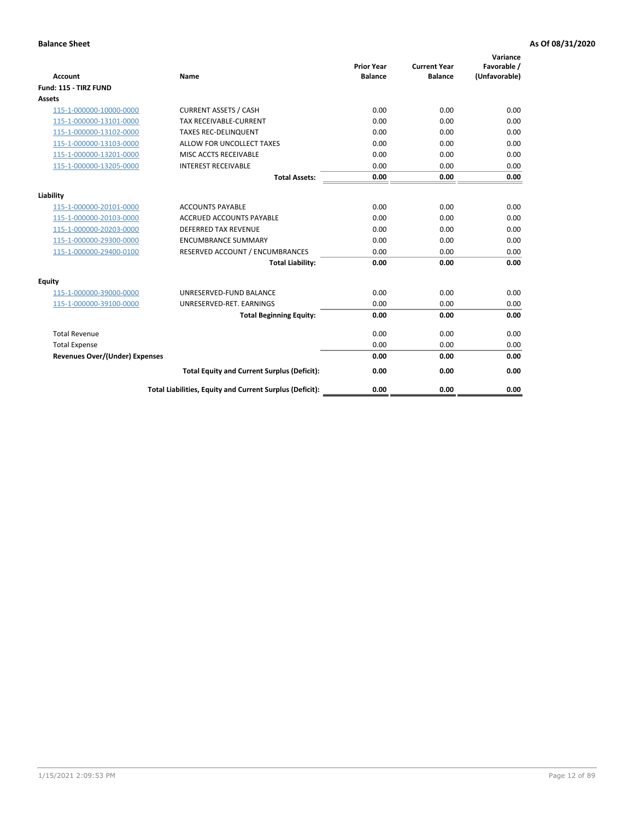| <b>Account</b>                        | <b>Name</b>                                              | <b>Prior Year</b><br><b>Balance</b> | <b>Current Year</b><br><b>Balance</b> | Variance<br>Favorable /<br>(Unfavorable) |
|---------------------------------------|----------------------------------------------------------|-------------------------------------|---------------------------------------|------------------------------------------|
| Fund: 115 - TIRZ FUND                 |                                                          |                                     |                                       |                                          |
| <b>Assets</b>                         |                                                          |                                     |                                       |                                          |
| 115-1-000000-10000-0000               | <b>CURRENT ASSETS / CASH</b>                             | 0.00                                | 0.00                                  | 0.00                                     |
| 115-1-000000-13101-0000               | <b>TAX RECEIVABLE-CURRENT</b>                            | 0.00                                | 0.00                                  | 0.00                                     |
| 115-1-000000-13102-0000               | <b>TAXES REC-DELINQUENT</b>                              | 0.00                                | 0.00                                  | 0.00                                     |
| 115-1-000000-13103-0000               | ALLOW FOR UNCOLLECT TAXES                                | 0.00                                | 0.00                                  | 0.00                                     |
| 115-1-000000-13201-0000               | MISC ACCTS RECEIVABLE                                    | 0.00                                | 0.00                                  | 0.00                                     |
| 115-1-000000-13205-0000               | <b>INTEREST RECEIVABLE</b>                               | 0.00                                | 0.00                                  | 0.00                                     |
|                                       | <b>Total Assets:</b>                                     | 0.00                                | 0.00                                  | 0.00                                     |
| Liability                             |                                                          |                                     |                                       |                                          |
| 115-1-000000-20101-0000               | <b>ACCOUNTS PAYABLE</b>                                  | 0.00                                | 0.00                                  | 0.00                                     |
| 115-1-000000-20103-0000               | <b>ACCRUED ACCOUNTS PAYABLE</b>                          | 0.00                                | 0.00                                  | 0.00                                     |
| 115-1-000000-20203-0000               | <b>DEFERRED TAX REVENUE</b>                              | 0.00                                | 0.00                                  | 0.00                                     |
| 115-1-000000-29300-0000               | <b>ENCUMBRANCE SUMMARY</b>                               | 0.00                                | 0.00                                  | 0.00                                     |
| 115-1-000000-29400-0100               | RESERVED ACCOUNT / ENCUMBRANCES                          | 0.00                                | 0.00                                  | 0.00                                     |
|                                       | <b>Total Liability:</b>                                  | 0.00                                | 0.00                                  | 0.00                                     |
| Equity                                |                                                          |                                     |                                       |                                          |
| 115-1-000000-39000-0000               | UNRESERVED-FUND BALANCE                                  | 0.00                                | 0.00                                  | 0.00                                     |
| 115-1-000000-39100-0000               | UNRESERVED-RET. EARNINGS                                 | 0.00                                | 0.00                                  | 0.00                                     |
|                                       | <b>Total Beginning Equity:</b>                           | 0.00                                | 0.00                                  | 0.00                                     |
| <b>Total Revenue</b>                  |                                                          | 0.00                                | 0.00                                  | 0.00                                     |
| <b>Total Expense</b>                  |                                                          | 0.00                                | 0.00                                  | 0.00                                     |
| <b>Revenues Over/(Under) Expenses</b> |                                                          | 0.00                                | 0.00                                  | 0.00                                     |
|                                       | <b>Total Equity and Current Surplus (Deficit):</b>       | 0.00                                | 0.00                                  | 0.00                                     |
|                                       | Total Liabilities, Equity and Current Surplus (Deficit): | 0.00                                | 0.00                                  | 0.00                                     |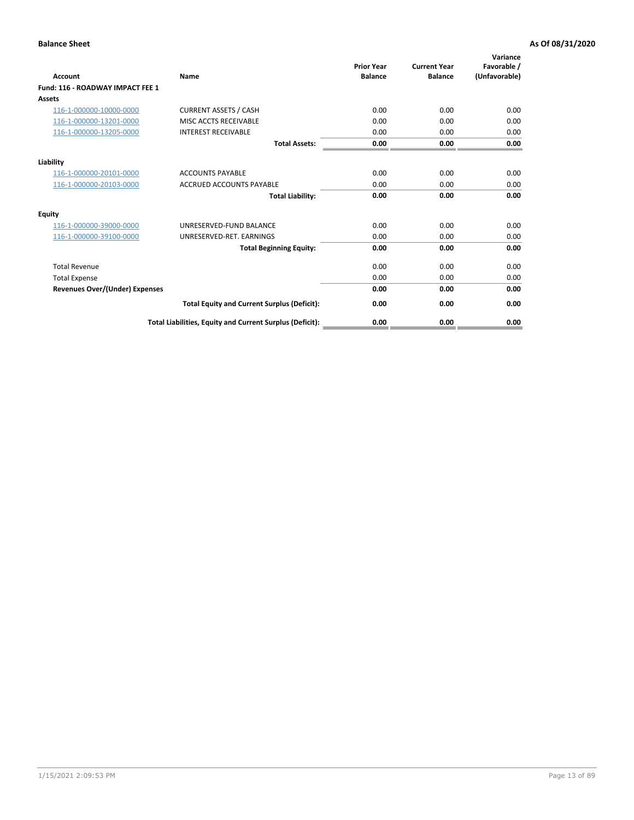| Account                               | Name                                                     | <b>Prior Year</b><br><b>Balance</b> | <b>Current Year</b><br><b>Balance</b> | Variance<br>Favorable /<br>(Unfavorable) |
|---------------------------------------|----------------------------------------------------------|-------------------------------------|---------------------------------------|------------------------------------------|
| Fund: 116 - ROADWAY IMPACT FEE 1      |                                                          |                                     |                                       |                                          |
| Assets                                |                                                          |                                     |                                       |                                          |
| 116-1-000000-10000-0000               | <b>CURRENT ASSETS / CASH</b>                             | 0.00                                | 0.00                                  | 0.00                                     |
| 116-1-000000-13201-0000               | MISC ACCTS RECEIVABLE                                    | 0.00                                | 0.00                                  | 0.00                                     |
| 116-1-000000-13205-0000               | <b>INTEREST RECEIVABLE</b>                               | 0.00                                | 0.00                                  | 0.00                                     |
|                                       | <b>Total Assets:</b>                                     | 0.00                                | 0.00                                  | 0.00                                     |
| Liability                             |                                                          |                                     |                                       |                                          |
| 116-1-000000-20101-0000               | <b>ACCOUNTS PAYABLE</b>                                  | 0.00                                | 0.00                                  | 0.00                                     |
| 116-1-000000-20103-0000               | <b>ACCRUED ACCOUNTS PAYABLE</b>                          | 0.00                                | 0.00                                  | 0.00                                     |
|                                       | <b>Total Liability:</b>                                  | 0.00                                | 0.00                                  | 0.00                                     |
| Equity                                |                                                          |                                     |                                       |                                          |
| 116-1-000000-39000-0000               | UNRESERVED-FUND BALANCE                                  | 0.00                                | 0.00                                  | 0.00                                     |
| 116-1-000000-39100-0000               | UNRESERVED-RET. EARNINGS                                 | 0.00                                | 0.00                                  | 0.00                                     |
|                                       | <b>Total Beginning Equity:</b>                           | 0.00                                | 0.00                                  | 0.00                                     |
| <b>Total Revenue</b>                  |                                                          | 0.00                                | 0.00                                  | 0.00                                     |
| <b>Total Expense</b>                  |                                                          | 0.00                                | 0.00                                  | 0.00                                     |
| <b>Revenues Over/(Under) Expenses</b> |                                                          | 0.00                                | 0.00                                  | 0.00                                     |
|                                       | <b>Total Equity and Current Surplus (Deficit):</b>       | 0.00                                | 0.00                                  | 0.00                                     |
|                                       | Total Liabilities, Equity and Current Surplus (Deficit): | 0.00                                | 0.00                                  | 0.00                                     |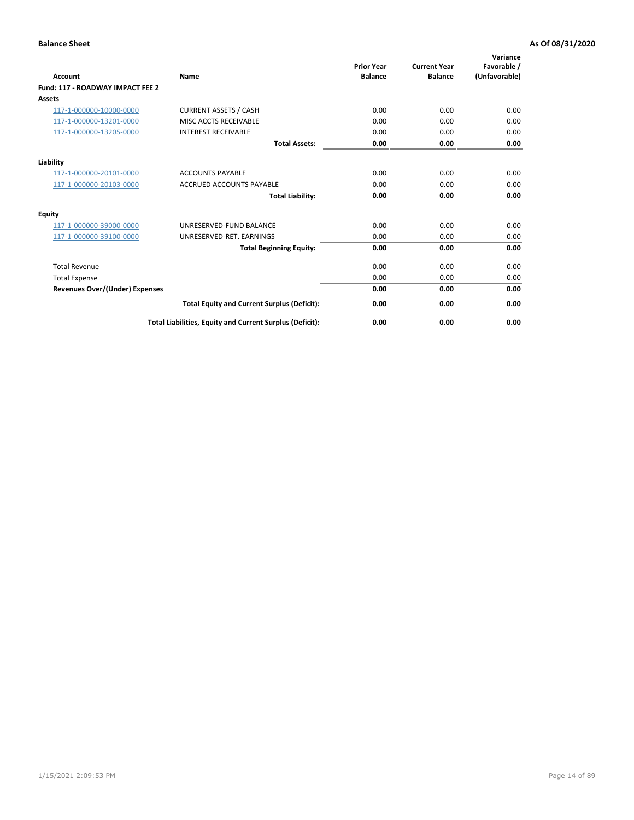| Account                               | Name                                                     | <b>Prior Year</b><br><b>Balance</b> | <b>Current Year</b><br><b>Balance</b> | Variance<br>Favorable /<br>(Unfavorable) |
|---------------------------------------|----------------------------------------------------------|-------------------------------------|---------------------------------------|------------------------------------------|
| Fund: 117 - ROADWAY IMPACT FEE 2      |                                                          |                                     |                                       |                                          |
| Assets                                |                                                          |                                     |                                       |                                          |
| 117-1-000000-10000-0000               | <b>CURRENT ASSETS / CASH</b>                             | 0.00                                | 0.00                                  | 0.00                                     |
| 117-1-000000-13201-0000               | MISC ACCTS RECEIVABLE                                    | 0.00                                | 0.00                                  | 0.00                                     |
| 117-1-000000-13205-0000               | <b>INTEREST RECEIVABLE</b>                               | 0.00                                | 0.00                                  | 0.00                                     |
|                                       | <b>Total Assets:</b>                                     | 0.00                                | 0.00                                  | 0.00                                     |
| Liability                             |                                                          |                                     |                                       |                                          |
| 117-1-000000-20101-0000               | <b>ACCOUNTS PAYABLE</b>                                  | 0.00                                | 0.00                                  | 0.00                                     |
| 117-1-000000-20103-0000               | <b>ACCRUED ACCOUNTS PAYABLE</b>                          | 0.00                                | 0.00                                  | 0.00                                     |
|                                       | <b>Total Liability:</b>                                  | 0.00                                | 0.00                                  | 0.00                                     |
| Equity                                |                                                          |                                     |                                       |                                          |
| 117-1-000000-39000-0000               | UNRESERVED-FUND BALANCE                                  | 0.00                                | 0.00                                  | 0.00                                     |
| 117-1-000000-39100-0000               | UNRESERVED-RET. EARNINGS                                 | 0.00                                | 0.00                                  | 0.00                                     |
|                                       | <b>Total Beginning Equity:</b>                           | 0.00                                | 0.00                                  | 0.00                                     |
| <b>Total Revenue</b>                  |                                                          | 0.00                                | 0.00                                  | 0.00                                     |
| <b>Total Expense</b>                  |                                                          | 0.00                                | 0.00                                  | 0.00                                     |
| <b>Revenues Over/(Under) Expenses</b> |                                                          | 0.00                                | 0.00                                  | 0.00                                     |
|                                       | <b>Total Equity and Current Surplus (Deficit):</b>       | 0.00                                | 0.00                                  | 0.00                                     |
|                                       | Total Liabilities, Equity and Current Surplus (Deficit): | 0.00                                | 0.00                                  | 0.00                                     |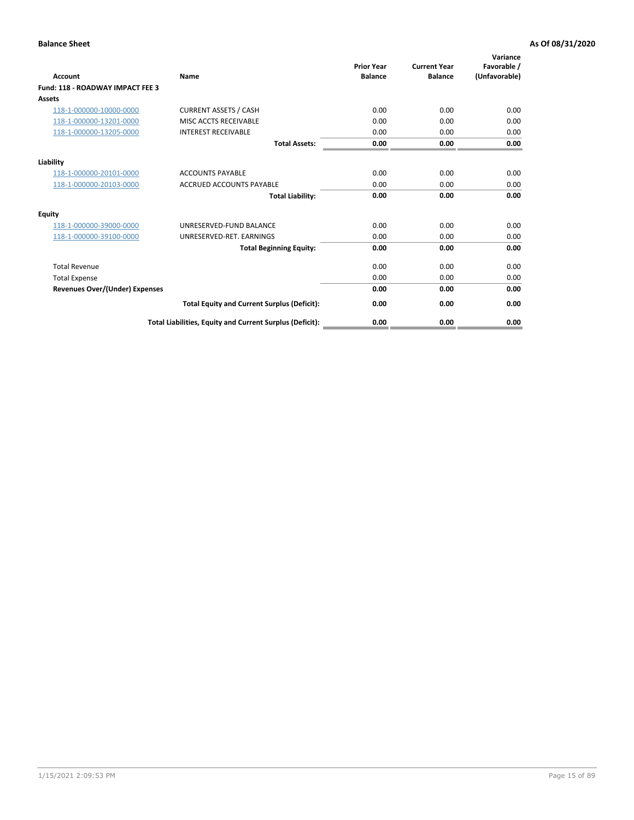| Account                                 | Name                                                     | <b>Prior Year</b><br><b>Balance</b> | <b>Current Year</b><br><b>Balance</b> | Variance<br>Favorable /<br>(Unfavorable) |
|-----------------------------------------|----------------------------------------------------------|-------------------------------------|---------------------------------------|------------------------------------------|
| <b>Fund: 118 - ROADWAY IMPACT FEE 3</b> |                                                          |                                     |                                       |                                          |
| Assets                                  |                                                          |                                     |                                       |                                          |
| 118-1-000000-10000-0000                 | <b>CURRENT ASSETS / CASH</b>                             | 0.00                                | 0.00                                  | 0.00                                     |
| 118-1-000000-13201-0000                 | MISC ACCTS RECEIVABLE                                    | 0.00                                | 0.00                                  | 0.00                                     |
| 118-1-000000-13205-0000                 | <b>INTEREST RECEIVABLE</b>                               | 0.00                                | 0.00                                  | 0.00                                     |
|                                         | <b>Total Assets:</b>                                     | 0.00                                | 0.00                                  | 0.00                                     |
| Liability                               |                                                          |                                     |                                       |                                          |
| 118-1-000000-20101-0000                 | <b>ACCOUNTS PAYABLE</b>                                  | 0.00                                | 0.00                                  | 0.00                                     |
| 118-1-000000-20103-0000                 | <b>ACCRUED ACCOUNTS PAYABLE</b>                          | 0.00                                | 0.00                                  | 0.00                                     |
|                                         | <b>Total Liability:</b>                                  | 0.00                                | 0.00                                  | 0.00                                     |
| Equity                                  |                                                          |                                     |                                       |                                          |
| 118-1-000000-39000-0000                 | UNRESERVED-FUND BALANCE                                  | 0.00                                | 0.00                                  | 0.00                                     |
| 118-1-000000-39100-0000                 | UNRESERVED-RET. EARNINGS                                 | 0.00                                | 0.00                                  | 0.00                                     |
|                                         | <b>Total Beginning Equity:</b>                           | 0.00                                | 0.00                                  | 0.00                                     |
| <b>Total Revenue</b>                    |                                                          | 0.00                                | 0.00                                  | 0.00                                     |
| <b>Total Expense</b>                    |                                                          | 0.00                                | 0.00                                  | 0.00                                     |
| <b>Revenues Over/(Under) Expenses</b>   |                                                          | 0.00                                | 0.00                                  | 0.00                                     |
|                                         | <b>Total Equity and Current Surplus (Deficit):</b>       | 0.00                                | 0.00                                  | 0.00                                     |
|                                         | Total Liabilities, Equity and Current Surplus (Deficit): | 0.00                                | 0.00                                  | 0.00                                     |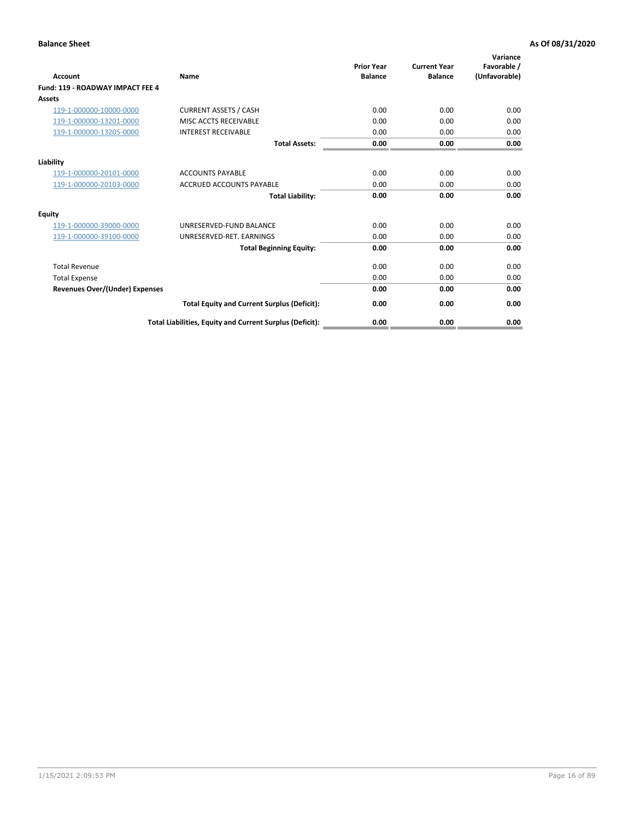| Account                                 | Name                                                     | <b>Prior Year</b><br><b>Balance</b> | <b>Current Year</b><br><b>Balance</b> | Variance<br>Favorable /<br>(Unfavorable) |
|-----------------------------------------|----------------------------------------------------------|-------------------------------------|---------------------------------------|------------------------------------------|
| <b>Fund: 119 - ROADWAY IMPACT FEE 4</b> |                                                          |                                     |                                       |                                          |
| Assets                                  |                                                          |                                     |                                       |                                          |
| 119-1-000000-10000-0000                 | <b>CURRENT ASSETS / CASH</b>                             | 0.00                                | 0.00                                  | 0.00                                     |
| 119-1-000000-13201-0000                 | MISC ACCTS RECEIVABLE                                    | 0.00                                | 0.00                                  | 0.00                                     |
| 119-1-000000-13205-0000                 | <b>INTEREST RECEIVABLE</b>                               | 0.00                                | 0.00                                  | 0.00                                     |
|                                         | <b>Total Assets:</b>                                     | 0.00                                | 0.00                                  | 0.00                                     |
| Liability                               |                                                          |                                     |                                       |                                          |
| 119-1-000000-20101-0000                 | <b>ACCOUNTS PAYABLE</b>                                  | 0.00                                | 0.00                                  | 0.00                                     |
| 119-1-000000-20103-0000                 | <b>ACCRUED ACCOUNTS PAYABLE</b>                          | 0.00                                | 0.00                                  | 0.00                                     |
|                                         | <b>Total Liability:</b>                                  | 0.00                                | 0.00                                  | 0.00                                     |
| Equity                                  |                                                          |                                     |                                       |                                          |
| 119-1-000000-39000-0000                 | UNRESERVED-FUND BALANCE                                  | 0.00                                | 0.00                                  | 0.00                                     |
| 119-1-000000-39100-0000                 | UNRESERVED-RET. EARNINGS                                 | 0.00                                | 0.00                                  | 0.00                                     |
|                                         | <b>Total Beginning Equity:</b>                           | 0.00                                | 0.00                                  | 0.00                                     |
| <b>Total Revenue</b>                    |                                                          | 0.00                                | 0.00                                  | 0.00                                     |
| <b>Total Expense</b>                    |                                                          | 0.00                                | 0.00                                  | 0.00                                     |
| <b>Revenues Over/(Under) Expenses</b>   |                                                          | 0.00                                | 0.00                                  | 0.00                                     |
|                                         | <b>Total Equity and Current Surplus (Deficit):</b>       | 0.00                                | 0.00                                  | 0.00                                     |
|                                         | Total Liabilities, Equity and Current Surplus (Deficit): | 0.00                                | 0.00                                  | 0.00                                     |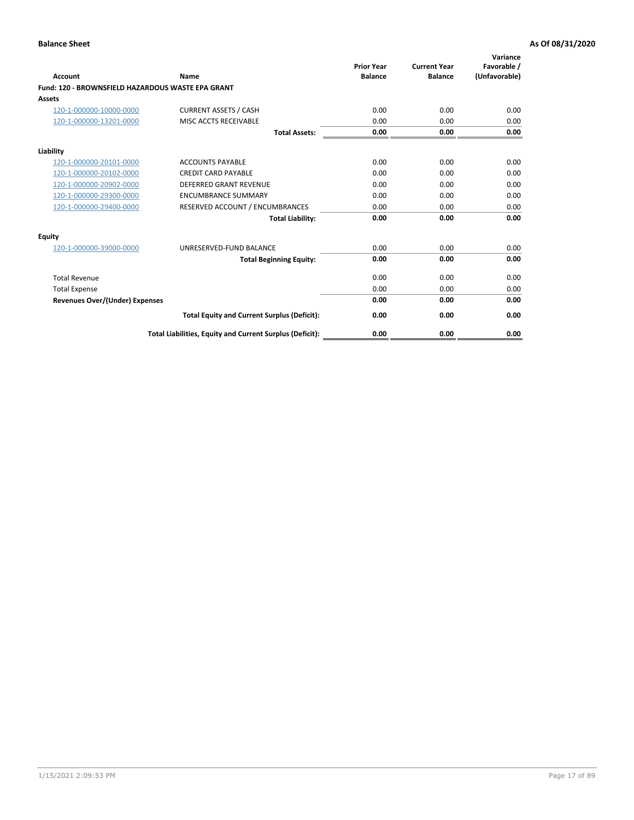| <b>Account</b>                                    | Name                                                     | <b>Prior Year</b><br><b>Balance</b> | <b>Current Year</b><br><b>Balance</b> | Variance<br>Favorable /<br>(Unfavorable) |
|---------------------------------------------------|----------------------------------------------------------|-------------------------------------|---------------------------------------|------------------------------------------|
| Fund: 120 - BROWNSFIELD HAZARDOUS WASTE EPA GRANT |                                                          |                                     |                                       |                                          |
| <b>Assets</b>                                     |                                                          |                                     |                                       |                                          |
| 120-1-000000-10000-0000                           | <b>CURRENT ASSETS / CASH</b>                             | 0.00                                | 0.00                                  | 0.00                                     |
| 120-1-000000-13201-0000                           | MISC ACCTS RECEIVABLE                                    | 0.00                                | 0.00                                  | 0.00                                     |
|                                                   | <b>Total Assets:</b>                                     | 0.00                                | 0.00                                  | 0.00                                     |
| Liability                                         |                                                          |                                     |                                       |                                          |
| 120-1-000000-20101-0000                           | <b>ACCOUNTS PAYABLE</b>                                  | 0.00                                | 0.00                                  | 0.00                                     |
| 120-1-000000-20102-0000                           | <b>CREDIT CARD PAYABLE</b>                               | 0.00                                | 0.00                                  | 0.00                                     |
| 120-1-000000-20902-0000                           | <b>DEFERRED GRANT REVENUE</b>                            | 0.00                                | 0.00                                  | 0.00                                     |
| 120-1-000000-29300-0000                           | <b>ENCUMBRANCE SUMMARY</b>                               | 0.00                                | 0.00                                  | 0.00                                     |
| 120-1-000000-29400-0000                           | RESERVED ACCOUNT / ENCUMBRANCES                          | 0.00                                | 0.00                                  | 0.00                                     |
|                                                   | <b>Total Liability:</b>                                  | 0.00                                | 0.00                                  | 0.00                                     |
| Equity                                            |                                                          |                                     |                                       |                                          |
| 120-1-000000-39000-0000                           | UNRESERVED-FUND BALANCE                                  | 0.00                                | 0.00                                  | 0.00                                     |
|                                                   | <b>Total Beginning Equity:</b>                           | 0.00                                | 0.00                                  | 0.00                                     |
| <b>Total Revenue</b>                              |                                                          | 0.00                                | 0.00                                  | 0.00                                     |
| <b>Total Expense</b>                              |                                                          | 0.00                                | 0.00                                  | 0.00                                     |
| <b>Revenues Over/(Under) Expenses</b>             |                                                          | 0.00                                | 0.00                                  | 0.00                                     |
|                                                   | <b>Total Equity and Current Surplus (Deficit):</b>       | 0.00                                | 0.00                                  | 0.00                                     |
|                                                   | Total Liabilities, Equity and Current Surplus (Deficit): | 0.00                                | 0.00                                  | 0.00                                     |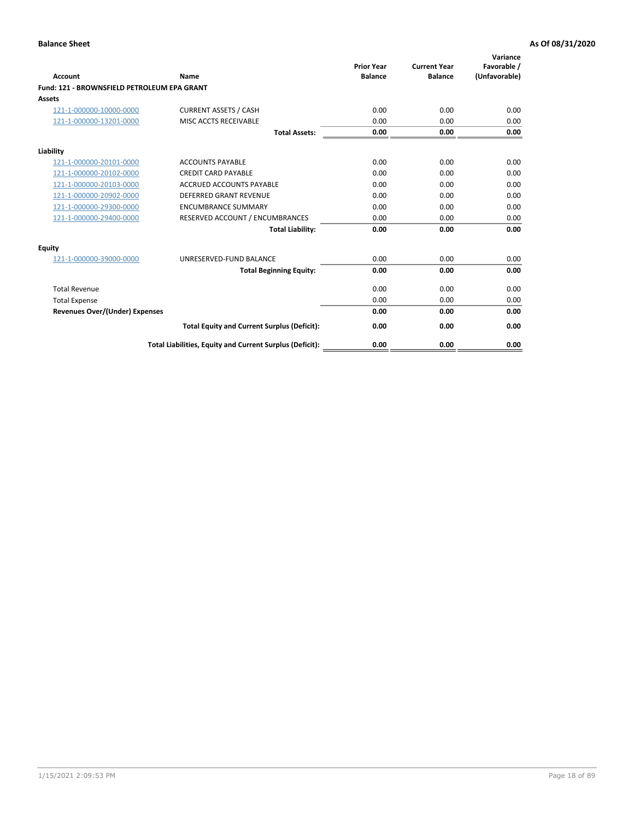| Account                                     | Name                                                     | <b>Prior Year</b><br><b>Balance</b> | <b>Current Year</b><br><b>Balance</b> | Variance<br>Favorable /<br>(Unfavorable) |
|---------------------------------------------|----------------------------------------------------------|-------------------------------------|---------------------------------------|------------------------------------------|
| Fund: 121 - BROWNSFIELD PETROLEUM EPA GRANT |                                                          |                                     |                                       |                                          |
| <b>Assets</b>                               |                                                          |                                     |                                       |                                          |
| 121-1-000000-10000-0000                     | <b>CURRENT ASSETS / CASH</b>                             | 0.00                                | 0.00                                  | 0.00                                     |
| 121-1-000000-13201-0000                     | MISC ACCTS RECEIVABLE                                    | 0.00                                | 0.00                                  | 0.00                                     |
|                                             | <b>Total Assets:</b>                                     | 0.00                                | 0.00                                  | 0.00                                     |
| Liability                                   |                                                          |                                     |                                       |                                          |
| 121-1-000000-20101-0000                     | <b>ACCOUNTS PAYABLE</b>                                  | 0.00                                | 0.00                                  | 0.00                                     |
| 121-1-000000-20102-0000                     | <b>CREDIT CARD PAYABLE</b>                               | 0.00                                | 0.00                                  | 0.00                                     |
| 121-1-000000-20103-0000                     | <b>ACCRUED ACCOUNTS PAYABLE</b>                          | 0.00                                | 0.00                                  | 0.00                                     |
| 121-1-000000-20902-0000                     | <b>DEFERRED GRANT REVENUE</b>                            | 0.00                                | 0.00                                  | 0.00                                     |
| 121-1-000000-29300-0000                     | <b>ENCUMBRANCE SUMMARY</b>                               | 0.00                                | 0.00                                  | 0.00                                     |
| 121-1-000000-29400-0000                     | RESERVED ACCOUNT / ENCUMBRANCES                          | 0.00                                | 0.00                                  | 0.00                                     |
|                                             | <b>Total Liability:</b>                                  | 0.00                                | 0.00                                  | 0.00                                     |
| <b>Equity</b>                               |                                                          |                                     |                                       |                                          |
| 121-1-000000-39000-0000                     | UNRESERVED-FUND BALANCE                                  | 0.00                                | 0.00                                  | 0.00                                     |
|                                             | <b>Total Beginning Equity:</b>                           | 0.00                                | 0.00                                  | 0.00                                     |
| <b>Total Revenue</b>                        |                                                          | 0.00                                | 0.00                                  | 0.00                                     |
| <b>Total Expense</b>                        |                                                          | 0.00                                | 0.00                                  | 0.00                                     |
| <b>Revenues Over/(Under) Expenses</b>       |                                                          | 0.00                                | 0.00                                  | 0.00                                     |
|                                             | <b>Total Equity and Current Surplus (Deficit):</b>       | 0.00                                | 0.00                                  | 0.00                                     |
|                                             | Total Liabilities, Equity and Current Surplus (Deficit): | 0.00                                | 0.00                                  | 0.00                                     |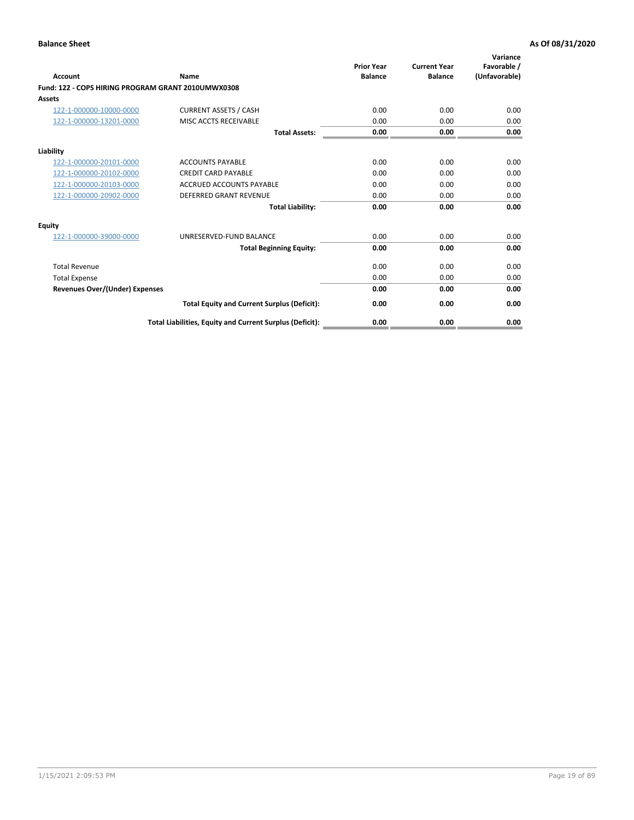| <b>Account</b>                                     | Name                                                     | <b>Prior Year</b><br><b>Balance</b> | <b>Current Year</b><br><b>Balance</b> | Variance<br>Favorable /<br>(Unfavorable) |
|----------------------------------------------------|----------------------------------------------------------|-------------------------------------|---------------------------------------|------------------------------------------|
| Fund: 122 - COPS HIRING PROGRAM GRANT 2010UMWX0308 |                                                          |                                     |                                       |                                          |
| Assets                                             |                                                          |                                     |                                       |                                          |
| 122-1-000000-10000-0000                            | <b>CURRENT ASSETS / CASH</b>                             | 0.00                                | 0.00                                  | 0.00                                     |
| 122-1-000000-13201-0000                            | MISC ACCTS RECEIVABLE                                    | 0.00                                | 0.00                                  | 0.00                                     |
|                                                    | <b>Total Assets:</b>                                     | 0.00                                | 0.00                                  | 0.00                                     |
| Liability                                          |                                                          |                                     |                                       |                                          |
| 122-1-000000-20101-0000                            | <b>ACCOUNTS PAYABLE</b>                                  | 0.00                                | 0.00                                  | 0.00                                     |
| 122-1-000000-20102-0000                            | <b>CREDIT CARD PAYABLE</b>                               | 0.00                                | 0.00                                  | 0.00                                     |
| 122-1-000000-20103-0000                            | <b>ACCRUED ACCOUNTS PAYABLE</b>                          | 0.00                                | 0.00                                  | 0.00                                     |
| 122-1-000000-20902-0000                            | <b>DEFERRED GRANT REVENUE</b>                            | 0.00                                | 0.00                                  | 0.00                                     |
|                                                    | <b>Total Liability:</b>                                  | 0.00                                | 0.00                                  | 0.00                                     |
| Equity                                             |                                                          |                                     |                                       |                                          |
| 122-1-000000-39000-0000                            | UNRESERVED-FUND BALANCE                                  | 0.00                                | 0.00                                  | 0.00                                     |
|                                                    | <b>Total Beginning Equity:</b>                           | 0.00                                | 0.00                                  | 0.00                                     |
| <b>Total Revenue</b>                               |                                                          | 0.00                                | 0.00                                  | 0.00                                     |
| <b>Total Expense</b>                               |                                                          | 0.00                                | 0.00                                  | 0.00                                     |
| <b>Revenues Over/(Under) Expenses</b>              |                                                          | 0.00                                | 0.00                                  | 0.00                                     |
|                                                    | <b>Total Equity and Current Surplus (Deficit):</b>       | 0.00                                | 0.00                                  | 0.00                                     |
|                                                    | Total Liabilities, Equity and Current Surplus (Deficit): | 0.00                                | 0.00                                  | 0.00                                     |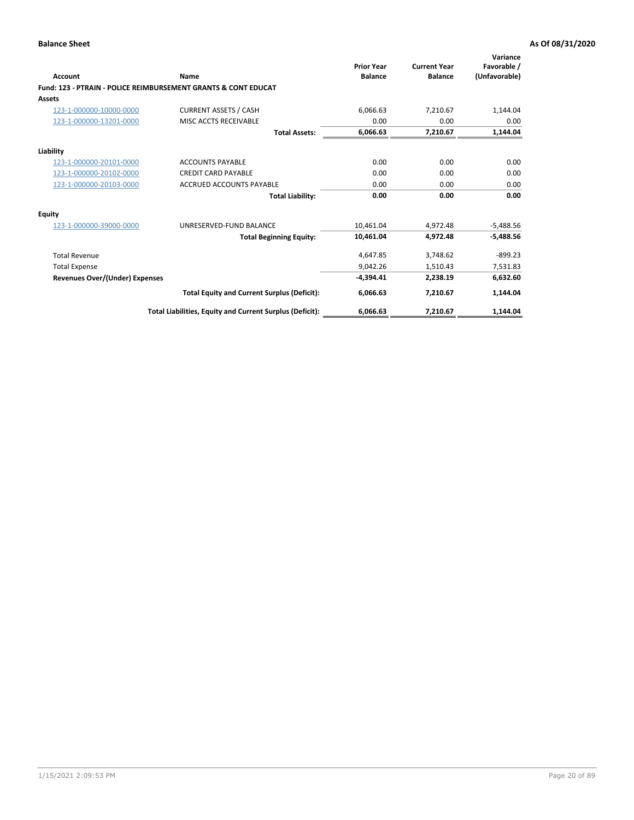| Account                               | Name                                                           | <b>Prior Year</b><br><b>Balance</b> | <b>Current Year</b><br><b>Balance</b> | Variance<br>Favorable /<br>(Unfavorable) |
|---------------------------------------|----------------------------------------------------------------|-------------------------------------|---------------------------------------|------------------------------------------|
|                                       | Fund: 123 - PTRAIN - POLICE REIMBURSEMENT GRANTS & CONT EDUCAT |                                     |                                       |                                          |
| Assets                                |                                                                |                                     |                                       |                                          |
| 123-1-000000-10000-0000               | <b>CURRENT ASSETS / CASH</b>                                   | 6,066.63                            | 7,210.67                              | 1,144.04                                 |
| 123-1-000000-13201-0000               | MISC ACCTS RECEIVABLE                                          | 0.00                                | 0.00                                  | 0.00                                     |
|                                       | <b>Total Assets:</b>                                           | 6,066.63                            | 7,210.67                              | 1,144.04                                 |
| Liability                             |                                                                |                                     |                                       |                                          |
| 123-1-000000-20101-0000               | <b>ACCOUNTS PAYABLE</b>                                        | 0.00                                | 0.00                                  | 0.00                                     |
| 123-1-000000-20102-0000               | <b>CREDIT CARD PAYABLE</b>                                     | 0.00                                | 0.00                                  | 0.00                                     |
| 123-1-000000-20103-0000               | <b>ACCRUED ACCOUNTS PAYABLE</b>                                | 0.00                                | 0.00                                  | 0.00                                     |
|                                       | <b>Total Liability:</b>                                        | 0.00                                | 0.00                                  | 0.00                                     |
| Equity                                |                                                                |                                     |                                       |                                          |
| 123-1-000000-39000-0000               | UNRESERVED-FUND BALANCE                                        | 10.461.04                           | 4,972.48                              | $-5,488.56$                              |
|                                       | <b>Total Beginning Equity:</b>                                 | 10,461.04                           | 4,972.48                              | $-5,488.56$                              |
| <b>Total Revenue</b>                  |                                                                | 4,647.85                            | 3,748.62                              | $-899.23$                                |
| <b>Total Expense</b>                  |                                                                | 9.042.26                            | 1,510.43                              | 7,531.83                                 |
| <b>Revenues Over/(Under) Expenses</b> |                                                                | $-4.394.41$                         | 2,238.19                              | 6,632.60                                 |
|                                       | <b>Total Equity and Current Surplus (Deficit):</b>             | 6,066.63                            | 7,210.67                              | 1,144.04                                 |
|                                       | Total Liabilities, Equity and Current Surplus (Deficit):       | 6,066.63                            | 7,210.67                              | 1,144.04                                 |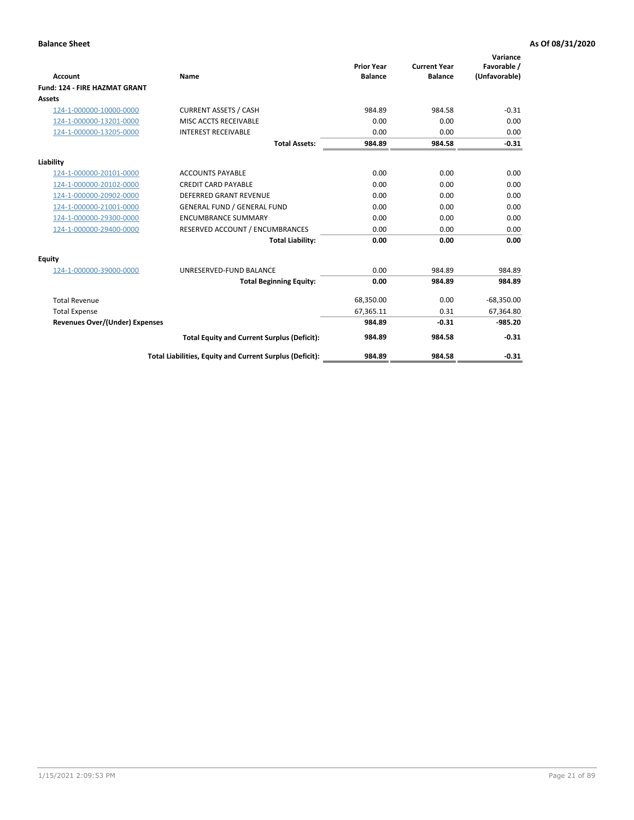|                                       |                                                          |                                     |                                       | Variance                     |
|---------------------------------------|----------------------------------------------------------|-------------------------------------|---------------------------------------|------------------------------|
| <b>Account</b>                        | Name                                                     | <b>Prior Year</b><br><b>Balance</b> | <b>Current Year</b><br><b>Balance</b> | Favorable /<br>(Unfavorable) |
| <b>Fund: 124 - FIRE HAZMAT GRANT</b>  |                                                          |                                     |                                       |                              |
| <b>Assets</b>                         |                                                          |                                     |                                       |                              |
| 124-1-000000-10000-0000               | <b>CURRENT ASSETS / CASH</b>                             | 984.89                              | 984.58                                | $-0.31$                      |
| 124-1-000000-13201-0000               | MISC ACCTS RECEIVABLE                                    | 0.00                                | 0.00                                  | 0.00                         |
| 124-1-000000-13205-0000               | <b>INTEREST RECEIVABLE</b>                               | 0.00                                | 0.00                                  | 0.00                         |
|                                       | <b>Total Assets:</b>                                     | 984.89                              | 984.58                                | $-0.31$                      |
| Liability                             |                                                          |                                     |                                       |                              |
| 124-1-000000-20101-0000               | <b>ACCOUNTS PAYABLE</b>                                  | 0.00                                | 0.00                                  | 0.00                         |
| 124-1-000000-20102-0000               | <b>CREDIT CARD PAYABLE</b>                               | 0.00                                | 0.00                                  | 0.00                         |
| 124-1-000000-20902-0000               | <b>DEFERRED GRANT REVENUE</b>                            | 0.00                                | 0.00                                  | 0.00                         |
| 124-1-000000-21001-0000               | <b>GENERAL FUND / GENERAL FUND</b>                       | 0.00                                | 0.00                                  | 0.00                         |
| 124-1-000000-29300-0000               | <b>ENCUMBRANCE SUMMARY</b>                               | 0.00                                | 0.00                                  | 0.00                         |
| 124-1-000000-29400-0000               | RESERVED ACCOUNT / ENCUMBRANCES                          | 0.00                                | 0.00                                  | 0.00                         |
|                                       | <b>Total Liability:</b>                                  | 0.00                                | 0.00                                  | 0.00                         |
| Equity                                |                                                          |                                     |                                       |                              |
| 124-1-000000-39000-0000               | UNRESERVED-FUND BALANCE                                  | 0.00                                | 984.89                                | 984.89                       |
|                                       | <b>Total Beginning Equity:</b>                           | 0.00                                | 984.89                                | 984.89                       |
| <b>Total Revenue</b>                  |                                                          | 68,350.00                           | 0.00                                  | $-68,350.00$                 |
| <b>Total Expense</b>                  |                                                          | 67,365.11                           | 0.31                                  | 67,364.80                    |
| <b>Revenues Over/(Under) Expenses</b> |                                                          | 984.89                              | $-0.31$                               | $-985.20$                    |
|                                       | <b>Total Equity and Current Surplus (Deficit):</b>       | 984.89                              | 984.58                                | $-0.31$                      |
|                                       | Total Liabilities, Equity and Current Surplus (Deficit): | 984.89                              | 984.58                                | $-0.31$                      |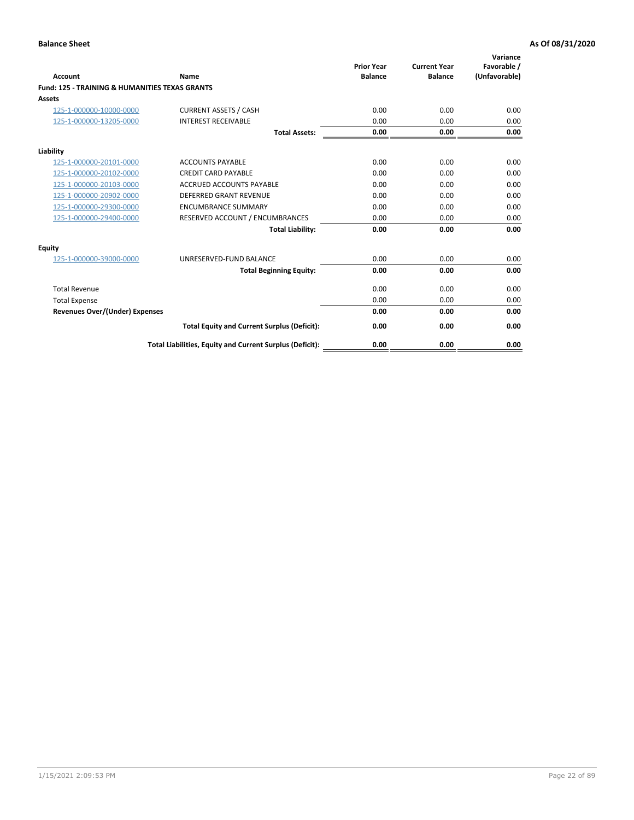| Account                                                   | Name                                                     | <b>Prior Year</b><br><b>Balance</b> | <b>Current Year</b><br><b>Balance</b> | Variance<br>Favorable /<br>(Unfavorable) |
|-----------------------------------------------------------|----------------------------------------------------------|-------------------------------------|---------------------------------------|------------------------------------------|
| <b>Fund: 125 - TRAINING &amp; HUMANITIES TEXAS GRANTS</b> |                                                          |                                     |                                       |                                          |
| <b>Assets</b>                                             |                                                          |                                     |                                       |                                          |
| 125-1-000000-10000-0000                                   | <b>CURRENT ASSETS / CASH</b>                             | 0.00                                | 0.00                                  | 0.00                                     |
| 125-1-000000-13205-0000                                   | <b>INTEREST RECEIVABLE</b>                               | 0.00                                | 0.00                                  | 0.00                                     |
|                                                           | <b>Total Assets:</b>                                     | 0.00                                | 0.00                                  | 0.00                                     |
| Liability                                                 |                                                          |                                     |                                       |                                          |
| 125-1-000000-20101-0000                                   | <b>ACCOUNTS PAYABLE</b>                                  | 0.00                                | 0.00                                  | 0.00                                     |
| 125-1-000000-20102-0000                                   | <b>CREDIT CARD PAYABLE</b>                               | 0.00                                | 0.00                                  | 0.00                                     |
| 125-1-000000-20103-0000                                   | <b>ACCRUED ACCOUNTS PAYABLE</b>                          | 0.00                                | 0.00                                  | 0.00                                     |
| 125-1-000000-20902-0000                                   | <b>DEFERRED GRANT REVENUE</b>                            | 0.00                                | 0.00                                  | 0.00                                     |
| 125-1-000000-29300-0000                                   | <b>ENCUMBRANCE SUMMARY</b>                               | 0.00                                | 0.00                                  | 0.00                                     |
| 125-1-000000-29400-0000                                   | RESERVED ACCOUNT / ENCUMBRANCES                          | 0.00                                | 0.00                                  | 0.00                                     |
|                                                           | <b>Total Liability:</b>                                  | 0.00                                | 0.00                                  | 0.00                                     |
| <b>Equity</b>                                             |                                                          |                                     |                                       |                                          |
| 125-1-000000-39000-0000                                   | UNRESERVED-FUND BALANCE                                  | 0.00                                | 0.00                                  | 0.00                                     |
|                                                           | <b>Total Beginning Equity:</b>                           | 0.00                                | 0.00                                  | 0.00                                     |
| <b>Total Revenue</b>                                      |                                                          | 0.00                                | 0.00                                  | 0.00                                     |
| <b>Total Expense</b>                                      |                                                          | 0.00                                | 0.00                                  | 0.00                                     |
| <b>Revenues Over/(Under) Expenses</b>                     |                                                          | 0.00                                | 0.00                                  | 0.00                                     |
|                                                           | <b>Total Equity and Current Surplus (Deficit):</b>       | 0.00                                | 0.00                                  | 0.00                                     |
|                                                           | Total Liabilities, Equity and Current Surplus (Deficit): | 0.00                                | 0.00                                  | 0.00                                     |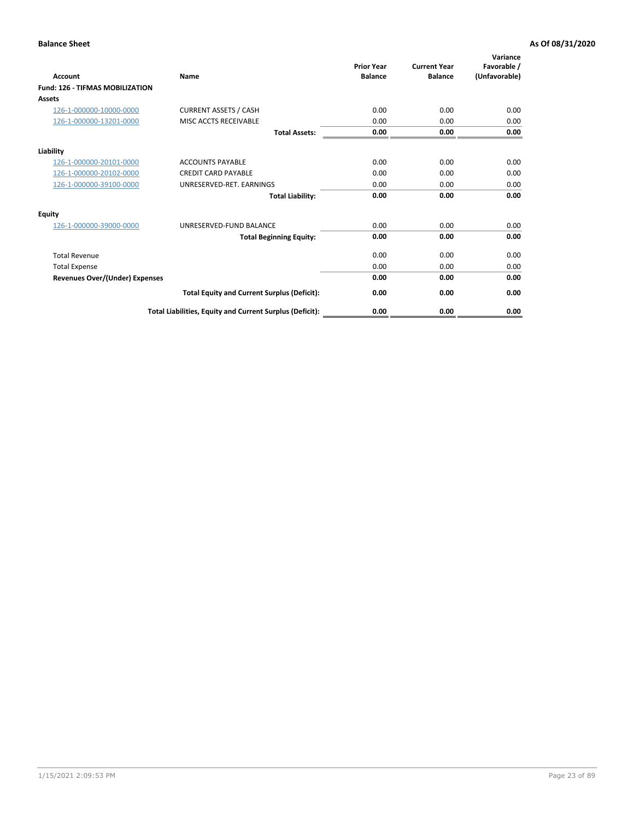| Account                                | Name                                                     | <b>Prior Year</b><br><b>Balance</b> | <b>Current Year</b><br><b>Balance</b> | Variance<br>Favorable /<br>(Unfavorable) |
|----------------------------------------|----------------------------------------------------------|-------------------------------------|---------------------------------------|------------------------------------------|
| <b>Fund: 126 - TIFMAS MOBILIZATION</b> |                                                          |                                     |                                       |                                          |
| Assets                                 |                                                          |                                     |                                       |                                          |
| 126-1-000000-10000-0000                | <b>CURRENT ASSETS / CASH</b>                             | 0.00                                | 0.00                                  | 0.00                                     |
| 126-1-000000-13201-0000                | MISC ACCTS RECEIVABLE                                    | 0.00                                | 0.00                                  | 0.00                                     |
|                                        | <b>Total Assets:</b>                                     | 0.00                                | 0.00                                  | 0.00                                     |
| Liability                              |                                                          |                                     |                                       |                                          |
| 126-1-000000-20101-0000                | <b>ACCOUNTS PAYABLE</b>                                  | 0.00                                | 0.00                                  | 0.00                                     |
| 126-1-000000-20102-0000                | <b>CREDIT CARD PAYABLE</b>                               | 0.00                                | 0.00                                  | 0.00                                     |
| 126-1-000000-39100-0000                | UNRESERVED-RET. EARNINGS                                 | 0.00                                | 0.00                                  | 0.00                                     |
|                                        | <b>Total Liability:</b>                                  | 0.00                                | 0.00                                  | 0.00                                     |
| Equity                                 |                                                          |                                     |                                       |                                          |
| 126-1-000000-39000-0000                | UNRESERVED-FUND BALANCE                                  | 0.00                                | 0.00                                  | 0.00                                     |
|                                        | <b>Total Beginning Equity:</b>                           | 0.00                                | 0.00                                  | 0.00                                     |
| <b>Total Revenue</b>                   |                                                          | 0.00                                | 0.00                                  | 0.00                                     |
| <b>Total Expense</b>                   |                                                          | 0.00                                | 0.00                                  | 0.00                                     |
| Revenues Over/(Under) Expenses         |                                                          | 0.00                                | 0.00                                  | 0.00                                     |
|                                        | <b>Total Equity and Current Surplus (Deficit):</b>       | 0.00                                | 0.00                                  | 0.00                                     |
|                                        | Total Liabilities, Equity and Current Surplus (Deficit): | 0.00                                | 0.00                                  | 0.00                                     |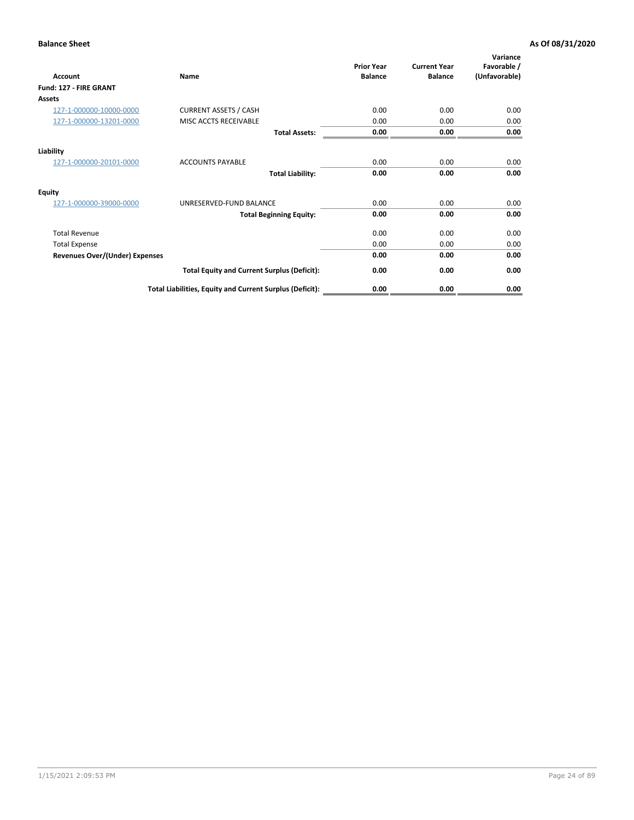| <b>Account</b>                        | Name                                                     | <b>Prior Year</b><br><b>Balance</b> | <b>Current Year</b><br><b>Balance</b> | Variance<br>Favorable /<br>(Unfavorable) |
|---------------------------------------|----------------------------------------------------------|-------------------------------------|---------------------------------------|------------------------------------------|
| Fund: 127 - FIRE GRANT                |                                                          |                                     |                                       |                                          |
| <b>Assets</b>                         |                                                          |                                     |                                       |                                          |
| 127-1-000000-10000-0000               | <b>CURRENT ASSETS / CASH</b>                             | 0.00                                | 0.00                                  | 0.00                                     |
| 127-1-000000-13201-0000               | MISC ACCTS RECEIVABLE                                    | 0.00                                | 0.00                                  | 0.00                                     |
|                                       | <b>Total Assets:</b>                                     | 0.00                                | 0.00                                  | 0.00                                     |
| Liability                             |                                                          |                                     |                                       |                                          |
| 127-1-000000-20101-0000               | <b>ACCOUNTS PAYABLE</b>                                  | 0.00                                | 0.00                                  | 0.00                                     |
|                                       | <b>Total Liability:</b>                                  | 0.00                                | 0.00                                  | 0.00                                     |
| Equity                                |                                                          |                                     |                                       |                                          |
| 127-1-000000-39000-0000               | UNRESERVED-FUND BALANCE                                  | 0.00                                | 0.00                                  | 0.00                                     |
|                                       | <b>Total Beginning Equity:</b>                           | 0.00                                | 0.00                                  | 0.00                                     |
| <b>Total Revenue</b>                  |                                                          | 0.00                                | 0.00                                  | 0.00                                     |
| <b>Total Expense</b>                  |                                                          | 0.00                                | 0.00                                  | 0.00                                     |
| <b>Revenues Over/(Under) Expenses</b> |                                                          | 0.00                                | 0.00                                  | 0.00                                     |
|                                       | <b>Total Equity and Current Surplus (Deficit):</b>       | 0.00                                | 0.00                                  | 0.00                                     |
|                                       | Total Liabilities, Equity and Current Surplus (Deficit): | 0.00                                | 0.00                                  | 0.00                                     |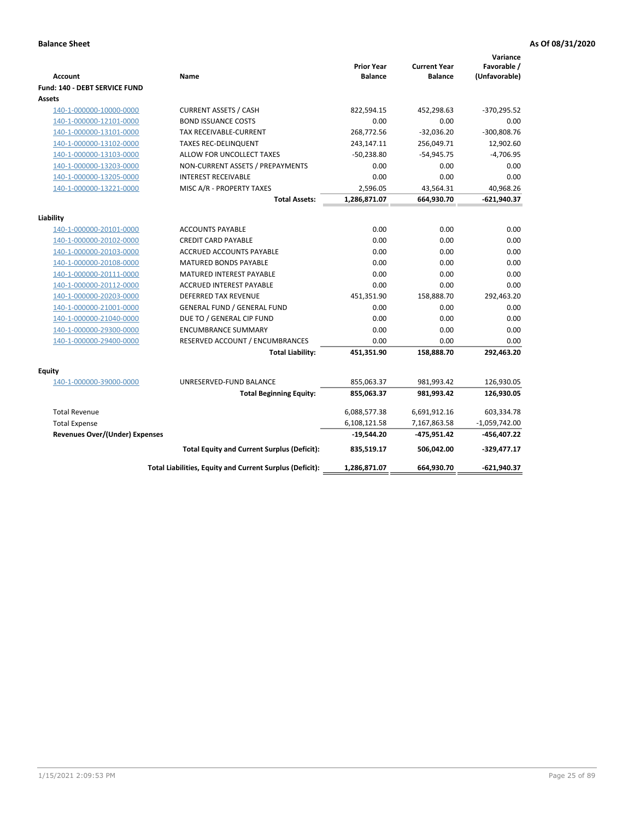| <b>Account</b>                        | Name                                                     | <b>Prior Year</b><br><b>Balance</b> | <b>Current Year</b><br><b>Balance</b> | Variance<br>Favorable /<br>(Unfavorable) |
|---------------------------------------|----------------------------------------------------------|-------------------------------------|---------------------------------------|------------------------------------------|
| Fund: 140 - DEBT SERVICE FUND         |                                                          |                                     |                                       |                                          |
| Assets                                |                                                          |                                     |                                       |                                          |
| 140-1-000000-10000-0000               | <b>CURRENT ASSETS / CASH</b>                             | 822,594.15                          | 452,298.63                            | $-370,295.52$                            |
| 140-1-000000-12101-0000               | <b>BOND ISSUANCE COSTS</b>                               | 0.00                                | 0.00                                  | 0.00                                     |
| 140-1-000000-13101-0000               | <b>TAX RECEIVABLE-CURRENT</b>                            | 268,772.56                          | $-32.036.20$                          | $-300,808.76$                            |
| 140-1-000000-13102-0000               | <b>TAXES REC-DELINQUENT</b>                              | 243,147.11                          | 256,049.71                            | 12,902.60                                |
| 140-1-000000-13103-0000               | ALLOW FOR UNCOLLECT TAXES                                | $-50,238.80$                        | $-54,945.75$                          | $-4,706.95$                              |
| 140-1-000000-13203-0000               | NON-CURRENT ASSETS / PREPAYMENTS                         | 0.00                                | 0.00                                  | 0.00                                     |
| 140-1-000000-13205-0000               | <b>INTEREST RECEIVABLE</b>                               | 0.00                                | 0.00                                  | 0.00                                     |
| 140-1-000000-13221-0000               | MISC A/R - PROPERTY TAXES                                | 2,596.05                            | 43,564.31                             | 40,968.26                                |
|                                       | <b>Total Assets:</b>                                     | 1,286,871.07                        | 664,930.70                            | $-621,940.37$                            |
| Liability                             |                                                          |                                     |                                       |                                          |
| 140-1-000000-20101-0000               | <b>ACCOUNTS PAYABLE</b>                                  | 0.00                                | 0.00                                  | 0.00                                     |
| 140-1-000000-20102-0000               | <b>CREDIT CARD PAYABLE</b>                               | 0.00                                | 0.00                                  | 0.00                                     |
| 140-1-000000-20103-0000               | ACCRUED ACCOUNTS PAYABLE                                 | 0.00                                | 0.00                                  | 0.00                                     |
| 140-1-000000-20108-0000               | <b>MATURED BONDS PAYABLE</b>                             | 0.00                                | 0.00                                  | 0.00                                     |
| 140-1-000000-20111-0000               | MATURED INTEREST PAYABLE                                 | 0.00                                | 0.00                                  | 0.00                                     |
| 140-1-000000-20112-0000               | <b>ACCRUED INTEREST PAYABLE</b>                          | 0.00                                | 0.00                                  | 0.00                                     |
| 140-1-000000-20203-0000               | <b>DEFERRED TAX REVENUE</b>                              | 451,351.90                          | 158,888.70                            | 292,463.20                               |
| 140-1-000000-21001-0000               | <b>GENERAL FUND / GENERAL FUND</b>                       | 0.00                                | 0.00                                  | 0.00                                     |
| 140-1-000000-21040-0000               | DUE TO / GENERAL CIP FUND                                | 0.00                                | 0.00                                  | 0.00                                     |
| 140-1-000000-29300-0000               | <b>ENCUMBRANCE SUMMARY</b>                               | 0.00                                | 0.00                                  | 0.00                                     |
| 140-1-000000-29400-0000               | RESERVED ACCOUNT / ENCUMBRANCES                          | 0.00                                | 0.00                                  | 0.00                                     |
|                                       | <b>Total Liability:</b>                                  | 451,351.90                          | 158,888.70                            | 292,463.20                               |
| Equity                                |                                                          |                                     |                                       |                                          |
| 140-1-000000-39000-0000               | UNRESERVED-FUND BALANCE                                  | 855,063.37                          | 981,993.42                            | 126,930.05                               |
|                                       | <b>Total Beginning Equity:</b>                           | 855,063.37                          | 981,993.42                            | 126,930.05                               |
|                                       |                                                          |                                     |                                       |                                          |
| <b>Total Revenue</b>                  |                                                          | 6,088,577.38                        | 6,691,912.16                          | 603,334.78                               |
| <b>Total Expense</b>                  |                                                          | 6,108,121.58                        | 7,167,863.58                          | $-1,059,742.00$                          |
| <b>Revenues Over/(Under) Expenses</b> |                                                          | $-19,544.20$                        | -475,951.42                           | -456,407.22                              |
|                                       | <b>Total Equity and Current Surplus (Deficit):</b>       | 835,519.17                          | 506,042.00                            | $-329,477.17$                            |
|                                       | Total Liabilities, Equity and Current Surplus (Deficit): | 1,286,871.07                        | 664,930.70                            | $-621,940.37$                            |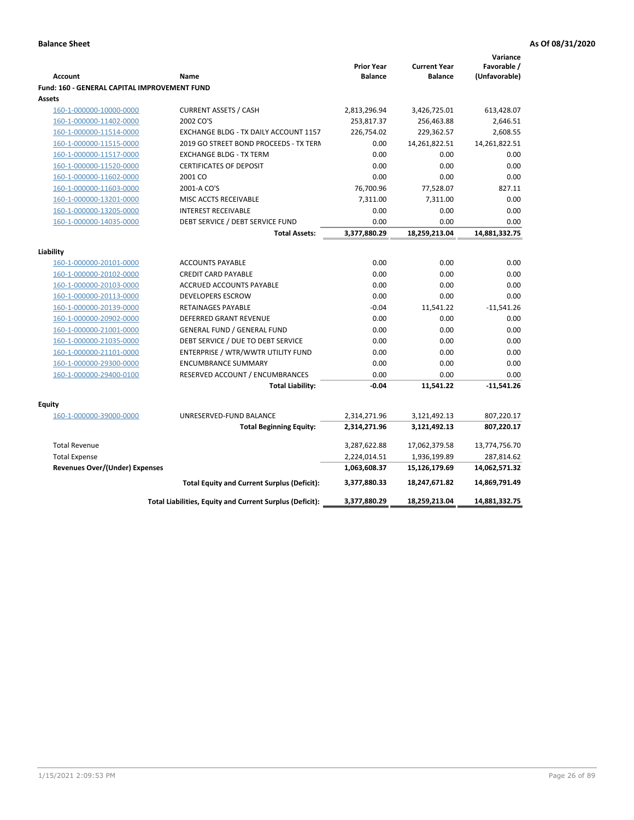|                                              |                                                          |                                     |                                       | Variance                     |
|----------------------------------------------|----------------------------------------------------------|-------------------------------------|---------------------------------------|------------------------------|
| <b>Account</b>                               | Name                                                     | <b>Prior Year</b><br><b>Balance</b> | <b>Current Year</b><br><b>Balance</b> | Favorable /<br>(Unfavorable) |
| Fund: 160 - GENERAL CAPITAL IMPROVEMENT FUND |                                                          |                                     |                                       |                              |
| Assets                                       |                                                          |                                     |                                       |                              |
| 160-1-000000-10000-0000                      | <b>CURRENT ASSETS / CASH</b>                             | 2,813,296.94                        | 3,426,725.01                          | 613,428.07                   |
| 160-1-000000-11402-0000                      | 2002 CO'S                                                | 253,817.37                          | 256,463.88                            | 2,646.51                     |
| 160-1-000000-11514-0000                      | EXCHANGE BLDG - TX DAILY ACCOUNT 1157                    | 226,754.02                          | 229,362.57                            | 2,608.55                     |
| 160-1-000000-11515-0000                      | 2019 GO STREET BOND PROCEEDS - TX TERN                   | 0.00                                | 14,261,822.51                         | 14,261,822.51                |
| 160-1-000000-11517-0000                      | <b>EXCHANGE BLDG - TX TERM</b>                           | 0.00                                | 0.00                                  | 0.00                         |
| 160-1-000000-11520-0000                      | <b>CERTIFICATES OF DEPOSIT</b>                           | 0.00                                | 0.00                                  | 0.00                         |
| 160-1-000000-11602-0000                      | 2001 CO                                                  | 0.00                                | 0.00                                  | 0.00                         |
| 160-1-000000-11603-0000                      | 2001-A CO'S                                              | 76,700.96                           | 77,528.07                             | 827.11                       |
| 160-1-000000-13201-0000                      | MISC ACCTS RECEIVABLE                                    | 7,311.00                            | 7,311.00                              | 0.00                         |
| 160-1-000000-13205-0000                      | <b>INTEREST RECEIVABLE</b>                               | 0.00                                | 0.00                                  | 0.00                         |
| 160-1-000000-14035-0000                      | DEBT SERVICE / DEBT SERVICE FUND                         | 0.00                                | 0.00                                  | 0.00                         |
|                                              | <b>Total Assets:</b>                                     | 3,377,880.29                        | 18,259,213.04                         | 14,881,332.75                |
|                                              |                                                          |                                     |                                       |                              |
| Liability                                    |                                                          |                                     |                                       |                              |
| 160-1-000000-20101-0000                      | <b>ACCOUNTS PAYABLE</b>                                  | 0.00                                | 0.00                                  | 0.00                         |
| 160-1-000000-20102-0000                      | <b>CREDIT CARD PAYABLE</b>                               | 0.00                                | 0.00                                  | 0.00                         |
| 160-1-000000-20103-0000                      | ACCRUED ACCOUNTS PAYABLE                                 | 0.00                                | 0.00                                  | 0.00                         |
| 160-1-000000-20113-0000                      | <b>DEVELOPERS ESCROW</b>                                 | 0.00                                | 0.00                                  | 0.00                         |
| 160-1-000000-20139-0000                      | <b>RETAINAGES PAYABLE</b>                                | $-0.04$                             | 11,541.22                             | $-11,541.26$                 |
| 160-1-000000-20902-0000                      | <b>DEFERRED GRANT REVENUE</b>                            | 0.00                                | 0.00                                  | 0.00                         |
| 160-1-000000-21001-0000                      | <b>GENERAL FUND / GENERAL FUND</b>                       | 0.00                                | 0.00                                  | 0.00                         |
| 160-1-000000-21035-0000                      | DEBT SERVICE / DUE TO DEBT SERVICE                       | 0.00                                | 0.00                                  | 0.00                         |
| 160-1-000000-21101-0000                      | ENTERPRISE / WTR/WWTR UTILITY FUND                       | 0.00                                | 0.00                                  | 0.00                         |
| 160-1-000000-29300-0000                      | <b>ENCUMBRANCE SUMMARY</b>                               | 0.00                                | 0.00                                  | 0.00                         |
| 160-1-000000-29400-0100                      | RESERVED ACCOUNT / ENCUMBRANCES                          | 0.00                                | 0.00                                  | 0.00                         |
|                                              | <b>Total Liability:</b>                                  | $-0.04$                             | 11,541.22                             | $-11,541.26$                 |
| <b>Equity</b>                                |                                                          |                                     |                                       |                              |
| 160-1-000000-39000-0000                      | UNRESERVED-FUND BALANCE                                  | 2,314,271.96                        | 3,121,492.13                          | 807,220.17                   |
|                                              | <b>Total Beginning Equity:</b>                           | 2,314,271.96                        | 3,121,492.13                          | 807,220.17                   |
|                                              |                                                          |                                     |                                       |                              |
| <b>Total Revenue</b>                         |                                                          | 3,287,622.88                        | 17,062,379.58                         | 13,774,756.70                |
| <b>Total Expense</b>                         |                                                          | 2,224,014.51                        | 1,936,199.89                          | 287,814.62                   |
| <b>Revenues Over/(Under) Expenses</b>        |                                                          | 1,063,608.37                        | 15,126,179.69                         | 14,062,571.32                |
|                                              | <b>Total Equity and Current Surplus (Deficit):</b>       | 3,377,880.33                        | 18,247,671.82                         | 14,869,791.49                |
|                                              | Total Liabilities, Equity and Current Surplus (Deficit): | 3,377,880.29                        | 18,259,213.04                         | 14,881,332.75                |
|                                              |                                                          |                                     |                                       |                              |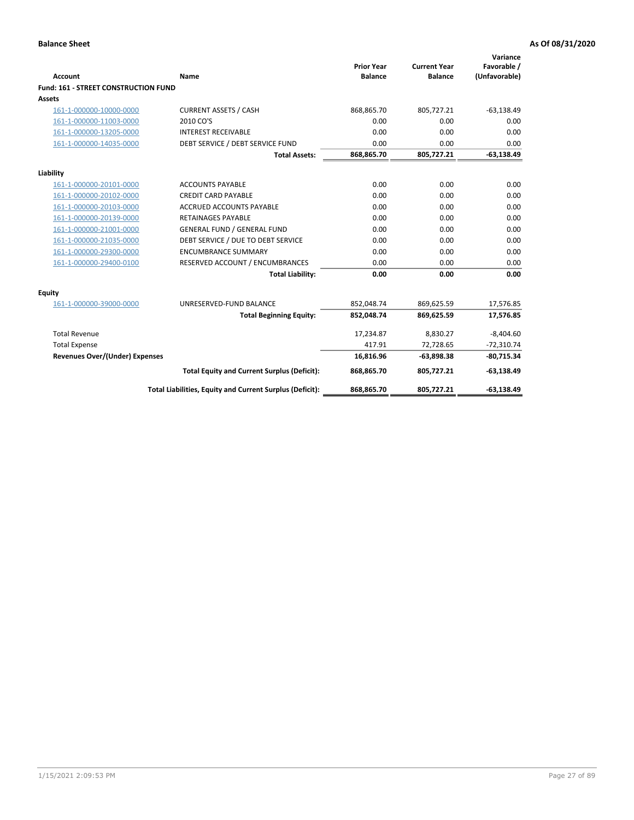| <b>Account</b>                        | Name                                                     | <b>Prior Year</b><br><b>Balance</b> | <b>Current Year</b><br><b>Balance</b> | Variance<br>Favorable /<br>(Unfavorable) |
|---------------------------------------|----------------------------------------------------------|-------------------------------------|---------------------------------------|------------------------------------------|
| Fund: 161 - STREET CONSTRUCTION FUND  |                                                          |                                     |                                       |                                          |
| <b>Assets</b>                         |                                                          |                                     |                                       |                                          |
| 161-1-000000-10000-0000               | <b>CURRENT ASSETS / CASH</b>                             | 868,865.70                          | 805,727.21                            | $-63,138.49$                             |
| 161-1-000000-11003-0000               | 2010 CO'S                                                | 0.00                                | 0.00                                  | 0.00                                     |
| 161-1-000000-13205-0000               | <b>INTEREST RECEIVABLE</b>                               | 0.00                                | 0.00                                  | 0.00                                     |
| 161-1-000000-14035-0000               | DEBT SERVICE / DEBT SERVICE FUND                         | 0.00                                | 0.00                                  | 0.00                                     |
|                                       | <b>Total Assets:</b>                                     | 868,865.70                          | 805,727.21                            | $-63,138.49$                             |
| Liability                             |                                                          |                                     |                                       |                                          |
| 161-1-000000-20101-0000               | <b>ACCOUNTS PAYABLE</b>                                  | 0.00                                | 0.00                                  | 0.00                                     |
| 161-1-000000-20102-0000               | <b>CREDIT CARD PAYABLE</b>                               | 0.00                                | 0.00                                  | 0.00                                     |
| 161-1-000000-20103-0000               | <b>ACCRUED ACCOUNTS PAYABLE</b>                          | 0.00                                | 0.00                                  | 0.00                                     |
| 161-1-000000-20139-0000               | <b>RETAINAGES PAYABLE</b>                                | 0.00                                | 0.00                                  | 0.00                                     |
| 161-1-000000-21001-0000               | <b>GENERAL FUND / GENERAL FUND</b>                       | 0.00                                | 0.00                                  | 0.00                                     |
| 161-1-000000-21035-0000               | DEBT SERVICE / DUE TO DEBT SERVICE                       | 0.00                                | 0.00                                  | 0.00                                     |
| 161-1-000000-29300-0000               | <b>ENCUMBRANCE SUMMARY</b>                               | 0.00                                | 0.00                                  | 0.00                                     |
| 161-1-000000-29400-0100               | RESERVED ACCOUNT / ENCUMBRANCES                          | 0.00                                | 0.00                                  | 0.00                                     |
|                                       | <b>Total Liability:</b>                                  | 0.00                                | 0.00                                  | 0.00                                     |
| <b>Equity</b>                         |                                                          |                                     |                                       |                                          |
| 161-1-000000-39000-0000               | UNRESERVED-FUND BALANCE                                  | 852,048.74                          | 869,625.59                            | 17,576.85                                |
|                                       | <b>Total Beginning Equity:</b>                           | 852,048.74                          | 869,625.59                            | 17,576.85                                |
| <b>Total Revenue</b>                  |                                                          | 17,234.87                           | 8,830.27                              | $-8,404.60$                              |
| <b>Total Expense</b>                  |                                                          | 417.91                              | 72,728.65                             | $-72,310.74$                             |
| <b>Revenues Over/(Under) Expenses</b> |                                                          | 16,816.96                           | $-63,898.38$                          | $-80,715.34$                             |
|                                       | <b>Total Equity and Current Surplus (Deficit):</b>       | 868,865.70                          | 805,727.21                            | $-63,138.49$                             |
|                                       | Total Liabilities, Equity and Current Surplus (Deficit): | 868,865.70                          | 805,727.21                            | $-63,138.49$                             |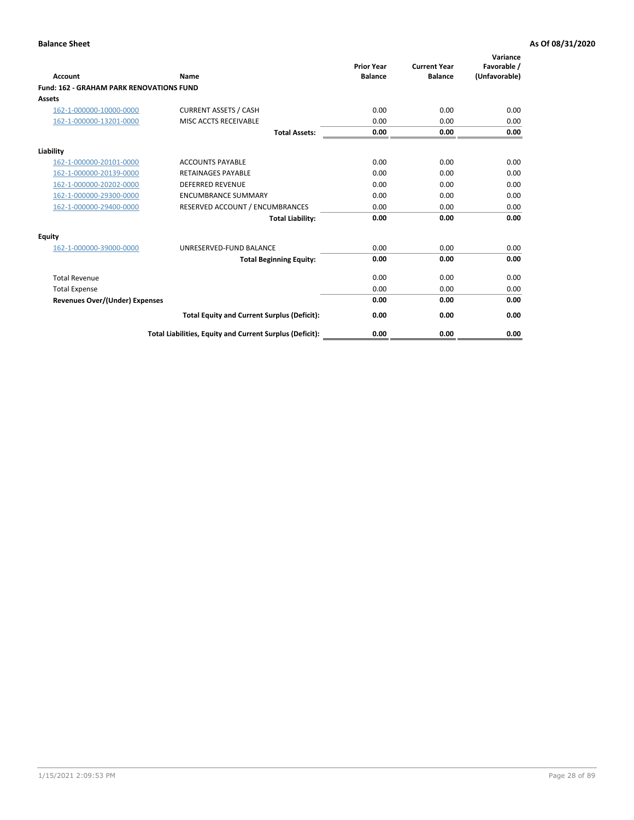| Account                                         | Name                                                     | <b>Prior Year</b><br><b>Balance</b> | <b>Current Year</b><br><b>Balance</b> | Variance<br>Favorable /<br>(Unfavorable) |
|-------------------------------------------------|----------------------------------------------------------|-------------------------------------|---------------------------------------|------------------------------------------|
| <b>Fund: 162 - GRAHAM PARK RENOVATIONS FUND</b> |                                                          |                                     |                                       |                                          |
| <b>Assets</b>                                   |                                                          |                                     |                                       |                                          |
| 162-1-000000-10000-0000                         | <b>CURRENT ASSETS / CASH</b>                             | 0.00                                | 0.00                                  | 0.00                                     |
| 162-1-000000-13201-0000                         | MISC ACCTS RECEIVABLE                                    | 0.00                                | 0.00                                  | 0.00                                     |
|                                                 | <b>Total Assets:</b>                                     | 0.00                                | 0.00                                  | 0.00                                     |
| Liability                                       |                                                          |                                     |                                       |                                          |
| 162-1-000000-20101-0000                         | <b>ACCOUNTS PAYABLE</b>                                  | 0.00                                | 0.00                                  | 0.00                                     |
| 162-1-000000-20139-0000                         | <b>RETAINAGES PAYABLE</b>                                | 0.00                                | 0.00                                  | 0.00                                     |
| 162-1-000000-20202-0000                         | <b>DEFERRED REVENUE</b>                                  | 0.00                                | 0.00                                  | 0.00                                     |
| 162-1-000000-29300-0000                         | <b>ENCUMBRANCE SUMMARY</b>                               | 0.00                                | 0.00                                  | 0.00                                     |
| 162-1-000000-29400-0000                         | RESERVED ACCOUNT / ENCUMBRANCES                          | 0.00                                | 0.00                                  | 0.00                                     |
|                                                 | <b>Total Liability:</b>                                  | 0.00                                | 0.00                                  | 0.00                                     |
| Equity                                          |                                                          |                                     |                                       |                                          |
| 162-1-000000-39000-0000                         | UNRESERVED-FUND BALANCE                                  | 0.00                                | 0.00                                  | 0.00                                     |
|                                                 | <b>Total Beginning Equity:</b>                           | 0.00                                | 0.00                                  | 0.00                                     |
| <b>Total Revenue</b>                            |                                                          | 0.00                                | 0.00                                  | 0.00                                     |
| <b>Total Expense</b>                            |                                                          | 0.00                                | 0.00                                  | 0.00                                     |
| <b>Revenues Over/(Under) Expenses</b>           |                                                          | 0.00                                | 0.00                                  | 0.00                                     |
|                                                 | <b>Total Equity and Current Surplus (Deficit):</b>       | 0.00                                | 0.00                                  | 0.00                                     |
|                                                 | Total Liabilities, Equity and Current Surplus (Deficit): | 0.00                                | 0.00                                  | 0.00                                     |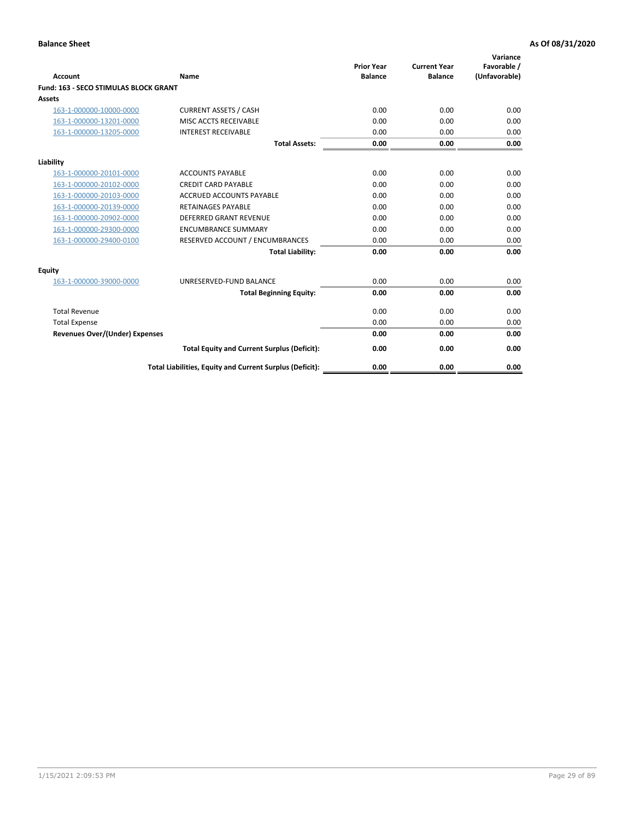| Account                               | Name                                                     | <b>Prior Year</b><br><b>Balance</b> | <b>Current Year</b><br><b>Balance</b> | Variance<br>Favorable /<br>(Unfavorable) |
|---------------------------------------|----------------------------------------------------------|-------------------------------------|---------------------------------------|------------------------------------------|
| Fund: 163 - SECO STIMULAS BLOCK GRANT |                                                          |                                     |                                       |                                          |
| <b>Assets</b>                         |                                                          |                                     |                                       |                                          |
| 163-1-000000-10000-0000               | <b>CURRENT ASSETS / CASH</b>                             | 0.00                                | 0.00                                  | 0.00                                     |
| 163-1-000000-13201-0000               | MISC ACCTS RECEIVABLE                                    | 0.00                                | 0.00                                  | 0.00                                     |
| 163-1-000000-13205-0000               | <b>INTEREST RECEIVABLE</b>                               | 0.00                                | 0.00                                  | 0.00                                     |
|                                       | <b>Total Assets:</b>                                     | 0.00                                | 0.00                                  | 0.00                                     |
| Liability                             |                                                          |                                     |                                       |                                          |
| 163-1-000000-20101-0000               | <b>ACCOUNTS PAYABLE</b>                                  | 0.00                                | 0.00                                  | 0.00                                     |
| 163-1-000000-20102-0000               | <b>CREDIT CARD PAYABLE</b>                               | 0.00                                | 0.00                                  | 0.00                                     |
| 163-1-000000-20103-0000               | <b>ACCRUED ACCOUNTS PAYABLE</b>                          | 0.00                                | 0.00                                  | 0.00                                     |
| 163-1-000000-20139-0000               | <b>RETAINAGES PAYABLE</b>                                | 0.00                                | 0.00                                  | 0.00                                     |
| 163-1-000000-20902-0000               | DEFERRED GRANT REVENUE                                   | 0.00                                | 0.00                                  | 0.00                                     |
| 163-1-000000-29300-0000               | <b>ENCUMBRANCE SUMMARY</b>                               | 0.00                                | 0.00                                  | 0.00                                     |
| 163-1-000000-29400-0100               | RESERVED ACCOUNT / ENCUMBRANCES                          | 0.00                                | 0.00                                  | 0.00                                     |
|                                       | <b>Total Liability:</b>                                  | 0.00                                | 0.00                                  | 0.00                                     |
| <b>Equity</b>                         |                                                          |                                     |                                       |                                          |
| 163-1-000000-39000-0000               | UNRESERVED-FUND BALANCE                                  | 0.00                                | 0.00                                  | 0.00                                     |
|                                       | <b>Total Beginning Equity:</b>                           | 0.00                                | 0.00                                  | 0.00                                     |
| <b>Total Revenue</b>                  |                                                          | 0.00                                | 0.00                                  | 0.00                                     |
| <b>Total Expense</b>                  |                                                          | 0.00                                | 0.00                                  | 0.00                                     |
| <b>Revenues Over/(Under) Expenses</b> |                                                          | 0.00                                | 0.00                                  | 0.00                                     |
|                                       | <b>Total Equity and Current Surplus (Deficit):</b>       | 0.00                                | 0.00                                  | 0.00                                     |
|                                       | Total Liabilities, Equity and Current Surplus (Deficit): | 0.00                                | 0.00                                  | 0.00                                     |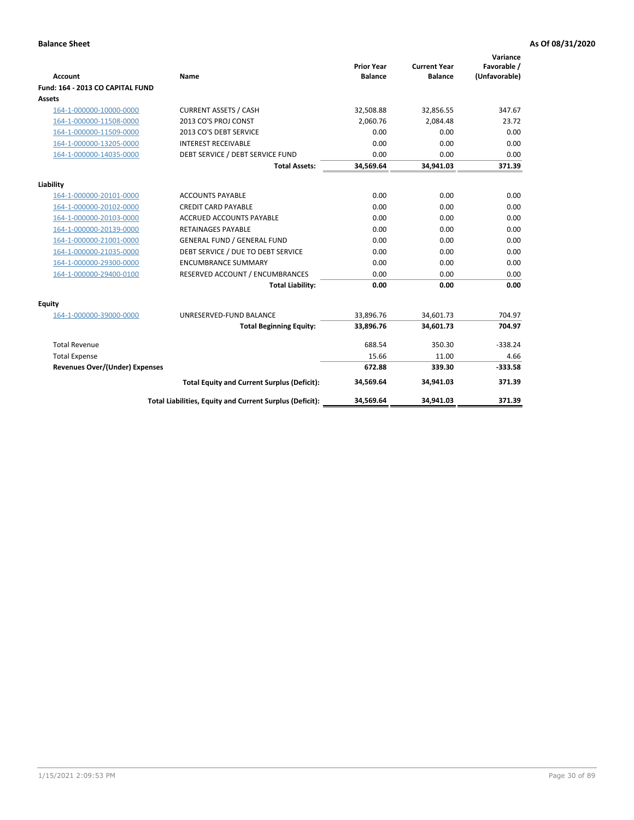| <b>Account</b>                        | Name                                                     | <b>Prior Year</b><br><b>Balance</b> | <b>Current Year</b><br><b>Balance</b> | Variance<br>Favorable /<br>(Unfavorable) |
|---------------------------------------|----------------------------------------------------------|-------------------------------------|---------------------------------------|------------------------------------------|
| Fund: 164 - 2013 CO CAPITAL FUND      |                                                          |                                     |                                       |                                          |
| Assets                                |                                                          |                                     |                                       |                                          |
| 164-1-000000-10000-0000               | <b>CURRENT ASSETS / CASH</b>                             | 32,508.88                           | 32,856.55                             | 347.67                                   |
| 164-1-000000-11508-0000               | 2013 CO'S PROJ CONST                                     | 2.060.76                            | 2.084.48                              | 23.72                                    |
| 164-1-000000-11509-0000               | 2013 CO'S DEBT SERVICE                                   | 0.00                                | 0.00                                  | 0.00                                     |
| 164-1-000000-13205-0000               | <b>INTEREST RECEIVABLE</b>                               | 0.00                                | 0.00                                  | 0.00                                     |
| 164-1-000000-14035-0000               | DEBT SERVICE / DEBT SERVICE FUND                         | 0.00                                | 0.00                                  | 0.00                                     |
|                                       | <b>Total Assets:</b>                                     | 34,569.64                           | 34,941.03                             | 371.39                                   |
| Liability                             |                                                          |                                     |                                       |                                          |
| 164-1-000000-20101-0000               | <b>ACCOUNTS PAYABLE</b>                                  | 0.00                                | 0.00                                  | 0.00                                     |
| 164-1-000000-20102-0000               | <b>CREDIT CARD PAYABLE</b>                               | 0.00                                | 0.00                                  | 0.00                                     |
| 164-1-000000-20103-0000               | <b>ACCRUED ACCOUNTS PAYABLE</b>                          | 0.00                                | 0.00                                  | 0.00                                     |
| 164-1-000000-20139-0000               | <b>RETAINAGES PAYABLE</b>                                | 0.00                                | 0.00                                  | 0.00                                     |
| 164-1-000000-21001-0000               | <b>GENERAL FUND / GENERAL FUND</b>                       | 0.00                                | 0.00                                  | 0.00                                     |
| 164-1-000000-21035-0000               | DEBT SERVICE / DUE TO DEBT SERVICE                       | 0.00                                | 0.00                                  | 0.00                                     |
| 164-1-000000-29300-0000               | <b>ENCUMBRANCE SUMMARY</b>                               | 0.00                                | 0.00                                  | 0.00                                     |
| 164-1-000000-29400-0100               | RESERVED ACCOUNT / ENCUMBRANCES                          | 0.00                                | 0.00                                  | 0.00                                     |
|                                       | <b>Total Liability:</b>                                  | 0.00                                | 0.00                                  | 0.00                                     |
| Equity                                |                                                          |                                     |                                       |                                          |
| 164-1-000000-39000-0000               | UNRESERVED-FUND BALANCE                                  | 33,896.76                           | 34,601.73                             | 704.97                                   |
|                                       | <b>Total Beginning Equity:</b>                           | 33,896.76                           | 34,601.73                             | 704.97                                   |
| <b>Total Revenue</b>                  |                                                          | 688.54                              | 350.30                                | $-338.24$                                |
| <b>Total Expense</b>                  |                                                          | 15.66                               | 11.00                                 | 4.66                                     |
| <b>Revenues Over/(Under) Expenses</b> |                                                          | 672.88                              | 339.30                                | $-333.58$                                |
|                                       | <b>Total Equity and Current Surplus (Deficit):</b>       | 34.569.64                           | 34.941.03                             | 371.39                                   |
|                                       | Total Liabilities, Equity and Current Surplus (Deficit): | 34,569.64                           | 34,941.03                             | 371.39                                   |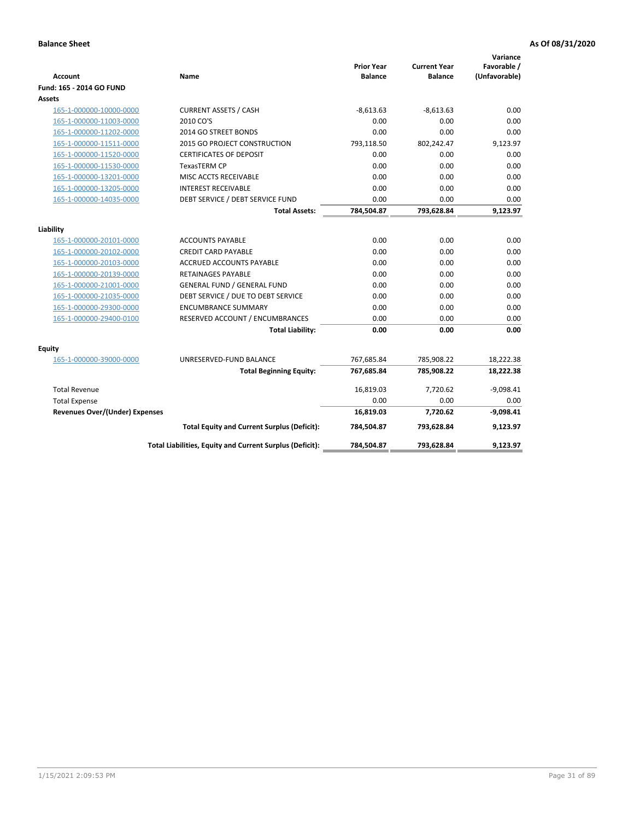| <b>Account</b>                        | Name                                                     | <b>Prior Year</b><br><b>Balance</b> | <b>Current Year</b><br><b>Balance</b> | Variance<br>Favorable /<br>(Unfavorable) |
|---------------------------------------|----------------------------------------------------------|-------------------------------------|---------------------------------------|------------------------------------------|
| Fund: 165 - 2014 GO FUND              |                                                          |                                     |                                       |                                          |
| Assets                                |                                                          |                                     |                                       |                                          |
| 165-1-000000-10000-0000               | <b>CURRENT ASSETS / CASH</b>                             | $-8,613.63$                         | $-8,613.63$                           | 0.00                                     |
| 165-1-000000-11003-0000               | 2010 CO'S                                                | 0.00                                | 0.00                                  | 0.00                                     |
| 165-1-000000-11202-0000               | 2014 GO STREET BONDS                                     | 0.00                                | 0.00                                  | 0.00                                     |
| 165-1-000000-11511-0000               | 2015 GO PROJECT CONSTRUCTION                             | 793,118.50                          | 802,242.47                            | 9,123.97                                 |
| 165-1-000000-11520-0000               | <b>CERTIFICATES OF DEPOSIT</b>                           | 0.00                                | 0.00                                  | 0.00                                     |
| 165-1-000000-11530-0000               | <b>TexasTERM CP</b>                                      | 0.00                                | 0.00                                  | 0.00                                     |
| 165-1-000000-13201-0000               | MISC ACCTS RECEIVABLE                                    | 0.00                                | 0.00                                  | 0.00                                     |
| 165-1-000000-13205-0000               | <b>INTEREST RECEIVABLE</b>                               | 0.00                                | 0.00                                  | 0.00                                     |
| 165-1-000000-14035-0000               | DEBT SERVICE / DEBT SERVICE FUND                         | 0.00                                | 0.00                                  | 0.00                                     |
|                                       | <b>Total Assets:</b>                                     | 784,504.87                          | 793,628.84                            | 9,123.97                                 |
| Liability                             |                                                          |                                     |                                       |                                          |
| 165-1-000000-20101-0000               | <b>ACCOUNTS PAYABLE</b>                                  | 0.00                                | 0.00                                  | 0.00                                     |
| 165-1-000000-20102-0000               | <b>CREDIT CARD PAYABLE</b>                               | 0.00                                | 0.00                                  | 0.00                                     |
| 165-1-000000-20103-0000               | <b>ACCRUED ACCOUNTS PAYABLE</b>                          | 0.00                                | 0.00                                  | 0.00                                     |
| 165-1-000000-20139-0000               | <b>RETAINAGES PAYABLE</b>                                | 0.00                                | 0.00                                  | 0.00                                     |
| 165-1-000000-21001-0000               | <b>GENERAL FUND / GENERAL FUND</b>                       | 0.00                                | 0.00                                  | 0.00                                     |
| 165-1-000000-21035-0000               | DEBT SERVICE / DUE TO DEBT SERVICE                       | 0.00                                | 0.00                                  | 0.00                                     |
| 165-1-000000-29300-0000               | <b>ENCUMBRANCE SUMMARY</b>                               | 0.00                                | 0.00                                  | 0.00                                     |
| 165-1-000000-29400-0100               | RESERVED ACCOUNT / ENCUMBRANCES                          | 0.00                                | 0.00                                  | 0.00                                     |
|                                       | <b>Total Liability:</b>                                  | 0.00                                | 0.00                                  | 0.00                                     |
| Fquity                                |                                                          |                                     |                                       |                                          |
| 165-1-000000-39000-0000               | UNRESERVED-FUND BALANCE                                  | 767,685.84                          | 785,908.22                            | 18,222.38                                |
|                                       | <b>Total Beginning Equity:</b>                           | 767,685.84                          | 785,908.22                            | 18,222.38                                |
| <b>Total Revenue</b>                  |                                                          | 16,819.03                           | 7,720.62                              | $-9,098.41$                              |
| <b>Total Expense</b>                  |                                                          | 0.00                                | 0.00                                  | 0.00                                     |
| <b>Revenues Over/(Under) Expenses</b> |                                                          | 16,819.03                           | 7,720.62                              | $-9,098.41$                              |
|                                       | <b>Total Equity and Current Surplus (Deficit):</b>       | 784,504.87                          | 793,628.84                            | 9,123.97                                 |
|                                       | Total Liabilities, Equity and Current Surplus (Deficit): | 784,504.87                          | 793,628.84                            | 9.123.97                                 |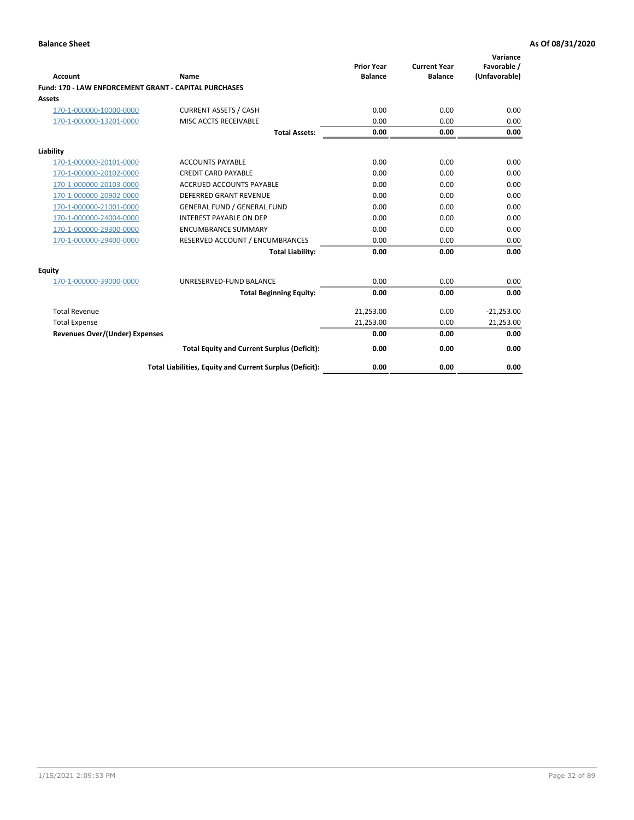| Account                                               | Name                                                     | <b>Prior Year</b><br><b>Balance</b> | <b>Current Year</b><br><b>Balance</b> | Variance<br>Favorable /<br>(Unfavorable) |
|-------------------------------------------------------|----------------------------------------------------------|-------------------------------------|---------------------------------------|------------------------------------------|
| Fund: 170 - LAW ENFORCEMENT GRANT - CAPITAL PURCHASES |                                                          |                                     |                                       |                                          |
| <b>Assets</b>                                         |                                                          |                                     |                                       |                                          |
| 170-1-000000-10000-0000                               | <b>CURRENT ASSETS / CASH</b>                             | 0.00                                | 0.00                                  | 0.00                                     |
| 170-1-000000-13201-0000                               | MISC ACCTS RECEIVABLE                                    | 0.00                                | 0.00                                  | 0.00                                     |
|                                                       | <b>Total Assets:</b>                                     | 0.00                                | 0.00                                  | 0.00                                     |
| Liability                                             |                                                          |                                     |                                       |                                          |
| 170-1-000000-20101-0000                               | <b>ACCOUNTS PAYABLE</b>                                  | 0.00                                | 0.00                                  | 0.00                                     |
| 170-1-000000-20102-0000                               | <b>CREDIT CARD PAYABLE</b>                               | 0.00                                | 0.00                                  | 0.00                                     |
| 170-1-000000-20103-0000                               | <b>ACCRUED ACCOUNTS PAYABLE</b>                          | 0.00                                | 0.00                                  | 0.00                                     |
| 170-1-000000-20902-0000                               | <b>DEFERRED GRANT REVENUE</b>                            | 0.00                                | 0.00                                  | 0.00                                     |
| 170-1-000000-21001-0000                               | <b>GENERAL FUND / GENERAL FUND</b>                       | 0.00                                | 0.00                                  | 0.00                                     |
| 170-1-000000-24004-0000                               | <b>INTEREST PAYABLE ON DEP</b>                           | 0.00                                | 0.00                                  | 0.00                                     |
| 170-1-000000-29300-0000                               | <b>ENCUMBRANCE SUMMARY</b>                               | 0.00                                | 0.00                                  | 0.00                                     |
| 170-1-000000-29400-0000                               | RESERVED ACCOUNT / ENCUMBRANCES                          | 0.00                                | 0.00                                  | 0.00                                     |
|                                                       | <b>Total Liability:</b>                                  | 0.00                                | 0.00                                  | 0.00                                     |
| <b>Equity</b>                                         |                                                          |                                     |                                       |                                          |
| 170-1-000000-39000-0000                               | UNRESERVED-FUND BALANCE                                  | 0.00                                | 0.00                                  | 0.00                                     |
|                                                       | <b>Total Beginning Equity:</b>                           | 0.00                                | 0.00                                  | 0.00                                     |
| <b>Total Revenue</b>                                  |                                                          | 21,253.00                           | 0.00                                  | $-21,253.00$                             |
| <b>Total Expense</b>                                  |                                                          | 21,253.00                           | 0.00                                  | 21,253.00                                |
| <b>Revenues Over/(Under) Expenses</b>                 |                                                          | 0.00                                | 0.00                                  | 0.00                                     |
|                                                       | <b>Total Equity and Current Surplus (Deficit):</b>       | 0.00                                | 0.00                                  | 0.00                                     |
|                                                       | Total Liabilities, Equity and Current Surplus (Deficit): | 0.00                                | 0.00                                  | 0.00                                     |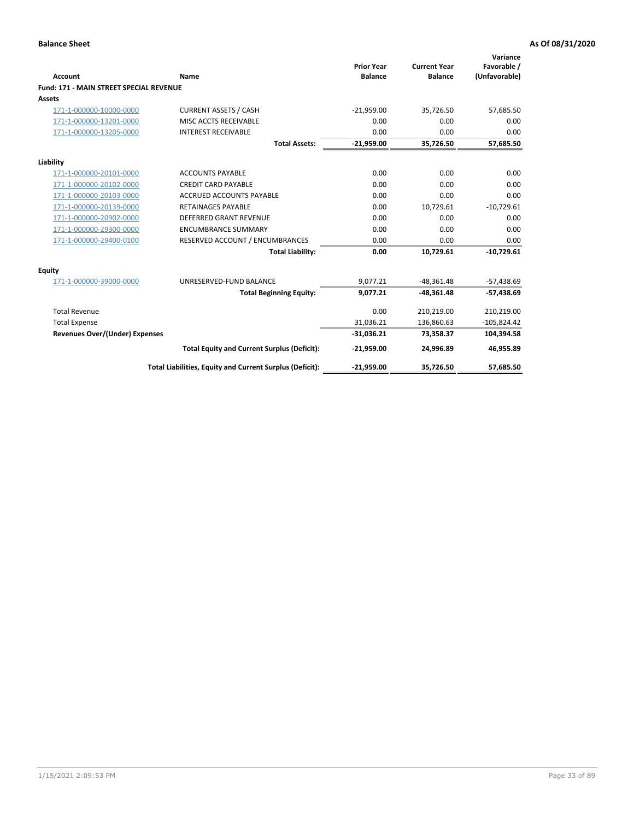|                                                |                                                          | <b>Prior Year</b> | <b>Current Year</b> | Variance<br>Favorable / |
|------------------------------------------------|----------------------------------------------------------|-------------------|---------------------|-------------------------|
| Account                                        | Name                                                     | <b>Balance</b>    | <b>Balance</b>      | (Unfavorable)           |
| <b>Fund: 171 - MAIN STREET SPECIAL REVENUE</b> |                                                          |                   |                     |                         |
| Assets                                         |                                                          |                   |                     |                         |
| 171-1-000000-10000-0000                        | <b>CURRENT ASSETS / CASH</b>                             | $-21,959.00$      | 35.726.50           | 57,685.50               |
| 171-1-000000-13201-0000                        | MISC ACCTS RECEIVABLE                                    | 0.00              | 0.00                | 0.00                    |
| 171-1-000000-13205-0000                        | <b>INTEREST RECEIVABLE</b>                               | 0.00              | 0.00                | 0.00                    |
|                                                | <b>Total Assets:</b>                                     | $-21,959.00$      | 35,726.50           | 57,685.50               |
| Liability                                      |                                                          |                   |                     |                         |
| 171-1-000000-20101-0000                        | <b>ACCOUNTS PAYABLE</b>                                  | 0.00              | 0.00                | 0.00                    |
| 171-1-000000-20102-0000                        | <b>CREDIT CARD PAYABLE</b>                               | 0.00              | 0.00                | 0.00                    |
| 171-1-000000-20103-0000                        | <b>ACCRUED ACCOUNTS PAYABLE</b>                          | 0.00              | 0.00                | 0.00                    |
| 171-1-000000-20139-0000                        | <b>RETAINAGES PAYABLE</b>                                | 0.00              | 10,729.61           | $-10,729.61$            |
| 171-1-000000-20902-0000                        | <b>DEFERRED GRANT REVENUE</b>                            | 0.00              | 0.00                | 0.00                    |
| 171-1-000000-29300-0000                        | <b>ENCUMBRANCE SUMMARY</b>                               | 0.00              | 0.00                | 0.00                    |
| 171-1-000000-29400-0100                        | RESERVED ACCOUNT / ENCUMBRANCES                          | 0.00              | 0.00                | 0.00                    |
|                                                | <b>Total Liability:</b>                                  | 0.00              | 10,729.61           | $-10,729.61$            |
| <b>Equity</b>                                  |                                                          |                   |                     |                         |
| 171-1-000000-39000-0000                        | UNRESERVED-FUND BALANCE                                  | 9,077.21          | $-48,361.48$        | $-57,438.69$            |
|                                                | <b>Total Beginning Equity:</b>                           | 9,077.21          | $-48,361.48$        | $-57,438.69$            |
| <b>Total Revenue</b>                           |                                                          | 0.00              | 210,219.00          | 210,219.00              |
| <b>Total Expense</b>                           |                                                          | 31,036.21         | 136,860.63          | $-105,824.42$           |
| <b>Revenues Over/(Under) Expenses</b>          |                                                          | $-31,036.21$      | 73,358.37           | 104,394.58              |
|                                                | <b>Total Equity and Current Surplus (Deficit):</b>       | $-21,959.00$      | 24,996.89           | 46,955.89               |
|                                                | Total Liabilities, Equity and Current Surplus (Deficit): | $-21,959.00$      | 35,726.50           | 57.685.50               |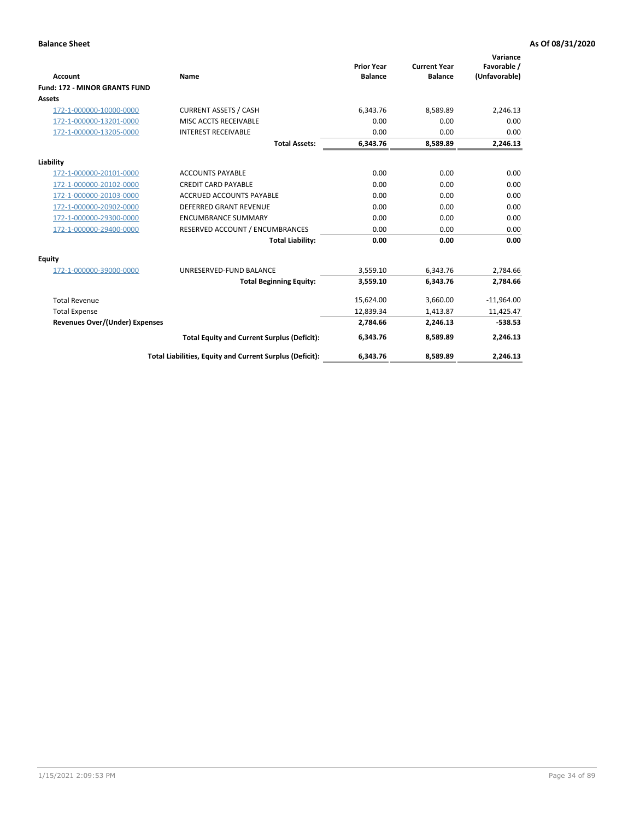|                                       |                                                          |                                     |                                       | Variance                     |
|---------------------------------------|----------------------------------------------------------|-------------------------------------|---------------------------------------|------------------------------|
| <b>Account</b>                        | Name                                                     | <b>Prior Year</b><br><b>Balance</b> | <b>Current Year</b><br><b>Balance</b> | Favorable /<br>(Unfavorable) |
| <b>Fund: 172 - MINOR GRANTS FUND</b>  |                                                          |                                     |                                       |                              |
| <b>Assets</b>                         |                                                          |                                     |                                       |                              |
| 172-1-000000-10000-0000               | <b>CURRENT ASSETS / CASH</b>                             | 6,343.76                            | 8,589.89                              | 2,246.13                     |
| 172-1-000000-13201-0000               | MISC ACCTS RECEIVABLE                                    | 0.00                                | 0.00                                  | 0.00                         |
| 172-1-000000-13205-0000               | <b>INTEREST RECEIVABLE</b>                               | 0.00                                | 0.00                                  | 0.00                         |
|                                       | <b>Total Assets:</b>                                     | 6,343.76                            | 8,589.89                              | 2,246.13                     |
| Liability                             |                                                          |                                     |                                       |                              |
| 172-1-000000-20101-0000               | <b>ACCOUNTS PAYABLE</b>                                  | 0.00                                | 0.00                                  | 0.00                         |
| 172-1-000000-20102-0000               | <b>CREDIT CARD PAYABLE</b>                               | 0.00                                | 0.00                                  | 0.00                         |
| 172-1-000000-20103-0000               | <b>ACCRUED ACCOUNTS PAYABLE</b>                          | 0.00                                | 0.00                                  | 0.00                         |
| 172-1-000000-20902-0000               | <b>DEFERRED GRANT REVENUE</b>                            | 0.00                                | 0.00                                  | 0.00                         |
| 172-1-000000-29300-0000               | <b>ENCUMBRANCE SUMMARY</b>                               | 0.00                                | 0.00                                  | 0.00                         |
| 172-1-000000-29400-0000               | RESERVED ACCOUNT / ENCUMBRANCES                          | 0.00                                | 0.00                                  | 0.00                         |
|                                       | <b>Total Liability:</b>                                  | 0.00                                | 0.00                                  | 0.00                         |
| Equity                                |                                                          |                                     |                                       |                              |
| 172-1-000000-39000-0000               | UNRESERVED-FUND BALANCE                                  | 3,559.10                            | 6.343.76                              | 2,784.66                     |
|                                       | <b>Total Beginning Equity:</b>                           | 3,559.10                            | 6,343.76                              | 2,784.66                     |
| <b>Total Revenue</b>                  |                                                          | 15,624.00                           | 3,660.00                              | $-11,964.00$                 |
| <b>Total Expense</b>                  |                                                          | 12,839.34                           | 1,413.87                              | 11,425.47                    |
| <b>Revenues Over/(Under) Expenses</b> |                                                          | 2,784.66                            | 2,246.13                              | $-538.53$                    |
|                                       | <b>Total Equity and Current Surplus (Deficit):</b>       | 6,343.76                            | 8,589.89                              | 2,246.13                     |
|                                       | Total Liabilities, Equity and Current Surplus (Deficit): | 6,343.76                            | 8,589.89                              | 2,246.13                     |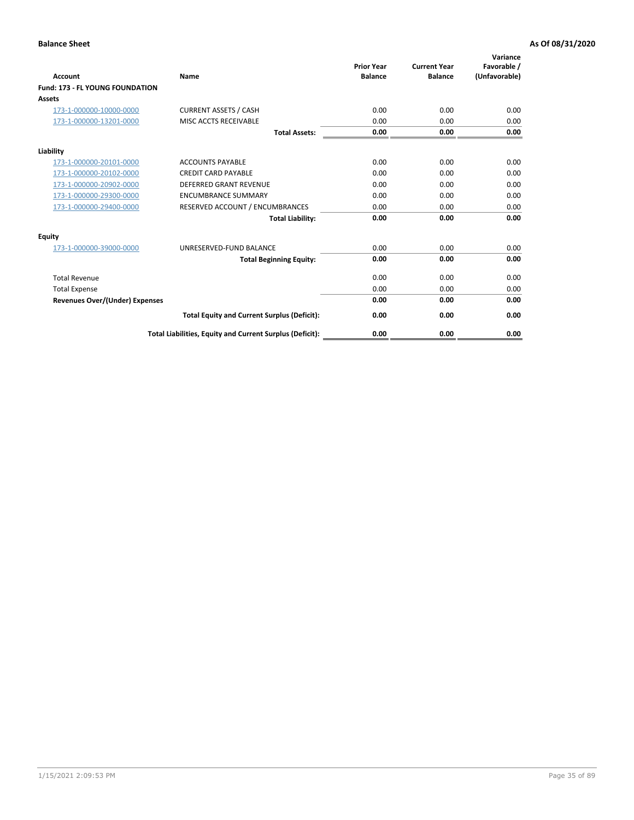| <b>Account</b>                         | <b>Name</b>                                              | <b>Prior Year</b><br><b>Balance</b> | <b>Current Year</b><br><b>Balance</b> | Variance<br>Favorable /<br>(Unfavorable) |
|----------------------------------------|----------------------------------------------------------|-------------------------------------|---------------------------------------|------------------------------------------|
| <b>Fund: 173 - FL YOUNG FOUNDATION</b> |                                                          |                                     |                                       |                                          |
| Assets                                 |                                                          |                                     |                                       |                                          |
| 173-1-000000-10000-0000                | <b>CURRENT ASSETS / CASH</b>                             | 0.00                                | 0.00                                  | 0.00                                     |
| 173-1-000000-13201-0000                | MISC ACCTS RECEIVABLE                                    | 0.00                                | 0.00                                  | 0.00                                     |
|                                        | <b>Total Assets:</b>                                     | 0.00                                | 0.00                                  | 0.00                                     |
| Liability                              |                                                          |                                     |                                       |                                          |
| 173-1-000000-20101-0000                | <b>ACCOUNTS PAYABLE</b>                                  | 0.00                                | 0.00                                  | 0.00                                     |
| 173-1-000000-20102-0000                | <b>CREDIT CARD PAYABLE</b>                               | 0.00                                | 0.00                                  | 0.00                                     |
| 173-1-000000-20902-0000                | <b>DEFERRED GRANT REVENUE</b>                            | 0.00                                | 0.00                                  | 0.00                                     |
| 173-1-000000-29300-0000                | <b>ENCUMBRANCE SUMMARY</b>                               | 0.00                                | 0.00                                  | 0.00                                     |
| 173-1-000000-29400-0000                | RESERVED ACCOUNT / ENCUMBRANCES                          | 0.00                                | 0.00                                  | 0.00                                     |
|                                        | <b>Total Liability:</b>                                  | 0.00                                | 0.00                                  | 0.00                                     |
| Equity                                 |                                                          |                                     |                                       |                                          |
| 173-1-000000-39000-0000                | UNRESERVED-FUND BALANCE                                  | 0.00                                | 0.00                                  | 0.00                                     |
|                                        | <b>Total Beginning Equity:</b>                           | 0.00                                | 0.00                                  | 0.00                                     |
| <b>Total Revenue</b>                   |                                                          | 0.00                                | 0.00                                  | 0.00                                     |
| <b>Total Expense</b>                   |                                                          | 0.00                                | 0.00                                  | 0.00                                     |
| <b>Revenues Over/(Under) Expenses</b>  |                                                          | 0.00                                | 0.00                                  | 0.00                                     |
|                                        | <b>Total Equity and Current Surplus (Deficit):</b>       | 0.00                                | 0.00                                  | 0.00                                     |
|                                        | Total Liabilities, Equity and Current Surplus (Deficit): | 0.00                                | 0.00                                  | 0.00                                     |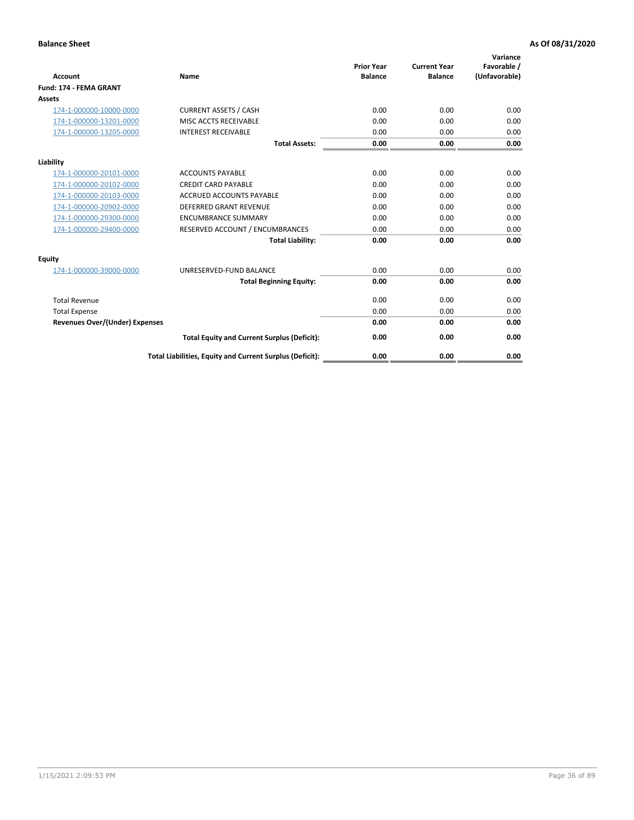| Account                               | Name                                                     | <b>Prior Year</b><br><b>Balance</b> | <b>Current Year</b><br><b>Balance</b> | Variance<br>Favorable /<br>(Unfavorable) |
|---------------------------------------|----------------------------------------------------------|-------------------------------------|---------------------------------------|------------------------------------------|
| <b>Fund: 174 - FEMA GRANT</b>         |                                                          |                                     |                                       |                                          |
| Assets                                |                                                          |                                     |                                       |                                          |
| 174-1-000000-10000-0000               | <b>CURRENT ASSETS / CASH</b>                             | 0.00                                | 0.00                                  | 0.00                                     |
| 174-1-000000-13201-0000               | MISC ACCTS RECEIVABLE                                    | 0.00                                | 0.00                                  | 0.00                                     |
| 174-1-000000-13205-0000               | <b>INTEREST RECEIVABLE</b>                               | 0.00                                | 0.00                                  | 0.00                                     |
|                                       | <b>Total Assets:</b>                                     | 0.00                                | 0.00                                  | 0.00                                     |
| Liability                             |                                                          |                                     |                                       |                                          |
| 174-1-000000-20101-0000               | <b>ACCOUNTS PAYABLE</b>                                  | 0.00                                | 0.00                                  | 0.00                                     |
| 174-1-000000-20102-0000               | <b>CREDIT CARD PAYABLE</b>                               | 0.00                                | 0.00                                  | 0.00                                     |
| 174-1-000000-20103-0000               | <b>ACCRUED ACCOUNTS PAYABLE</b>                          | 0.00                                | 0.00                                  | 0.00                                     |
| 174-1-000000-20902-0000               | <b>DEFERRED GRANT REVENUE</b>                            | 0.00                                | 0.00                                  | 0.00                                     |
| 174-1-000000-29300-0000               | <b>ENCUMBRANCE SUMMARY</b>                               | 0.00                                | 0.00                                  | 0.00                                     |
| 174-1-000000-29400-0000               | RESERVED ACCOUNT / ENCUMBRANCES                          | 0.00                                | 0.00                                  | 0.00                                     |
|                                       | <b>Total Liability:</b>                                  | 0.00                                | 0.00                                  | 0.00                                     |
| Equity                                |                                                          |                                     |                                       |                                          |
| 174-1-000000-39000-0000               | UNRESERVED-FUND BALANCE                                  | 0.00                                | 0.00                                  | 0.00                                     |
|                                       | <b>Total Beginning Equity:</b>                           | 0.00                                | 0.00                                  | 0.00                                     |
| <b>Total Revenue</b>                  |                                                          | 0.00                                | 0.00                                  | 0.00                                     |
| <b>Total Expense</b>                  |                                                          | 0.00                                | 0.00                                  | 0.00                                     |
| <b>Revenues Over/(Under) Expenses</b> |                                                          | 0.00                                | 0.00                                  | 0.00                                     |
|                                       | <b>Total Equity and Current Surplus (Deficit):</b>       | 0.00                                | 0.00                                  | 0.00                                     |
|                                       | Total Liabilities, Equity and Current Surplus (Deficit): | 0.00                                | 0.00                                  | 0.00                                     |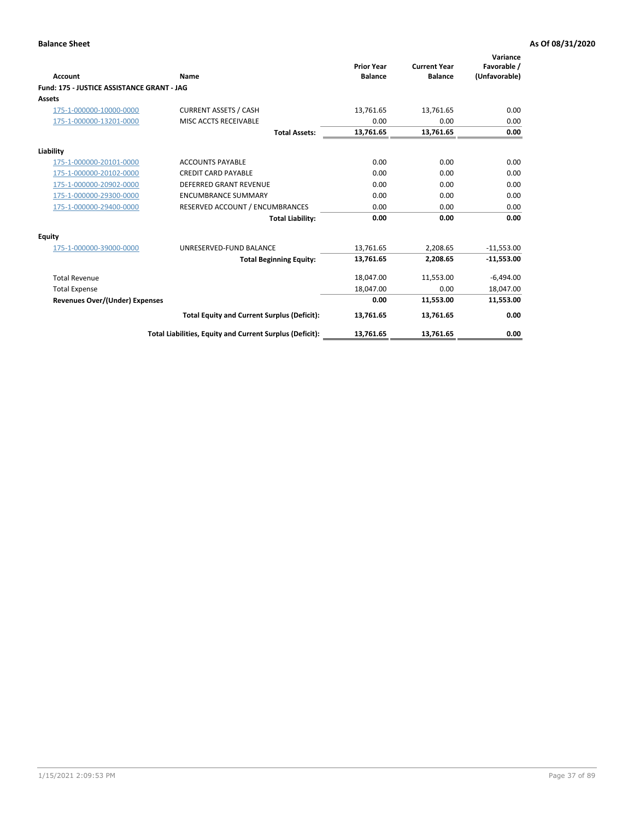|                                            |                                                          |                                     |                                       | Variance                     |
|--------------------------------------------|----------------------------------------------------------|-------------------------------------|---------------------------------------|------------------------------|
| Account                                    | Name                                                     | <b>Prior Year</b><br><b>Balance</b> | <b>Current Year</b><br><b>Balance</b> | Favorable /<br>(Unfavorable) |
| Fund: 175 - JUSTICE ASSISTANCE GRANT - JAG |                                                          |                                     |                                       |                              |
| <b>Assets</b>                              |                                                          |                                     |                                       |                              |
| 175-1-000000-10000-0000                    | <b>CURRENT ASSETS / CASH</b>                             | 13,761.65                           | 13,761.65                             | 0.00                         |
| 175-1-000000-13201-0000                    | MISC ACCTS RECEIVABLE                                    | 0.00                                | 0.00                                  | 0.00                         |
|                                            | <b>Total Assets:</b>                                     | 13,761.65                           | 13,761.65                             | 0.00                         |
| Liability                                  |                                                          |                                     |                                       |                              |
| 175-1-000000-20101-0000                    | <b>ACCOUNTS PAYABLE</b>                                  | 0.00                                | 0.00                                  | 0.00                         |
| 175-1-000000-20102-0000                    | <b>CREDIT CARD PAYABLE</b>                               | 0.00                                | 0.00                                  | 0.00                         |
| 175-1-000000-20902-0000                    | <b>DEFERRED GRANT REVENUE</b>                            | 0.00                                | 0.00                                  | 0.00                         |
| 175-1-000000-29300-0000                    | <b>ENCUMBRANCE SUMMARY</b>                               | 0.00                                | 0.00                                  | 0.00                         |
| 175-1-000000-29400-0000                    | RESERVED ACCOUNT / ENCUMBRANCES                          | 0.00                                | 0.00                                  | 0.00                         |
|                                            | <b>Total Liability:</b>                                  | 0.00                                | 0.00                                  | 0.00                         |
| <b>Equity</b>                              |                                                          |                                     |                                       |                              |
| 175-1-000000-39000-0000                    | UNRESERVED-FUND BALANCE                                  | 13,761.65                           | 2,208.65                              | $-11,553.00$                 |
|                                            | <b>Total Beginning Equity:</b>                           | 13,761.65                           | 2,208.65                              | $-11,553.00$                 |
| <b>Total Revenue</b>                       |                                                          | 18,047.00                           | 11,553.00                             | $-6,494.00$                  |
| <b>Total Expense</b>                       |                                                          | 18,047.00                           | 0.00                                  | 18,047.00                    |
| <b>Revenues Over/(Under) Expenses</b>      |                                                          | 0.00                                | 11,553.00                             | 11,553.00                    |
|                                            | <b>Total Equity and Current Surplus (Deficit):</b>       | 13,761.65                           | 13,761.65                             | 0.00                         |
|                                            | Total Liabilities, Equity and Current Surplus (Deficit): | 13,761.65                           | 13,761.65                             | 0.00                         |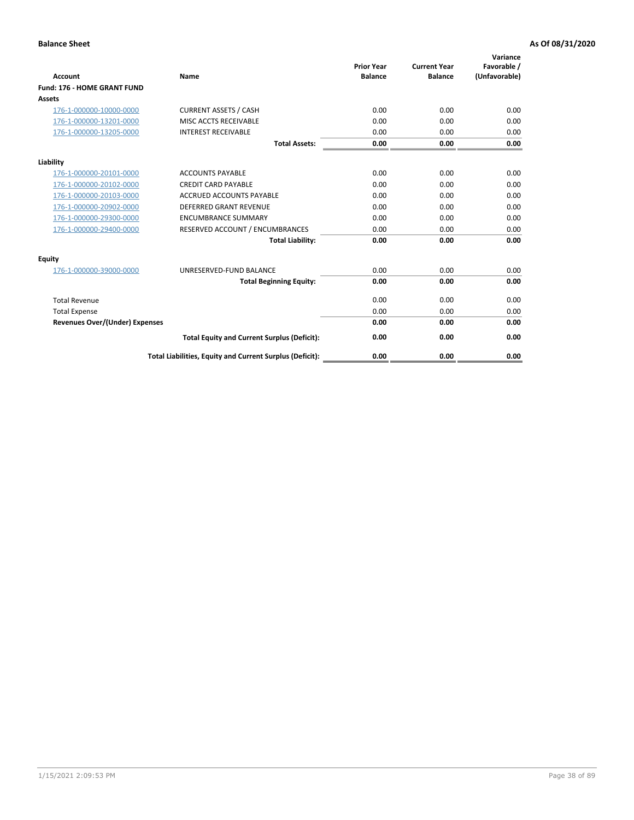|                                       |                                                          | <b>Prior Year</b> | <b>Current Year</b> | Variance<br>Favorable / |
|---------------------------------------|----------------------------------------------------------|-------------------|---------------------|-------------------------|
| <b>Account</b>                        | <b>Name</b>                                              | <b>Balance</b>    | <b>Balance</b>      | (Unfavorable)           |
| Fund: 176 - HOME GRANT FUND           |                                                          |                   |                     |                         |
| <b>Assets</b>                         |                                                          |                   |                     |                         |
| 176-1-000000-10000-0000               | <b>CURRENT ASSETS / CASH</b>                             | 0.00              | 0.00                | 0.00                    |
| 176-1-000000-13201-0000               | MISC ACCTS RECEIVABLE                                    | 0.00              | 0.00                | 0.00                    |
| 176-1-000000-13205-0000               | <b>INTEREST RECEIVABLE</b>                               | 0.00              | 0.00                | 0.00                    |
|                                       | <b>Total Assets:</b>                                     | 0.00              | 0.00                | 0.00                    |
| Liability                             |                                                          |                   |                     |                         |
| 176-1-000000-20101-0000               | <b>ACCOUNTS PAYABLE</b>                                  | 0.00              | 0.00                | 0.00                    |
| 176-1-000000-20102-0000               | <b>CREDIT CARD PAYABLE</b>                               | 0.00              | 0.00                | 0.00                    |
| 176-1-000000-20103-0000               | <b>ACCRUED ACCOUNTS PAYABLE</b>                          | 0.00              | 0.00                | 0.00                    |
| 176-1-000000-20902-0000               | <b>DEFERRED GRANT REVENUE</b>                            | 0.00              | 0.00                | 0.00                    |
| 176-1-000000-29300-0000               | <b>ENCUMBRANCE SUMMARY</b>                               | 0.00              | 0.00                | 0.00                    |
| 176-1-000000-29400-0000               | RESERVED ACCOUNT / ENCUMBRANCES                          | 0.00              | 0.00                | 0.00                    |
|                                       | <b>Total Liability:</b>                                  | 0.00              | 0.00                | 0.00                    |
| Equity                                |                                                          |                   |                     |                         |
| 176-1-000000-39000-0000               | UNRESERVED-FUND BALANCE                                  | 0.00              | 0.00                | 0.00                    |
|                                       | <b>Total Beginning Equity:</b>                           | 0.00              | 0.00                | 0.00                    |
| <b>Total Revenue</b>                  |                                                          | 0.00              | 0.00                | 0.00                    |
| <b>Total Expense</b>                  |                                                          | 0.00              | 0.00                | 0.00                    |
| <b>Revenues Over/(Under) Expenses</b> |                                                          | 0.00              | 0.00                | 0.00                    |
|                                       | <b>Total Equity and Current Surplus (Deficit):</b>       | 0.00              | 0.00                | 0.00                    |
|                                       | Total Liabilities, Equity and Current Surplus (Deficit): | 0.00              | 0.00                | 0.00                    |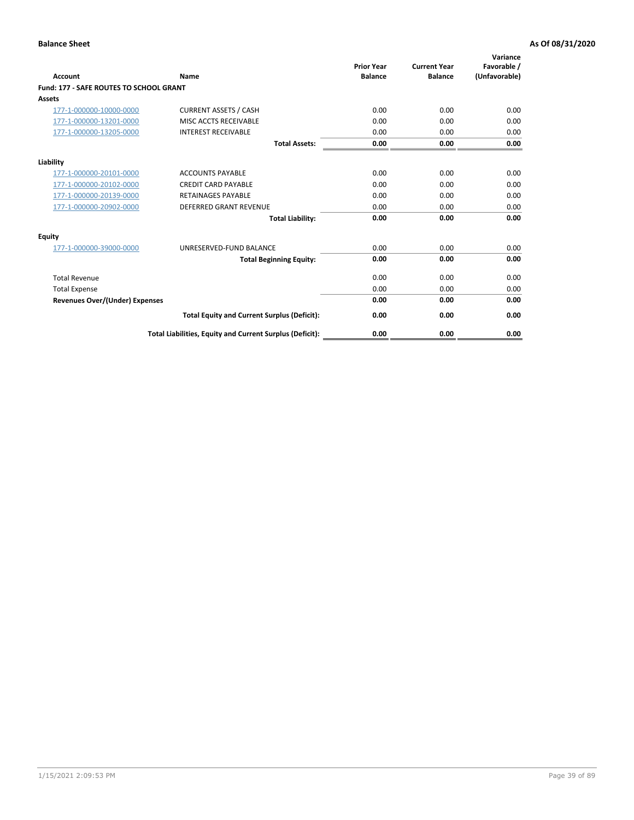| Account                                        | Name                                                     | <b>Prior Year</b><br><b>Balance</b> | <b>Current Year</b><br><b>Balance</b> | Variance<br>Favorable /<br>(Unfavorable) |
|------------------------------------------------|----------------------------------------------------------|-------------------------------------|---------------------------------------|------------------------------------------|
| <b>Fund: 177 - SAFE ROUTES TO SCHOOL GRANT</b> |                                                          |                                     |                                       |                                          |
| <b>Assets</b>                                  |                                                          |                                     |                                       |                                          |
| 177-1-000000-10000-0000                        | <b>CURRENT ASSETS / CASH</b>                             | 0.00                                | 0.00                                  | 0.00                                     |
| 177-1-000000-13201-0000                        | MISC ACCTS RECEIVABLE                                    | 0.00                                | 0.00                                  | 0.00                                     |
| 177-1-000000-13205-0000                        | <b>INTEREST RECEIVABLE</b>                               | 0.00                                | 0.00                                  | 0.00                                     |
|                                                | <b>Total Assets:</b>                                     | 0.00                                | 0.00                                  | 0.00                                     |
| Liability                                      |                                                          |                                     |                                       |                                          |
| 177-1-000000-20101-0000                        | <b>ACCOUNTS PAYABLE</b>                                  | 0.00                                | 0.00                                  | 0.00                                     |
| 177-1-000000-20102-0000                        | <b>CREDIT CARD PAYABLE</b>                               | 0.00                                | 0.00                                  | 0.00                                     |
| 177-1-000000-20139-0000                        | <b>RETAINAGES PAYABLE</b>                                | 0.00                                | 0.00                                  | 0.00                                     |
| 177-1-000000-20902-0000                        | <b>DEFERRED GRANT REVENUE</b>                            | 0.00                                | 0.00                                  | 0.00                                     |
|                                                | <b>Total Liability:</b>                                  | 0.00                                | 0.00                                  | 0.00                                     |
| Equity                                         |                                                          |                                     |                                       |                                          |
| 177-1-000000-39000-0000                        | UNRESERVED-FUND BALANCE                                  | 0.00                                | 0.00                                  | 0.00                                     |
|                                                | <b>Total Beginning Equity:</b>                           | 0.00                                | 0.00                                  | 0.00                                     |
| <b>Total Revenue</b>                           |                                                          | 0.00                                | 0.00                                  | 0.00                                     |
| <b>Total Expense</b>                           |                                                          | 0.00                                | 0.00                                  | 0.00                                     |
| Revenues Over/(Under) Expenses                 |                                                          | 0.00                                | 0.00                                  | 0.00                                     |
|                                                | <b>Total Equity and Current Surplus (Deficit):</b>       | 0.00                                | 0.00                                  | 0.00                                     |
|                                                | Total Liabilities, Equity and Current Surplus (Deficit): | 0.00                                | 0.00                                  | 0.00                                     |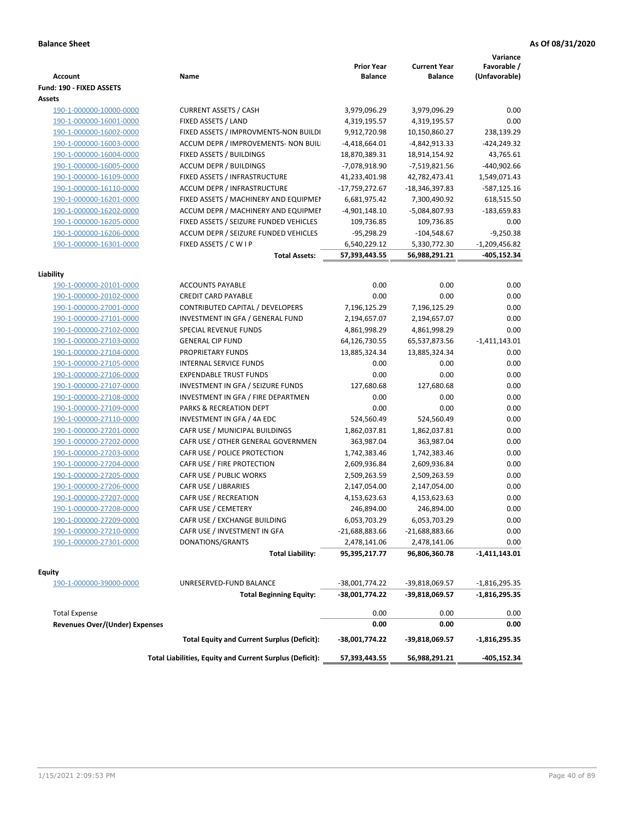| <b>Account</b>                                     | Name                                                     | <b>Prior Year</b><br><b>Balance</b> | <b>Current Year</b><br><b>Balance</b> | Variance<br>Favorable /<br>(Unfavorable) |
|----------------------------------------------------|----------------------------------------------------------|-------------------------------------|---------------------------------------|------------------------------------------|
| Fund: 190 - FIXED ASSETS<br>Assets                 |                                                          |                                     |                                       |                                          |
| 190-1-000000-10000-0000                            | <b>CURRENT ASSETS / CASH</b>                             | 3,979,096.29                        | 3,979,096.29                          | 0.00                                     |
| 190-1-000000-16001-0000                            | FIXED ASSETS / LAND                                      | 4,319,195.57                        | 4,319,195.57                          | 0.00                                     |
| 190-1-000000-16002-0000                            | FIXED ASSETS / IMPROVMENTS-NON BUILDI                    | 9,912,720.98                        | 10,150,860.27                         | 238,139.29                               |
| 190-1-000000-16003-0000                            | ACCUM DEPR / IMPROVEMENTS- NON BUIL                      | $-4,418,664.01$                     | -4,842,913.33                         | $-424,249.32$                            |
| 190-1-000000-16004-0000                            | FIXED ASSETS / BUILDINGS                                 | 18,870,389.31                       | 18,914,154.92                         | 43,765.61                                |
| 190-1-000000-16005-0000                            | <b>ACCUM DEPR / BUILDINGS</b>                            | -7,078,918.90                       | -7,519,821.56                         | -440,902.66                              |
| 190-1-000000-16109-0000                            | FIXED ASSETS / INFRASTRUCTURE                            | 41,233,401.98                       | 42,782,473.41                         | 1,549,071.43                             |
| 190-1-000000-16110-0000                            | ACCUM DEPR / INFRASTRUCTURE                              | -17,759,272.67                      | -18,346,397.83                        | -587,125.16                              |
| 190-1-000000-16201-0000                            | FIXED ASSETS / MACHINERY AND EQUIPMEN                    | 6,681,975.42                        | 7,300,490.92                          | 618,515.50                               |
| 190-1-000000-16202-0000                            | ACCUM DEPR / MACHINERY AND EQUIPMEI                      | $-4,901,148.10$                     | -5,084,807.93                         | -183,659.83                              |
| 190-1-000000-16205-0000                            | FIXED ASSETS / SEIZURE FUNDED VEHICLES                   | 109,736.85                          | 109,736.85                            | 0.00                                     |
| 190-1-000000-16206-0000                            | ACCUM DEPR / SEIZURE FUNDED VEHICLES                     | $-95,298.29$                        | $-104,548.67$                         | $-9,250.38$                              |
| 190-1-000000-16301-0000                            | FIXED ASSETS / C W I P                                   | 6,540,229.12                        | 5,330,772.30                          | $-1,209,456.82$                          |
|                                                    | <b>Total Assets:</b>                                     | 57,393,443.55                       | 56,988,291.21                         | -405,152.34                              |
|                                                    |                                                          |                                     |                                       |                                          |
| Liability                                          |                                                          |                                     |                                       |                                          |
| 190-1-000000-20101-0000<br>190-1-000000-20102-0000 | <b>ACCOUNTS PAYABLE</b>                                  | 0.00                                | 0.00                                  | 0.00                                     |
|                                                    | <b>CREDIT CARD PAYABLE</b>                               | 0.00                                | 0.00                                  | 0.00                                     |
| 190-1-000000-27001-0000                            | CONTRIBUTED CAPITAL / DEVELOPERS                         | 7,196,125.29                        | 7,196,125.29                          | 0.00                                     |
| 190-1-000000-27101-0000                            | INVESTMENT IN GFA / GENERAL FUND                         | 2,194,657.07                        | 2,194,657.07                          | 0.00                                     |
| 190-1-000000-27102-0000                            | SPECIAL REVENUE FUNDS                                    | 4,861,998.29                        | 4,861,998.29                          | 0.00                                     |
| 190-1-000000-27103-0000                            | <b>GENERAL CIP FUND</b>                                  | 64,126,730.55                       | 65,537,873.56                         | $-1,411,143.01$                          |
| 190-1-000000-27104-0000                            | PROPRIETARY FUNDS                                        | 13,885,324.34                       | 13,885,324.34                         | 0.00                                     |
| 190-1-000000-27105-0000                            | INTERNAL SERVICE FUNDS                                   | 0.00                                | 0.00                                  | 0.00                                     |
| 190-1-000000-27106-0000                            | <b>EXPENDABLE TRUST FUNDS</b>                            | 0.00                                | 0.00                                  | 0.00                                     |
| 190-1-000000-27107-0000                            | INVESTMENT IN GFA / SEIZURE FUNDS                        | 127,680.68                          | 127,680.68                            | 0.00                                     |
| 190-1-000000-27108-0000                            | INVESTMENT IN GFA / FIRE DEPARTMEN                       | 0.00                                | 0.00                                  | 0.00                                     |
| 190-1-000000-27109-0000                            | PARKS & RECREATION DEPT                                  | 0.00                                | 0.00                                  | 0.00                                     |
| 190-1-000000-27110-0000                            | INVESTMENT IN GFA / 4A EDC                               | 524,560.49                          | 524,560.49                            | 0.00                                     |
| 190-1-000000-27201-0000                            | CAFR USE / MUNICIPAL BUILDINGS                           | 1,862,037.81                        | 1,862,037.81                          | 0.00                                     |
| 190-1-000000-27202-0000                            | CAFR USE / OTHER GENERAL GOVERNMEN                       | 363,987.04                          | 363,987.04                            | 0.00                                     |
| 190-1-000000-27203-0000                            | CAFR USE / POLICE PROTECTION                             | 1,742,383.46                        | 1,742,383.46                          | 0.00                                     |
| 190-1-000000-27204-0000                            | CAFR USE / FIRE PROTECTION                               | 2,609,936.84                        | 2,609,936.84                          | 0.00                                     |
| 190-1-000000-27205-0000                            | CAFR USE / PUBLIC WORKS                                  | 2,509,263.59                        | 2,509,263.59                          | 0.00                                     |
| 190-1-000000-27206-0000                            | CAFR USE / LIBRARIES                                     | 2,147,054.00                        | 2,147,054.00                          | 0.00                                     |
| 190-1-000000-27207-0000                            | CAFR USE / RECREATION<br>CAFR USE / CEMETERY             | 4,153,623.63                        | 4,153,623.63                          | 0.00                                     |
| 190-1-000000-27208-0000<br>190-1-000000-27209-0000 |                                                          | 246,894.00                          | 246,894.00                            | 0.00                                     |
|                                                    | CAFR USE / EXCHANGE BUILDING                             | 6,053,703.29                        | 6,053,703.29                          | 0.00                                     |
| 190-1-000000-27210-0000                            | CAFR USE / INVESTMENT IN GFA                             | -21,688,883.66                      | $-21,688,883.66$                      | 0.00                                     |
| 190-1-000000-27301-0000                            | DONATIONS/GRANTS<br><b>Total Liability:</b>              | 2,478,141.06<br>95,395,217.77       | 2,478,141.06<br>96,806,360.78         | 0.00<br>-1,411,143.01                    |
|                                                    |                                                          |                                     |                                       |                                          |
| <b>Equity</b>                                      |                                                          |                                     |                                       |                                          |
| 190-1-000000-39000-0000                            | UNRESERVED-FUND BALANCE                                  | -38,001,774.22                      | -39,818,069.57                        | $-1,816,295.35$                          |
|                                                    | <b>Total Beginning Equity:</b>                           | -38,001,774.22                      | -39,818,069.57                        | $-1,816,295.35$                          |
| <b>Total Expense</b>                               |                                                          | 0.00                                | 0.00                                  | 0.00                                     |
| <b>Revenues Over/(Under) Expenses</b>              |                                                          | 0.00                                | 0.00                                  | 0.00                                     |
|                                                    | <b>Total Equity and Current Surplus (Deficit):</b>       | -38,001,774.22                      | -39,818,069.57                        | $-1,816,295.35$                          |
|                                                    | Total Liabilities, Equity and Current Surplus (Deficit): | 57,393,443.55                       | 56,988,291.21                         | -405,152.34                              |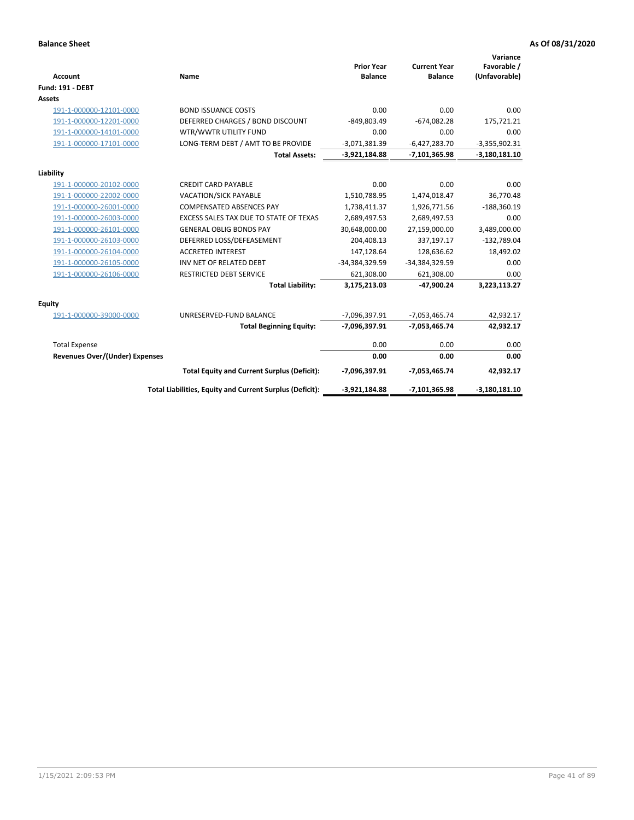| <b>Account</b>                 | Name                                                     | <b>Prior Year</b><br><b>Balance</b> | <b>Current Year</b><br><b>Balance</b> | Variance<br>Favorable /<br>(Unfavorable) |
|--------------------------------|----------------------------------------------------------|-------------------------------------|---------------------------------------|------------------------------------------|
| <b>Fund: 191 - DEBT</b>        |                                                          |                                     |                                       |                                          |
| <b>Assets</b>                  |                                                          |                                     |                                       |                                          |
| 191-1-000000-12101-0000        | <b>BOND ISSUANCE COSTS</b>                               | 0.00                                | 0.00                                  | 0.00                                     |
| 191-1-000000-12201-0000        | DEFERRED CHARGES / BOND DISCOUNT                         | -849,803.49                         | $-674,082.28$                         | 175,721.21                               |
| 191-1-000000-14101-0000        | WTR/WWTR UTILITY FUND                                    | 0.00                                | 0.00                                  | 0.00                                     |
| 191-1-000000-17101-0000        | LONG-TERM DEBT / AMT TO BE PROVIDE                       | $-3,071,381.39$                     | $-6,427,283.70$                       | $-3,355,902.31$                          |
|                                | <b>Total Assets:</b>                                     | $-3,921,184.88$                     | $-7,101,365.98$                       | $-3,180,181.10$                          |
| Liability                      |                                                          |                                     |                                       |                                          |
| 191-1-000000-20102-0000        | <b>CREDIT CARD PAYABLE</b>                               | 0.00                                | 0.00                                  | 0.00                                     |
| 191-1-000000-22002-0000        | VACATION/SICK PAYABLE                                    | 1,510,788.95                        | 1,474,018.47                          | 36,770.48                                |
| 191-1-000000-26001-0000        | <b>COMPENSATED ABSENCES PAY</b>                          | 1,738,411.37                        | 1,926,771.56                          | $-188,360.19$                            |
| 191-1-000000-26003-0000        | EXCESS SALES TAX DUE TO STATE OF TEXAS                   | 2,689,497.53                        | 2,689,497.53                          | 0.00                                     |
| 191-1-000000-26101-0000        | <b>GENERAL OBLIG BONDS PAY</b>                           | 30,648,000.00                       | 27,159,000.00                         | 3,489,000.00                             |
| 191-1-000000-26103-0000        | DEFERRED LOSS/DEFEASEMENT                                | 204,408.13                          | 337,197.17                            | $-132,789.04$                            |
| 191-1-000000-26104-0000        | <b>ACCRETED INTEREST</b>                                 | 147,128.64                          | 128,636.62                            | 18,492.02                                |
| 191-1-000000-26105-0000        | INV NET OF RELATED DEBT                                  | -34,384,329.59                      | -34,384,329.59                        | 0.00                                     |
| 191-1-000000-26106-0000        | <b>RESTRICTED DEBT SERVICE</b>                           | 621,308.00                          | 621,308.00                            | 0.00                                     |
|                                | <b>Total Liability:</b>                                  | 3,175,213.03                        | -47,900.24                            | 3,223,113.27                             |
| Equity                         |                                                          |                                     |                                       |                                          |
| 191-1-000000-39000-0000        | UNRESERVED-FUND BALANCE                                  | -7,096,397.91                       | $-7,053,465.74$                       | 42,932.17                                |
|                                | <b>Total Beginning Equity:</b>                           | -7,096,397.91                       | $-7,053,465.74$                       | 42,932.17                                |
| <b>Total Expense</b>           |                                                          | 0.00                                | 0.00                                  | 0.00                                     |
| Revenues Over/(Under) Expenses |                                                          | 0.00                                | 0.00                                  | 0.00                                     |
|                                | <b>Total Equity and Current Surplus (Deficit):</b>       | -7,096,397.91                       | $-7,053,465.74$                       | 42,932.17                                |
|                                | Total Liabilities, Equity and Current Surplus (Deficit): | $-3,921,184.88$                     | $-7,101,365.98$                       | $-3,180,181.10$                          |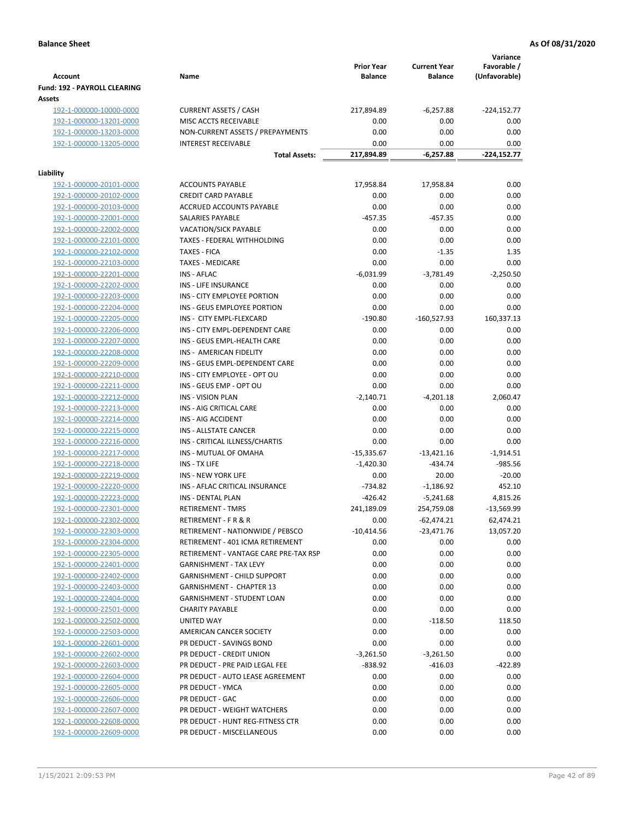| Fund: 192 - PAYROLL CLEARING<br>Assets<br><b>CURRENT ASSETS / CASH</b><br>217,894.89<br>$-224,152.77$<br>192-1-000000-10000-0000<br>$-6,257.88$<br>MISC ACCTS RECEIVABLE<br>0.00<br>0.00<br>0.00<br>192-1-000000-13201-0000<br>192-1-000000-13203-0000<br>NON-CURRENT ASSETS / PREPAYMENTS<br>0.00<br>0.00<br>0.00<br>192-1-000000-13205-0000<br><b>INTEREST RECEIVABLE</b><br>0.00<br>0.00<br>0.00<br>217,894.89<br>$-6,257.88$<br>$-224,152.77$<br><b>Total Assets:</b><br>Liability<br><b>ACCOUNTS PAYABLE</b><br>0.00<br>192-1-000000-20101-0000<br>17,958.84<br>17,958.84<br><b>CREDIT CARD PAYABLE</b><br>0.00<br>0.00<br>192-1-000000-20102-0000<br>0.00<br>192-1-000000-20103-0000<br>ACCRUED ACCOUNTS PAYABLE<br>0.00<br>0.00<br>0.00<br>192-1-000000-22001-0000<br>SALARIES PAYABLE<br>$-457.35$<br>$-457.35$<br>0.00<br>0.00<br>192-1-000000-22002-0000<br><b>VACATION/SICK PAYABLE</b><br>0.00<br>0.00<br>0.00<br>TAXES - FEDERAL WITHHOLDING<br>0.00<br>0.00<br>192-1-000000-22101-0000<br><b>TAXES - FICA</b><br>0.00<br>$-1.35$<br>1.35<br>192-1-000000-22102-0000<br>0.00<br>192-1-000000-22103-0000<br><b>TAXES - MEDICARE</b><br>0.00<br>0.00<br>$-6,031.99$<br>192-1-000000-22201-0000<br><b>INS - AFLAC</b><br>$-3,781.49$<br>$-2,250.50$<br>192-1-000000-22202-0000<br>INS - LIFE INSURANCE<br>0.00<br>0.00<br>0.00<br>0.00<br>192-1-000000-22203-0000<br>INS - CITY EMPLOYEE PORTION<br>0.00<br>0.00<br>0.00<br>INS - GEUS EMPLOYEE PORTION<br>0.00<br>0.00<br>192-1-000000-22204-0000<br>160,337.13<br>192-1-000000-22205-0000<br>INS - CITY EMPL-FLEXCARD<br>$-190.80$<br>$-160,527.93$<br>192-1-000000-22206-0000<br>INS - CITY EMPL-DEPENDENT CARE<br>0.00<br>0.00<br>0.00<br>0.00<br>192-1-000000-22207-0000<br>INS - GEUS EMPL-HEALTH CARE<br>0.00<br>0.00<br>0.00<br>INS - AMERICAN FIDELITY<br>0.00<br>0.00<br>192-1-000000-22208-0000<br>0.00<br>INS - GEUS EMPL-DEPENDENT CARE<br>0.00<br>0.00<br>192-1-000000-22209-0000<br>0.00<br>192-1-000000-22210-0000<br>INS - CITY EMPLOYEE - OPT OU<br>0.00<br>0.00<br>192-1-000000-22211-0000<br>INS - GEUS EMP - OPT OU<br>0.00<br>0.00<br>0.00<br>192-1-000000-22212-0000<br><b>INS - VISION PLAN</b><br>$-2,140.71$<br>$-4,201.18$<br>2,060.47<br>0.00<br>INS - AIG CRITICAL CARE<br>0.00<br>0.00<br>192-1-000000-22213-0000<br>0.00<br>0.00<br>0.00<br>192-1-000000-22214-0000<br>INS - AIG ACCIDENT<br>192-1-000000-22215-0000<br>INS - ALLSTATE CANCER<br>0.00<br>0.00<br>0.00<br>192-1-000000-22216-0000<br>INS - CRITICAL ILLNESS/CHARTIS<br>0.00<br>0.00<br>0.00<br>$-1,914.51$<br>192-1-000000-22217-0000<br>INS - MUTUAL OF OMAHA<br>$-15,335.67$<br>$-13,421.16$<br>$-985.56$<br>INS - TX LIFE<br>$-1,420.30$<br>$-434.74$<br>192-1-000000-22218-0000<br>$-20.00$<br><b>INS - NEW YORK LIFE</b><br>0.00<br>20.00<br>192-1-000000-22219-0000<br>452.10<br>192-1-000000-22220-0000<br>INS - AFLAC CRITICAL INSURANCE<br>$-734.82$<br>$-1,186.92$<br>192-1-000000-22223-0000<br><b>INS - DENTAL PLAN</b><br>$-426.42$<br>$-5,241.68$<br>4,815.26<br>192-1-000000-22301-0000<br><b>RETIREMENT - TMRS</b><br>241,189.09<br>254,759.08<br>$-13,569.99$<br>62,474.21<br>192-1-000000-22302-0000<br>RETIREMENT - F R & R<br>0.00<br>$-62,474.21$<br>RETIREMENT - NATIONWIDE / PEBSCO<br>$-10,414.56$<br>$-23,471.76$<br>13,057.20<br>192-1-000000-22303-0000<br>0.00<br>192-1-000000-22304-0000<br>RETIREMENT - 401 ICMA RETIREMENT<br>0.00<br>0.00<br>192-1-000000-22305-0000<br>RETIREMENT - VANTAGE CARE PRE-TAX RSP<br>0.00<br>0.00<br>0.00<br>192-1-000000-22401-0000<br>0.00<br>0.00<br>0.00<br><b>GARNISHMENT - TAX LEVY</b><br>192-1-000000-22402-0000<br>0.00<br>0.00<br>0.00<br><b>GARNISHMENT - CHILD SUPPORT</b><br>0.00<br>0.00<br>0.00<br>192-1-000000-22403-0000<br>GARNISHMENT - CHAPTER 13<br>192-1-000000-22404-0000<br>GARNISHMENT - STUDENT LOAN<br>0.00<br>0.00<br>0.00<br>192-1-000000-22501-0000<br><b>CHARITY PAYABLE</b><br>0.00<br>0.00<br>0.00<br>192-1-000000-22502-0000<br>0.00<br>$-118.50$<br>118.50<br>UNITED WAY<br>192-1-000000-22503-0000<br>0.00<br>0.00<br>0.00<br>AMERICAN CANCER SOCIETY<br>0.00<br>0.00<br>0.00<br>192-1-000000-22601-0000<br>PR DEDUCT - SAVINGS BOND<br>192-1-000000-22602-0000<br>PR DEDUCT - CREDIT UNION<br>$-3,261.50$<br>$-3,261.50$<br>0.00<br>192-1-000000-22603-0000<br>PR DEDUCT - PRE PAID LEGAL FEE<br>$-838.92$<br>$-416.03$<br>$-422.89$<br>192-1-000000-22604-0000<br>PR DEDUCT - AUTO LEASE AGREEMENT<br>0.00<br>0.00<br>0.00<br>192-1-000000-22605-0000<br>0.00<br>0.00<br>0.00<br>PR DEDUCT - YMCA<br>0.00<br>0.00<br>0.00<br>192-1-000000-22606-0000<br>PR DEDUCT - GAC<br>192-1-000000-22607-0000<br>PR DEDUCT - WEIGHT WATCHERS<br>0.00<br>0.00<br>0.00<br>192-1-000000-22608-0000<br>PR DEDUCT - HUNT REG-FITNESS CTR<br>0.00<br>0.00<br>0.00<br>192-1-000000-22609-0000<br>PR DEDUCT - MISCELLANEOUS<br>0.00<br>0.00<br>0.00 | <b>Account</b> | Name | <b>Prior Year</b><br><b>Balance</b> | <b>Current Year</b><br><b>Balance</b> | Variance<br>Favorable /<br>(Unfavorable) |
|--------------------------------------------------------------------------------------------------------------------------------------------------------------------------------------------------------------------------------------------------------------------------------------------------------------------------------------------------------------------------------------------------------------------------------------------------------------------------------------------------------------------------------------------------------------------------------------------------------------------------------------------------------------------------------------------------------------------------------------------------------------------------------------------------------------------------------------------------------------------------------------------------------------------------------------------------------------------------------------------------------------------------------------------------------------------------------------------------------------------------------------------------------------------------------------------------------------------------------------------------------------------------------------------------------------------------------------------------------------------------------------------------------------------------------------------------------------------------------------------------------------------------------------------------------------------------------------------------------------------------------------------------------------------------------------------------------------------------------------------------------------------------------------------------------------------------------------------------------------------------------------------------------------------------------------------------------------------------------------------------------------------------------------------------------------------------------------------------------------------------------------------------------------------------------------------------------------------------------------------------------------------------------------------------------------------------------------------------------------------------------------------------------------------------------------------------------------------------------------------------------------------------------------------------------------------------------------------------------------------------------------------------------------------------------------------------------------------------------------------------------------------------------------------------------------------------------------------------------------------------------------------------------------------------------------------------------------------------------------------------------------------------------------------------------------------------------------------------------------------------------------------------------------------------------------------------------------------------------------------------------------------------------------------------------------------------------------------------------------------------------------------------------------------------------------------------------------------------------------------------------------------------------------------------------------------------------------------------------------------------------------------------------------------------------------------------------------------------------------------------------------------------------------------------------------------------------------------------------------------------------------------------------------------------------------------------------------------------------------------------------------------------------------------------------------------------------------------------------------------------------------------------------------------------------------------------------------------------------------------------------------------------------------------------------------------------------------------------------------------------------------------------------------------------------------------------------------------------------------------------------------------------------------------------------------------------------------------------------------------------------------------------------------------------------------------------------------------------------------------------------------------------------------------------------------------------------------------------------------------------------------------|----------------|------|-------------------------------------|---------------------------------------|------------------------------------------|
|                                                                                                                                                                                                                                                                                                                                                                                                                                                                                                                                                                                                                                                                                                                                                                                                                                                                                                                                                                                                                                                                                                                                                                                                                                                                                                                                                                                                                                                                                                                                                                                                                                                                                                                                                                                                                                                                                                                                                                                                                                                                                                                                                                                                                                                                                                                                                                                                                                                                                                                                                                                                                                                                                                                                                                                                                                                                                                                                                                                                                                                                                                                                                                                                                                                                                                                                                                                                                                                                                                                                                                                                                                                                                                                                                                                                                                                                                                                                                                                                                                                                                                                                                                                                                                                                                                                                                                                                                                                                                                                                                                                                                                                                                                                                                                                                                                                                                            |                |      |                                     |                                       |                                          |
|                                                                                                                                                                                                                                                                                                                                                                                                                                                                                                                                                                                                                                                                                                                                                                                                                                                                                                                                                                                                                                                                                                                                                                                                                                                                                                                                                                                                                                                                                                                                                                                                                                                                                                                                                                                                                                                                                                                                                                                                                                                                                                                                                                                                                                                                                                                                                                                                                                                                                                                                                                                                                                                                                                                                                                                                                                                                                                                                                                                                                                                                                                                                                                                                                                                                                                                                                                                                                                                                                                                                                                                                                                                                                                                                                                                                                                                                                                                                                                                                                                                                                                                                                                                                                                                                                                                                                                                                                                                                                                                                                                                                                                                                                                                                                                                                                                                                                            |                |      |                                     |                                       |                                          |
|                                                                                                                                                                                                                                                                                                                                                                                                                                                                                                                                                                                                                                                                                                                                                                                                                                                                                                                                                                                                                                                                                                                                                                                                                                                                                                                                                                                                                                                                                                                                                                                                                                                                                                                                                                                                                                                                                                                                                                                                                                                                                                                                                                                                                                                                                                                                                                                                                                                                                                                                                                                                                                                                                                                                                                                                                                                                                                                                                                                                                                                                                                                                                                                                                                                                                                                                                                                                                                                                                                                                                                                                                                                                                                                                                                                                                                                                                                                                                                                                                                                                                                                                                                                                                                                                                                                                                                                                                                                                                                                                                                                                                                                                                                                                                                                                                                                                                            |                |      |                                     |                                       |                                          |
|                                                                                                                                                                                                                                                                                                                                                                                                                                                                                                                                                                                                                                                                                                                                                                                                                                                                                                                                                                                                                                                                                                                                                                                                                                                                                                                                                                                                                                                                                                                                                                                                                                                                                                                                                                                                                                                                                                                                                                                                                                                                                                                                                                                                                                                                                                                                                                                                                                                                                                                                                                                                                                                                                                                                                                                                                                                                                                                                                                                                                                                                                                                                                                                                                                                                                                                                                                                                                                                                                                                                                                                                                                                                                                                                                                                                                                                                                                                                                                                                                                                                                                                                                                                                                                                                                                                                                                                                                                                                                                                                                                                                                                                                                                                                                                                                                                                                                            |                |      |                                     |                                       |                                          |
|                                                                                                                                                                                                                                                                                                                                                                                                                                                                                                                                                                                                                                                                                                                                                                                                                                                                                                                                                                                                                                                                                                                                                                                                                                                                                                                                                                                                                                                                                                                                                                                                                                                                                                                                                                                                                                                                                                                                                                                                                                                                                                                                                                                                                                                                                                                                                                                                                                                                                                                                                                                                                                                                                                                                                                                                                                                                                                                                                                                                                                                                                                                                                                                                                                                                                                                                                                                                                                                                                                                                                                                                                                                                                                                                                                                                                                                                                                                                                                                                                                                                                                                                                                                                                                                                                                                                                                                                                                                                                                                                                                                                                                                                                                                                                                                                                                                                                            |                |      |                                     |                                       |                                          |
|                                                                                                                                                                                                                                                                                                                                                                                                                                                                                                                                                                                                                                                                                                                                                                                                                                                                                                                                                                                                                                                                                                                                                                                                                                                                                                                                                                                                                                                                                                                                                                                                                                                                                                                                                                                                                                                                                                                                                                                                                                                                                                                                                                                                                                                                                                                                                                                                                                                                                                                                                                                                                                                                                                                                                                                                                                                                                                                                                                                                                                                                                                                                                                                                                                                                                                                                                                                                                                                                                                                                                                                                                                                                                                                                                                                                                                                                                                                                                                                                                                                                                                                                                                                                                                                                                                                                                                                                                                                                                                                                                                                                                                                                                                                                                                                                                                                                                            |                |      |                                     |                                       |                                          |
|                                                                                                                                                                                                                                                                                                                                                                                                                                                                                                                                                                                                                                                                                                                                                                                                                                                                                                                                                                                                                                                                                                                                                                                                                                                                                                                                                                                                                                                                                                                                                                                                                                                                                                                                                                                                                                                                                                                                                                                                                                                                                                                                                                                                                                                                                                                                                                                                                                                                                                                                                                                                                                                                                                                                                                                                                                                                                                                                                                                                                                                                                                                                                                                                                                                                                                                                                                                                                                                                                                                                                                                                                                                                                                                                                                                                                                                                                                                                                                                                                                                                                                                                                                                                                                                                                                                                                                                                                                                                                                                                                                                                                                                                                                                                                                                                                                                                                            |                |      |                                     |                                       |                                          |
|                                                                                                                                                                                                                                                                                                                                                                                                                                                                                                                                                                                                                                                                                                                                                                                                                                                                                                                                                                                                                                                                                                                                                                                                                                                                                                                                                                                                                                                                                                                                                                                                                                                                                                                                                                                                                                                                                                                                                                                                                                                                                                                                                                                                                                                                                                                                                                                                                                                                                                                                                                                                                                                                                                                                                                                                                                                                                                                                                                                                                                                                                                                                                                                                                                                                                                                                                                                                                                                                                                                                                                                                                                                                                                                                                                                                                                                                                                                                                                                                                                                                                                                                                                                                                                                                                                                                                                                                                                                                                                                                                                                                                                                                                                                                                                                                                                                                                            |                |      |                                     |                                       |                                          |
|                                                                                                                                                                                                                                                                                                                                                                                                                                                                                                                                                                                                                                                                                                                                                                                                                                                                                                                                                                                                                                                                                                                                                                                                                                                                                                                                                                                                                                                                                                                                                                                                                                                                                                                                                                                                                                                                                                                                                                                                                                                                                                                                                                                                                                                                                                                                                                                                                                                                                                                                                                                                                                                                                                                                                                                                                                                                                                                                                                                                                                                                                                                                                                                                                                                                                                                                                                                                                                                                                                                                                                                                                                                                                                                                                                                                                                                                                                                                                                                                                                                                                                                                                                                                                                                                                                                                                                                                                                                                                                                                                                                                                                                                                                                                                                                                                                                                                            |                |      |                                     |                                       |                                          |
|                                                                                                                                                                                                                                                                                                                                                                                                                                                                                                                                                                                                                                                                                                                                                                                                                                                                                                                                                                                                                                                                                                                                                                                                                                                                                                                                                                                                                                                                                                                                                                                                                                                                                                                                                                                                                                                                                                                                                                                                                                                                                                                                                                                                                                                                                                                                                                                                                                                                                                                                                                                                                                                                                                                                                                                                                                                                                                                                                                                                                                                                                                                                                                                                                                                                                                                                                                                                                                                                                                                                                                                                                                                                                                                                                                                                                                                                                                                                                                                                                                                                                                                                                                                                                                                                                                                                                                                                                                                                                                                                                                                                                                                                                                                                                                                                                                                                                            |                |      |                                     |                                       |                                          |
|                                                                                                                                                                                                                                                                                                                                                                                                                                                                                                                                                                                                                                                                                                                                                                                                                                                                                                                                                                                                                                                                                                                                                                                                                                                                                                                                                                                                                                                                                                                                                                                                                                                                                                                                                                                                                                                                                                                                                                                                                                                                                                                                                                                                                                                                                                                                                                                                                                                                                                                                                                                                                                                                                                                                                                                                                                                                                                                                                                                                                                                                                                                                                                                                                                                                                                                                                                                                                                                                                                                                                                                                                                                                                                                                                                                                                                                                                                                                                                                                                                                                                                                                                                                                                                                                                                                                                                                                                                                                                                                                                                                                                                                                                                                                                                                                                                                                                            |                |      |                                     |                                       |                                          |
|                                                                                                                                                                                                                                                                                                                                                                                                                                                                                                                                                                                                                                                                                                                                                                                                                                                                                                                                                                                                                                                                                                                                                                                                                                                                                                                                                                                                                                                                                                                                                                                                                                                                                                                                                                                                                                                                                                                                                                                                                                                                                                                                                                                                                                                                                                                                                                                                                                                                                                                                                                                                                                                                                                                                                                                                                                                                                                                                                                                                                                                                                                                                                                                                                                                                                                                                                                                                                                                                                                                                                                                                                                                                                                                                                                                                                                                                                                                                                                                                                                                                                                                                                                                                                                                                                                                                                                                                                                                                                                                                                                                                                                                                                                                                                                                                                                                                                            |                |      |                                     |                                       |                                          |
|                                                                                                                                                                                                                                                                                                                                                                                                                                                                                                                                                                                                                                                                                                                                                                                                                                                                                                                                                                                                                                                                                                                                                                                                                                                                                                                                                                                                                                                                                                                                                                                                                                                                                                                                                                                                                                                                                                                                                                                                                                                                                                                                                                                                                                                                                                                                                                                                                                                                                                                                                                                                                                                                                                                                                                                                                                                                                                                                                                                                                                                                                                                                                                                                                                                                                                                                                                                                                                                                                                                                                                                                                                                                                                                                                                                                                                                                                                                                                                                                                                                                                                                                                                                                                                                                                                                                                                                                                                                                                                                                                                                                                                                                                                                                                                                                                                                                                            |                |      |                                     |                                       |                                          |
|                                                                                                                                                                                                                                                                                                                                                                                                                                                                                                                                                                                                                                                                                                                                                                                                                                                                                                                                                                                                                                                                                                                                                                                                                                                                                                                                                                                                                                                                                                                                                                                                                                                                                                                                                                                                                                                                                                                                                                                                                                                                                                                                                                                                                                                                                                                                                                                                                                                                                                                                                                                                                                                                                                                                                                                                                                                                                                                                                                                                                                                                                                                                                                                                                                                                                                                                                                                                                                                                                                                                                                                                                                                                                                                                                                                                                                                                                                                                                                                                                                                                                                                                                                                                                                                                                                                                                                                                                                                                                                                                                                                                                                                                                                                                                                                                                                                                                            |                |      |                                     |                                       |                                          |
|                                                                                                                                                                                                                                                                                                                                                                                                                                                                                                                                                                                                                                                                                                                                                                                                                                                                                                                                                                                                                                                                                                                                                                                                                                                                                                                                                                                                                                                                                                                                                                                                                                                                                                                                                                                                                                                                                                                                                                                                                                                                                                                                                                                                                                                                                                                                                                                                                                                                                                                                                                                                                                                                                                                                                                                                                                                                                                                                                                                                                                                                                                                                                                                                                                                                                                                                                                                                                                                                                                                                                                                                                                                                                                                                                                                                                                                                                                                                                                                                                                                                                                                                                                                                                                                                                                                                                                                                                                                                                                                                                                                                                                                                                                                                                                                                                                                                                            |                |      |                                     |                                       |                                          |
|                                                                                                                                                                                                                                                                                                                                                                                                                                                                                                                                                                                                                                                                                                                                                                                                                                                                                                                                                                                                                                                                                                                                                                                                                                                                                                                                                                                                                                                                                                                                                                                                                                                                                                                                                                                                                                                                                                                                                                                                                                                                                                                                                                                                                                                                                                                                                                                                                                                                                                                                                                                                                                                                                                                                                                                                                                                                                                                                                                                                                                                                                                                                                                                                                                                                                                                                                                                                                                                                                                                                                                                                                                                                                                                                                                                                                                                                                                                                                                                                                                                                                                                                                                                                                                                                                                                                                                                                                                                                                                                                                                                                                                                                                                                                                                                                                                                                                            |                |      |                                     |                                       |                                          |
|                                                                                                                                                                                                                                                                                                                                                                                                                                                                                                                                                                                                                                                                                                                                                                                                                                                                                                                                                                                                                                                                                                                                                                                                                                                                                                                                                                                                                                                                                                                                                                                                                                                                                                                                                                                                                                                                                                                                                                                                                                                                                                                                                                                                                                                                                                                                                                                                                                                                                                                                                                                                                                                                                                                                                                                                                                                                                                                                                                                                                                                                                                                                                                                                                                                                                                                                                                                                                                                                                                                                                                                                                                                                                                                                                                                                                                                                                                                                                                                                                                                                                                                                                                                                                                                                                                                                                                                                                                                                                                                                                                                                                                                                                                                                                                                                                                                                                            |                |      |                                     |                                       |                                          |
|                                                                                                                                                                                                                                                                                                                                                                                                                                                                                                                                                                                                                                                                                                                                                                                                                                                                                                                                                                                                                                                                                                                                                                                                                                                                                                                                                                                                                                                                                                                                                                                                                                                                                                                                                                                                                                                                                                                                                                                                                                                                                                                                                                                                                                                                                                                                                                                                                                                                                                                                                                                                                                                                                                                                                                                                                                                                                                                                                                                                                                                                                                                                                                                                                                                                                                                                                                                                                                                                                                                                                                                                                                                                                                                                                                                                                                                                                                                                                                                                                                                                                                                                                                                                                                                                                                                                                                                                                                                                                                                                                                                                                                                                                                                                                                                                                                                                                            |                |      |                                     |                                       |                                          |
|                                                                                                                                                                                                                                                                                                                                                                                                                                                                                                                                                                                                                                                                                                                                                                                                                                                                                                                                                                                                                                                                                                                                                                                                                                                                                                                                                                                                                                                                                                                                                                                                                                                                                                                                                                                                                                                                                                                                                                                                                                                                                                                                                                                                                                                                                                                                                                                                                                                                                                                                                                                                                                                                                                                                                                                                                                                                                                                                                                                                                                                                                                                                                                                                                                                                                                                                                                                                                                                                                                                                                                                                                                                                                                                                                                                                                                                                                                                                                                                                                                                                                                                                                                                                                                                                                                                                                                                                                                                                                                                                                                                                                                                                                                                                                                                                                                                                                            |                |      |                                     |                                       |                                          |
|                                                                                                                                                                                                                                                                                                                                                                                                                                                                                                                                                                                                                                                                                                                                                                                                                                                                                                                                                                                                                                                                                                                                                                                                                                                                                                                                                                                                                                                                                                                                                                                                                                                                                                                                                                                                                                                                                                                                                                                                                                                                                                                                                                                                                                                                                                                                                                                                                                                                                                                                                                                                                                                                                                                                                                                                                                                                                                                                                                                                                                                                                                                                                                                                                                                                                                                                                                                                                                                                                                                                                                                                                                                                                                                                                                                                                                                                                                                                                                                                                                                                                                                                                                                                                                                                                                                                                                                                                                                                                                                                                                                                                                                                                                                                                                                                                                                                                            |                |      |                                     |                                       |                                          |
|                                                                                                                                                                                                                                                                                                                                                                                                                                                                                                                                                                                                                                                                                                                                                                                                                                                                                                                                                                                                                                                                                                                                                                                                                                                                                                                                                                                                                                                                                                                                                                                                                                                                                                                                                                                                                                                                                                                                                                                                                                                                                                                                                                                                                                                                                                                                                                                                                                                                                                                                                                                                                                                                                                                                                                                                                                                                                                                                                                                                                                                                                                                                                                                                                                                                                                                                                                                                                                                                                                                                                                                                                                                                                                                                                                                                                                                                                                                                                                                                                                                                                                                                                                                                                                                                                                                                                                                                                                                                                                                                                                                                                                                                                                                                                                                                                                                                                            |                |      |                                     |                                       |                                          |
|                                                                                                                                                                                                                                                                                                                                                                                                                                                                                                                                                                                                                                                                                                                                                                                                                                                                                                                                                                                                                                                                                                                                                                                                                                                                                                                                                                                                                                                                                                                                                                                                                                                                                                                                                                                                                                                                                                                                                                                                                                                                                                                                                                                                                                                                                                                                                                                                                                                                                                                                                                                                                                                                                                                                                                                                                                                                                                                                                                                                                                                                                                                                                                                                                                                                                                                                                                                                                                                                                                                                                                                                                                                                                                                                                                                                                                                                                                                                                                                                                                                                                                                                                                                                                                                                                                                                                                                                                                                                                                                                                                                                                                                                                                                                                                                                                                                                                            |                |      |                                     |                                       |                                          |
|                                                                                                                                                                                                                                                                                                                                                                                                                                                                                                                                                                                                                                                                                                                                                                                                                                                                                                                                                                                                                                                                                                                                                                                                                                                                                                                                                                                                                                                                                                                                                                                                                                                                                                                                                                                                                                                                                                                                                                                                                                                                                                                                                                                                                                                                                                                                                                                                                                                                                                                                                                                                                                                                                                                                                                                                                                                                                                                                                                                                                                                                                                                                                                                                                                                                                                                                                                                                                                                                                                                                                                                                                                                                                                                                                                                                                                                                                                                                                                                                                                                                                                                                                                                                                                                                                                                                                                                                                                                                                                                                                                                                                                                                                                                                                                                                                                                                                            |                |      |                                     |                                       |                                          |
|                                                                                                                                                                                                                                                                                                                                                                                                                                                                                                                                                                                                                                                                                                                                                                                                                                                                                                                                                                                                                                                                                                                                                                                                                                                                                                                                                                                                                                                                                                                                                                                                                                                                                                                                                                                                                                                                                                                                                                                                                                                                                                                                                                                                                                                                                                                                                                                                                                                                                                                                                                                                                                                                                                                                                                                                                                                                                                                                                                                                                                                                                                                                                                                                                                                                                                                                                                                                                                                                                                                                                                                                                                                                                                                                                                                                                                                                                                                                                                                                                                                                                                                                                                                                                                                                                                                                                                                                                                                                                                                                                                                                                                                                                                                                                                                                                                                                                            |                |      |                                     |                                       |                                          |
|                                                                                                                                                                                                                                                                                                                                                                                                                                                                                                                                                                                                                                                                                                                                                                                                                                                                                                                                                                                                                                                                                                                                                                                                                                                                                                                                                                                                                                                                                                                                                                                                                                                                                                                                                                                                                                                                                                                                                                                                                                                                                                                                                                                                                                                                                                                                                                                                                                                                                                                                                                                                                                                                                                                                                                                                                                                                                                                                                                                                                                                                                                                                                                                                                                                                                                                                                                                                                                                                                                                                                                                                                                                                                                                                                                                                                                                                                                                                                                                                                                                                                                                                                                                                                                                                                                                                                                                                                                                                                                                                                                                                                                                                                                                                                                                                                                                                                            |                |      |                                     |                                       |                                          |
|                                                                                                                                                                                                                                                                                                                                                                                                                                                                                                                                                                                                                                                                                                                                                                                                                                                                                                                                                                                                                                                                                                                                                                                                                                                                                                                                                                                                                                                                                                                                                                                                                                                                                                                                                                                                                                                                                                                                                                                                                                                                                                                                                                                                                                                                                                                                                                                                                                                                                                                                                                                                                                                                                                                                                                                                                                                                                                                                                                                                                                                                                                                                                                                                                                                                                                                                                                                                                                                                                                                                                                                                                                                                                                                                                                                                                                                                                                                                                                                                                                                                                                                                                                                                                                                                                                                                                                                                                                                                                                                                                                                                                                                                                                                                                                                                                                                                                            |                |      |                                     |                                       |                                          |
|                                                                                                                                                                                                                                                                                                                                                                                                                                                                                                                                                                                                                                                                                                                                                                                                                                                                                                                                                                                                                                                                                                                                                                                                                                                                                                                                                                                                                                                                                                                                                                                                                                                                                                                                                                                                                                                                                                                                                                                                                                                                                                                                                                                                                                                                                                                                                                                                                                                                                                                                                                                                                                                                                                                                                                                                                                                                                                                                                                                                                                                                                                                                                                                                                                                                                                                                                                                                                                                                                                                                                                                                                                                                                                                                                                                                                                                                                                                                                                                                                                                                                                                                                                                                                                                                                                                                                                                                                                                                                                                                                                                                                                                                                                                                                                                                                                                                                            |                |      |                                     |                                       |                                          |
|                                                                                                                                                                                                                                                                                                                                                                                                                                                                                                                                                                                                                                                                                                                                                                                                                                                                                                                                                                                                                                                                                                                                                                                                                                                                                                                                                                                                                                                                                                                                                                                                                                                                                                                                                                                                                                                                                                                                                                                                                                                                                                                                                                                                                                                                                                                                                                                                                                                                                                                                                                                                                                                                                                                                                                                                                                                                                                                                                                                                                                                                                                                                                                                                                                                                                                                                                                                                                                                                                                                                                                                                                                                                                                                                                                                                                                                                                                                                                                                                                                                                                                                                                                                                                                                                                                                                                                                                                                                                                                                                                                                                                                                                                                                                                                                                                                                                                            |                |      |                                     |                                       |                                          |
|                                                                                                                                                                                                                                                                                                                                                                                                                                                                                                                                                                                                                                                                                                                                                                                                                                                                                                                                                                                                                                                                                                                                                                                                                                                                                                                                                                                                                                                                                                                                                                                                                                                                                                                                                                                                                                                                                                                                                                                                                                                                                                                                                                                                                                                                                                                                                                                                                                                                                                                                                                                                                                                                                                                                                                                                                                                                                                                                                                                                                                                                                                                                                                                                                                                                                                                                                                                                                                                                                                                                                                                                                                                                                                                                                                                                                                                                                                                                                                                                                                                                                                                                                                                                                                                                                                                                                                                                                                                                                                                                                                                                                                                                                                                                                                                                                                                                                            |                |      |                                     |                                       |                                          |
|                                                                                                                                                                                                                                                                                                                                                                                                                                                                                                                                                                                                                                                                                                                                                                                                                                                                                                                                                                                                                                                                                                                                                                                                                                                                                                                                                                                                                                                                                                                                                                                                                                                                                                                                                                                                                                                                                                                                                                                                                                                                                                                                                                                                                                                                                                                                                                                                                                                                                                                                                                                                                                                                                                                                                                                                                                                                                                                                                                                                                                                                                                                                                                                                                                                                                                                                                                                                                                                                                                                                                                                                                                                                                                                                                                                                                                                                                                                                                                                                                                                                                                                                                                                                                                                                                                                                                                                                                                                                                                                                                                                                                                                                                                                                                                                                                                                                                            |                |      |                                     |                                       |                                          |
|                                                                                                                                                                                                                                                                                                                                                                                                                                                                                                                                                                                                                                                                                                                                                                                                                                                                                                                                                                                                                                                                                                                                                                                                                                                                                                                                                                                                                                                                                                                                                                                                                                                                                                                                                                                                                                                                                                                                                                                                                                                                                                                                                                                                                                                                                                                                                                                                                                                                                                                                                                                                                                                                                                                                                                                                                                                                                                                                                                                                                                                                                                                                                                                                                                                                                                                                                                                                                                                                                                                                                                                                                                                                                                                                                                                                                                                                                                                                                                                                                                                                                                                                                                                                                                                                                                                                                                                                                                                                                                                                                                                                                                                                                                                                                                                                                                                                                            |                |      |                                     |                                       |                                          |
|                                                                                                                                                                                                                                                                                                                                                                                                                                                                                                                                                                                                                                                                                                                                                                                                                                                                                                                                                                                                                                                                                                                                                                                                                                                                                                                                                                                                                                                                                                                                                                                                                                                                                                                                                                                                                                                                                                                                                                                                                                                                                                                                                                                                                                                                                                                                                                                                                                                                                                                                                                                                                                                                                                                                                                                                                                                                                                                                                                                                                                                                                                                                                                                                                                                                                                                                                                                                                                                                                                                                                                                                                                                                                                                                                                                                                                                                                                                                                                                                                                                                                                                                                                                                                                                                                                                                                                                                                                                                                                                                                                                                                                                                                                                                                                                                                                                                                            |                |      |                                     |                                       |                                          |
|                                                                                                                                                                                                                                                                                                                                                                                                                                                                                                                                                                                                                                                                                                                                                                                                                                                                                                                                                                                                                                                                                                                                                                                                                                                                                                                                                                                                                                                                                                                                                                                                                                                                                                                                                                                                                                                                                                                                                                                                                                                                                                                                                                                                                                                                                                                                                                                                                                                                                                                                                                                                                                                                                                                                                                                                                                                                                                                                                                                                                                                                                                                                                                                                                                                                                                                                                                                                                                                                                                                                                                                                                                                                                                                                                                                                                                                                                                                                                                                                                                                                                                                                                                                                                                                                                                                                                                                                                                                                                                                                                                                                                                                                                                                                                                                                                                                                                            |                |      |                                     |                                       |                                          |
|                                                                                                                                                                                                                                                                                                                                                                                                                                                                                                                                                                                                                                                                                                                                                                                                                                                                                                                                                                                                                                                                                                                                                                                                                                                                                                                                                                                                                                                                                                                                                                                                                                                                                                                                                                                                                                                                                                                                                                                                                                                                                                                                                                                                                                                                                                                                                                                                                                                                                                                                                                                                                                                                                                                                                                                                                                                                                                                                                                                                                                                                                                                                                                                                                                                                                                                                                                                                                                                                                                                                                                                                                                                                                                                                                                                                                                                                                                                                                                                                                                                                                                                                                                                                                                                                                                                                                                                                                                                                                                                                                                                                                                                                                                                                                                                                                                                                                            |                |      |                                     |                                       |                                          |
|                                                                                                                                                                                                                                                                                                                                                                                                                                                                                                                                                                                                                                                                                                                                                                                                                                                                                                                                                                                                                                                                                                                                                                                                                                                                                                                                                                                                                                                                                                                                                                                                                                                                                                                                                                                                                                                                                                                                                                                                                                                                                                                                                                                                                                                                                                                                                                                                                                                                                                                                                                                                                                                                                                                                                                                                                                                                                                                                                                                                                                                                                                                                                                                                                                                                                                                                                                                                                                                                                                                                                                                                                                                                                                                                                                                                                                                                                                                                                                                                                                                                                                                                                                                                                                                                                                                                                                                                                                                                                                                                                                                                                                                                                                                                                                                                                                                                                            |                |      |                                     |                                       |                                          |
|                                                                                                                                                                                                                                                                                                                                                                                                                                                                                                                                                                                                                                                                                                                                                                                                                                                                                                                                                                                                                                                                                                                                                                                                                                                                                                                                                                                                                                                                                                                                                                                                                                                                                                                                                                                                                                                                                                                                                                                                                                                                                                                                                                                                                                                                                                                                                                                                                                                                                                                                                                                                                                                                                                                                                                                                                                                                                                                                                                                                                                                                                                                                                                                                                                                                                                                                                                                                                                                                                                                                                                                                                                                                                                                                                                                                                                                                                                                                                                                                                                                                                                                                                                                                                                                                                                                                                                                                                                                                                                                                                                                                                                                                                                                                                                                                                                                                                            |                |      |                                     |                                       |                                          |
|                                                                                                                                                                                                                                                                                                                                                                                                                                                                                                                                                                                                                                                                                                                                                                                                                                                                                                                                                                                                                                                                                                                                                                                                                                                                                                                                                                                                                                                                                                                                                                                                                                                                                                                                                                                                                                                                                                                                                                                                                                                                                                                                                                                                                                                                                                                                                                                                                                                                                                                                                                                                                                                                                                                                                                                                                                                                                                                                                                                                                                                                                                                                                                                                                                                                                                                                                                                                                                                                                                                                                                                                                                                                                                                                                                                                                                                                                                                                                                                                                                                                                                                                                                                                                                                                                                                                                                                                                                                                                                                                                                                                                                                                                                                                                                                                                                                                                            |                |      |                                     |                                       |                                          |
|                                                                                                                                                                                                                                                                                                                                                                                                                                                                                                                                                                                                                                                                                                                                                                                                                                                                                                                                                                                                                                                                                                                                                                                                                                                                                                                                                                                                                                                                                                                                                                                                                                                                                                                                                                                                                                                                                                                                                                                                                                                                                                                                                                                                                                                                                                                                                                                                                                                                                                                                                                                                                                                                                                                                                                                                                                                                                                                                                                                                                                                                                                                                                                                                                                                                                                                                                                                                                                                                                                                                                                                                                                                                                                                                                                                                                                                                                                                                                                                                                                                                                                                                                                                                                                                                                                                                                                                                                                                                                                                                                                                                                                                                                                                                                                                                                                                                                            |                |      |                                     |                                       |                                          |
|                                                                                                                                                                                                                                                                                                                                                                                                                                                                                                                                                                                                                                                                                                                                                                                                                                                                                                                                                                                                                                                                                                                                                                                                                                                                                                                                                                                                                                                                                                                                                                                                                                                                                                                                                                                                                                                                                                                                                                                                                                                                                                                                                                                                                                                                                                                                                                                                                                                                                                                                                                                                                                                                                                                                                                                                                                                                                                                                                                                                                                                                                                                                                                                                                                                                                                                                                                                                                                                                                                                                                                                                                                                                                                                                                                                                                                                                                                                                                                                                                                                                                                                                                                                                                                                                                                                                                                                                                                                                                                                                                                                                                                                                                                                                                                                                                                                                                            |                |      |                                     |                                       |                                          |
|                                                                                                                                                                                                                                                                                                                                                                                                                                                                                                                                                                                                                                                                                                                                                                                                                                                                                                                                                                                                                                                                                                                                                                                                                                                                                                                                                                                                                                                                                                                                                                                                                                                                                                                                                                                                                                                                                                                                                                                                                                                                                                                                                                                                                                                                                                                                                                                                                                                                                                                                                                                                                                                                                                                                                                                                                                                                                                                                                                                                                                                                                                                                                                                                                                                                                                                                                                                                                                                                                                                                                                                                                                                                                                                                                                                                                                                                                                                                                                                                                                                                                                                                                                                                                                                                                                                                                                                                                                                                                                                                                                                                                                                                                                                                                                                                                                                                                            |                |      |                                     |                                       |                                          |
|                                                                                                                                                                                                                                                                                                                                                                                                                                                                                                                                                                                                                                                                                                                                                                                                                                                                                                                                                                                                                                                                                                                                                                                                                                                                                                                                                                                                                                                                                                                                                                                                                                                                                                                                                                                                                                                                                                                                                                                                                                                                                                                                                                                                                                                                                                                                                                                                                                                                                                                                                                                                                                                                                                                                                                                                                                                                                                                                                                                                                                                                                                                                                                                                                                                                                                                                                                                                                                                                                                                                                                                                                                                                                                                                                                                                                                                                                                                                                                                                                                                                                                                                                                                                                                                                                                                                                                                                                                                                                                                                                                                                                                                                                                                                                                                                                                                                                            |                |      |                                     |                                       |                                          |
|                                                                                                                                                                                                                                                                                                                                                                                                                                                                                                                                                                                                                                                                                                                                                                                                                                                                                                                                                                                                                                                                                                                                                                                                                                                                                                                                                                                                                                                                                                                                                                                                                                                                                                                                                                                                                                                                                                                                                                                                                                                                                                                                                                                                                                                                                                                                                                                                                                                                                                                                                                                                                                                                                                                                                                                                                                                                                                                                                                                                                                                                                                                                                                                                                                                                                                                                                                                                                                                                                                                                                                                                                                                                                                                                                                                                                                                                                                                                                                                                                                                                                                                                                                                                                                                                                                                                                                                                                                                                                                                                                                                                                                                                                                                                                                                                                                                                                            |                |      |                                     |                                       |                                          |
|                                                                                                                                                                                                                                                                                                                                                                                                                                                                                                                                                                                                                                                                                                                                                                                                                                                                                                                                                                                                                                                                                                                                                                                                                                                                                                                                                                                                                                                                                                                                                                                                                                                                                                                                                                                                                                                                                                                                                                                                                                                                                                                                                                                                                                                                                                                                                                                                                                                                                                                                                                                                                                                                                                                                                                                                                                                                                                                                                                                                                                                                                                                                                                                                                                                                                                                                                                                                                                                                                                                                                                                                                                                                                                                                                                                                                                                                                                                                                                                                                                                                                                                                                                                                                                                                                                                                                                                                                                                                                                                                                                                                                                                                                                                                                                                                                                                                                            |                |      |                                     |                                       |                                          |
|                                                                                                                                                                                                                                                                                                                                                                                                                                                                                                                                                                                                                                                                                                                                                                                                                                                                                                                                                                                                                                                                                                                                                                                                                                                                                                                                                                                                                                                                                                                                                                                                                                                                                                                                                                                                                                                                                                                                                                                                                                                                                                                                                                                                                                                                                                                                                                                                                                                                                                                                                                                                                                                                                                                                                                                                                                                                                                                                                                                                                                                                                                                                                                                                                                                                                                                                                                                                                                                                                                                                                                                                                                                                                                                                                                                                                                                                                                                                                                                                                                                                                                                                                                                                                                                                                                                                                                                                                                                                                                                                                                                                                                                                                                                                                                                                                                                                                            |                |      |                                     |                                       |                                          |
|                                                                                                                                                                                                                                                                                                                                                                                                                                                                                                                                                                                                                                                                                                                                                                                                                                                                                                                                                                                                                                                                                                                                                                                                                                                                                                                                                                                                                                                                                                                                                                                                                                                                                                                                                                                                                                                                                                                                                                                                                                                                                                                                                                                                                                                                                                                                                                                                                                                                                                                                                                                                                                                                                                                                                                                                                                                                                                                                                                                                                                                                                                                                                                                                                                                                                                                                                                                                                                                                                                                                                                                                                                                                                                                                                                                                                                                                                                                                                                                                                                                                                                                                                                                                                                                                                                                                                                                                                                                                                                                                                                                                                                                                                                                                                                                                                                                                                            |                |      |                                     |                                       |                                          |
|                                                                                                                                                                                                                                                                                                                                                                                                                                                                                                                                                                                                                                                                                                                                                                                                                                                                                                                                                                                                                                                                                                                                                                                                                                                                                                                                                                                                                                                                                                                                                                                                                                                                                                                                                                                                                                                                                                                                                                                                                                                                                                                                                                                                                                                                                                                                                                                                                                                                                                                                                                                                                                                                                                                                                                                                                                                                                                                                                                                                                                                                                                                                                                                                                                                                                                                                                                                                                                                                                                                                                                                                                                                                                                                                                                                                                                                                                                                                                                                                                                                                                                                                                                                                                                                                                                                                                                                                                                                                                                                                                                                                                                                                                                                                                                                                                                                                                            |                |      |                                     |                                       |                                          |
|                                                                                                                                                                                                                                                                                                                                                                                                                                                                                                                                                                                                                                                                                                                                                                                                                                                                                                                                                                                                                                                                                                                                                                                                                                                                                                                                                                                                                                                                                                                                                                                                                                                                                                                                                                                                                                                                                                                                                                                                                                                                                                                                                                                                                                                                                                                                                                                                                                                                                                                                                                                                                                                                                                                                                                                                                                                                                                                                                                                                                                                                                                                                                                                                                                                                                                                                                                                                                                                                                                                                                                                                                                                                                                                                                                                                                                                                                                                                                                                                                                                                                                                                                                                                                                                                                                                                                                                                                                                                                                                                                                                                                                                                                                                                                                                                                                                                                            |                |      |                                     |                                       |                                          |
|                                                                                                                                                                                                                                                                                                                                                                                                                                                                                                                                                                                                                                                                                                                                                                                                                                                                                                                                                                                                                                                                                                                                                                                                                                                                                                                                                                                                                                                                                                                                                                                                                                                                                                                                                                                                                                                                                                                                                                                                                                                                                                                                                                                                                                                                                                                                                                                                                                                                                                                                                                                                                                                                                                                                                                                                                                                                                                                                                                                                                                                                                                                                                                                                                                                                                                                                                                                                                                                                                                                                                                                                                                                                                                                                                                                                                                                                                                                                                                                                                                                                                                                                                                                                                                                                                                                                                                                                                                                                                                                                                                                                                                                                                                                                                                                                                                                                                            |                |      |                                     |                                       |                                          |
|                                                                                                                                                                                                                                                                                                                                                                                                                                                                                                                                                                                                                                                                                                                                                                                                                                                                                                                                                                                                                                                                                                                                                                                                                                                                                                                                                                                                                                                                                                                                                                                                                                                                                                                                                                                                                                                                                                                                                                                                                                                                                                                                                                                                                                                                                                                                                                                                                                                                                                                                                                                                                                                                                                                                                                                                                                                                                                                                                                                                                                                                                                                                                                                                                                                                                                                                                                                                                                                                                                                                                                                                                                                                                                                                                                                                                                                                                                                                                                                                                                                                                                                                                                                                                                                                                                                                                                                                                                                                                                                                                                                                                                                                                                                                                                                                                                                                                            |                |      |                                     |                                       |                                          |
|                                                                                                                                                                                                                                                                                                                                                                                                                                                                                                                                                                                                                                                                                                                                                                                                                                                                                                                                                                                                                                                                                                                                                                                                                                                                                                                                                                                                                                                                                                                                                                                                                                                                                                                                                                                                                                                                                                                                                                                                                                                                                                                                                                                                                                                                                                                                                                                                                                                                                                                                                                                                                                                                                                                                                                                                                                                                                                                                                                                                                                                                                                                                                                                                                                                                                                                                                                                                                                                                                                                                                                                                                                                                                                                                                                                                                                                                                                                                                                                                                                                                                                                                                                                                                                                                                                                                                                                                                                                                                                                                                                                                                                                                                                                                                                                                                                                                                            |                |      |                                     |                                       |                                          |
|                                                                                                                                                                                                                                                                                                                                                                                                                                                                                                                                                                                                                                                                                                                                                                                                                                                                                                                                                                                                                                                                                                                                                                                                                                                                                                                                                                                                                                                                                                                                                                                                                                                                                                                                                                                                                                                                                                                                                                                                                                                                                                                                                                                                                                                                                                                                                                                                                                                                                                                                                                                                                                                                                                                                                                                                                                                                                                                                                                                                                                                                                                                                                                                                                                                                                                                                                                                                                                                                                                                                                                                                                                                                                                                                                                                                                                                                                                                                                                                                                                                                                                                                                                                                                                                                                                                                                                                                                                                                                                                                                                                                                                                                                                                                                                                                                                                                                            |                |      |                                     |                                       |                                          |
|                                                                                                                                                                                                                                                                                                                                                                                                                                                                                                                                                                                                                                                                                                                                                                                                                                                                                                                                                                                                                                                                                                                                                                                                                                                                                                                                                                                                                                                                                                                                                                                                                                                                                                                                                                                                                                                                                                                                                                                                                                                                                                                                                                                                                                                                                                                                                                                                                                                                                                                                                                                                                                                                                                                                                                                                                                                                                                                                                                                                                                                                                                                                                                                                                                                                                                                                                                                                                                                                                                                                                                                                                                                                                                                                                                                                                                                                                                                                                                                                                                                                                                                                                                                                                                                                                                                                                                                                                                                                                                                                                                                                                                                                                                                                                                                                                                                                                            |                |      |                                     |                                       |                                          |
|                                                                                                                                                                                                                                                                                                                                                                                                                                                                                                                                                                                                                                                                                                                                                                                                                                                                                                                                                                                                                                                                                                                                                                                                                                                                                                                                                                                                                                                                                                                                                                                                                                                                                                                                                                                                                                                                                                                                                                                                                                                                                                                                                                                                                                                                                                                                                                                                                                                                                                                                                                                                                                                                                                                                                                                                                                                                                                                                                                                                                                                                                                                                                                                                                                                                                                                                                                                                                                                                                                                                                                                                                                                                                                                                                                                                                                                                                                                                                                                                                                                                                                                                                                                                                                                                                                                                                                                                                                                                                                                                                                                                                                                                                                                                                                                                                                                                                            |                |      |                                     |                                       |                                          |
|                                                                                                                                                                                                                                                                                                                                                                                                                                                                                                                                                                                                                                                                                                                                                                                                                                                                                                                                                                                                                                                                                                                                                                                                                                                                                                                                                                                                                                                                                                                                                                                                                                                                                                                                                                                                                                                                                                                                                                                                                                                                                                                                                                                                                                                                                                                                                                                                                                                                                                                                                                                                                                                                                                                                                                                                                                                                                                                                                                                                                                                                                                                                                                                                                                                                                                                                                                                                                                                                                                                                                                                                                                                                                                                                                                                                                                                                                                                                                                                                                                                                                                                                                                                                                                                                                                                                                                                                                                                                                                                                                                                                                                                                                                                                                                                                                                                                                            |                |      |                                     |                                       |                                          |
|                                                                                                                                                                                                                                                                                                                                                                                                                                                                                                                                                                                                                                                                                                                                                                                                                                                                                                                                                                                                                                                                                                                                                                                                                                                                                                                                                                                                                                                                                                                                                                                                                                                                                                                                                                                                                                                                                                                                                                                                                                                                                                                                                                                                                                                                                                                                                                                                                                                                                                                                                                                                                                                                                                                                                                                                                                                                                                                                                                                                                                                                                                                                                                                                                                                                                                                                                                                                                                                                                                                                                                                                                                                                                                                                                                                                                                                                                                                                                                                                                                                                                                                                                                                                                                                                                                                                                                                                                                                                                                                                                                                                                                                                                                                                                                                                                                                                                            |                |      |                                     |                                       |                                          |
|                                                                                                                                                                                                                                                                                                                                                                                                                                                                                                                                                                                                                                                                                                                                                                                                                                                                                                                                                                                                                                                                                                                                                                                                                                                                                                                                                                                                                                                                                                                                                                                                                                                                                                                                                                                                                                                                                                                                                                                                                                                                                                                                                                                                                                                                                                                                                                                                                                                                                                                                                                                                                                                                                                                                                                                                                                                                                                                                                                                                                                                                                                                                                                                                                                                                                                                                                                                                                                                                                                                                                                                                                                                                                                                                                                                                                                                                                                                                                                                                                                                                                                                                                                                                                                                                                                                                                                                                                                                                                                                                                                                                                                                                                                                                                                                                                                                                                            |                |      |                                     |                                       |                                          |
|                                                                                                                                                                                                                                                                                                                                                                                                                                                                                                                                                                                                                                                                                                                                                                                                                                                                                                                                                                                                                                                                                                                                                                                                                                                                                                                                                                                                                                                                                                                                                                                                                                                                                                                                                                                                                                                                                                                                                                                                                                                                                                                                                                                                                                                                                                                                                                                                                                                                                                                                                                                                                                                                                                                                                                                                                                                                                                                                                                                                                                                                                                                                                                                                                                                                                                                                                                                                                                                                                                                                                                                                                                                                                                                                                                                                                                                                                                                                                                                                                                                                                                                                                                                                                                                                                                                                                                                                                                                                                                                                                                                                                                                                                                                                                                                                                                                                                            |                |      |                                     |                                       |                                          |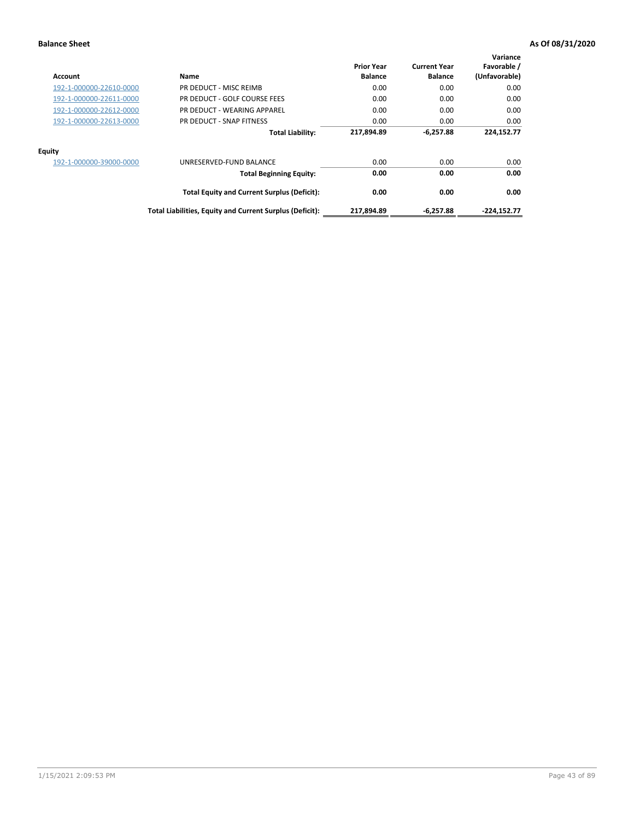| Account                 | Name                                                     | <b>Prior Year</b><br><b>Balance</b> | <b>Current Year</b><br><b>Balance</b> | Variance<br>Favorable /<br>(Unfavorable) |
|-------------------------|----------------------------------------------------------|-------------------------------------|---------------------------------------|------------------------------------------|
| 192-1-000000-22610-0000 | PR DEDUCT - MISC REIMB                                   | 0.00                                | 0.00                                  | 0.00                                     |
| 192-1-000000-22611-0000 | PR DEDUCT - GOLF COURSE FEES                             | 0.00                                | 0.00                                  | 0.00                                     |
| 192-1-000000-22612-0000 | PR DEDUCT - WEARING APPAREL                              | 0.00                                | 0.00                                  | 0.00                                     |
| 192-1-000000-22613-0000 | PR DEDUCT - SNAP FITNESS                                 | 0.00                                | 0.00                                  | 0.00                                     |
|                         | <b>Total Liability:</b>                                  | 217,894.89                          | $-6,257.88$                           | 224,152.77                               |
| <b>Equity</b>           |                                                          |                                     |                                       |                                          |
| 192-1-000000-39000-0000 | UNRESERVED-FUND BALANCE                                  | 0.00                                | 0.00                                  | 0.00                                     |
|                         | <b>Total Beginning Equity:</b>                           | 0.00                                | 0.00                                  | 0.00                                     |
|                         | <b>Total Equity and Current Surplus (Deficit):</b>       | 0.00                                | 0.00                                  | 0.00                                     |
|                         | Total Liabilities, Equity and Current Surplus (Deficit): | 217,894.89                          | $-6.257.88$                           | $-224,152.77$                            |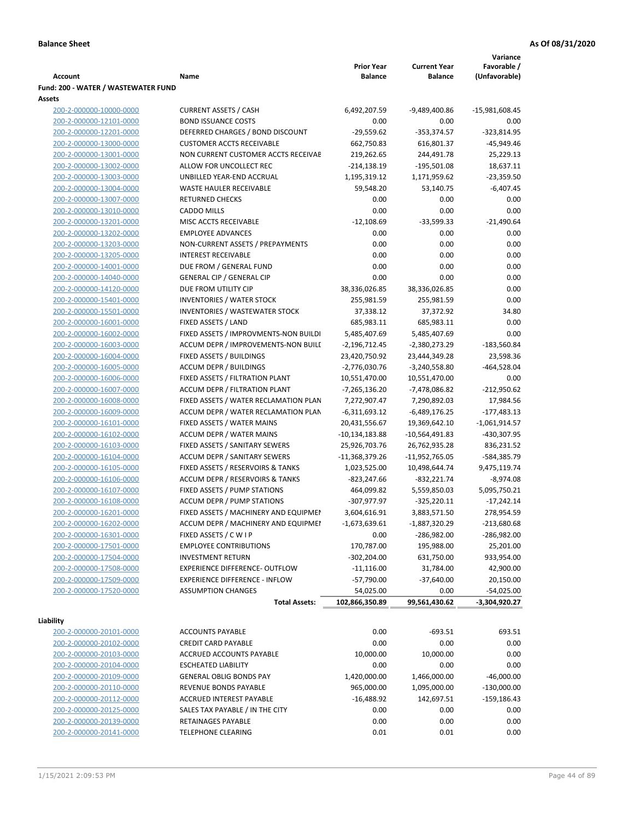|                                     |                                       |                   |                     | Variance        |
|-------------------------------------|---------------------------------------|-------------------|---------------------|-----------------|
|                                     |                                       | <b>Prior Year</b> | <b>Current Year</b> | Favorable /     |
| <b>Account</b>                      | Name                                  | <b>Balance</b>    | <b>Balance</b>      | (Unfavorable)   |
| Fund: 200 - WATER / WASTEWATER FUND |                                       |                   |                     |                 |
| Assets                              |                                       |                   |                     |                 |
| 200-2-000000-10000-0000             | <b>CURRENT ASSETS / CASH</b>          | 6,492,207.59      | -9,489,400.86       | -15,981,608.45  |
| 200-2-000000-12101-0000             | <b>BOND ISSUANCE COSTS</b>            | 0.00              | 0.00                | 0.00            |
| 200-2-000000-12201-0000             | DEFERRED CHARGES / BOND DISCOUNT      | $-29,559.62$      | $-353,374.57$       | $-323,814.95$   |
| 200-2-000000-13000-0000             | <b>CUSTOMER ACCTS RECEIVABLE</b>      | 662,750.83        | 616,801.37          | $-45,949.46$    |
| 200-2-000000-13001-0000             | NON CURRENT CUSTOMER ACCTS RECEIVAE   | 219,262.65        | 244,491.78          | 25,229.13       |
| 200-2-000000-13002-0000             | ALLOW FOR UNCOLLECT REC               | $-214,138.19$     | $-195,501.08$       | 18,637.11       |
| 200-2-000000-13003-0000             | UNBILLED YEAR-END ACCRUAL             | 1,195,319.12      | 1,171,959.62        | $-23,359.50$    |
| 200-2-000000-13004-0000             | WASTE HAULER RECEIVABLE               | 59,548.20         | 53,140.75           | $-6,407.45$     |
| 200-2-000000-13007-0000             | <b>RETURNED CHECKS</b>                | 0.00              | 0.00                | 0.00            |
| 200-2-000000-13010-0000             | <b>CADDO MILLS</b>                    | 0.00              | 0.00                | 0.00            |
| 200-2-000000-13201-0000             | MISC ACCTS RECEIVABLE                 | $-12,108.69$      | $-33,599.33$        | $-21,490.64$    |
| 200-2-000000-13202-0000             | <b>EMPLOYEE ADVANCES</b>              | 0.00              | 0.00                | 0.00            |
| 200-2-000000-13203-0000             | NON-CURRENT ASSETS / PREPAYMENTS      | 0.00              | 0.00                | 0.00            |
| 200-2-000000-13205-0000             | <b>INTEREST RECEIVABLE</b>            | 0.00              | 0.00                | 0.00            |
| 200-2-000000-14001-0000             | DUE FROM / GENERAL FUND               | 0.00              | 0.00                | 0.00            |
| 200-2-000000-14040-0000             | <b>GENERAL CIP / GENERAL CIP</b>      | 0.00              | 0.00                | 0.00            |
| 200-2-000000-14120-0000             | DUE FROM UTILITY CIP                  | 38,336,026.85     | 38,336,026.85       | 0.00            |
| 200-2-000000-15401-0000             | <b>INVENTORIES / WATER STOCK</b>      | 255,981.59        | 255,981.59          | 0.00            |
| 200-2-000000-15501-0000             | <b>INVENTORIES / WASTEWATER STOCK</b> | 37,338.12         | 37,372.92           | 34.80           |
| 200-2-000000-16001-0000             | FIXED ASSETS / LAND                   | 685,983.11        | 685,983.11          | 0.00            |
| 200-2-000000-16002-0000             | FIXED ASSETS / IMPROVMENTS-NON BUILDI | 5,485,407.69      | 5,485,407.69        | 0.00            |
| 200-2-000000-16003-0000             | ACCUM DEPR / IMPROVEMENTS-NON BUILL   | $-2,196,712.45$   | -2,380,273.29       | $-183,560.84$   |
| 200-2-000000-16004-0000             | FIXED ASSETS / BUILDINGS              | 23,420,750.92     | 23,444,349.28       | 23,598.36       |
| 200-2-000000-16005-0000             | <b>ACCUM DEPR / BUILDINGS</b>         | $-2,776,030.76$   | $-3,240,558.80$     | $-464,528.04$   |
| 200-2-000000-16006-0000             | FIXED ASSETS / FILTRATION PLANT       | 10,551,470.00     | 10,551,470.00       | 0.00            |
| 200-2-000000-16007-0000             | ACCUM DEPR / FILTRATION PLANT         | -7,265,136.20     | -7,478,086.82       | $-212,950.62$   |
| 200-2-000000-16008-0000             | FIXED ASSETS / WATER RECLAMATION PLAN | 7,272,907.47      | 7,290,892.03        | 17,984.56       |
| 200-2-000000-16009-0000             | ACCUM DEPR / WATER RECLAMATION PLAN   | $-6,311,693.12$   | $-6,489,176.25$     | $-177,483.13$   |
| 200-2-000000-16101-0000             | FIXED ASSETS / WATER MAINS            | 20,431,556.67     | 19,369,642.10       | $-1,061,914.57$ |
| 200-2-000000-16102-0000             | <b>ACCUM DEPR / WATER MAINS</b>       | -10,134,183.88    | -10,564,491.83      | -430,307.95     |
| 200-2-000000-16103-0000             | FIXED ASSETS / SANITARY SEWERS        | 25,926,703.76     | 26,762,935.28       | 836,231.52      |
| 200-2-000000-16104-0000             | <b>ACCUM DEPR / SANITARY SEWERS</b>   | $-11,368,379.26$  | -11,952,765.05      | -584,385.79     |
| 200-2-000000-16105-0000             | FIXED ASSETS / RESERVOIRS & TANKS     | 1,023,525.00      | 10,498,644.74       | 9,475,119.74    |
| 200-2-000000-16106-0000             | ACCUM DEPR / RESERVOIRS & TANKS       | -823,247.66       | $-832,221.74$       | $-8,974.08$     |
| 200-2-000000-16107-0000             | FIXED ASSETS / PUMP STATIONS          | 464,099.82        | 5,559,850.03        | 5,095,750.21    |
| 200-2-000000-16108-0000             | <b>ACCUM DEPR / PUMP STATIONS</b>     | -307,977.97       | $-325,220.11$       | $-17,242.14$    |
| 200-2-000000-16201-0000             | FIXED ASSETS / MACHINERY AND EQUIPMEN | 3,604,616.91      | 3,883,571.50        | 278,954.59      |
| 200-2-000000-16202-0000             | ACCUM DEPR / MACHINERY AND EQUIPMEI   | -1,673,639.61     | $-1,887,320.29$     | $-213,680.68$   |
| 200-2-000000-16301-0000             | FIXED ASSETS / C W I P                | 0.00              | -286,982.00         | $-286,982.00$   |
| 200-2-000000-17501-0000             | <b>EMPLOYEE CONTRIBUTIONS</b>         | 170,787.00        | 195,988.00          | 25,201.00       |
| 200-2-000000-17504-0000             | <b>INVESTMENT RETURN</b>              | $-302,204.00$     | 631,750.00          | 933,954.00      |
| 200-2-000000-17508-0000             | EXPERIENCE DIFFERENCE- OUTFLOW        | $-11,116.00$      | 31,784.00           | 42,900.00       |
| 200-2-000000-17509-0000             | <b>EXPERIENCE DIFFERENCE - INFLOW</b> | $-57,790.00$      | $-37,640.00$        | 20,150.00       |
| 200-2-000000-17520-0000             | <b>ASSUMPTION CHANGES</b>             | 54,025.00         | 0.00                | $-54,025.00$    |
|                                     | <b>Total Assets:</b>                  | 102,866,350.89    | 99,561,430.62       | -3,304,920.27   |
|                                     |                                       |                   |                     |                 |
| Liability                           |                                       |                   |                     |                 |
| 200-2-000000-20101-0000             | <b>ACCOUNTS PAYABLE</b>               | 0.00              | $-693.51$           | 693.51          |
| 200-2-000000-20102-0000             | <b>CREDIT CARD PAYABLE</b>            | 0.00              | 0.00                | 0.00            |
| 200-2-000000-20103-0000             | ACCRUED ACCOUNTS PAYABLE              | 10,000.00         | 10,000.00           | 0.00            |
| 200-2-000000-20104-0000             | <b>ESCHEATED LIABILITY</b>            | 0.00              | 0.00                | 0.00            |
| 200-2-000000-20109-0000             | <b>GENERAL OBLIG BONDS PAY</b>        | 1,420,000.00      | 1,466,000.00        | $-46,000.00$    |
| 200-2-000000-20110-0000             | REVENUE BONDS PAYABLE                 | 965,000.00        | 1,095,000.00        | $-130,000.00$   |
| 200-2-000000-20112-0000             | ACCRUED INTEREST PAYABLE              | $-16,488.92$      | 142,697.51          | $-159,186.43$   |
| 200-2-000000-20125-0000             | SALES TAX PAYABLE / IN THE CITY       | 0.00              | 0.00                | 0.00            |
| 200-2-000000-20139-0000             | RETAINAGES PAYABLE                    | 0.00              | 0.00                | 0.00            |
| 200-2-000000-20141-0000             | <b>TELEPHONE CLEARING</b>             | 0.01              | 0.01                | 0.00            |
|                                     |                                       |                   |                     |                 |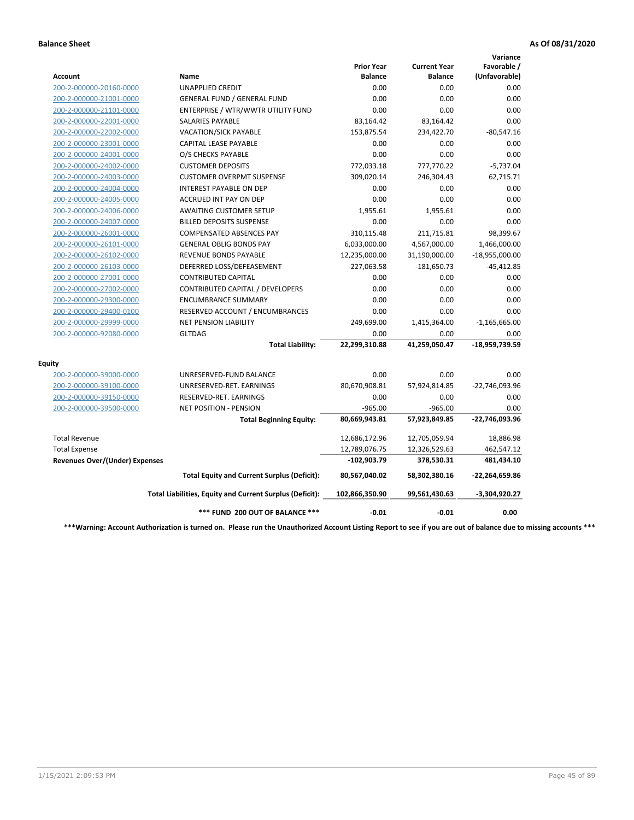|                                       |                                                          |                                     |                                       | Variance                     |
|---------------------------------------|----------------------------------------------------------|-------------------------------------|---------------------------------------|------------------------------|
| Account                               | <b>Name</b>                                              | <b>Prior Year</b><br><b>Balance</b> | <b>Current Year</b><br><b>Balance</b> | Favorable /<br>(Unfavorable) |
| 200-2-000000-20160-0000               | <b>UNAPPLIED CREDIT</b>                                  | 0.00                                | 0.00                                  | 0.00                         |
| 200-2-000000-21001-0000               | <b>GENERAL FUND / GENERAL FUND</b>                       | 0.00                                | 0.00                                  | 0.00                         |
| 200-2-000000-21101-0000               | ENTERPRISE / WTR/WWTR UTILITY FUND                       | 0.00                                | 0.00                                  | 0.00                         |
| 200-2-000000-22001-0000               | <b>SALARIES PAYABLE</b>                                  | 83,164.42                           | 83,164.42                             | 0.00                         |
| 200-2-000000-22002-0000               | <b>VACATION/SICK PAYABLE</b>                             | 153,875.54                          | 234,422.70                            | $-80,547.16$                 |
| 200-2-000000-23001-0000               | CAPITAL LEASE PAYABLE                                    | 0.00                                | 0.00                                  | 0.00                         |
| 200-2-000000-24001-0000               | O/S CHECKS PAYABLE                                       | 0.00                                | 0.00                                  | 0.00                         |
| 200-2-000000-24002-0000               | <b>CUSTOMER DEPOSITS</b>                                 | 772,033.18                          | 777,770.22                            | $-5,737.04$                  |
| 200-2-000000-24003-0000               | <b>CUSTOMER OVERPMT SUSPENSE</b>                         | 309,020.14                          | 246,304.43                            | 62,715.71                    |
| 200-2-000000-24004-0000               | <b>INTEREST PAYABLE ON DEP</b>                           | 0.00                                | 0.00                                  | 0.00                         |
| 200-2-000000-24005-0000               | <b>ACCRUED INT PAY ON DEP</b>                            | 0.00                                | 0.00                                  | 0.00                         |
| 200-2-000000-24006-0000               | <b>AWAITING CUSTOMER SETUP</b>                           | 1.955.61                            | 1,955.61                              | 0.00                         |
| 200-2-000000-24007-0000               | <b>BILLED DEPOSITS SUSPENSE</b>                          | 0.00                                | 0.00                                  | 0.00                         |
| 200-2-000000-26001-0000               | <b>COMPENSATED ABSENCES PAY</b>                          | 310,115.48                          | 211,715.81                            | 98,399.67                    |
| 200-2-000000-26101-0000               | <b>GENERAL OBLIG BONDS PAY</b>                           | 6,033,000.00                        | 4,567,000.00                          | 1,466,000.00                 |
| 200-2-000000-26102-0000               | <b>REVENUE BONDS PAYABLE</b>                             | 12,235,000.00                       | 31,190,000.00                         | $-18,955,000.00$             |
| 200-2-000000-26103-0000               | DEFERRED LOSS/DEFEASEMENT                                | $-227,063.58$                       | $-181,650.73$                         | $-45,412.85$                 |
| 200-2-000000-27001-0000               | <b>CONTRIBUTED CAPITAL</b>                               | 0.00                                | 0.00                                  | 0.00                         |
| 200-2-000000-27002-0000               | CONTRIBUTED CAPITAL / DEVELOPERS                         | 0.00                                | 0.00                                  | 0.00                         |
| 200-2-000000-29300-0000               | <b>ENCUMBRANCE SUMMARY</b>                               | 0.00                                | 0.00                                  | 0.00                         |
| 200-2-000000-29400-0100               | RESERVED ACCOUNT / ENCUMBRANCES                          | 0.00                                | 0.00                                  | 0.00                         |
| 200-2-000000-29999-0000               | <b>NET PENSION LIABILITY</b>                             | 249,699.00                          | 1,415,364.00                          | $-1,165,665.00$              |
| 200-2-000000-92080-0000               | <b>GLTDAG</b>                                            | 0.00                                | 0.00                                  | 0.00                         |
|                                       | <b>Total Liability:</b>                                  | 22,299,310.88                       | 41,259,050.47                         | -18,959,739.59               |
| <b>Equity</b>                         |                                                          |                                     |                                       |                              |
| 200-2-000000-39000-0000               | UNRESERVED-FUND BALANCE                                  | 0.00                                | 0.00                                  | 0.00                         |
| 200-2-000000-39100-0000               | UNRESERVED-RET. EARNINGS                                 | 80,670,908.81                       | 57,924,814.85                         | -22,746,093.96               |
| 200-2-000000-39150-0000               | RESERVED-RET. EARNINGS                                   | 0.00                                | 0.00                                  | 0.00                         |
| 200-2-000000-39500-0000               | NET POSITION - PENSION                                   | $-965.00$                           | $-965.00$                             | 0.00                         |
|                                       | <b>Total Beginning Equity:</b>                           | 80,669,943.81                       | 57,923,849.85                         | -22,746,093.96               |
| <b>Total Revenue</b>                  |                                                          | 12,686,172.96                       | 12,705,059.94                         | 18,886.98                    |
| <b>Total Expense</b>                  |                                                          | 12,789,076.75                       | 12,326,529.63                         | 462,547.12                   |
| <b>Revenues Over/(Under) Expenses</b> |                                                          | $-102,903.79$                       | 378,530.31                            | 481,434.10                   |
|                                       | <b>Total Equity and Current Surplus (Deficit):</b>       | 80,567,040.02                       | 58,302,380.16                         | $-22,264,659.86$             |
|                                       | Total Liabilities, Equity and Current Surplus (Deficit): | 102,866,350.90                      | 99,561,430.63                         | $-3,304,920.27$              |
|                                       | *** FUND 200 OUT OF BALANCE ***                          | $-0.01$                             | $-0.01$                               | 0.00                         |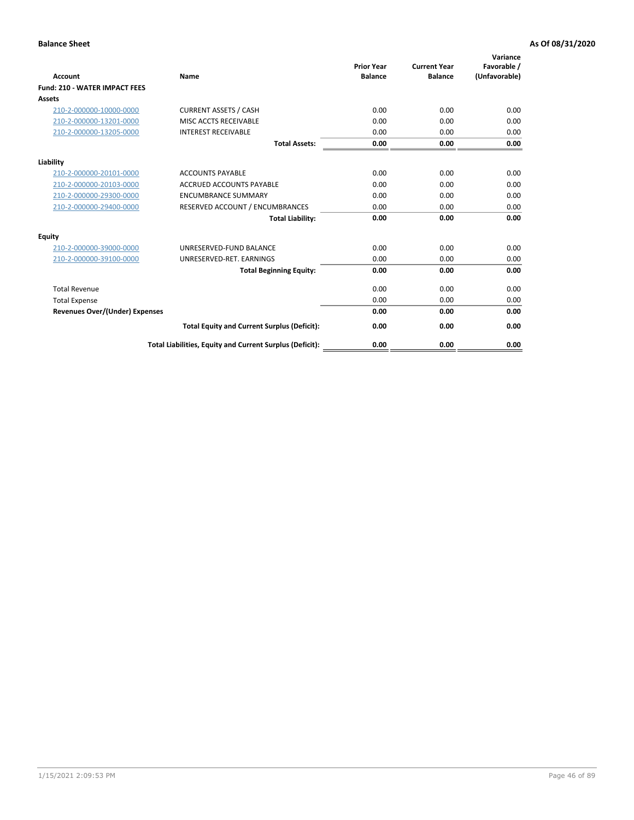| <b>Account</b>                        | <b>Name</b>                                              | <b>Prior Year</b><br><b>Balance</b> | <b>Current Year</b><br><b>Balance</b> | Variance<br>Favorable /<br>(Unfavorable) |
|---------------------------------------|----------------------------------------------------------|-------------------------------------|---------------------------------------|------------------------------------------|
| <b>Fund: 210 - WATER IMPACT FEES</b>  |                                                          |                                     |                                       |                                          |
| <b>Assets</b>                         |                                                          |                                     |                                       |                                          |
| 210-2-000000-10000-0000               | <b>CURRENT ASSETS / CASH</b>                             | 0.00                                | 0.00                                  | 0.00                                     |
| 210-2-000000-13201-0000               | MISC ACCTS RECEIVABLE                                    | 0.00                                | 0.00                                  | 0.00                                     |
| 210-2-000000-13205-0000               | <b>INTEREST RECEIVABLE</b>                               | 0.00                                | 0.00                                  | 0.00                                     |
|                                       | <b>Total Assets:</b>                                     | 0.00                                | 0.00                                  | 0.00                                     |
| Liability                             |                                                          |                                     |                                       |                                          |
| 210-2-000000-20101-0000               | <b>ACCOUNTS PAYABLE</b>                                  | 0.00                                | 0.00                                  | 0.00                                     |
| 210-2-000000-20103-0000               | <b>ACCRUED ACCOUNTS PAYABLE</b>                          | 0.00                                | 0.00                                  | 0.00                                     |
| 210-2-000000-29300-0000               | <b>ENCUMBRANCE SUMMARY</b>                               | 0.00                                | 0.00                                  | 0.00                                     |
| 210-2-000000-29400-0000               | RESERVED ACCOUNT / ENCUMBRANCES                          | 0.00                                | 0.00                                  | 0.00                                     |
|                                       | <b>Total Liability:</b>                                  | 0.00                                | 0.00                                  | 0.00                                     |
| <b>Equity</b>                         |                                                          |                                     |                                       |                                          |
| 210-2-000000-39000-0000               | UNRESERVED-FUND BALANCE                                  | 0.00                                | 0.00                                  | 0.00                                     |
| 210-2-000000-39100-0000               | UNRESERVED-RET. EARNINGS                                 | 0.00                                | 0.00                                  | 0.00                                     |
|                                       | <b>Total Beginning Equity:</b>                           | 0.00                                | 0.00                                  | 0.00                                     |
| <b>Total Revenue</b>                  |                                                          | 0.00                                | 0.00                                  | 0.00                                     |
| <b>Total Expense</b>                  |                                                          | 0.00                                | 0.00                                  | 0.00                                     |
| <b>Revenues Over/(Under) Expenses</b> |                                                          | 0.00                                | 0.00                                  | 0.00                                     |
|                                       | <b>Total Equity and Current Surplus (Deficit):</b>       | 0.00                                | 0.00                                  | 0.00                                     |
|                                       | Total Liabilities, Equity and Current Surplus (Deficit): | 0.00                                | 0.00                                  | 0.00                                     |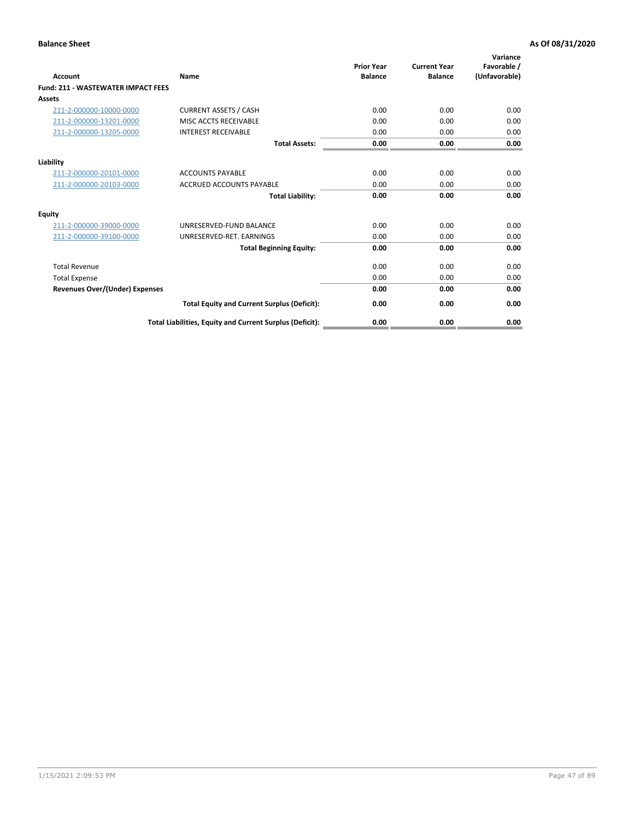| Account                                   | Name                                                     | <b>Prior Year</b><br><b>Balance</b> | <b>Current Year</b><br><b>Balance</b> | Variance<br>Favorable /<br>(Unfavorable) |
|-------------------------------------------|----------------------------------------------------------|-------------------------------------|---------------------------------------|------------------------------------------|
| <b>Fund: 211 - WASTEWATER IMPACT FEES</b> |                                                          |                                     |                                       |                                          |
| <b>Assets</b>                             |                                                          |                                     |                                       |                                          |
| 211-2-000000-10000-0000                   | <b>CURRENT ASSETS / CASH</b>                             | 0.00                                | 0.00                                  | 0.00                                     |
| 211-2-000000-13201-0000                   | MISC ACCTS RECEIVABLE                                    | 0.00                                | 0.00                                  | 0.00                                     |
| 211-2-000000-13205-0000                   | <b>INTEREST RECEIVABLE</b>                               | 0.00                                | 0.00                                  | 0.00                                     |
|                                           | <b>Total Assets:</b>                                     | 0.00                                | 0.00                                  | 0.00                                     |
| Liability                                 |                                                          |                                     |                                       |                                          |
| 211-2-000000-20101-0000                   | <b>ACCOUNTS PAYABLE</b>                                  | 0.00                                | 0.00                                  | 0.00                                     |
| 211-2-000000-20103-0000                   | <b>ACCRUED ACCOUNTS PAYABLE</b>                          | 0.00                                | 0.00                                  | 0.00                                     |
|                                           | <b>Total Liability:</b>                                  | 0.00                                | 0.00                                  | 0.00                                     |
| Equity                                    |                                                          |                                     |                                       |                                          |
| 211-2-000000-39000-0000                   | UNRESERVED-FUND BALANCE                                  | 0.00                                | 0.00                                  | 0.00                                     |
| 211-2-000000-39100-0000                   | UNRESERVED-RET. EARNINGS                                 | 0.00                                | 0.00                                  | 0.00                                     |
|                                           | <b>Total Beginning Equity:</b>                           | 0.00                                | 0.00                                  | 0.00                                     |
| <b>Total Revenue</b>                      |                                                          | 0.00                                | 0.00                                  | 0.00                                     |
| <b>Total Expense</b>                      |                                                          | 0.00                                | 0.00                                  | 0.00                                     |
| <b>Revenues Over/(Under) Expenses</b>     |                                                          | 0.00                                | 0.00                                  | 0.00                                     |
|                                           | <b>Total Equity and Current Surplus (Deficit):</b>       | 0.00                                | 0.00                                  | 0.00                                     |
|                                           | Total Liabilities, Equity and Current Surplus (Deficit): | 0.00                                | 0.00                                  | 0.00                                     |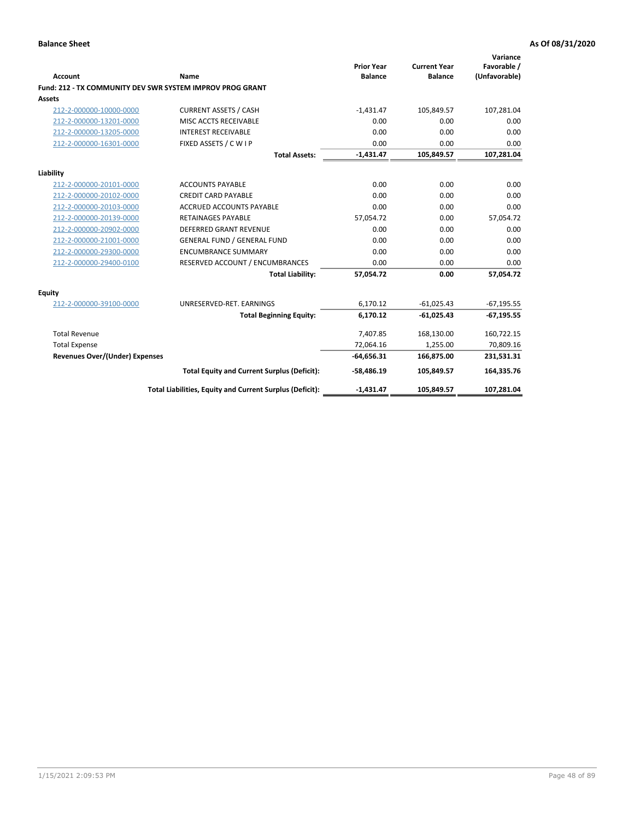| <b>Account</b>                        | Name                                                      | <b>Prior Year</b><br><b>Balance</b> | <b>Current Year</b><br><b>Balance</b> | Variance<br>Favorable /<br>(Unfavorable) |
|---------------------------------------|-----------------------------------------------------------|-------------------------------------|---------------------------------------|------------------------------------------|
|                                       | Fund: 212 - TX COMMUNITY DEV SWR SYSTEM IMPROV PROG GRANT |                                     |                                       |                                          |
| <b>Assets</b>                         |                                                           |                                     |                                       |                                          |
| 212-2-000000-10000-0000               | <b>CURRENT ASSETS / CASH</b>                              | $-1,431.47$                         | 105,849.57                            | 107,281.04                               |
| 212-2-000000-13201-0000               | MISC ACCTS RECEIVABLE                                     | 0.00                                | 0.00                                  | 0.00                                     |
| 212-2-000000-13205-0000               | <b>INTEREST RECEIVABLE</b>                                | 0.00                                | 0.00                                  | 0.00                                     |
| 212-2-000000-16301-0000               | FIXED ASSETS / C W I P                                    | 0.00                                | 0.00                                  | 0.00                                     |
|                                       | <b>Total Assets:</b>                                      | $-1,431.47$                         | 105,849.57                            | 107,281.04                               |
| Liability                             |                                                           |                                     |                                       |                                          |
| 212-2-000000-20101-0000               | <b>ACCOUNTS PAYABLE</b>                                   | 0.00                                | 0.00                                  | 0.00                                     |
| 212-2-000000-20102-0000               | <b>CREDIT CARD PAYABLE</b>                                | 0.00                                | 0.00                                  | 0.00                                     |
| 212-2-000000-20103-0000               | <b>ACCRUED ACCOUNTS PAYABLE</b>                           | 0.00                                | 0.00                                  | 0.00                                     |
| 212-2-000000-20139-0000               | <b>RETAINAGES PAYABLE</b>                                 | 57,054.72                           | 0.00                                  | 57,054.72                                |
| 212-2-000000-20902-0000               | <b>DEFERRED GRANT REVENUE</b>                             | 0.00                                | 0.00                                  | 0.00                                     |
| 212-2-000000-21001-0000               | <b>GENERAL FUND / GENERAL FUND</b>                        | 0.00                                | 0.00                                  | 0.00                                     |
| 212-2-000000-29300-0000               | <b>ENCUMBRANCE SUMMARY</b>                                | 0.00                                | 0.00                                  | 0.00                                     |
| 212-2-000000-29400-0100               | RESERVED ACCOUNT / ENCUMBRANCES                           | 0.00                                | 0.00                                  | 0.00                                     |
|                                       | <b>Total Liability:</b>                                   | 57.054.72                           | 0.00                                  | 57,054.72                                |
| Equity                                |                                                           |                                     |                                       |                                          |
| 212-2-000000-39100-0000               | UNRESERVED-RET. EARNINGS                                  | 6,170.12                            | $-61,025.43$                          | $-67,195.55$                             |
|                                       | <b>Total Beginning Equity:</b>                            | 6,170.12                            | $-61,025.43$                          | $-67,195.55$                             |
| <b>Total Revenue</b>                  |                                                           | 7,407.85                            | 168,130.00                            | 160,722.15                               |
| <b>Total Expense</b>                  |                                                           | 72,064.16                           | 1,255.00                              | 70,809.16                                |
| <b>Revenues Over/(Under) Expenses</b> |                                                           | $-64,656.31$                        | 166,875.00                            | 231,531.31                               |
|                                       | <b>Total Equity and Current Surplus (Deficit):</b>        | $-58,486.19$                        | 105,849.57                            | 164,335.76                               |
|                                       | Total Liabilities, Equity and Current Surplus (Deficit):  | $-1,431.47$                         | 105,849.57                            | 107,281.04                               |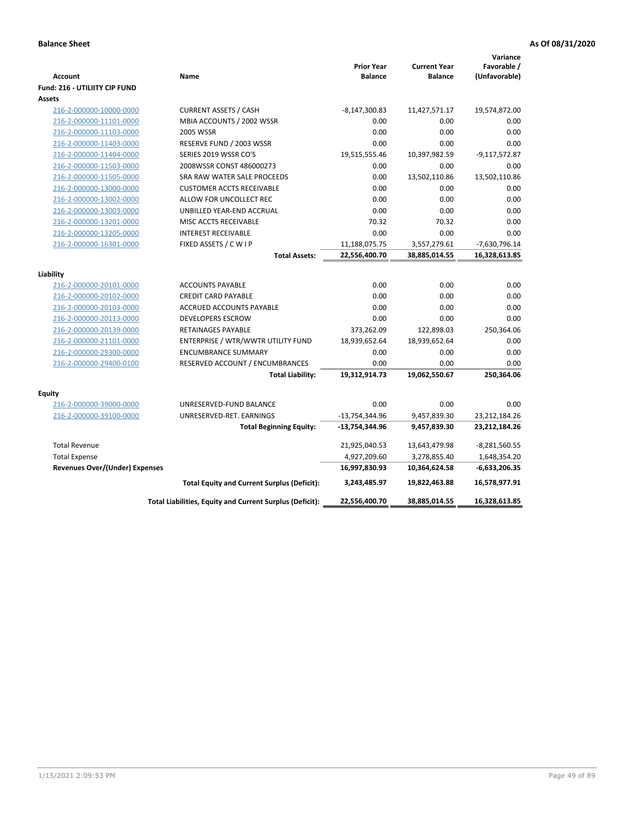| Account<br><b>Fund: 216 - UTILIITY CIP FUND</b>    | Name                                                     | <b>Prior Year</b><br><b>Balance</b> | <b>Current Year</b><br><b>Balance</b> | Variance<br>Favorable /<br>(Unfavorable) |
|----------------------------------------------------|----------------------------------------------------------|-------------------------------------|---------------------------------------|------------------------------------------|
| <b>Assets</b>                                      |                                                          |                                     |                                       |                                          |
| 216-2-000000-10000-0000                            | <b>CURRENT ASSETS / CASH</b>                             | $-8,147,300.83$                     | 11,427,571.17                         | 19,574,872.00                            |
| 216-2-000000-11101-0000                            | MBIA ACCOUNTS / 2002 WSSR                                | 0.00                                | 0.00                                  | 0.00                                     |
| 216-2-000000-11103-0000                            | 2005 WSSR                                                | 0.00                                | 0.00                                  | 0.00                                     |
| 216-2-000000-11403-0000                            | RESERVE FUND / 2003 WSSR                                 | 0.00                                | 0.00                                  | 0.00                                     |
| 216-2-000000-11404-0000                            | SERIES 2019 WSSR CO'S                                    | 19,515,555.46                       | 10,397,982.59                         | $-9,117,572.87$                          |
| 216-2-000000-11503-0000                            | 2008WSSR CONST 486000273                                 | 0.00                                | 0.00                                  | 0.00                                     |
| 216-2-000000-11505-0000                            | SRA RAW WATER SALE PROCEEDS                              | 0.00                                | 13,502,110.86                         | 13,502,110.86                            |
| 216-2-000000-13000-0000                            | <b>CUSTOMER ACCTS RECEIVABLE</b>                         | 0.00                                | 0.00                                  | 0.00                                     |
| 216-2-000000-13002-0000                            | ALLOW FOR UNCOLLECT REC                                  | 0.00                                | 0.00                                  | 0.00                                     |
| 216-2-000000-13003-0000                            | UNBILLED YEAR-END ACCRUAL                                | 0.00                                | 0.00                                  | 0.00                                     |
| 216-2-000000-13201-0000                            | MISC ACCTS RECEIVABLE                                    | 70.32                               | 70.32                                 | 0.00                                     |
| 216-2-000000-13205-0000                            | <b>INTEREST RECEIVABLE</b>                               | 0.00                                | 0.00                                  | 0.00                                     |
| 216-2-000000-16301-0000                            | FIXED ASSETS / C W I P                                   | 11,188,075.75                       | 3,557,279.61                          | -7,630,796.14                            |
|                                                    | <b>Total Assets:</b>                                     | 22,556,400.70                       | 38,885,014.55                         | 16,328,613.85                            |
|                                                    |                                                          |                                     |                                       |                                          |
| Liability                                          | <b>ACCOUNTS PAYABLE</b>                                  | 0.00                                | 0.00                                  | 0.00                                     |
| 216-2-000000-20101-0000<br>216-2-000000-20102-0000 | <b>CREDIT CARD PAYABLE</b>                               | 0.00                                | 0.00                                  | 0.00                                     |
| 216-2-000000-20103-0000                            | ACCRUED ACCOUNTS PAYABLE                                 | 0.00                                | 0.00                                  | 0.00                                     |
| 216-2-000000-20113-0000                            | <b>DEVELOPERS ESCROW</b>                                 | 0.00                                | 0.00                                  | 0.00                                     |
| 216-2-000000-20139-0000                            | <b>RETAINAGES PAYABLE</b>                                | 373,262.09                          | 122,898.03                            | 250,364.06                               |
| 216-2-000000-21101-0000                            | ENTERPRISE / WTR/WWTR UTILITY FUND                       | 18,939,652.64                       | 18,939,652.64                         | 0.00                                     |
| 216-2-000000-29300-0000                            | <b>ENCUMBRANCE SUMMARY</b>                               | 0.00                                | 0.00                                  | 0.00                                     |
| 216-2-000000-29400-0100                            | RESERVED ACCOUNT / ENCUMBRANCES                          | 0.00                                | 0.00                                  | 0.00                                     |
|                                                    | <b>Total Liability:</b>                                  | 19,312,914.73                       | 19,062,550.67                         | 250,364.06                               |
|                                                    |                                                          |                                     |                                       |                                          |
| <b>Equity</b>                                      |                                                          |                                     |                                       |                                          |
| 216-2-000000-39000-0000                            | UNRESERVED-FUND BALANCE                                  | 0.00                                | 0.00                                  | 0.00                                     |
| 216-2-000000-39100-0000                            | UNRESERVED-RET. EARNINGS                                 | -13,754,344.96                      | 9,457,839.30                          | 23,212,184.26                            |
|                                                    | <b>Total Beginning Equity:</b>                           | -13,754,344.96                      | 9,457,839.30                          | 23,212,184.26                            |
| <b>Total Revenue</b>                               |                                                          | 21,925,040.53                       | 13,643,479.98                         | $-8,281,560.55$                          |
| <b>Total Expense</b>                               |                                                          | 4,927,209.60                        | 3,278,855.40                          | 1,648,354.20                             |
| <b>Revenues Over/(Under) Expenses</b>              |                                                          | 16,997,830.93                       | 10,364,624.58                         | $-6,633,206.35$                          |
|                                                    | <b>Total Equity and Current Surplus (Deficit):</b>       | 3,243,485.97                        | 19,822,463.88                         | 16,578,977.91                            |
|                                                    | Total Liabilities, Equity and Current Surplus (Deficit): | 22,556,400.70                       | 38,885,014.55                         | 16,328,613.85                            |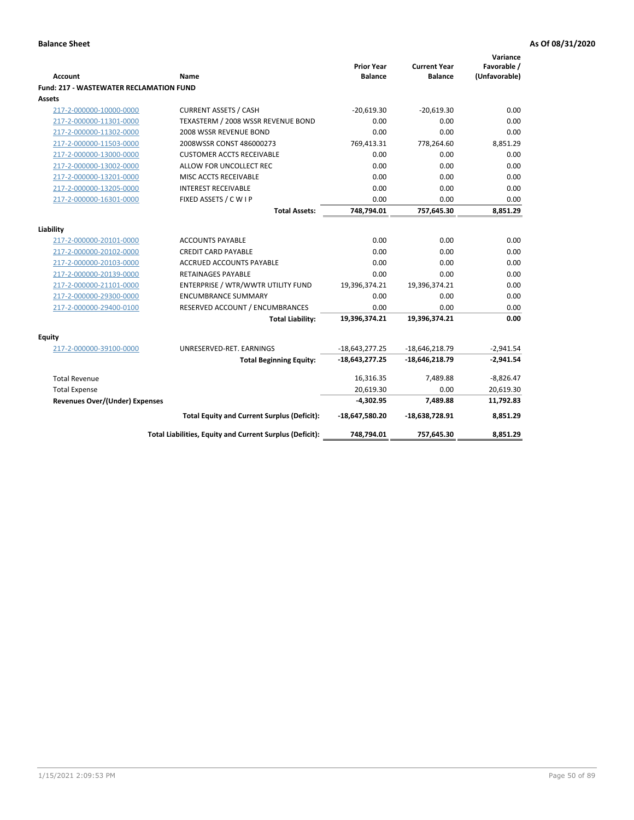| <b>Account</b>                                 | <b>Name</b>                                              | <b>Prior Year</b><br><b>Balance</b> | <b>Current Year</b><br><b>Balance</b> | Variance<br>Favorable /<br>(Unfavorable) |
|------------------------------------------------|----------------------------------------------------------|-------------------------------------|---------------------------------------|------------------------------------------|
| <b>Fund: 217 - WASTEWATER RECLAMATION FUND</b> |                                                          |                                     |                                       |                                          |
| Assets                                         |                                                          |                                     |                                       |                                          |
| 217-2-000000-10000-0000                        | <b>CURRENT ASSETS / CASH</b>                             | $-20.619.30$                        | $-20,619.30$                          | 0.00                                     |
| 217-2-000000-11301-0000                        | TEXASTERM / 2008 WSSR REVENUE BOND                       | 0.00                                | 0.00                                  | 0.00                                     |
| 217-2-000000-11302-0000                        | 2008 WSSR REVENUE BOND                                   | 0.00                                | 0.00                                  | 0.00                                     |
| 217-2-000000-11503-0000                        | 2008WSSR CONST 486000273                                 | 769,413.31                          | 778,264.60                            | 8,851.29                                 |
| 217-2-000000-13000-0000                        | <b>CUSTOMER ACCTS RECEIVABLE</b>                         | 0.00                                | 0.00                                  | 0.00                                     |
| 217-2-000000-13002-0000                        | ALLOW FOR UNCOLLECT REC                                  | 0.00                                | 0.00                                  | 0.00                                     |
| 217-2-000000-13201-0000                        | MISC ACCTS RECEIVABLE                                    | 0.00                                | 0.00                                  | 0.00                                     |
| 217-2-000000-13205-0000                        | <b>INTEREST RECEIVABLE</b>                               | 0.00                                | 0.00                                  | 0.00                                     |
| 217-2-000000-16301-0000                        | FIXED ASSETS / C W I P                                   | 0.00                                | 0.00                                  | 0.00                                     |
|                                                | <b>Total Assets:</b>                                     | 748,794.01                          | 757,645.30                            | 8,851.29                                 |
|                                                |                                                          |                                     |                                       |                                          |
| Liability                                      |                                                          |                                     |                                       |                                          |
| 217-2-000000-20101-0000                        | <b>ACCOUNTS PAYABLE</b>                                  | 0.00                                | 0.00                                  | 0.00                                     |
| 217-2-000000-20102-0000                        | <b>CREDIT CARD PAYABLE</b>                               | 0.00                                | 0.00                                  | 0.00                                     |
| 217-2-000000-20103-0000                        | <b>ACCRUED ACCOUNTS PAYABLE</b>                          | 0.00                                | 0.00                                  | 0.00                                     |
| 217-2-000000-20139-0000                        | <b>RETAINAGES PAYABLE</b>                                | 0.00                                | 0.00                                  | 0.00                                     |
| 217-2-000000-21101-0000                        | ENTERPRISE / WTR/WWTR UTILITY FUND                       | 19,396,374.21                       | 19,396,374.21                         | 0.00                                     |
| 217-2-000000-29300-0000                        | <b>ENCUMBRANCE SUMMARY</b>                               | 0.00                                | 0.00                                  | 0.00                                     |
| 217-2-000000-29400-0100                        | RESERVED ACCOUNT / ENCUMBRANCES                          | 0.00                                | 0.00                                  | 0.00                                     |
|                                                | <b>Total Liability:</b>                                  | 19,396,374.21                       | 19,396,374.21                         | 0.00                                     |
| <b>Equity</b>                                  |                                                          |                                     |                                       |                                          |
| 217-2-000000-39100-0000                        | UNRESERVED-RET. EARNINGS                                 | $-18,643,277.25$                    | $-18,646,218.79$                      | $-2,941.54$                              |
|                                                | <b>Total Beginning Equity:</b>                           | $-18,643,277.25$                    | $-18,646,218.79$                      | $-2,941.54$                              |
| <b>Total Revenue</b>                           |                                                          | 16,316.35                           | 7,489.88                              | $-8,826.47$                              |
| <b>Total Expense</b>                           |                                                          | 20,619.30                           | 0.00                                  | 20,619.30                                |
| <b>Revenues Over/(Under) Expenses</b>          |                                                          | $-4,302.95$                         | 7,489.88                              | 11,792.83                                |
|                                                | <b>Total Equity and Current Surplus (Deficit):</b>       | -18,647,580.20                      | $-18,638,728.91$                      | 8,851.29                                 |
|                                                | Total Liabilities, Equity and Current Surplus (Deficit): | 748,794.01                          | 757,645.30                            | 8,851.29                                 |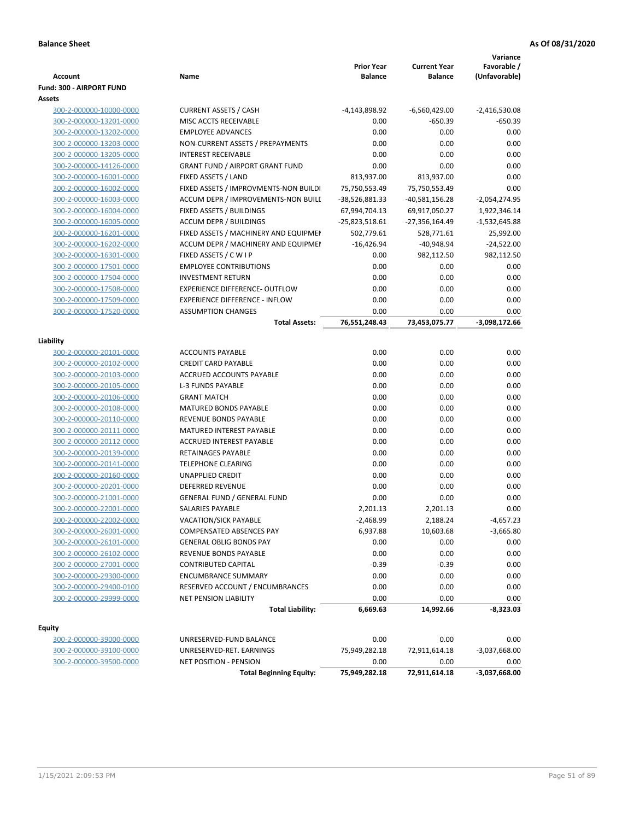|                                                                                                                      |                         | <b>Prior Year</b>     | <b>Current Year</b> | Favorable /                  |
|----------------------------------------------------------------------------------------------------------------------|-------------------------|-----------------------|---------------------|------------------------------|
| Account<br>Name                                                                                                      |                         | <b>Balance</b>        | <b>Balance</b>      | (Unfavorable)                |
| Fund: 300 - AIRPORT FUND                                                                                             |                         |                       |                     |                              |
| Assets                                                                                                               |                         |                       |                     |                              |
| <b>CURRENT ASSETS / CASH</b><br>300-2-000000-10000-0000<br>MISC ACCTS RECEIVABLE<br>300-2-000000-13201-0000          |                         | -4,143,898.92         | $-6,560,429.00$     | $-2,416,530.08$<br>$-650.39$ |
| <b>EMPLOYEE ADVANCES</b>                                                                                             |                         | 0.00<br>0.00          | $-650.39$<br>0.00   | 0.00                         |
| 300-2-000000-13202-0000                                                                                              |                         | 0.00                  | 0.00                | 0.00                         |
| 300-2-000000-13203-0000<br>NON-CURRENT ASSETS / PREPAYMENTS<br>300-2-000000-13205-0000<br><b>INTEREST RECEIVABLE</b> |                         | 0.00                  | 0.00                | 0.00                         |
| <b>GRANT FUND / AIRPORT GRANT FUND</b><br>300-2-000000-14126-0000                                                    |                         | 0.00                  | 0.00                | 0.00                         |
| 300-2-000000-16001-0000<br>FIXED ASSETS / LAND                                                                       |                         | 813,937.00            | 813,937.00          | 0.00                         |
| 300-2-000000-16002-0000<br>FIXED ASSETS / IMPROVMENTS-NON BUILDI                                                     |                         | 75,750,553.49         | 75,750,553.49       | 0.00                         |
| 300-2-000000-16003-0000<br>ACCUM DEPR / IMPROVEMENTS-NON BUILL                                                       |                         | -38,526,881.33        | $-40,581,156.28$    | $-2,054,274.95$              |
| 300-2-000000-16004-0000<br>FIXED ASSETS / BUILDINGS                                                                  |                         | 67,994,704.13         | 69,917,050.27       | 1,922,346.14                 |
| <b>ACCUM DEPR / BUILDINGS</b><br>300-2-000000-16005-0000                                                             |                         | -25,823,518.61        | -27,356,164.49      | $-1,532,645.88$              |
| 300-2-000000-16201-0000<br>FIXED ASSETS / MACHINERY AND EQUIPMEN                                                     |                         | 502,779.61            | 528,771.61          | 25,992.00                    |
| 300-2-000000-16202-0000<br>ACCUM DEPR / MACHINERY AND EQUIPMEI                                                       |                         | $-16,426.94$          | $-40,948.94$        | $-24,522.00$                 |
| 300-2-000000-16301-0000<br>FIXED ASSETS / C W I P                                                                    |                         | 0.00                  | 982,112.50          | 982,112.50                   |
| 300-2-000000-17501-0000<br><b>EMPLOYEE CONTRIBUTIONS</b>                                                             |                         | 0.00                  | 0.00                | 0.00                         |
| <b>INVESTMENT RETURN</b><br>300-2-000000-17504-0000                                                                  |                         | 0.00                  | 0.00                | 0.00                         |
| 300-2-000000-17508-0000<br>EXPERIENCE DIFFERENCE- OUTFLOW                                                            |                         | 0.00                  | 0.00                | 0.00                         |
| 300-2-000000-17509-0000<br><b>EXPERIENCE DIFFERENCE - INFLOW</b>                                                     |                         | 0.00                  | 0.00                | 0.00                         |
| 300-2-000000-17520-0000<br><b>ASSUMPTION CHANGES</b>                                                                 |                         | 0.00                  | 0.00                | 0.00                         |
|                                                                                                                      | <b>Total Assets:</b>    | 76,551,248.43         | 73,453,075.77       | $-3,098,172.66$              |
|                                                                                                                      |                         |                       |                     |                              |
| Liability                                                                                                            |                         |                       |                     |                              |
| 300-2-000000-20101-0000<br><b>ACCOUNTS PAYABLE</b>                                                                   |                         | 0.00                  | 0.00                | 0.00                         |
| <b>CREDIT CARD PAYABLE</b><br>300-2-000000-20102-0000                                                                |                         | 0.00                  | 0.00                | 0.00                         |
| 300-2-000000-20103-0000<br>ACCRUED ACCOUNTS PAYABLE                                                                  |                         | 0.00                  | 0.00                | 0.00                         |
| 300-2-000000-20105-0000<br><b>L-3 FUNDS PAYABLE</b>                                                                  |                         | 0.00                  | 0.00                | 0.00                         |
| <b>GRANT MATCH</b><br>300-2-000000-20106-0000                                                                        |                         | 0.00                  | 0.00                | 0.00                         |
| MATURED BONDS PAYABLE<br>300-2-000000-20108-0000                                                                     |                         | 0.00                  | 0.00                | 0.00                         |
| REVENUE BONDS PAYABLE<br>300-2-000000-20110-0000                                                                     |                         | 0.00                  | 0.00                | 0.00                         |
| 300-2-000000-20111-0000<br>MATURED INTEREST PAYABLE                                                                  |                         | 0.00                  | 0.00                | 0.00                         |
| 300-2-000000-20112-0000<br><b>ACCRUED INTEREST PAYABLE</b>                                                           |                         | 0.00                  | 0.00                | 0.00                         |
| 300-2-000000-20139-0000<br>RETAINAGES PAYABLE                                                                        |                         | 0.00                  | 0.00                | 0.00                         |
| <b>TELEPHONE CLEARING</b><br>300-2-000000-20141-0000                                                                 |                         | 0.00                  | 0.00                | 0.00                         |
| 300-2-000000-20160-0000<br><b>UNAPPLIED CREDIT</b>                                                                   |                         | 0.00                  | 0.00                | 0.00                         |
| 300-2-000000-20201-0000<br><b>DEFERRED REVENUE</b>                                                                   |                         | 0.00                  | 0.00                | 0.00                         |
| 300-2-000000-21001-0000<br><b>GENERAL FUND / GENERAL FUND</b>                                                        |                         | 0.00                  | 0.00                | 0.00                         |
| SALARIES PAYABLE<br>300-2-000000-22001-0000                                                                          |                         | 2,201.13              | 2,201.13            | 0.00                         |
| 300-2-000000-22002-0000<br>VACATION/SICK PAYABLE                                                                     |                         | $-2,468.99$           | 2,188.24            | $-4,657.23$                  |
| 300-2-000000-26001-0000<br><b>COMPENSATED ABSENCES PAY</b>                                                           |                         | 6,937.88              | 10,603.68           | $-3,665.80$                  |
| 300-2-000000-26101-0000<br><b>GENERAL OBLIG BONDS PAY</b>                                                            |                         | 0.00                  | 0.00                | 0.00                         |
| 300-2-000000-26102-0000<br>REVENUE BONDS PAYABLE                                                                     |                         | 0.00                  | 0.00                | 0.00                         |
| 300-2-000000-27001-0000<br><b>CONTRIBUTED CAPITAL</b>                                                                |                         | $-0.39$               | $-0.39$             | 0.00                         |
| <b>ENCUMBRANCE SUMMARY</b><br>300-2-000000-29300-0000                                                                |                         | 0.00                  | 0.00                | 0.00                         |
| 300-2-000000-29400-0100<br>RESERVED ACCOUNT / ENCUMBRANCES                                                           |                         | 0.00                  | 0.00                | 0.00                         |
| 300-2-000000-29999-0000<br>NET PENSION LIABILITY                                                                     |                         | 0.00                  | 0.00                | 0.00                         |
|                                                                                                                      | <b>Total Liability:</b> | 6,669.63              | 14,992.66           | -8,323.03                    |
| Equity                                                                                                               |                         |                       |                     |                              |
| UNRESERVED-FUND BALANCE                                                                                              |                         | 0.00                  | 0.00                | 0.00                         |
| 300-2-000000-39000-0000<br>UNRESERVED-RET. EARNINGS                                                                  |                         |                       | 72,911,614.18       |                              |
| 300-2-000000-39100-0000<br>300-2-000000-39500-0000<br>NET POSITION - PENSION                                         |                         | 75,949,282.18<br>0.00 | 0.00                | $-3,037,668.00$<br>0.00      |
| <b>Total Beginning Equity:</b>                                                                                       |                         | 75,949,282.18         | 72,911,614.18       | $-3,037,668.00$              |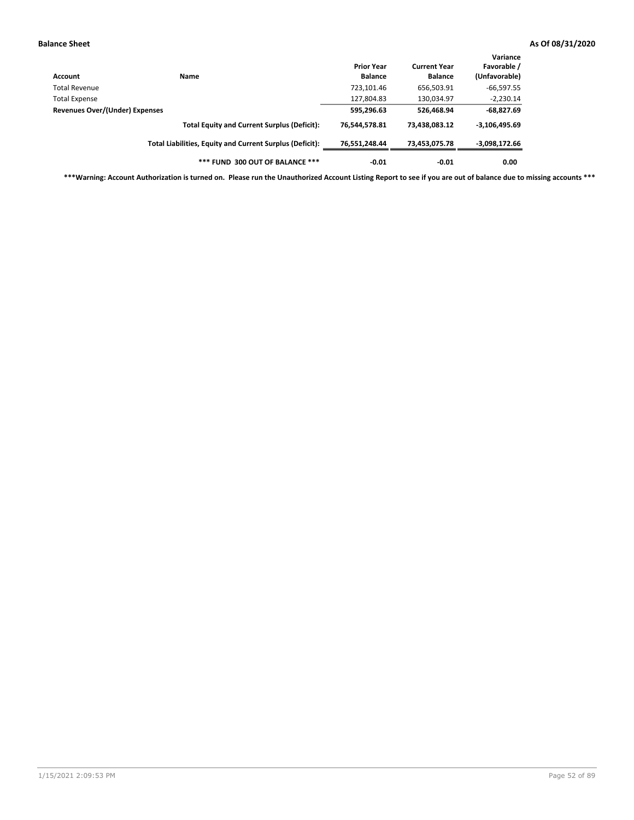| Account                               | Name                                                     | <b>Prior Year</b><br><b>Balance</b> | <b>Current Year</b><br><b>Balance</b> | Variance<br>Favorable /<br>(Unfavorable) |
|---------------------------------------|----------------------------------------------------------|-------------------------------------|---------------------------------------|------------------------------------------|
| <b>Total Revenue</b>                  |                                                          | 723,101.46                          | 656,503.91                            | $-66,597.55$                             |
| <b>Total Expense</b>                  |                                                          | 127,804.83                          | 130,034.97                            | $-2,230.14$                              |
| <b>Revenues Over/(Under) Expenses</b> |                                                          | 595,296.63                          | 526,468.94                            | $-68,827.69$                             |
|                                       | <b>Total Equity and Current Surplus (Deficit):</b>       | 76,544,578.81                       | 73,438,083.12                         | $-3,106,495.69$                          |
|                                       | Total Liabilities, Equity and Current Surplus (Deficit): | 76,551,248.44                       | 73,453,075.78                         | -3,098,172.66                            |
|                                       | *** FUND 300 OUT OF BALANCE ***                          | $-0.01$                             | $-0.01$                               | 0.00                                     |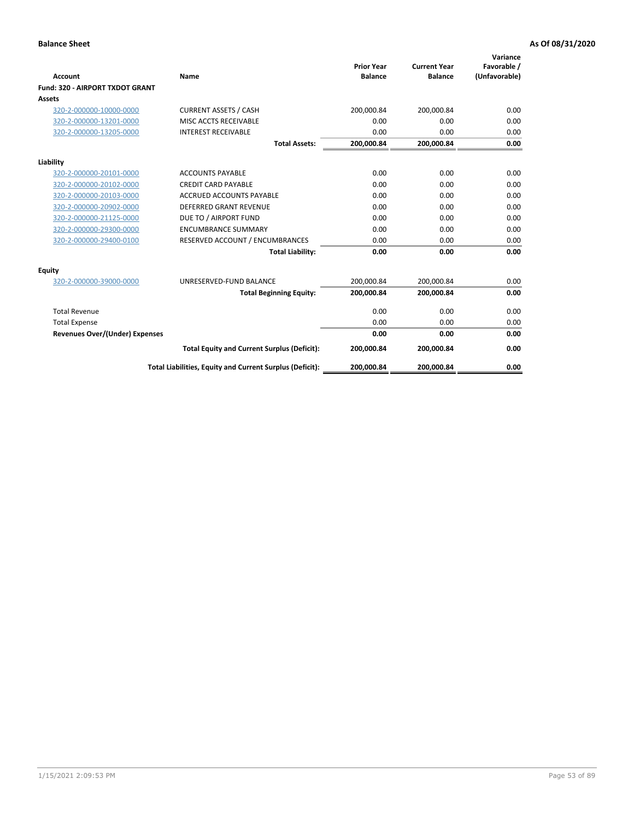|                                       |                                                          | <b>Prior Year</b> | <b>Current Year</b> | Variance<br>Favorable / |
|---------------------------------------|----------------------------------------------------------|-------------------|---------------------|-------------------------|
| <b>Account</b>                        | Name                                                     | <b>Balance</b>    | <b>Balance</b>      | (Unfavorable)           |
| Fund: 320 - AIRPORT TXDOT GRANT       |                                                          |                   |                     |                         |
| <b>Assets</b>                         |                                                          |                   |                     |                         |
| 320-2-000000-10000-0000               | <b>CURRENT ASSETS / CASH</b>                             | 200,000.84        | 200,000.84          | 0.00                    |
| 320-2-000000-13201-0000               | MISC ACCTS RECEIVABLE                                    | 0.00              | 0.00                | 0.00                    |
| 320-2-000000-13205-0000               | <b>INTEREST RECEIVABLE</b>                               | 0.00              | 0.00                | 0.00                    |
|                                       | <b>Total Assets:</b>                                     | 200,000.84        | 200,000.84          | 0.00                    |
| Liability                             |                                                          |                   |                     |                         |
| 320-2-000000-20101-0000               | <b>ACCOUNTS PAYABLE</b>                                  | 0.00              | 0.00                | 0.00                    |
| 320-2-000000-20102-0000               | <b>CREDIT CARD PAYABLE</b>                               | 0.00              | 0.00                | 0.00                    |
| 320-2-000000-20103-0000               | <b>ACCRUED ACCOUNTS PAYABLE</b>                          | 0.00              | 0.00                | 0.00                    |
| 320-2-000000-20902-0000               | <b>DEFERRED GRANT REVENUE</b>                            | 0.00              | 0.00                | 0.00                    |
| 320-2-000000-21125-0000               | DUE TO / AIRPORT FUND                                    | 0.00              | 0.00                | 0.00                    |
| 320-2-000000-29300-0000               | <b>ENCUMBRANCE SUMMARY</b>                               | 0.00              | 0.00                | 0.00                    |
| 320-2-000000-29400-0100               | RESERVED ACCOUNT / ENCUMBRANCES                          | 0.00              | 0.00                | 0.00                    |
|                                       | <b>Total Liability:</b>                                  | 0.00              | 0.00                | 0.00                    |
| <b>Equity</b>                         |                                                          |                   |                     |                         |
| 320-2-000000-39000-0000               | UNRESERVED-FUND BALANCE                                  | 200,000.84        | 200,000.84          | 0.00                    |
|                                       | <b>Total Beginning Equity:</b>                           | 200,000.84        | 200,000.84          | 0.00                    |
| <b>Total Revenue</b>                  |                                                          | 0.00              | 0.00                | 0.00                    |
| <b>Total Expense</b>                  |                                                          | 0.00              | 0.00                | 0.00                    |
| <b>Revenues Over/(Under) Expenses</b> |                                                          | 0.00              | 0.00                | 0.00                    |
|                                       | <b>Total Equity and Current Surplus (Deficit):</b>       | 200,000.84        | 200,000.84          | 0.00                    |
|                                       | Total Liabilities, Equity and Current Surplus (Deficit): | 200,000.84        | 200,000.84          | 0.00                    |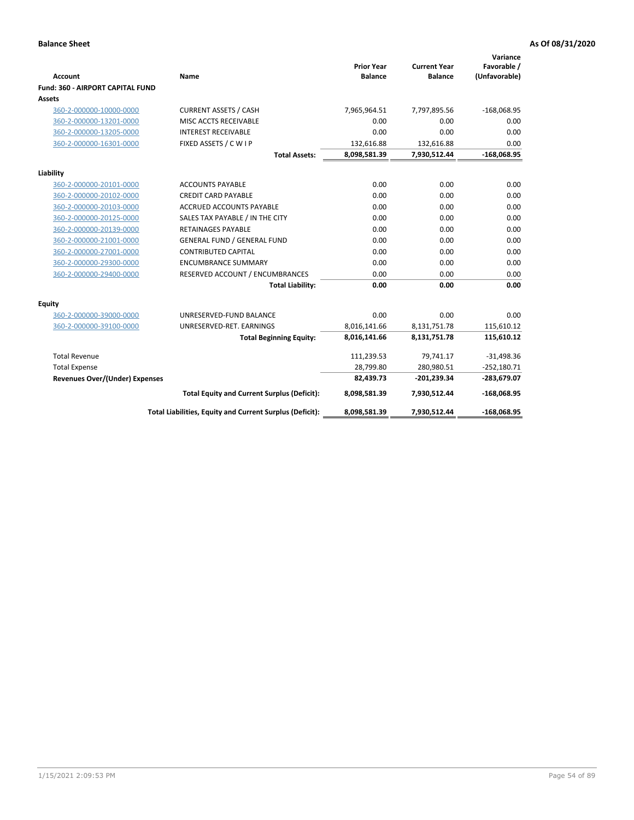|                                                    |                                                          |                                     |                                       | Variance                     |
|----------------------------------------------------|----------------------------------------------------------|-------------------------------------|---------------------------------------|------------------------------|
| <b>Account</b>                                     | Name                                                     | <b>Prior Year</b><br><b>Balance</b> | <b>Current Year</b><br><b>Balance</b> | Favorable /<br>(Unfavorable) |
| <b>Fund: 360 - AIRPORT CAPITAL FUND</b>            |                                                          |                                     |                                       |                              |
| Assets                                             |                                                          |                                     |                                       |                              |
| 360-2-000000-10000-0000                            | <b>CURRENT ASSETS / CASH</b>                             | 7,965,964.51                        | 7,797,895.56                          | $-168,068.95$                |
| 360-2-000000-13201-0000                            | MISC ACCTS RECEIVABLE                                    | 0.00                                | 0.00                                  | 0.00                         |
| 360-2-000000-13205-0000                            | <b>INTEREST RECEIVABLE</b>                               | 0.00                                | 0.00                                  | 0.00                         |
| 360-2-000000-16301-0000                            | FIXED ASSETS / C W I P                                   | 132,616.88                          | 132,616.88                            | 0.00                         |
|                                                    | <b>Total Assets:</b>                                     | 8,098,581.39                        | 7,930,512.44                          | $-168,068.95$                |
|                                                    |                                                          |                                     |                                       |                              |
| Liability                                          | <b>ACCOUNTS PAYABLE</b>                                  | 0.00                                | 0.00                                  |                              |
| 360-2-000000-20101-0000<br>360-2-000000-20102-0000 | <b>CREDIT CARD PAYABLE</b>                               | 0.00                                | 0.00                                  | 0.00<br>0.00                 |
| 360-2-000000-20103-0000                            | <b>ACCRUED ACCOUNTS PAYABLE</b>                          | 0.00                                | 0.00                                  | 0.00                         |
| 360-2-000000-20125-0000                            | SALES TAX PAYABLE / IN THE CITY                          | 0.00                                | 0.00                                  | 0.00                         |
| 360-2-000000-20139-0000                            | <b>RETAINAGES PAYABLE</b>                                | 0.00                                | 0.00                                  | 0.00                         |
| 360-2-000000-21001-0000                            | <b>GENERAL FUND / GENERAL FUND</b>                       | 0.00                                | 0.00                                  | 0.00                         |
| 360-2-000000-27001-0000                            | <b>CONTRIBUTED CAPITAL</b>                               | 0.00                                | 0.00                                  | 0.00                         |
| 360-2-000000-29300-0000                            | <b>ENCUMBRANCE SUMMARY</b>                               | 0.00                                | 0.00                                  | 0.00                         |
| 360-2-000000-29400-0000                            | RESERVED ACCOUNT / ENCUMBRANCES                          | 0.00                                | 0.00                                  | 0.00                         |
|                                                    | <b>Total Liability:</b>                                  | 0.00                                | 0.00                                  | 0.00                         |
|                                                    |                                                          |                                     |                                       |                              |
| Equity                                             |                                                          |                                     |                                       |                              |
| 360-2-000000-39000-0000                            | UNRESERVED-FUND BALANCE                                  | 0.00                                | 0.00                                  | 0.00                         |
| 360-2-000000-39100-0000                            | UNRESERVED-RET. EARNINGS                                 | 8,016,141.66                        | 8,131,751.78                          | 115,610.12                   |
|                                                    | <b>Total Beginning Equity:</b>                           | 8,016,141.66                        | 8,131,751.78                          | 115,610.12                   |
| <b>Total Revenue</b>                               |                                                          | 111,239.53                          | 79,741.17                             | $-31,498.36$                 |
| <b>Total Expense</b>                               |                                                          | 28,799.80                           | 280,980.51                            | $-252,180.71$                |
| Revenues Over/(Under) Expenses                     |                                                          | 82,439.73                           | -201,239.34                           | -283,679.07                  |
|                                                    | <b>Total Equity and Current Surplus (Deficit):</b>       | 8,098,581.39                        | 7,930,512.44                          | $-168,068.95$                |
|                                                    | Total Liabilities, Equity and Current Surplus (Deficit): | 8,098,581.39                        | 7,930,512.44                          | $-168,068.95$                |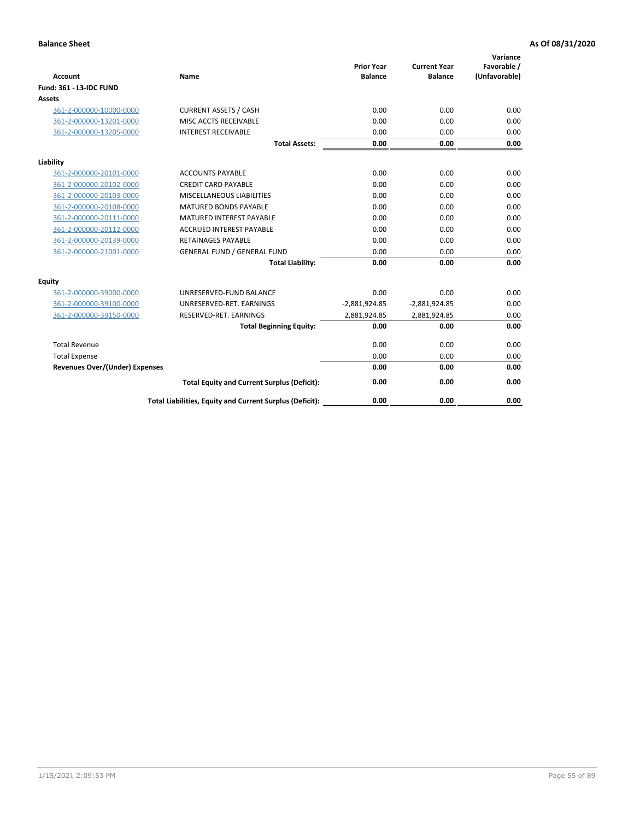| <b>Account</b>                        | <b>Name</b>                                              | <b>Prior Year</b><br><b>Balance</b> | <b>Current Year</b><br><b>Balance</b> | Variance<br>Favorable /<br>(Unfavorable) |
|---------------------------------------|----------------------------------------------------------|-------------------------------------|---------------------------------------|------------------------------------------|
| <b>Fund: 361 - L3-IDC FUND</b>        |                                                          |                                     |                                       |                                          |
| Assets                                |                                                          |                                     |                                       |                                          |
| 361-2-000000-10000-0000               | <b>CURRENT ASSETS / CASH</b>                             | 0.00                                | 0.00                                  | 0.00                                     |
| 361-2-000000-13201-0000               | MISC ACCTS RECEIVABLE                                    | 0.00                                | 0.00                                  | 0.00                                     |
| 361-2-000000-13205-0000               | <b>INTEREST RECEIVABLE</b>                               | 0.00                                | 0.00                                  | 0.00                                     |
|                                       | <b>Total Assets:</b>                                     | 0.00                                | 0.00                                  | 0.00                                     |
| Liability                             |                                                          |                                     |                                       |                                          |
| 361-2-000000-20101-0000               | <b>ACCOUNTS PAYABLE</b>                                  | 0.00                                | 0.00                                  | 0.00                                     |
| 361-2-000000-20102-0000               | <b>CREDIT CARD PAYABLE</b>                               | 0.00                                | 0.00                                  | 0.00                                     |
| 361-2-000000-20103-0000               | MISCELLANEOUS LIABILITIES                                | 0.00                                | 0.00                                  | 0.00                                     |
| 361-2-000000-20108-0000               | <b>MATURED BONDS PAYABLE</b>                             | 0.00                                | 0.00                                  | 0.00                                     |
| 361-2-000000-20111-0000               | <b>MATURED INTEREST PAYABLE</b>                          | 0.00                                | 0.00                                  | 0.00                                     |
| 361-2-000000-20112-0000               | <b>ACCRUED INTEREST PAYABLE</b>                          | 0.00                                | 0.00                                  | 0.00                                     |
| 361-2-000000-20139-0000               | <b>RETAINAGES PAYABLE</b>                                | 0.00                                | 0.00                                  | 0.00                                     |
| 361-2-000000-21001-0000               | <b>GENERAL FUND / GENERAL FUND</b>                       | 0.00                                | 0.00                                  | 0.00                                     |
|                                       | <b>Total Liability:</b>                                  | 0.00                                | 0.00                                  | 0.00                                     |
| Equity                                |                                                          |                                     |                                       |                                          |
| 361-2-000000-39000-0000               | UNRESERVED-FUND BALANCE                                  | 0.00                                | 0.00                                  | 0.00                                     |
| 361-2-000000-39100-0000               | UNRESERVED-RET. EARNINGS                                 | $-2,881,924.85$                     | $-2,881,924.85$                       | 0.00                                     |
| 361-2-000000-39150-0000               | RESERVED-RET. EARNINGS                                   | 2,881,924.85                        | 2,881,924.85                          | 0.00                                     |
|                                       | <b>Total Beginning Equity:</b>                           | 0.00                                | 0.00                                  | 0.00                                     |
| <b>Total Revenue</b>                  |                                                          | 0.00                                | 0.00                                  | 0.00                                     |
| <b>Total Expense</b>                  |                                                          | 0.00                                | 0.00                                  | 0.00                                     |
| <b>Revenues Over/(Under) Expenses</b> |                                                          | 0.00                                | 0.00                                  | 0.00                                     |
|                                       | <b>Total Equity and Current Surplus (Deficit):</b>       | 0.00                                | 0.00                                  | 0.00                                     |
|                                       | Total Liabilities, Equity and Current Surplus (Deficit): | 0.00                                | 0.00                                  | 0.00                                     |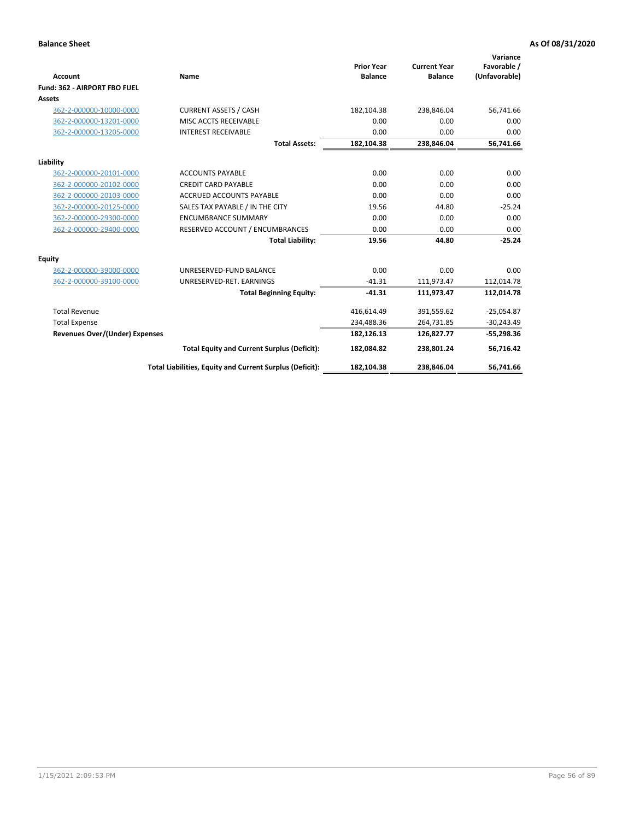|                                       |                                                          |                                     |                                       | Variance                     |
|---------------------------------------|----------------------------------------------------------|-------------------------------------|---------------------------------------|------------------------------|
| <b>Account</b>                        | Name                                                     | <b>Prior Year</b><br><b>Balance</b> | <b>Current Year</b><br><b>Balance</b> | Favorable /<br>(Unfavorable) |
| Fund: 362 - AIRPORT FBO FUEL          |                                                          |                                     |                                       |                              |
| <b>Assets</b>                         |                                                          |                                     |                                       |                              |
| 362-2-000000-10000-0000               | <b>CURRENT ASSETS / CASH</b>                             | 182,104.38                          | 238,846.04                            | 56,741.66                    |
| 362-2-000000-13201-0000               | MISC ACCTS RECEIVABLE                                    | 0.00                                | 0.00                                  | 0.00                         |
| 362-2-000000-13205-0000               | <b>INTEREST RECEIVABLE</b>                               | 0.00                                | 0.00                                  | 0.00                         |
|                                       | <b>Total Assets:</b>                                     | 182,104.38                          | 238,846.04                            | 56,741.66                    |
| Liability                             |                                                          |                                     |                                       |                              |
| 362-2-000000-20101-0000               | <b>ACCOUNTS PAYABLE</b>                                  | 0.00                                | 0.00                                  | 0.00                         |
| 362-2-000000-20102-0000               | <b>CREDIT CARD PAYABLE</b>                               | 0.00                                | 0.00                                  | 0.00                         |
| 362-2-000000-20103-0000               | <b>ACCRUED ACCOUNTS PAYABLE</b>                          | 0.00                                | 0.00                                  | 0.00                         |
| 362-2-000000-20125-0000               | SALES TAX PAYABLE / IN THE CITY                          | 19.56                               | 44.80                                 | $-25.24$                     |
| 362-2-000000-29300-0000               | <b>ENCUMBRANCE SUMMARY</b>                               | 0.00                                | 0.00                                  | 0.00                         |
| 362-2-000000-29400-0000               | RESERVED ACCOUNT / ENCUMBRANCES                          | 0.00                                | 0.00                                  | 0.00                         |
|                                       | <b>Total Liability:</b>                                  | 19.56                               | 44.80                                 | $-25.24$                     |
| Equity                                |                                                          |                                     |                                       |                              |
| 362-2-000000-39000-0000               | UNRESERVED-FUND BALANCE                                  | 0.00                                | 0.00                                  | 0.00                         |
| 362-2-000000-39100-0000               | UNRESERVED-RET. EARNINGS                                 | $-41.31$                            | 111,973.47                            | 112,014.78                   |
|                                       | <b>Total Beginning Equity:</b>                           | $-41.31$                            | 111,973.47                            | 112,014.78                   |
| <b>Total Revenue</b>                  |                                                          | 416,614.49                          | 391,559.62                            | $-25,054.87$                 |
| <b>Total Expense</b>                  |                                                          | 234,488.36                          | 264,731.85                            | $-30,243.49$                 |
| <b>Revenues Over/(Under) Expenses</b> |                                                          | 182,126.13                          | 126,827.77                            | $-55,298.36$                 |
|                                       | <b>Total Equity and Current Surplus (Deficit):</b>       | 182,084.82                          | 238,801.24                            | 56,716.42                    |
|                                       | Total Liabilities, Equity and Current Surplus (Deficit): | 182,104.38                          | 238,846.04                            | 56,741.66                    |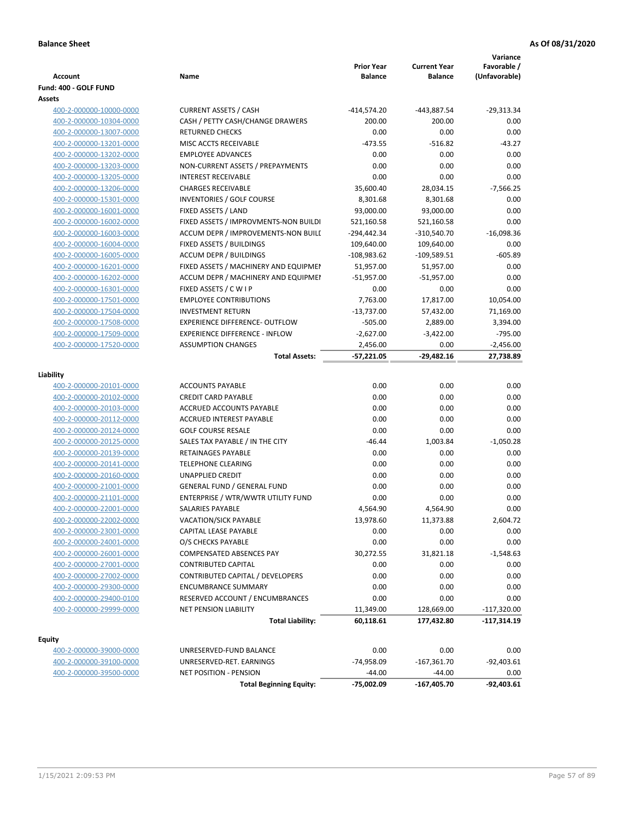| Account                                            | Name                                                         | <b>Prior Year</b><br><b>Balance</b> | <b>Current Year</b><br><b>Balance</b> | Variance<br>Favorable /<br>(Unfavorable) |
|----------------------------------------------------|--------------------------------------------------------------|-------------------------------------|---------------------------------------|------------------------------------------|
| Fund: 400 - GOLF FUND                              |                                                              |                                     |                                       |                                          |
| Assets                                             |                                                              |                                     |                                       |                                          |
| 400-2-000000-10000-0000                            | <b>CURRENT ASSETS / CASH</b>                                 | -414,574.20                         | -443,887.54                           | $-29,313.34$                             |
| 400-2-000000-10304-0000                            | CASH / PETTY CASH/CHANGE DRAWERS                             | 200.00                              | 200.00                                | 0.00                                     |
| 400-2-000000-13007-0000                            | <b>RETURNED CHECKS</b>                                       | 0.00                                | 0.00                                  | 0.00                                     |
| 400-2-000000-13201-0000                            | MISC ACCTS RECEIVABLE                                        | $-473.55$                           | $-516.82$                             | $-43.27$                                 |
| 400-2-000000-13202-0000                            | <b>EMPLOYEE ADVANCES</b>                                     | 0.00                                | 0.00                                  | 0.00                                     |
| 400-2-000000-13203-0000                            | NON-CURRENT ASSETS / PREPAYMENTS                             | 0.00                                | 0.00                                  | 0.00                                     |
| 400-2-000000-13205-0000                            | <b>INTEREST RECEIVABLE</b>                                   | 0.00                                | 0.00                                  | 0.00                                     |
| 400-2-000000-13206-0000                            | <b>CHARGES RECEIVABLE</b>                                    | 35,600.40                           | 28,034.15                             | $-7,566.25$                              |
| 400-2-000000-15301-0000                            | INVENTORIES / GOLF COURSE                                    | 8,301.68                            | 8,301.68                              | 0.00                                     |
| 400-2-000000-16001-0000                            | FIXED ASSETS / LAND                                          | 93,000.00                           | 93,000.00                             | 0.00                                     |
| 400-2-000000-16002-0000                            | FIXED ASSETS / IMPROVMENTS-NON BUILDI                        | 521,160.58                          | 521,160.58                            | 0.00                                     |
| 400-2-000000-16003-0000                            | ACCUM DEPR / IMPROVEMENTS-NON BUILI                          | -294,442.34                         | -310,540.70                           | $-16,098.36$                             |
| 400-2-000000-16004-0000                            | FIXED ASSETS / BUILDINGS                                     | 109,640.00                          | 109,640.00                            | 0.00                                     |
| 400-2-000000-16005-0000                            | <b>ACCUM DEPR / BUILDINGS</b>                                | $-108,983.62$                       | $-109,589.51$                         | $-605.89$                                |
| 400-2-000000-16201-0000                            | FIXED ASSETS / MACHINERY AND EQUIPMEN                        | 51,957.00                           | 51,957.00                             | 0.00                                     |
| 400-2-000000-16202-0000                            | ACCUM DEPR / MACHINERY AND EQUIPMEI                          | $-51,957.00$                        | $-51,957.00$                          | 0.00                                     |
| 400-2-000000-16301-0000                            | FIXED ASSETS / C W I P                                       | 0.00                                | 0.00                                  | 0.00                                     |
| 400-2-000000-17501-0000                            | <b>EMPLOYEE CONTRIBUTIONS</b>                                | 7,763.00                            | 17,817.00                             | 10,054.00                                |
| 400-2-000000-17504-0000                            | <b>INVESTMENT RETURN</b>                                     | $-13,737.00$                        | 57,432.00                             | 71,169.00                                |
| 400-2-000000-17508-0000                            | <b>EXPERIENCE DIFFERENCE- OUTFLOW</b>                        | $-505.00$                           | 2,889.00                              | 3,394.00                                 |
| 400-2-000000-17509-0000                            | <b>EXPERIENCE DIFFERENCE - INFLOW</b>                        | $-2,627.00$                         | $-3,422.00$                           | $-795.00$                                |
| 400-2-000000-17520-0000                            | <b>ASSUMPTION CHANGES</b>                                    | 2,456.00                            | 0.00                                  | -2,456.00                                |
|                                                    | <b>Total Assets:</b>                                         | $-57,221.05$                        | $-29,482.16$                          | 27,738.89                                |
|                                                    |                                                              |                                     |                                       |                                          |
| Liability                                          |                                                              |                                     |                                       |                                          |
| 400-2-000000-20101-0000                            | <b>ACCOUNTS PAYABLE</b>                                      | 0.00                                | 0.00                                  | 0.00                                     |
| 400-2-000000-20102-0000                            | <b>CREDIT CARD PAYABLE</b>                                   | 0.00                                | 0.00                                  | 0.00                                     |
| 400-2-000000-20103-0000                            | ACCRUED ACCOUNTS PAYABLE                                     | 0.00                                | 0.00                                  | 0.00                                     |
| 400-2-000000-20112-0000                            | <b>ACCRUED INTEREST PAYABLE</b>                              | 0.00                                | 0.00                                  | 0.00                                     |
| 400-2-000000-20124-0000                            | <b>GOLF COURSE RESALE</b>                                    | 0.00                                | 0.00                                  | 0.00                                     |
| 400-2-000000-20125-0000                            | SALES TAX PAYABLE / IN THE CITY<br><b>RETAINAGES PAYABLE</b> | $-46.44$                            | 1,003.84                              | $-1,050.28$                              |
| 400-2-000000-20139-0000                            |                                                              | 0.00                                | 0.00                                  | 0.00                                     |
| 400-2-000000-20141-0000                            | <b>TELEPHONE CLEARING</b><br><b>UNAPPLIED CREDIT</b>         | 0.00                                | 0.00                                  | 0.00                                     |
| 400-2-000000-20160-0000                            | <b>GENERAL FUND / GENERAL FUND</b>                           | 0.00                                | 0.00                                  | 0.00                                     |
| 400-2-000000-21001-0000                            | ENTERPRISE / WTR/WWTR UTILITY FUND                           | 0.00                                | 0.00                                  | 0.00<br>0.00                             |
| 400-2-000000-21101-0000                            |                                                              | 0.00<br>4,564.90                    | 0.00<br>4,564.90                      | 0.00                                     |
| 400-2-000000-22001-0000<br>400-2-000000-22002-0000 | SALARIES PAYABLE                                             | 13,978.60                           | 11,373.88                             |                                          |
| 400-2-000000-23001-0000                            | VACATION/SICK PAYABLE<br>CAPITAL LEASE PAYABLE               | 0.00                                | 0.00                                  | 2,604.72<br>0.00                         |
| 400-2-000000-24001-0000                            | O/S CHECKS PAYABLE                                           | 0.00                                | 0.00                                  | 0.00                                     |
| 400-2-000000-26001-0000                            | COMPENSATED ABSENCES PAY                                     | 30,272.55                           | 31,821.18                             | $-1,548.63$                              |
| 400-2-000000-27001-0000                            | <b>CONTRIBUTED CAPITAL</b>                                   | 0.00                                | 0.00                                  | 0.00                                     |
| 400-2-000000-27002-0000                            | <b>CONTRIBUTED CAPITAL / DEVELOPERS</b>                      | 0.00                                | 0.00                                  | 0.00                                     |
| 400-2-000000-29300-0000                            | <b>ENCUMBRANCE SUMMARY</b>                                   | 0.00                                | 0.00                                  | 0.00                                     |
| 400-2-000000-29400-0100                            | RESERVED ACCOUNT / ENCUMBRANCES                              | 0.00                                | 0.00                                  | 0.00                                     |
| 400-2-000000-29999-0000                            | <b>NET PENSION LIABILITY</b>                                 | 11,349.00                           | 128,669.00                            | $-117,320.00$                            |
|                                                    | <b>Total Liability:</b>                                      | 60,118.61                           | 177,432.80                            | -117,314.19                              |
|                                                    |                                                              |                                     |                                       |                                          |
| <b>Equity</b>                                      |                                                              |                                     |                                       |                                          |
| 400-2-000000-39000-0000                            | UNRESERVED-FUND BALANCE                                      | 0.00                                | 0.00                                  | 0.00                                     |
| 400-2-000000-39100-0000                            | UNRESERVED-RET. EARNINGS                                     | -74,958.09                          | $-167,361.70$                         | $-92,403.61$                             |
| 400-2-000000-39500-0000                            | NET POSITION - PENSION                                       | $-44.00$                            | $-44.00$                              | 0.00                                     |
|                                                    | <b>Total Beginning Equity:</b>                               | -75,002.09                          | $-167,405.70$                         | $-92,403.61$                             |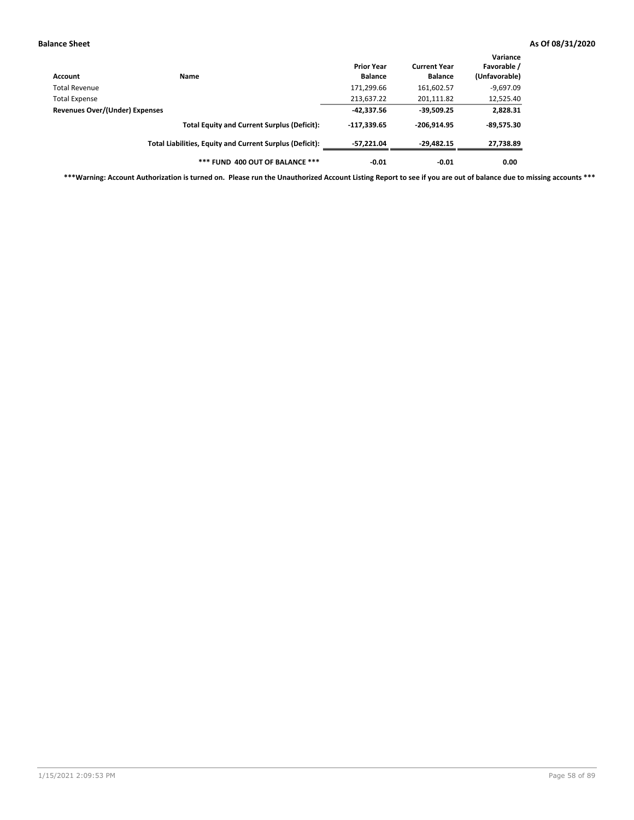| Account                        | Name                                                     | <b>Prior Year</b><br><b>Balance</b> | <b>Current Year</b><br><b>Balance</b> | Variance<br>Favorable /<br>(Unfavorable) |
|--------------------------------|----------------------------------------------------------|-------------------------------------|---------------------------------------|------------------------------------------|
| Total Revenue                  |                                                          | 171,299.66                          | 161,602.57                            | $-9,697.09$                              |
| <b>Total Expense</b>           |                                                          | 213,637.22                          | 201,111.82                            | 12,525.40                                |
| Revenues Over/(Under) Expenses | $-42.337.56$                                             | $-39,509.25$                        | 2,828.31                              |                                          |
|                                | <b>Total Equity and Current Surplus (Deficit):</b>       | $-117.339.65$                       | $-206,914.95$                         | $-89,575.30$                             |
|                                | Total Liabilities, Equity and Current Surplus (Deficit): | -57.221.04                          | -29,482.15                            | 27,738.89                                |
|                                | *** FUND 400 OUT OF BALANCE ***                          | $-0.01$                             | $-0.01$                               | 0.00                                     |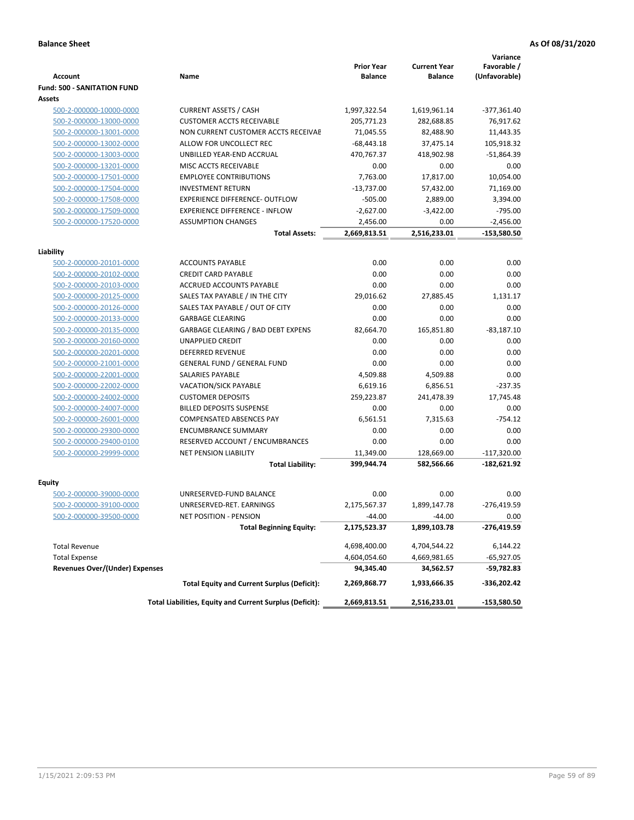|                                                    |                                                                 | <b>Prior Year</b> | <b>Current Year</b>    | Variance<br>Favorable / |
|----------------------------------------------------|-----------------------------------------------------------------|-------------------|------------------------|-------------------------|
| <b>Account</b>                                     | Name                                                            | <b>Balance</b>    | <b>Balance</b>         | (Unfavorable)           |
| <b>Fund: 500 - SANITATION FUND</b>                 |                                                                 |                   |                        |                         |
| Assets                                             |                                                                 |                   |                        |                         |
| 500-2-000000-10000-0000                            | <b>CURRENT ASSETS / CASH</b>                                    | 1,997,322.54      | 1,619,961.14           | -377,361.40             |
| 500-2-000000-13000-0000                            | <b>CUSTOMER ACCTS RECEIVABLE</b>                                | 205,771.23        | 282,688.85             | 76,917.62               |
| 500-2-000000-13001-0000                            | NON CURRENT CUSTOMER ACCTS RECEIVAE                             | 71,045.55         | 82,488.90              | 11,443.35               |
| 500-2-000000-13002-0000                            | ALLOW FOR UNCOLLECT REC                                         | $-68,443.18$      | 37,475.14              | 105,918.32              |
| 500-2-000000-13003-0000                            | UNBILLED YEAR-END ACCRUAL                                       | 470,767.37        | 418,902.98             | $-51,864.39$            |
| 500-2-000000-13201-0000                            | MISC ACCTS RECEIVABLE                                           | 0.00              | 0.00                   | 0.00                    |
| 500-2-000000-17501-0000                            | <b>EMPLOYEE CONTRIBUTIONS</b>                                   | 7,763.00          | 17.817.00              | 10,054.00               |
| 500-2-000000-17504-0000                            | <b>INVESTMENT RETURN</b>                                        | $-13,737.00$      | 57,432.00              | 71,169.00               |
| 500-2-000000-17508-0000                            | <b>EXPERIENCE DIFFERENCE- OUTFLOW</b>                           | $-505.00$         | 2,889.00               | 3,394.00                |
| 500-2-000000-17509-0000                            | <b>EXPERIENCE DIFFERENCE - INFLOW</b>                           | $-2,627.00$       | $-3,422.00$            | $-795.00$               |
| 500-2-000000-17520-0000                            | <b>ASSUMPTION CHANGES</b>                                       | 2,456.00          | 0.00                   | $-2,456.00$             |
|                                                    | <b>Total Assets:</b>                                            | 2,669,813.51      | 2,516,233.01           | -153,580.50             |
|                                                    |                                                                 |                   |                        |                         |
| Liability                                          |                                                                 |                   |                        |                         |
| 500-2-000000-20101-0000                            | <b>ACCOUNTS PAYABLE</b>                                         | 0.00              | 0.00                   | 0.00                    |
| 500-2-000000-20102-0000                            | <b>CREDIT CARD PAYABLE</b>                                      | 0.00              | 0.00                   | 0.00                    |
| 500-2-000000-20103-0000                            | <b>ACCRUED ACCOUNTS PAYABLE</b>                                 | 0.00              | 0.00                   | 0.00                    |
| 500-2-000000-20125-0000                            | SALES TAX PAYABLE / IN THE CITY                                 | 29,016.62         | 27,885.45              | 1,131.17                |
| 500-2-000000-20126-0000                            | SALES TAX PAYABLE / OUT OF CITY                                 | 0.00              | 0.00                   | 0.00                    |
| 500-2-000000-20133-0000                            | <b>GARBAGE CLEARING</b>                                         | 0.00              | 0.00                   | 0.00                    |
| 500-2-000000-20135-0000                            | GARBAGE CLEARING / BAD DEBT EXPENS                              | 82,664.70         | 165,851.80             | $-83,187.10$            |
| 500-2-000000-20160-0000                            | UNAPPLIED CREDIT                                                | 0.00              | 0.00                   | 0.00                    |
| 500-2-000000-20201-0000                            | <b>DEFERRED REVENUE</b>                                         | 0.00              | 0.00                   | 0.00                    |
| 500-2-000000-21001-0000                            | <b>GENERAL FUND / GENERAL FUND</b>                              | 0.00              | 0.00                   | 0.00                    |
| 500-2-000000-22001-0000                            | <b>SALARIES PAYABLE</b>                                         | 4,509.88          | 4,509.88               | 0.00                    |
| 500-2-000000-22002-0000                            | <b>VACATION/SICK PAYABLE</b>                                    | 6,619.16          | 6,856.51<br>241,478.39 | $-237.35$               |
| 500-2-000000-24002-0000                            | <b>CUSTOMER DEPOSITS</b>                                        | 259,223.87        |                        | 17,745.48               |
| 500-2-000000-24007-0000                            | <b>BILLED DEPOSITS SUSPENSE</b>                                 | 0.00              | 0.00                   | 0.00                    |
| 500-2-000000-26001-0000                            | <b>COMPENSATED ABSENCES PAY</b>                                 | 6,561.51          | 7,315.63               | $-754.12$               |
| 500-2-000000-29300-0000                            | <b>ENCUMBRANCE SUMMARY</b>                                      | 0.00              | 0.00                   | 0.00                    |
| 500-2-000000-29400-0100<br>500-2-000000-29999-0000 | RESERVED ACCOUNT / ENCUMBRANCES<br><b>NET PENSION LIABILITY</b> | 0.00<br>11,349.00 | 0.00<br>128,669.00     | 0.00<br>$-117,320.00$   |
|                                                    |                                                                 |                   |                        |                         |
|                                                    | <b>Total Liability:</b>                                         | 399,944.74        | 582,566.66             | $-182,621.92$           |
| Equity                                             |                                                                 |                   |                        |                         |
| 500-2-000000-39000-0000                            | UNRESERVED-FUND BALANCE                                         | 0.00              | 0.00                   | 0.00                    |
| 500-2-000000-39100-0000                            | UNRESERVED-RET. EARNINGS                                        | 2,175,567.37      | 1,899,147.78           | $-276,419.59$           |
| 500-2-000000-39500-0000                            | NET POSITION - PENSION                                          | $-44.00$          | $-44.00$               | 0.00                    |
|                                                    | <b>Total Beginning Equity:</b>                                  | 2,175,523.37      | 1,899,103.78           | -276,419.59             |
| <b>Total Revenue</b>                               |                                                                 | 4,698,400.00      | 4,704,544.22           | 6,144.22                |
| <b>Total Expense</b>                               |                                                                 | 4,604,054.60      | 4,669,981.65           | -65,927.05              |
| <b>Revenues Over/(Under) Expenses</b>              |                                                                 | 94,345.40         | 34,562.57              | -59,782.83              |
|                                                    | <b>Total Equity and Current Surplus (Deficit):</b>              | 2,269,868.77      | 1,933,666.35           | -336,202.42             |
|                                                    | Total Liabilities, Equity and Current Surplus (Deficit):        | 2,669,813.51      | 2,516,233.01           | -153,580.50             |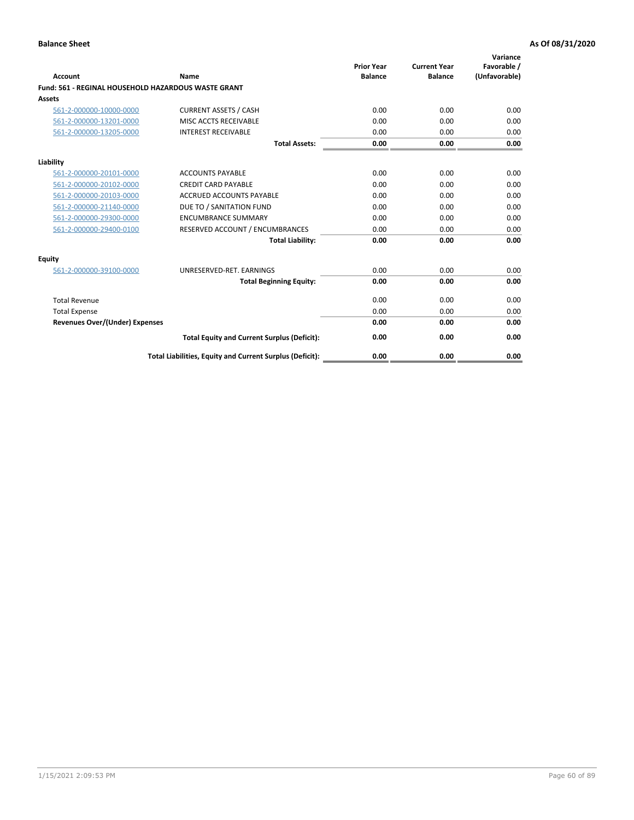| Account                                                    | Name                                                     | <b>Prior Year</b><br><b>Balance</b> | <b>Current Year</b><br><b>Balance</b> | Variance<br>Favorable /<br>(Unfavorable) |
|------------------------------------------------------------|----------------------------------------------------------|-------------------------------------|---------------------------------------|------------------------------------------|
| <b>Fund: 561 - REGINAL HOUSEHOLD HAZARDOUS WASTE GRANT</b> |                                                          |                                     |                                       |                                          |
| <b>Assets</b>                                              |                                                          |                                     |                                       |                                          |
| 561-2-000000-10000-0000                                    | <b>CURRENT ASSETS / CASH</b>                             | 0.00                                | 0.00                                  | 0.00                                     |
| 561-2-000000-13201-0000                                    | MISC ACCTS RECEIVABLE                                    | 0.00                                | 0.00                                  | 0.00                                     |
| 561-2-000000-13205-0000                                    | <b>INTEREST RECEIVABLE</b>                               | 0.00                                | 0.00                                  | 0.00                                     |
|                                                            | <b>Total Assets:</b>                                     | 0.00                                | 0.00                                  | 0.00                                     |
| Liability                                                  |                                                          |                                     |                                       |                                          |
| 561-2-000000-20101-0000                                    | <b>ACCOUNTS PAYABLE</b>                                  | 0.00                                | 0.00                                  | 0.00                                     |
| 561-2-000000-20102-0000                                    | <b>CREDIT CARD PAYABLE</b>                               | 0.00                                | 0.00                                  | 0.00                                     |
| 561-2-000000-20103-0000                                    | <b>ACCRUED ACCOUNTS PAYABLE</b>                          | 0.00                                | 0.00                                  | 0.00                                     |
| 561-2-000000-21140-0000                                    | DUE TO / SANITATION FUND                                 | 0.00                                | 0.00                                  | 0.00                                     |
| 561-2-000000-29300-0000                                    | <b>ENCUMBRANCE SUMMARY</b>                               | 0.00                                | 0.00                                  | 0.00                                     |
| 561-2-000000-29400-0100                                    | RESERVED ACCOUNT / ENCUMBRANCES                          | 0.00                                | 0.00                                  | 0.00                                     |
|                                                            | <b>Total Liability:</b>                                  | 0.00                                | 0.00                                  | 0.00                                     |
| <b>Equity</b>                                              |                                                          |                                     |                                       |                                          |
| 561-2-000000-39100-0000                                    | UNRESERVED-RET. EARNINGS                                 | 0.00                                | 0.00                                  | 0.00                                     |
|                                                            | <b>Total Beginning Equity:</b>                           | 0.00                                | 0.00                                  | 0.00                                     |
| <b>Total Revenue</b>                                       |                                                          | 0.00                                | 0.00                                  | 0.00                                     |
| <b>Total Expense</b>                                       |                                                          | 0.00                                | 0.00                                  | 0.00                                     |
| <b>Revenues Over/(Under) Expenses</b>                      |                                                          | 0.00                                | 0.00                                  | 0.00                                     |
|                                                            | <b>Total Equity and Current Surplus (Deficit):</b>       | 0.00                                | 0.00                                  | 0.00                                     |
|                                                            | Total Liabilities, Equity and Current Surplus (Deficit): | 0.00                                | 0.00                                  | 0.00                                     |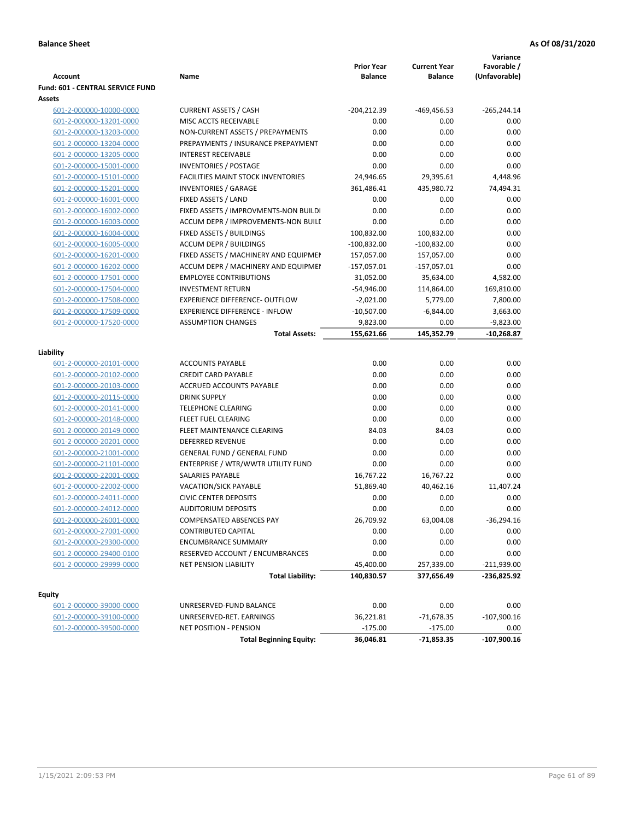| <b>Account</b>                   | Name                                      | <b>Prior Year</b><br><b>Balance</b> | <b>Current Year</b><br><b>Balance</b> | Variance<br>Favorable /<br>(Unfavorable) |
|----------------------------------|-------------------------------------------|-------------------------------------|---------------------------------------|------------------------------------------|
| Fund: 601 - CENTRAL SERVICE FUND |                                           |                                     |                                       |                                          |
| Assets                           |                                           |                                     |                                       |                                          |
| 601-2-000000-10000-0000          | <b>CURRENT ASSETS / CASH</b>              | $-204, 212.39$                      | $-469,456.53$                         | $-265,244.14$                            |
| 601-2-000000-13201-0000          | MISC ACCTS RECEIVABLE                     | 0.00                                | 0.00                                  | 0.00                                     |
| 601-2-000000-13203-0000          | NON-CURRENT ASSETS / PREPAYMENTS          | 0.00                                | 0.00                                  | 0.00                                     |
| 601-2-000000-13204-0000          | PREPAYMENTS / INSURANCE PREPAYMENT        | 0.00                                | 0.00                                  | 0.00                                     |
| 601-2-000000-13205-0000          | <b>INTEREST RECEIVABLE</b>                | 0.00                                | 0.00                                  | 0.00                                     |
| 601-2-000000-15001-0000          | <b>INVENTORIES / POSTAGE</b>              | 0.00                                | 0.00                                  | 0.00                                     |
| 601-2-000000-15101-0000          | <b>FACILITIES MAINT STOCK INVENTORIES</b> | 24,946.65                           | 29,395.61                             | 4,448.96                                 |
| 601-2-000000-15201-0000          | <b>INVENTORIES / GARAGE</b>               | 361,486.41                          | 435,980.72                            | 74,494.31                                |
| 601-2-000000-16001-0000          | FIXED ASSETS / LAND                       | 0.00                                | 0.00                                  | 0.00                                     |
| 601-2-000000-16002-0000          | FIXED ASSETS / IMPROVMENTS-NON BUILDI     | 0.00                                | 0.00                                  | 0.00                                     |
| 601-2-000000-16003-0000          | ACCUM DEPR / IMPROVEMENTS-NON BUILI       | 0.00                                | 0.00                                  | 0.00                                     |
| 601-2-000000-16004-0000          | FIXED ASSETS / BUILDINGS                  | 100,832.00                          | 100,832.00                            | 0.00                                     |
| 601-2-000000-16005-0000          | <b>ACCUM DEPR / BUILDINGS</b>             | $-100,832.00$                       | $-100,832.00$                         | 0.00                                     |
| 601-2-000000-16201-0000          | FIXED ASSETS / MACHINERY AND EQUIPMEN     | 157,057.00                          | 157,057.00                            | 0.00                                     |
| 601-2-000000-16202-0000          | ACCUM DEPR / MACHINERY AND EQUIPMEI       | $-157,057.01$                       | $-157,057.01$                         | 0.00                                     |
| 601-2-000000-17501-0000          | <b>EMPLOYEE CONTRIBUTIONS</b>             | 31,052.00                           | 35,634.00                             | 4,582.00                                 |
| 601-2-000000-17504-0000          | <b>INVESTMENT RETURN</b>                  | $-54,946.00$                        | 114,864.00                            | 169,810.00                               |
| 601-2-000000-17508-0000          | <b>EXPERIENCE DIFFERENCE- OUTFLOW</b>     | $-2,021.00$                         | 5,779.00                              | 7,800.00                                 |
| 601-2-000000-17509-0000          | <b>EXPERIENCE DIFFERENCE - INFLOW</b>     | $-10,507.00$                        | $-6,844.00$                           | 3,663.00                                 |
| 601-2-000000-17520-0000          | <b>ASSUMPTION CHANGES</b>                 | 9,823.00                            | 0.00                                  | $-9,823.00$                              |
|                                  | <b>Total Assets:</b>                      | 155,621.66                          | 145,352.79                            | $-10,268.87$                             |
|                                  |                                           |                                     |                                       |                                          |
| Liability                        |                                           |                                     |                                       |                                          |
| 601-2-000000-20101-0000          | <b>ACCOUNTS PAYABLE</b>                   | 0.00                                | 0.00                                  | 0.00                                     |
| 601-2-000000-20102-0000          | <b>CREDIT CARD PAYABLE</b>                | 0.00                                | 0.00                                  | 0.00                                     |
| 601-2-000000-20103-0000          | ACCRUED ACCOUNTS PAYABLE                  | 0.00                                | 0.00                                  | 0.00                                     |
| 601-2-000000-20115-0000          | <b>DRINK SUPPLY</b>                       | 0.00                                | 0.00                                  | 0.00                                     |
| 601-2-000000-20141-0000          | <b>TELEPHONE CLEARING</b>                 | 0.00                                | 0.00                                  | 0.00                                     |
| 601-2-000000-20148-0000          | <b>FLEET FUEL CLEARING</b>                | 0.00                                | 0.00                                  | 0.00                                     |
| 601-2-000000-20149-0000          | FLEET MAINTENANCE CLEARING                | 84.03                               | 84.03                                 | 0.00                                     |
| 601-2-000000-20201-0000          | <b>DEFERRED REVENUE</b>                   | 0.00                                | 0.00                                  | 0.00                                     |
| 601-2-000000-21001-0000          | <b>GENERAL FUND / GENERAL FUND</b>        | 0.00                                | 0.00                                  | 0.00                                     |
| 601-2-000000-21101-0000          | ENTERPRISE / WTR/WWTR UTILITY FUND        | 0.00                                | 0.00                                  | 0.00                                     |
| 601-2-000000-22001-0000          | SALARIES PAYABLE                          | 16,767.22                           | 16,767.22                             | 0.00                                     |
| 601-2-000000-22002-0000          | <b>VACATION/SICK PAYABLE</b>              | 51,869.40                           | 40,462.16                             | 11,407.24                                |
| 601-2-000000-24011-0000          | <b>CIVIC CENTER DEPOSITS</b>              | 0.00                                | 0.00                                  | 0.00                                     |
| 601-2-000000-24012-0000          | <b>AUDITORIUM DEPOSITS</b>                | 0.00                                | 0.00                                  | 0.00                                     |
| 601-2-000000-26001-0000          | <b>COMPENSATED ABSENCES PAY</b>           | 26,709.92                           | 63,004.08                             | $-36,294.16$                             |
| 601-2-000000-27001-0000          | <b>CONTRIBUTED CAPITAL</b>                | 0.00                                | 0.00                                  | 0.00                                     |
| 601-2-000000-29300-0000          | <b>ENCUMBRANCE SUMMARY</b>                | 0.00                                | 0.00                                  | 0.00                                     |
| 601-2-000000-29400-0100          | RESERVED ACCOUNT / ENCUMBRANCES           | 0.00                                | 0.00                                  | 0.00                                     |
| 601-2-000000-29999-0000          | NET PENSION LIABILITY                     | 45,400.00                           | 257,339.00                            | $-211,939.00$                            |
|                                  | <b>Total Liability:</b>                   | 140,830.57                          | 377,656.49                            | -236,825.92                              |
| <b>Equity</b>                    |                                           |                                     |                                       |                                          |
| 601-2-000000-39000-0000          | UNRESERVED-FUND BALANCE                   | 0.00                                | 0.00                                  | 0.00                                     |
| 601-2-000000-39100-0000          | UNRESERVED-RET. EARNINGS                  | 36,221.81                           | $-71,678.35$                          | $-107,900.16$                            |
| 601-2-000000-39500-0000          | <b>NET POSITION - PENSION</b>             | $-175.00$                           | $-175.00$                             | 0.00                                     |
|                                  | <b>Total Beginning Equity:</b>            | 36,046.81                           | $-71,853.35$                          | $-107,900.16$                            |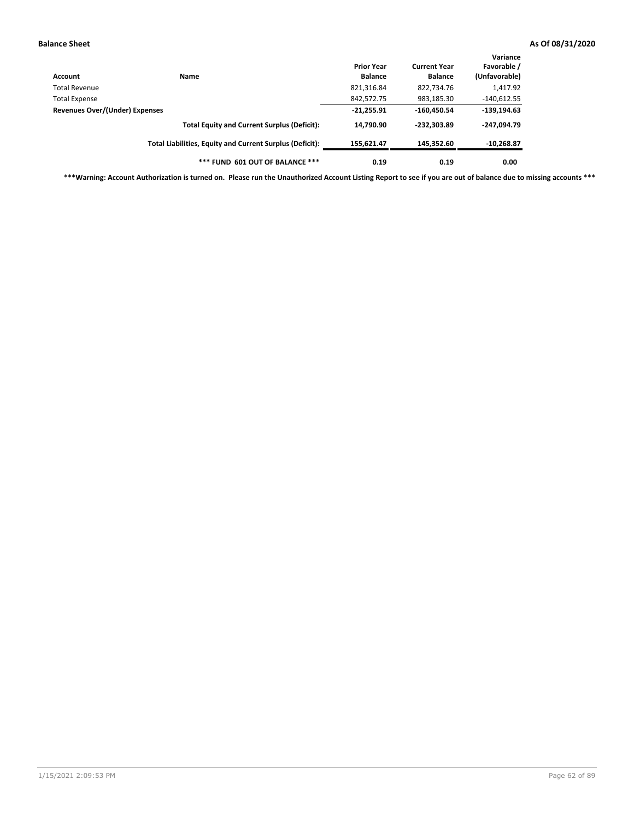| Account                        | <b>Name</b>                                              | <b>Prior Year</b><br><b>Balance</b> | <b>Current Year</b><br><b>Balance</b> | Variance<br>Favorable /<br>(Unfavorable) |
|--------------------------------|----------------------------------------------------------|-------------------------------------|---------------------------------------|------------------------------------------|
| Total Revenue                  |                                                          | 821,316.84                          | 822,734.76                            | 1,417.92                                 |
| <b>Total Expense</b>           |                                                          | 842,572.75                          | 983,185.30                            | $-140,612.55$                            |
| Revenues Over/(Under) Expenses |                                                          | $-21,255.91$                        | $-160,450.54$                         | $-139,194.63$                            |
|                                | <b>Total Equity and Current Surplus (Deficit):</b>       | 14.790.90                           | $-232.303.89$                         | $-247.094.79$                            |
|                                | Total Liabilities, Equity and Current Surplus (Deficit): | 155,621.47                          | 145,352.60                            | $-10,268.87$                             |
|                                | *** FUND 601 OUT OF BALANCE ***                          | 0.19                                | 0.19                                  | 0.00                                     |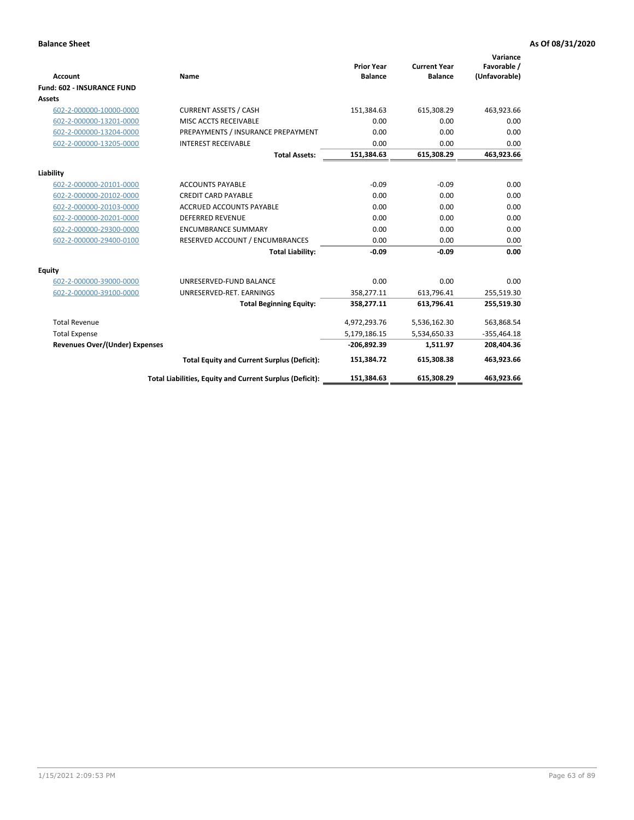|                                       |                                                          |                                     |                                       | Variance                     |
|---------------------------------------|----------------------------------------------------------|-------------------------------------|---------------------------------------|------------------------------|
| <b>Account</b>                        | Name                                                     | <b>Prior Year</b><br><b>Balance</b> | <b>Current Year</b><br><b>Balance</b> | Favorable /<br>(Unfavorable) |
| <b>Fund: 602 - INSURANCE FUND</b>     |                                                          |                                     |                                       |                              |
| <b>Assets</b>                         |                                                          |                                     |                                       |                              |
| 602-2-000000-10000-0000               | <b>CURRENT ASSETS / CASH</b>                             | 151,384.63                          | 615,308.29                            | 463,923.66                   |
| 602-2-000000-13201-0000               | MISC ACCTS RECEIVABLE                                    | 0.00                                | 0.00                                  | 0.00                         |
| 602-2-000000-13204-0000               | PREPAYMENTS / INSURANCE PREPAYMENT                       | 0.00                                | 0.00                                  | 0.00                         |
| 602-2-000000-13205-0000               | <b>INTEREST RECEIVABLE</b>                               | 0.00                                | 0.00                                  | 0.00                         |
|                                       | <b>Total Assets:</b>                                     | 151,384.63                          | 615,308.29                            | 463,923.66                   |
| Liability                             |                                                          |                                     |                                       |                              |
| 602-2-000000-20101-0000               | <b>ACCOUNTS PAYABLE</b>                                  | $-0.09$                             | $-0.09$                               | 0.00                         |
| 602-2-000000-20102-0000               | <b>CREDIT CARD PAYABLE</b>                               | 0.00                                | 0.00                                  | 0.00                         |
| 602-2-000000-20103-0000               | <b>ACCRUED ACCOUNTS PAYABLE</b>                          | 0.00                                | 0.00                                  | 0.00                         |
| 602-2-000000-20201-0000               | <b>DEFERRED REVENUE</b>                                  | 0.00                                | 0.00                                  | 0.00                         |
| 602-2-000000-29300-0000               | <b>ENCUMBRANCE SUMMARY</b>                               | 0.00                                | 0.00                                  | 0.00                         |
| 602-2-000000-29400-0100               | RESERVED ACCOUNT / ENCUMBRANCES                          | 0.00                                | 0.00                                  | 0.00                         |
|                                       | <b>Total Liability:</b>                                  | $-0.09$                             | $-0.09$                               | 0.00                         |
| <b>Equity</b>                         |                                                          |                                     |                                       |                              |
| 602-2-000000-39000-0000               | UNRESERVED-FUND BALANCE                                  | 0.00                                | 0.00                                  | 0.00                         |
| 602-2-000000-39100-0000               | UNRESERVED-RET. EARNINGS                                 | 358,277.11                          | 613,796.41                            | 255,519.30                   |
|                                       | <b>Total Beginning Equity:</b>                           | 358,277.11                          | 613,796.41                            | 255,519.30                   |
| <b>Total Revenue</b>                  |                                                          | 4,972,293.76                        | 5,536,162.30                          | 563,868.54                   |
| <b>Total Expense</b>                  |                                                          | 5,179,186.15                        | 5,534,650.33                          | $-355,464.18$                |
| <b>Revenues Over/(Under) Expenses</b> |                                                          | -206,892.39                         | 1,511.97                              | 208,404.36                   |
|                                       | <b>Total Equity and Current Surplus (Deficit):</b>       | 151,384.72                          | 615,308.38                            | 463,923.66                   |
|                                       | Total Liabilities, Equity and Current Surplus (Deficit): | 151,384.63                          | 615,308.29                            | 463.923.66                   |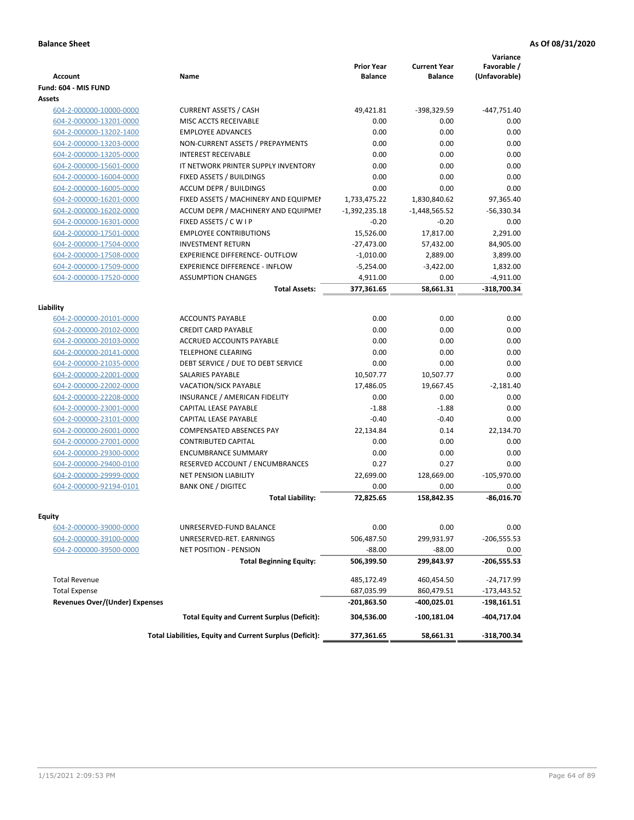| Account                               | Name                                                     | <b>Prior Year</b><br><b>Balance</b> | <b>Current Year</b><br><b>Balance</b> | Variance<br>Favorable /<br>(Unfavorable) |
|---------------------------------------|----------------------------------------------------------|-------------------------------------|---------------------------------------|------------------------------------------|
| Fund: 604 - MIS FUND                  |                                                          |                                     |                                       |                                          |
| <b>Assets</b>                         |                                                          |                                     |                                       |                                          |
| 604-2-000000-10000-0000               | <b>CURRENT ASSETS / CASH</b>                             | 49.421.81                           | -398,329.59                           | $-447,751.40$                            |
| 604-2-000000-13201-0000               | MISC ACCTS RECEIVABLE                                    | 0.00                                | 0.00                                  | 0.00                                     |
| 604-2-000000-13202-1400               | <b>EMPLOYEE ADVANCES</b>                                 | 0.00                                | 0.00                                  | 0.00                                     |
| 604-2-000000-13203-0000               | NON-CURRENT ASSETS / PREPAYMENTS                         | 0.00                                | 0.00                                  | 0.00                                     |
| 604-2-000000-13205-0000               | <b>INTEREST RECEIVABLE</b>                               | 0.00                                | 0.00                                  | 0.00                                     |
| 604-2-000000-15601-0000               | IT NETWORK PRINTER SUPPLY INVENTORY                      | 0.00                                | 0.00                                  | 0.00                                     |
| 604-2-000000-16004-0000               | FIXED ASSETS / BUILDINGS                                 | 0.00                                | 0.00                                  | 0.00                                     |
| 604-2-000000-16005-0000               | <b>ACCUM DEPR / BUILDINGS</b>                            | 0.00                                | 0.00                                  | 0.00                                     |
| 604-2-000000-16201-0000               | FIXED ASSETS / MACHINERY AND EQUIPMEN                    | 1,733,475.22                        | 1,830,840.62                          | 97,365.40                                |
| 604-2-000000-16202-0000               | ACCUM DEPR / MACHINERY AND EQUIPMEI                      | $-1,392,235.18$                     | $-1,448,565.52$                       | $-56,330.34$                             |
| 604-2-000000-16301-0000               | FIXED ASSETS / C W I P                                   | $-0.20$                             | $-0.20$                               | 0.00                                     |
| 604-2-000000-17501-0000               | <b>EMPLOYEE CONTRIBUTIONS</b>                            | 15,526.00                           | 17,817.00                             | 2,291.00                                 |
| 604-2-000000-17504-0000               | <b>INVESTMENT RETURN</b>                                 | $-27,473.00$                        | 57,432.00                             | 84,905.00                                |
| 604-2-000000-17508-0000               | <b>EXPERIENCE DIFFERENCE- OUTFLOW</b>                    | $-1,010.00$                         | 2,889.00                              | 3,899.00                                 |
| 604-2-000000-17509-0000               | <b>EXPERIENCE DIFFERENCE - INFLOW</b>                    | $-5,254.00$                         | $-3,422.00$                           | 1,832.00                                 |
| 604-2-000000-17520-0000               | <b>ASSUMPTION CHANGES</b>                                | 4,911.00                            | 0.00                                  | $-4,911.00$                              |
|                                       | <b>Total Assets:</b>                                     | 377,361.65                          | 58,661.31                             | -318,700.34                              |
|                                       |                                                          |                                     |                                       |                                          |
| Liability                             |                                                          |                                     |                                       |                                          |
| 604-2-000000-20101-0000               | <b>ACCOUNTS PAYABLE</b>                                  | 0.00                                | 0.00                                  | 0.00                                     |
| 604-2-000000-20102-0000               | <b>CREDIT CARD PAYABLE</b>                               | 0.00                                | 0.00                                  | 0.00                                     |
| 604-2-000000-20103-0000               | ACCRUED ACCOUNTS PAYABLE                                 | 0.00                                | 0.00                                  | 0.00                                     |
| 604-2-000000-20141-0000               | <b>TELEPHONE CLEARING</b>                                | 0.00                                | 0.00                                  | 0.00                                     |
| 604-2-000000-21035-0000               | DEBT SERVICE / DUE TO DEBT SERVICE                       | 0.00                                | 0.00                                  | 0.00                                     |
| 604-2-000000-22001-0000               | SALARIES PAYABLE                                         | 10,507.77                           | 10,507.77                             | 0.00                                     |
| 604-2-000000-22002-0000               | <b>VACATION/SICK PAYABLE</b>                             | 17,486.05                           | 19,667.45                             | $-2,181.40$                              |
| 604-2-000000-22208-0000               | INSURANCE / AMERICAN FIDELITY                            | 0.00                                | 0.00                                  | 0.00                                     |
| 604-2-000000-23001-0000               | CAPITAL LEASE PAYABLE                                    | $-1.88$                             | $-1.88$                               | 0.00                                     |
| 604-2-000000-23101-0000               | CAPITAL LEASE PAYABLE                                    | $-0.40$                             | $-0.40$                               | 0.00                                     |
| 604-2-000000-26001-0000               | <b>COMPENSATED ABSENCES PAY</b>                          | 22,134.84                           | 0.14                                  | 22,134.70                                |
| 604-2-000000-27001-0000               | <b>CONTRIBUTED CAPITAL</b>                               | 0.00                                | 0.00                                  | 0.00                                     |
| 604-2-000000-29300-0000               | <b>ENCUMBRANCE SUMMARY</b>                               | 0.00                                | 0.00                                  | 0.00                                     |
| 604-2-000000-29400-0100               | RESERVED ACCOUNT / ENCUMBRANCES                          | 0.27                                | 0.27                                  | 0.00                                     |
| 604-2-000000-29999-0000               | <b>NET PENSION LIABILITY</b>                             | 22,699.00                           | 128,669.00                            | $-105,970.00$                            |
| 604-2-000000-92194-0101               | <b>BANK ONE / DIGITEC</b>                                | 0.00                                | 0.00                                  | 0.00                                     |
|                                       | <b>Total Liability:</b>                                  | 72,825.65                           | 158,842.35                            | $-86,016.70$                             |
| <b>Equity</b>                         |                                                          |                                     |                                       |                                          |
| 604-2-000000-39000-0000               | UNRESERVED-FUND BALANCE                                  | 0.00                                | 0.00                                  | 0.00                                     |
| 604-2-000000-39100-0000               | UNRESERVED-RET. EARNINGS                                 | 506,487.50                          | 299,931.97                            | $-206,555.53$                            |
| 604-2-000000-39500-0000               | <b>NET POSITION - PENSION</b>                            | $-88.00$                            | $-88.00$                              | 0.00                                     |
|                                       | <b>Total Beginning Equity:</b>                           | 506,399.50                          | 299,843.97                            | $-206,555.53$                            |
|                                       |                                                          |                                     |                                       |                                          |
| <b>Total Revenue</b>                  |                                                          | 485,172.49                          | 460,454.50                            | -24,717.99                               |
| <b>Total Expense</b>                  |                                                          | 687,035.99                          | 860,479.51                            | $-173,443.52$                            |
| <b>Revenues Over/(Under) Expenses</b> |                                                          | $-201,863.50$                       | -400,025.01                           | -198,161.51                              |
|                                       | <b>Total Equity and Current Surplus (Deficit):</b>       | 304,536.00                          | $-100,181.04$                         | $-404,717.04$                            |
|                                       | Total Liabilities, Equity and Current Surplus (Deficit): | 377,361.65                          | 58,661.31                             | $-318,700.34$                            |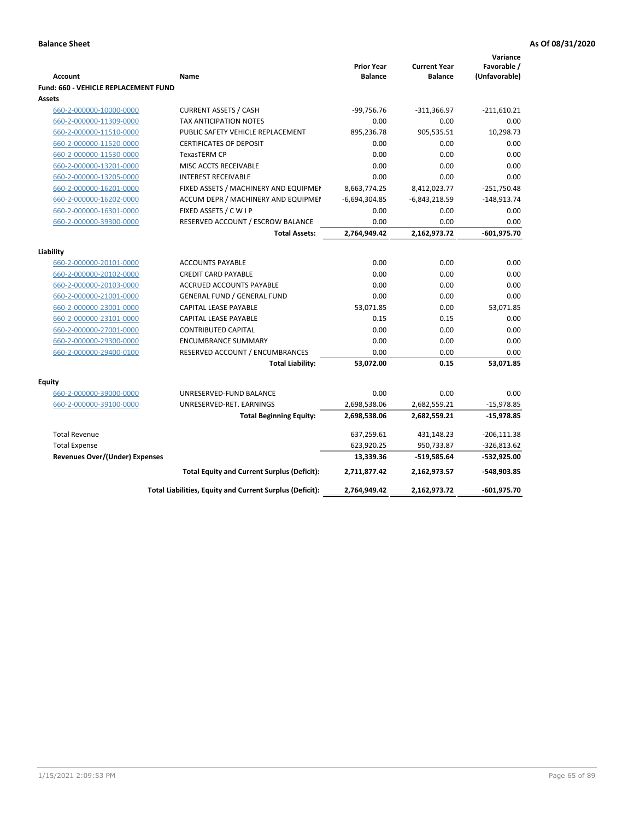|                                             |                                                          | <b>Prior Year</b> | <b>Current Year</b> | Variance<br>Favorable / |
|---------------------------------------------|----------------------------------------------------------|-------------------|---------------------|-------------------------|
| <b>Account</b>                              | Name                                                     | <b>Balance</b>    | <b>Balance</b>      | (Unfavorable)           |
| <b>Fund: 660 - VEHICLE REPLACEMENT FUND</b> |                                                          |                   |                     |                         |
| Assets                                      |                                                          |                   |                     |                         |
| 660-2-000000-10000-0000                     | <b>CURRENT ASSETS / CASH</b>                             | $-99,756.76$      | $-311,366.97$       | $-211,610.21$           |
| 660-2-000000-11309-0000                     | TAX ANTICIPATION NOTES                                   | 0.00              | 0.00                | 0.00                    |
| 660-2-000000-11510-0000                     | PUBLIC SAFETY VEHICLE REPLACEMENT                        | 895,236.78        | 905,535.51          | 10,298.73               |
| 660-2-000000-11520-0000                     | <b>CERTIFICATES OF DEPOSIT</b>                           | 0.00              | 0.00                | 0.00                    |
| 660-2-000000-11530-0000                     | TexasTERM CP                                             | 0.00              | 0.00                | 0.00                    |
| 660-2-000000-13201-0000                     | MISC ACCTS RECEIVABLE                                    | 0.00              | 0.00                | 0.00                    |
| 660-2-000000-13205-0000                     | <b>INTEREST RECEIVABLE</b>                               | 0.00              | 0.00                | 0.00                    |
| 660-2-000000-16201-0000                     | FIXED ASSETS / MACHINERY AND EQUIPMEN                    | 8,663,774.25      | 8,412,023.77        | $-251,750.48$           |
| 660-2-000000-16202-0000                     | ACCUM DEPR / MACHINERY AND EQUIPMEI                      | $-6,694,304.85$   | $-6,843,218.59$     | $-148,913.74$           |
| 660-2-000000-16301-0000                     | FIXED ASSETS / C W I P                                   | 0.00              | 0.00                | 0.00                    |
| 660-2-000000-39300-0000                     | RESERVED ACCOUNT / ESCROW BALANCE                        | 0.00              | 0.00                | 0.00                    |
|                                             | <b>Total Assets:</b>                                     | 2,764,949.42      | 2,162,973.72        | $-601,975.70$           |
|                                             |                                                          |                   |                     |                         |
| Liability                                   |                                                          |                   |                     |                         |
| 660-2-000000-20101-0000                     | <b>ACCOUNTS PAYABLE</b>                                  | 0.00              | 0.00                | 0.00                    |
| 660-2-000000-20102-0000                     | <b>CREDIT CARD PAYABLE</b>                               | 0.00              | 0.00                | 0.00                    |
| 660-2-000000-20103-0000                     | <b>ACCRUED ACCOUNTS PAYABLE</b>                          | 0.00              | 0.00                | 0.00                    |
| 660-2-000000-21001-0000                     | <b>GENERAL FUND / GENERAL FUND</b>                       | 0.00              | 0.00                | 0.00                    |
| 660-2-000000-23001-0000                     | <b>CAPITAL LEASE PAYABLE</b>                             | 53,071.85         | 0.00                | 53,071.85               |
| 660-2-000000-23101-0000                     | <b>CAPITAL LEASE PAYABLE</b>                             | 0.15              | 0.15                | 0.00                    |
| 660-2-000000-27001-0000                     | <b>CONTRIBUTED CAPITAL</b>                               | 0.00              | 0.00                | 0.00                    |
| 660-2-000000-29300-0000                     | <b>ENCUMBRANCE SUMMARY</b>                               | 0.00              | 0.00                | 0.00                    |
| 660-2-000000-29400-0100                     | RESERVED ACCOUNT / ENCUMBRANCES                          | 0.00              | 0.00                | 0.00                    |
|                                             | <b>Total Liability:</b>                                  | 53,072.00         | 0.15                | 53,071.85               |
| <b>Equity</b>                               |                                                          |                   |                     |                         |
| 660-2-000000-39000-0000                     | UNRESERVED-FUND BALANCE                                  | 0.00              | 0.00                | 0.00                    |
| 660-2-000000-39100-0000                     | UNRESERVED-RET. EARNINGS                                 | 2,698,538.06      | 2,682,559.21        | $-15,978.85$            |
|                                             | <b>Total Beginning Equity:</b>                           | 2,698,538.06      | 2,682,559.21        | $-15,978.85$            |
| <b>Total Revenue</b>                        |                                                          | 637,259.61        | 431,148.23          | $-206,111.38$           |
|                                             |                                                          |                   |                     |                         |
| <b>Total Expense</b>                        |                                                          | 623,920.25        | 950,733.87          | $-326,813.62$           |
| <b>Revenues Over/(Under) Expenses</b>       |                                                          | 13,339.36         | -519,585.64         | -532,925.00             |
|                                             | <b>Total Equity and Current Surplus (Deficit):</b>       | 2,711,877.42      | 2,162,973.57        | -548,903.85             |
|                                             | Total Liabilities, Equity and Current Surplus (Deficit): | 2,764,949.42      | 2,162,973.72        | $-601,975.70$           |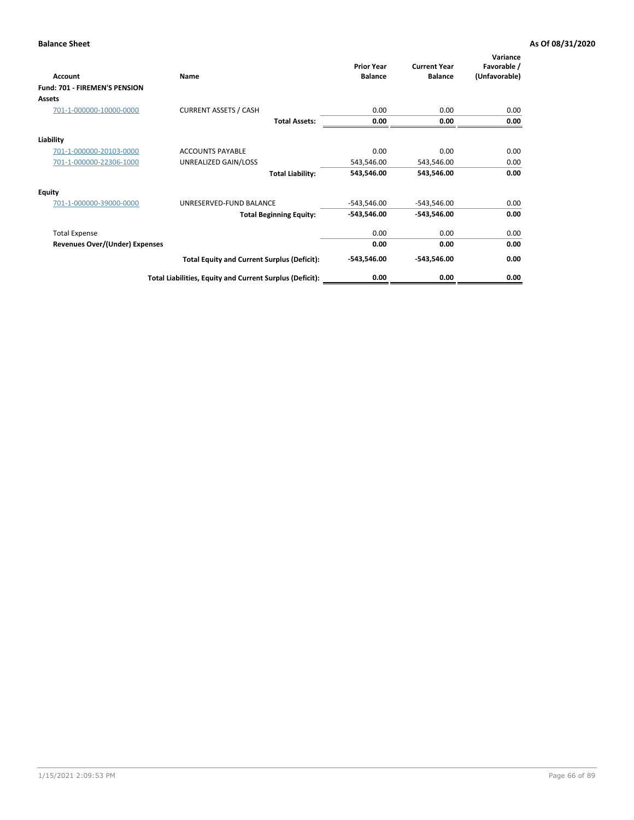| Account                               | Name                                                     | <b>Prior Year</b><br><b>Balance</b> | <b>Current Year</b><br><b>Balance</b> | Variance<br>Favorable /<br>(Unfavorable) |
|---------------------------------------|----------------------------------------------------------|-------------------------------------|---------------------------------------|------------------------------------------|
| Fund: 701 - FIREMEN'S PENSION         |                                                          |                                     |                                       |                                          |
| <b>Assets</b>                         |                                                          |                                     |                                       |                                          |
| 701-1-000000-10000-0000               | <b>CURRENT ASSETS / CASH</b>                             | 0.00                                | 0.00                                  | 0.00                                     |
|                                       | <b>Total Assets:</b>                                     | 0.00                                | 0.00                                  | 0.00                                     |
| Liability                             |                                                          |                                     |                                       |                                          |
| 701-1-000000-20103-0000               | <b>ACCOUNTS PAYABLE</b>                                  | 0.00                                | 0.00                                  | 0.00                                     |
| 701-1-000000-22306-1000               | UNREALIZED GAIN/LOSS                                     | 543,546.00                          | 543,546.00                            | 0.00                                     |
|                                       | <b>Total Liability:</b>                                  | 543,546.00                          | 543,546.00                            | 0.00                                     |
| <b>Equity</b>                         |                                                          |                                     |                                       |                                          |
| 701-1-000000-39000-0000               | UNRESERVED-FUND BALANCE                                  | $-543,546.00$                       | $-543,546.00$                         | 0.00                                     |
|                                       | <b>Total Beginning Equity:</b>                           | $-543,546.00$                       | $-543,546.00$                         | 0.00                                     |
| <b>Total Expense</b>                  |                                                          | 0.00                                | 0.00                                  | 0.00                                     |
| <b>Revenues Over/(Under) Expenses</b> |                                                          | 0.00                                | 0.00                                  | 0.00                                     |
|                                       | <b>Total Equity and Current Surplus (Deficit):</b>       | $-543,546.00$                       | $-543,546.00$                         | 0.00                                     |
|                                       | Total Liabilities, Equity and Current Surplus (Deficit): | 0.00                                | 0.00                                  | 0.00                                     |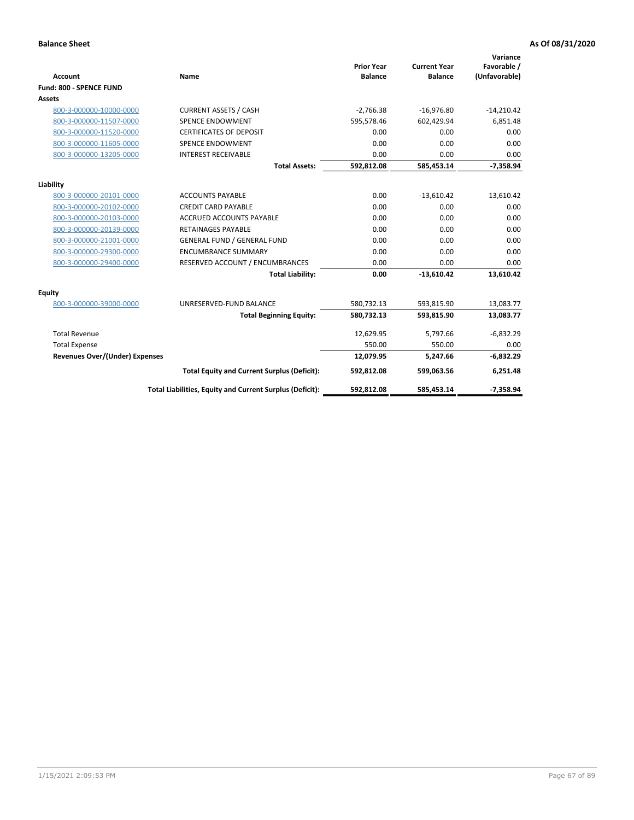|                                       |                                                          |                                     |                                       | Variance                     |
|---------------------------------------|----------------------------------------------------------|-------------------------------------|---------------------------------------|------------------------------|
| <b>Account</b>                        | <b>Name</b>                                              | <b>Prior Year</b><br><b>Balance</b> | <b>Current Year</b><br><b>Balance</b> | Favorable /<br>(Unfavorable) |
| Fund: 800 - SPENCE FUND               |                                                          |                                     |                                       |                              |
| Assets                                |                                                          |                                     |                                       |                              |
| 800-3-000000-10000-0000               | <b>CURRENT ASSETS / CASH</b>                             | $-2,766.38$                         | $-16,976.80$                          | $-14,210.42$                 |
| 800-3-000000-11507-0000               | <b>SPENCE ENDOWMENT</b>                                  | 595,578.46                          | 602,429.94                            | 6,851.48                     |
| 800-3-000000-11520-0000               | <b>CERTIFICATES OF DEPOSIT</b>                           | 0.00                                | 0.00                                  | 0.00                         |
| 800-3-000000-11605-0000               | <b>SPENCE ENDOWMENT</b>                                  | 0.00                                | 0.00                                  | 0.00                         |
| 800-3-000000-13205-0000               | <b>INTEREST RECEIVABLE</b>                               | 0.00                                | 0.00                                  | 0.00                         |
|                                       | <b>Total Assets:</b>                                     | 592,812.08                          | 585.453.14                            | $-7,358.94$                  |
| Liability                             |                                                          |                                     |                                       |                              |
| 800-3-000000-20101-0000               | <b>ACCOUNTS PAYABLE</b>                                  | 0.00                                | $-13,610.42$                          | 13,610.42                    |
| 800-3-000000-20102-0000               | <b>CREDIT CARD PAYABLE</b>                               | 0.00                                | 0.00                                  | 0.00                         |
| 800-3-000000-20103-0000               | <b>ACCRUED ACCOUNTS PAYABLE</b>                          | 0.00                                | 0.00                                  | 0.00                         |
| 800-3-000000-20139-0000               | <b>RETAINAGES PAYABLE</b>                                | 0.00                                | 0.00                                  | 0.00                         |
| 800-3-000000-21001-0000               | <b>GENERAL FUND / GENERAL FUND</b>                       | 0.00                                | 0.00                                  | 0.00                         |
| 800-3-000000-29300-0000               | <b>ENCUMBRANCE SUMMARY</b>                               | 0.00                                | 0.00                                  | 0.00                         |
| 800-3-000000-29400-0000               | RESERVED ACCOUNT / ENCUMBRANCES                          | 0.00                                | 0.00                                  | 0.00                         |
|                                       | <b>Total Liability:</b>                                  | 0.00                                | $-13,610.42$                          | 13,610.42                    |
| <b>Equity</b>                         |                                                          |                                     |                                       |                              |
| 800-3-000000-39000-0000               | UNRESERVED-FUND BALANCE                                  | 580,732.13                          | 593,815.90                            | 13,083.77                    |
|                                       | <b>Total Beginning Equity:</b>                           | 580,732.13                          | 593,815.90                            | 13,083.77                    |
| <b>Total Revenue</b>                  |                                                          | 12,629.95                           | 5,797.66                              | $-6,832.29$                  |
| <b>Total Expense</b>                  |                                                          | 550.00                              | 550.00                                | 0.00                         |
| <b>Revenues Over/(Under) Expenses</b> |                                                          | 12,079.95                           | 5,247.66                              | $-6,832.29$                  |
|                                       | <b>Total Equity and Current Surplus (Deficit):</b>       | 592,812.08                          | 599,063.56                            | 6,251.48                     |
|                                       | Total Liabilities, Equity and Current Surplus (Deficit): | 592,812.08                          | 585,453.14                            | $-7,358.94$                  |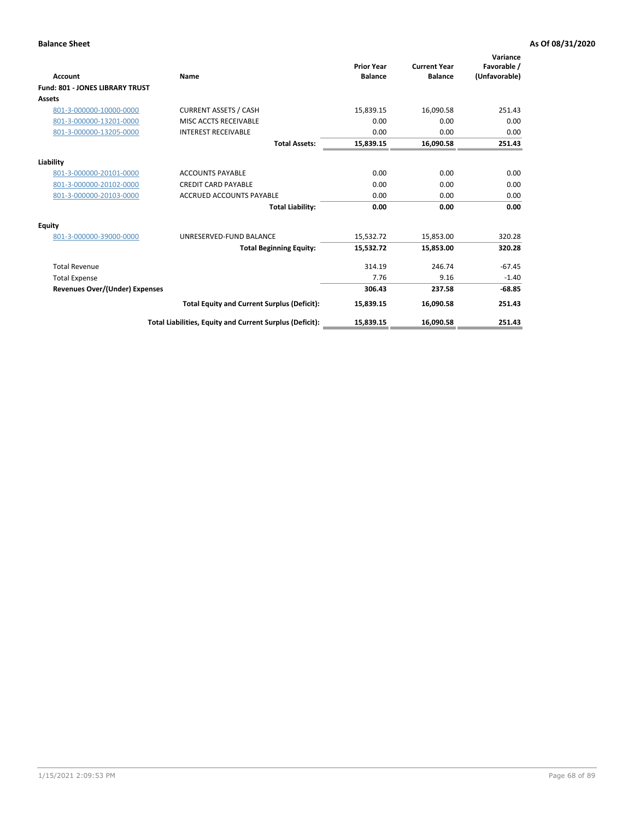| <b>Account</b>                         | Name                                                     | <b>Prior Year</b><br><b>Balance</b> | <b>Current Year</b><br><b>Balance</b> | Variance<br>Favorable /<br>(Unfavorable) |
|----------------------------------------|----------------------------------------------------------|-------------------------------------|---------------------------------------|------------------------------------------|
| <b>Fund: 801 - JONES LIBRARY TRUST</b> |                                                          |                                     |                                       |                                          |
| Assets                                 |                                                          |                                     |                                       |                                          |
| 801-3-000000-10000-0000                | <b>CURRENT ASSETS / CASH</b>                             | 15,839.15                           | 16,090.58                             | 251.43                                   |
| 801-3-000000-13201-0000                | MISC ACCTS RECEIVABLE                                    | 0.00                                | 0.00                                  | 0.00                                     |
| 801-3-000000-13205-0000                | <b>INTEREST RECEIVABLE</b>                               | 0.00                                | 0.00                                  | 0.00                                     |
|                                        | <b>Total Assets:</b>                                     | 15,839.15                           | 16,090.58                             | 251.43                                   |
| Liability                              |                                                          |                                     |                                       |                                          |
| 801-3-000000-20101-0000                | <b>ACCOUNTS PAYABLE</b>                                  | 0.00                                | 0.00                                  | 0.00                                     |
| 801-3-000000-20102-0000                | <b>CREDIT CARD PAYABLE</b>                               | 0.00                                | 0.00                                  | 0.00                                     |
| 801-3-000000-20103-0000                | <b>ACCRUED ACCOUNTS PAYABLE</b>                          | 0.00                                | 0.00                                  | 0.00                                     |
|                                        | <b>Total Liability:</b>                                  | 0.00                                | 0.00                                  | 0.00                                     |
| Equity                                 |                                                          |                                     |                                       |                                          |
| 801-3-000000-39000-0000                | UNRESERVED-FUND BALANCE                                  | 15,532.72                           | 15,853.00                             | 320.28                                   |
|                                        | <b>Total Beginning Equity:</b>                           | 15,532.72                           | 15,853.00                             | 320.28                                   |
| <b>Total Revenue</b>                   |                                                          | 314.19                              | 246.74                                | $-67.45$                                 |
| <b>Total Expense</b>                   |                                                          | 7.76                                | 9.16                                  | $-1.40$                                  |
| <b>Revenues Over/(Under) Expenses</b>  |                                                          | 306.43                              | 237.58                                | $-68.85$                                 |
|                                        | <b>Total Equity and Current Surplus (Deficit):</b>       | 15,839.15                           | 16,090.58                             | 251.43                                   |
|                                        | Total Liabilities, Equity and Current Surplus (Deficit): | 15,839.15                           | 16,090.58                             | 251.43                                   |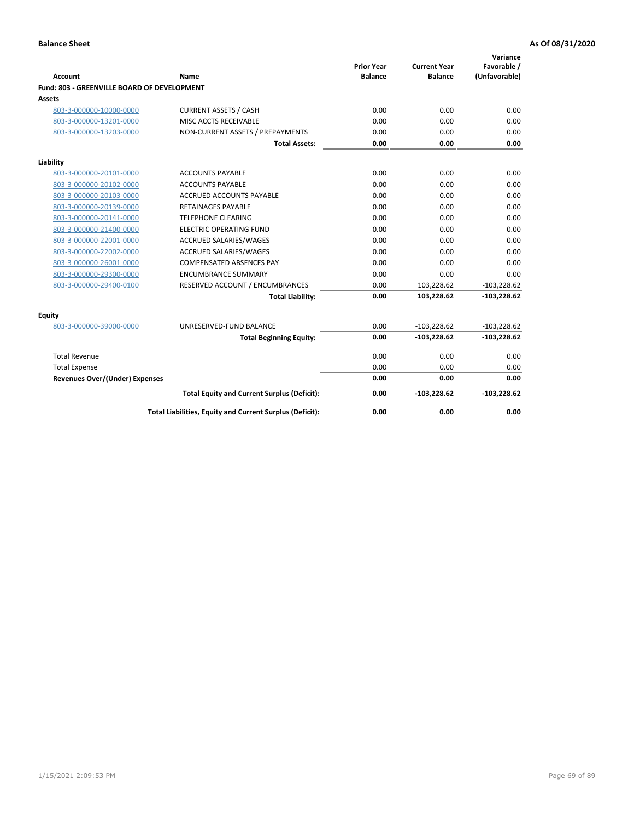| <b>Account</b>                              | Name                                                     | <b>Prior Year</b><br><b>Balance</b> | <b>Current Year</b><br><b>Balance</b> | Variance<br>Favorable /<br>(Unfavorable) |
|---------------------------------------------|----------------------------------------------------------|-------------------------------------|---------------------------------------|------------------------------------------|
| Fund: 803 - GREENVILLE BOARD OF DEVELOPMENT |                                                          |                                     |                                       |                                          |
| Assets                                      |                                                          |                                     |                                       |                                          |
| 803-3-000000-10000-0000                     | <b>CURRENT ASSETS / CASH</b>                             | 0.00                                | 0.00                                  | 0.00                                     |
| 803-3-000000-13201-0000                     | MISC ACCTS RECEIVABLE                                    | 0.00                                | 0.00                                  | 0.00                                     |
| 803-3-000000-13203-0000                     | NON-CURRENT ASSETS / PREPAYMENTS                         | 0.00                                | 0.00                                  | 0.00                                     |
|                                             | <b>Total Assets:</b>                                     | 0.00                                | 0.00                                  | 0.00                                     |
| Liability                                   |                                                          |                                     |                                       |                                          |
| 803-3-000000-20101-0000                     | <b>ACCOUNTS PAYABLE</b>                                  | 0.00                                | 0.00                                  | 0.00                                     |
| 803-3-000000-20102-0000                     | <b>ACCOUNTS PAYABLE</b>                                  | 0.00                                | 0.00                                  | 0.00                                     |
| 803-3-000000-20103-0000                     | ACCRUED ACCOUNTS PAYABLE                                 | 0.00                                | 0.00                                  | 0.00                                     |
| 803-3-000000-20139-0000                     | <b>RETAINAGES PAYABLE</b>                                | 0.00                                | 0.00                                  | 0.00                                     |
| 803-3-000000-20141-0000                     | <b>TELEPHONE CLEARING</b>                                | 0.00                                | 0.00                                  | 0.00                                     |
| 803-3-000000-21400-0000                     | <b>ELECTRIC OPERATING FUND</b>                           | 0.00                                | 0.00                                  | 0.00                                     |
| 803-3-000000-22001-0000                     | <b>ACCRUED SALARIES/WAGES</b>                            | 0.00                                | 0.00                                  | 0.00                                     |
| 803-3-000000-22002-0000                     | <b>ACCRUED SALARIES/WAGES</b>                            | 0.00                                | 0.00                                  | 0.00                                     |
| 803-3-000000-26001-0000                     | <b>COMPENSATED ABSENCES PAY</b>                          | 0.00                                | 0.00                                  | 0.00                                     |
| 803-3-000000-29300-0000                     | <b>ENCUMBRANCE SUMMARY</b>                               | 0.00                                | 0.00                                  | 0.00                                     |
| 803-3-000000-29400-0100                     | RESERVED ACCOUNT / ENCUMBRANCES                          | 0.00                                | 103,228.62                            | $-103,228.62$                            |
|                                             | <b>Total Liability:</b>                                  | 0.00                                | 103,228.62                            | $-103,228.62$                            |
| Equity                                      |                                                          |                                     |                                       |                                          |
| 803-3-000000-39000-0000                     | UNRESERVED-FUND BALANCE                                  | 0.00                                | $-103,228.62$                         | $-103,228.62$                            |
|                                             | <b>Total Beginning Equity:</b>                           | 0.00                                | $-103,228.62$                         | $-103,228.62$                            |
| <b>Total Revenue</b>                        |                                                          | 0.00                                | 0.00                                  | 0.00                                     |
| <b>Total Expense</b>                        |                                                          | 0.00                                | 0.00                                  | 0.00                                     |
| <b>Revenues Over/(Under) Expenses</b>       |                                                          | 0.00                                | 0.00                                  | 0.00                                     |
|                                             | <b>Total Equity and Current Surplus (Deficit):</b>       | 0.00                                | $-103,228.62$                         | $-103,228.62$                            |
|                                             | Total Liabilities, Equity and Current Surplus (Deficit): | 0.00                                | 0.00                                  | 0.00                                     |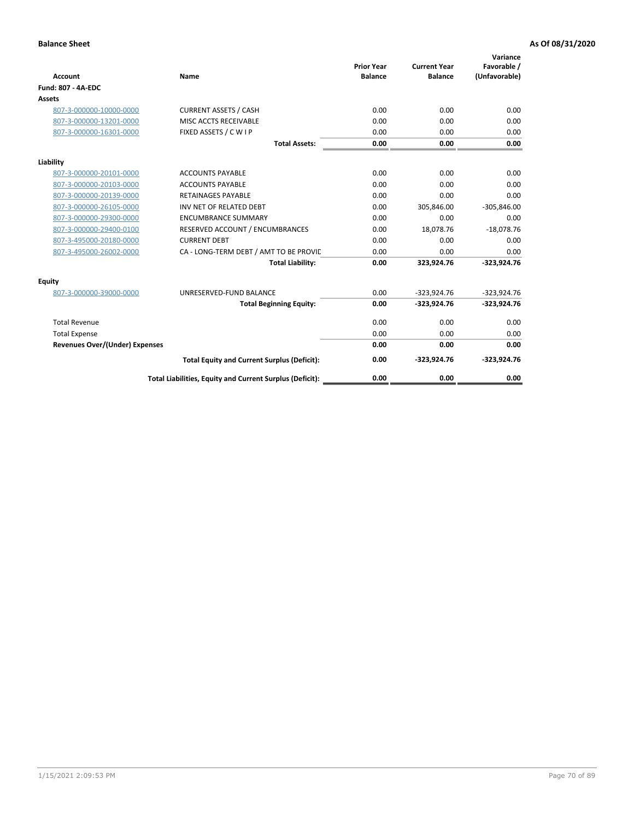| <b>Account</b>                        | Name                                                     | <b>Prior Year</b><br><b>Balance</b> | <b>Current Year</b><br><b>Balance</b> | Variance<br>Favorable /<br>(Unfavorable) |
|---------------------------------------|----------------------------------------------------------|-------------------------------------|---------------------------------------|------------------------------------------|
| <b>Fund: 807 - 4A-EDC</b>             |                                                          |                                     |                                       |                                          |
| <b>Assets</b>                         |                                                          |                                     |                                       |                                          |
| 807-3-000000-10000-0000               | <b>CURRENT ASSETS / CASH</b>                             | 0.00                                | 0.00                                  | 0.00                                     |
| 807-3-000000-13201-0000               | MISC ACCTS RECEIVABLE                                    | 0.00                                | 0.00                                  | 0.00                                     |
| 807-3-000000-16301-0000               | FIXED ASSETS / C W I P                                   | 0.00                                | 0.00                                  | 0.00                                     |
|                                       | <b>Total Assets:</b>                                     | 0.00                                | 0.00                                  | 0.00                                     |
| Liability                             |                                                          |                                     |                                       |                                          |
| 807-3-000000-20101-0000               | <b>ACCOUNTS PAYABLE</b>                                  | 0.00                                | 0.00                                  | 0.00                                     |
| 807-3-000000-20103-0000               | <b>ACCOUNTS PAYABLE</b>                                  | 0.00                                | 0.00                                  | 0.00                                     |
| 807-3-000000-20139-0000               | <b>RETAINAGES PAYABLE</b>                                | 0.00                                | 0.00                                  | 0.00                                     |
| 807-3-000000-26105-0000               | INV NET OF RELATED DEBT                                  | 0.00                                | 305,846.00                            | $-305,846.00$                            |
| 807-3-000000-29300-0000               | <b>ENCUMBRANCE SUMMARY</b>                               | 0.00                                | 0.00                                  | 0.00                                     |
| 807-3-000000-29400-0100               | RESERVED ACCOUNT / ENCUMBRANCES                          | 0.00                                | 18,078.76                             | $-18,078.76$                             |
| 807-3-495000-20180-0000               | <b>CURRENT DEBT</b>                                      | 0.00                                | 0.00                                  | 0.00                                     |
| 807-3-495000-26002-0000               | CA - LONG-TERM DEBT / AMT TO BE PROVIL                   | 0.00                                | 0.00                                  | 0.00                                     |
|                                       | <b>Total Liability:</b>                                  | 0.00                                | 323,924.76                            | $-323,924.76$                            |
| Equity                                |                                                          |                                     |                                       |                                          |
| 807-3-000000-39000-0000               | UNRESERVED-FUND BALANCE                                  | 0.00                                | $-323,924.76$                         | $-323,924.76$                            |
|                                       | <b>Total Beginning Equity:</b>                           | 0.00                                | $-323,924.76$                         | $-323,924.76$                            |
| <b>Total Revenue</b>                  |                                                          | 0.00                                | 0.00                                  | 0.00                                     |
| <b>Total Expense</b>                  |                                                          | 0.00                                | 0.00                                  | 0.00                                     |
| <b>Revenues Over/(Under) Expenses</b> |                                                          | 0.00                                | 0.00                                  | 0.00                                     |
|                                       | <b>Total Equity and Current Surplus (Deficit):</b>       | 0.00                                | $-323,924.76$                         | $-323,924.76$                            |
|                                       | Total Liabilities, Equity and Current Surplus (Deficit): | 0.00                                | 0.00                                  | 0.00                                     |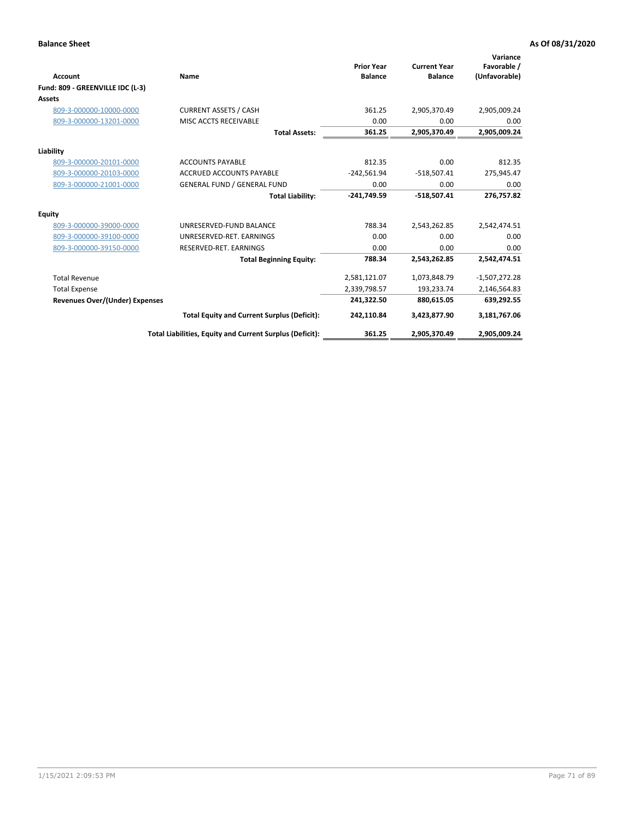| <b>Account</b>                        | Name                                                     | <b>Prior Year</b><br><b>Balance</b> | <b>Current Year</b><br><b>Balance</b> | Variance<br>Favorable /<br>(Unfavorable) |
|---------------------------------------|----------------------------------------------------------|-------------------------------------|---------------------------------------|------------------------------------------|
| Fund: 809 - GREENVILLE IDC (L-3)      |                                                          |                                     |                                       |                                          |
| <b>Assets</b>                         |                                                          |                                     |                                       |                                          |
| 809-3-000000-10000-0000               | <b>CURRENT ASSETS / CASH</b>                             | 361.25                              | 2,905,370.49                          | 2,905,009.24                             |
| 809-3-000000-13201-0000               | MISC ACCTS RECEIVABLE                                    | 0.00                                | 0.00                                  | 0.00                                     |
|                                       | <b>Total Assets:</b>                                     | 361.25                              | 2,905,370.49                          | 2,905,009.24                             |
| Liability                             |                                                          |                                     |                                       |                                          |
| 809-3-000000-20101-0000               | <b>ACCOUNTS PAYABLE</b>                                  | 812.35                              | 0.00                                  | 812.35                                   |
| 809-3-000000-20103-0000               | <b>ACCRUED ACCOUNTS PAYABLE</b>                          | $-242,561.94$                       | $-518,507.41$                         | 275,945.47                               |
| 809-3-000000-21001-0000               | <b>GENERAL FUND / GENERAL FUND</b>                       | 0.00                                | 0.00                                  | 0.00                                     |
|                                       | <b>Total Liability:</b>                                  | $-241,749.59$                       | $-518,507.41$                         | 276,757.82                               |
| Equity                                |                                                          |                                     |                                       |                                          |
| 809-3-000000-39000-0000               | UNRESERVED-FUND BALANCE                                  | 788.34                              | 2,543,262.85                          | 2,542,474.51                             |
| 809-3-000000-39100-0000               | UNRESERVED-RET, EARNINGS                                 | 0.00                                | 0.00                                  | 0.00                                     |
| 809-3-000000-39150-0000               | RESERVED-RET. EARNINGS                                   | 0.00                                | 0.00                                  | 0.00                                     |
|                                       | <b>Total Beginning Equity:</b>                           | 788.34                              | 2,543,262.85                          | 2,542,474.51                             |
| <b>Total Revenue</b>                  |                                                          | 2,581,121.07                        | 1,073,848.79                          | $-1,507,272.28$                          |
| <b>Total Expense</b>                  |                                                          | 2,339,798.57                        | 193,233.74                            | 2,146,564.83                             |
| <b>Revenues Over/(Under) Expenses</b> |                                                          | 241,322.50                          | 880,615.05                            | 639,292.55                               |
|                                       | <b>Total Equity and Current Surplus (Deficit):</b>       | 242,110.84                          | 3,423,877.90                          | 3,181,767.06                             |
|                                       | Total Liabilities, Equity and Current Surplus (Deficit): | 361.25                              | 2,905,370.49                          | 2,905,009.24                             |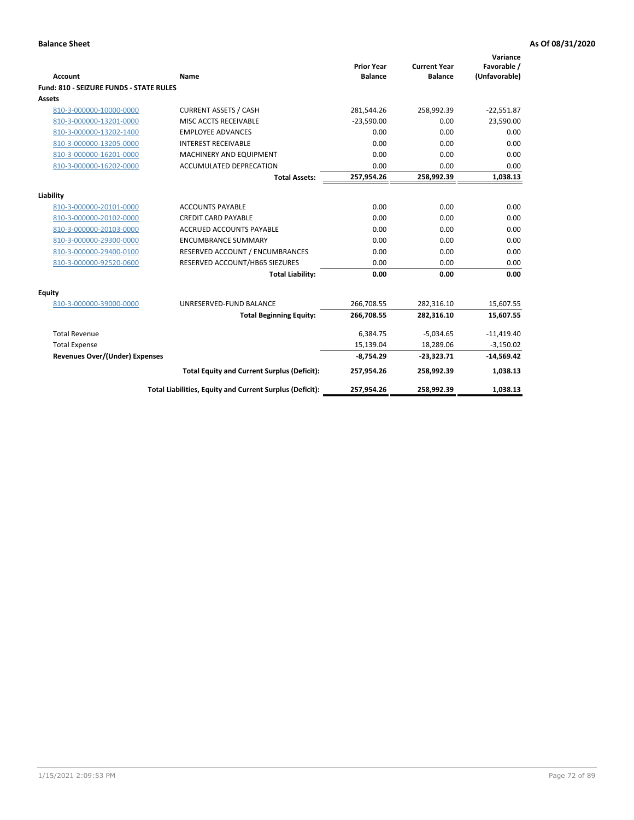| <b>Account</b>                                 | <b>Name</b>                                              | <b>Prior Year</b><br><b>Balance</b> | <b>Current Year</b><br><b>Balance</b> | Variance<br>Favorable /<br>(Unfavorable) |
|------------------------------------------------|----------------------------------------------------------|-------------------------------------|---------------------------------------|------------------------------------------|
| <b>Fund: 810 - SEIZURE FUNDS - STATE RULES</b> |                                                          |                                     |                                       |                                          |
| Assets                                         |                                                          |                                     |                                       |                                          |
| 810-3-000000-10000-0000                        | <b>CURRENT ASSETS / CASH</b>                             | 281,544.26                          | 258,992.39                            | $-22,551.87$                             |
| 810-3-000000-13201-0000                        | MISC ACCTS RECEIVABLE                                    | $-23.590.00$                        | 0.00                                  | 23,590.00                                |
| 810-3-000000-13202-1400                        | <b>EMPLOYEE ADVANCES</b>                                 | 0.00                                | 0.00                                  | 0.00                                     |
| 810-3-000000-13205-0000                        | <b>INTEREST RECEIVABLE</b>                               | 0.00                                | 0.00                                  | 0.00                                     |
| 810-3-000000-16201-0000                        | <b>MACHINERY AND EQUIPMENT</b>                           | 0.00                                | 0.00                                  | 0.00                                     |
| 810-3-000000-16202-0000                        | <b>ACCUMULATED DEPRECATION</b>                           | 0.00                                | 0.00                                  | 0.00                                     |
|                                                | <b>Total Assets:</b>                                     | 257,954.26                          | 258,992.39                            | 1,038.13                                 |
|                                                |                                                          |                                     |                                       |                                          |
| Liability                                      |                                                          |                                     |                                       |                                          |
| 810-3-000000-20101-0000                        | <b>ACCOUNTS PAYABLE</b>                                  | 0.00                                | 0.00                                  | 0.00                                     |
| 810-3-000000-20102-0000                        | <b>CREDIT CARD PAYABLE</b>                               | 0.00                                | 0.00                                  | 0.00                                     |
| 810-3-000000-20103-0000                        | <b>ACCRUED ACCOUNTS PAYABLE</b>                          | 0.00                                | 0.00                                  | 0.00                                     |
| 810-3-000000-29300-0000                        | <b>ENCUMBRANCE SUMMARY</b>                               | 0.00                                | 0.00                                  | 0.00                                     |
| 810-3-000000-29400-0100                        | RESERVED ACCOUNT / ENCUMBRANCES                          | 0.00                                | 0.00                                  | 0.00                                     |
| 810-3-000000-92520-0600                        | RESERVED ACCOUNT/HB65 SIEZURES                           | 0.00                                | 0.00                                  | 0.00                                     |
|                                                | <b>Total Liability:</b>                                  | 0.00                                | 0.00                                  | 0.00                                     |
| <b>Equity</b>                                  |                                                          |                                     |                                       |                                          |
| 810-3-000000-39000-0000                        | UNRESERVED-FUND BALANCE                                  | 266,708.55                          | 282,316.10                            | 15,607.55                                |
|                                                | <b>Total Beginning Equity:</b>                           | 266,708.55                          | 282,316.10                            | 15,607.55                                |
| <b>Total Revenue</b>                           |                                                          | 6,384.75                            | $-5,034.65$                           | $-11,419.40$                             |
| <b>Total Expense</b>                           |                                                          | 15,139.04                           | 18,289.06                             | $-3,150.02$                              |
| Revenues Over/(Under) Expenses                 |                                                          | $-8,754.29$                         | $-23,323.71$                          | $-14,569.42$                             |
|                                                | <b>Total Equity and Current Surplus (Deficit):</b>       | 257,954.26                          | 258,992.39                            | 1,038.13                                 |
|                                                | Total Liabilities, Equity and Current Surplus (Deficit): | 257,954.26                          | 258,992.39                            | 1,038.13                                 |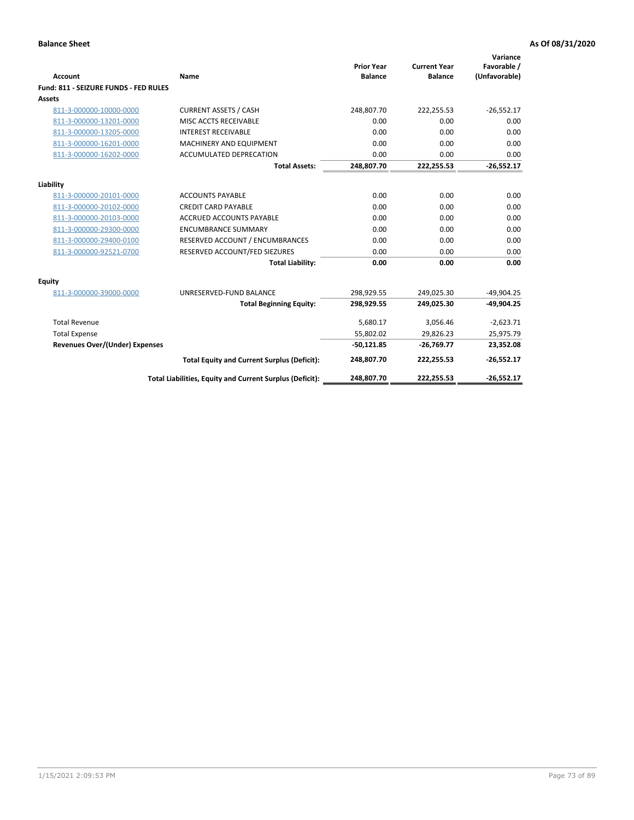| <b>Account</b>                        | Name                                                     | <b>Prior Year</b><br><b>Balance</b> | <b>Current Year</b><br><b>Balance</b> | Variance<br>Favorable /<br>(Unfavorable) |
|---------------------------------------|----------------------------------------------------------|-------------------------------------|---------------------------------------|------------------------------------------|
| Fund: 811 - SEIZURE FUNDS - FED RULES |                                                          |                                     |                                       |                                          |
| <b>Assets</b>                         |                                                          |                                     |                                       |                                          |
| 811-3-000000-10000-0000               | <b>CURRENT ASSETS / CASH</b>                             | 248,807.70                          | 222,255.53                            | $-26,552.17$                             |
| 811-3-000000-13201-0000               | MISC ACCTS RECEIVABLE                                    | 0.00                                | 0.00                                  | 0.00                                     |
| 811-3-000000-13205-0000               | <b>INTEREST RECEIVABLE</b>                               | 0.00                                | 0.00                                  | 0.00                                     |
| 811-3-000000-16201-0000               | <b>MACHINERY AND EQUIPMENT</b>                           | 0.00                                | 0.00                                  | 0.00                                     |
| 811-3-000000-16202-0000               | <b>ACCUMULATED DEPRECATION</b>                           | 0.00                                | 0.00                                  | 0.00                                     |
|                                       | <b>Total Assets:</b>                                     | 248,807.70                          | 222,255.53                            | $-26,552.17$                             |
| Liability                             |                                                          |                                     |                                       |                                          |
| 811-3-000000-20101-0000               | <b>ACCOUNTS PAYABLE</b>                                  | 0.00                                | 0.00                                  | 0.00                                     |
| 811-3-000000-20102-0000               | <b>CREDIT CARD PAYABLE</b>                               | 0.00                                | 0.00                                  | 0.00                                     |
| 811-3-000000-20103-0000               | <b>ACCRUED ACCOUNTS PAYABLE</b>                          | 0.00                                | 0.00                                  | 0.00                                     |
| 811-3-000000-29300-0000               | <b>ENCUMBRANCE SUMMARY</b>                               | 0.00                                | 0.00                                  | 0.00                                     |
| 811-3-000000-29400-0100               | RESERVED ACCOUNT / ENCUMBRANCES                          | 0.00                                | 0.00                                  | 0.00                                     |
| 811-3-000000-92521-0700               | RESERVED ACCOUNT/FED SIEZURES                            | 0.00                                | 0.00                                  | 0.00                                     |
|                                       | <b>Total Liability:</b>                                  | 0.00                                | 0.00                                  | 0.00                                     |
|                                       |                                                          |                                     |                                       |                                          |
| Equity<br>811-3-000000-39000-0000     | UNRESERVED-FUND BALANCE                                  | 298,929.55                          | 249,025.30                            | $-49,904.25$                             |
|                                       | <b>Total Beginning Equity:</b>                           | 298,929.55                          | 249,025.30                            | $-49,904.25$                             |
|                                       |                                                          |                                     |                                       |                                          |
| <b>Total Revenue</b>                  |                                                          | 5,680.17                            | 3,056.46                              | $-2,623.71$                              |
| <b>Total Expense</b>                  |                                                          | 55,802.02                           | 29,826.23                             | 25,975.79                                |
| Revenues Over/(Under) Expenses        |                                                          | $-50,121.85$                        | $-26,769.77$                          | 23,352.08                                |
|                                       | <b>Total Equity and Current Surplus (Deficit):</b>       | 248,807.70                          | 222,255.53                            | $-26,552.17$                             |
|                                       | Total Liabilities, Equity and Current Surplus (Deficit): | 248,807.70                          | 222,255.53                            | $-26.552.17$                             |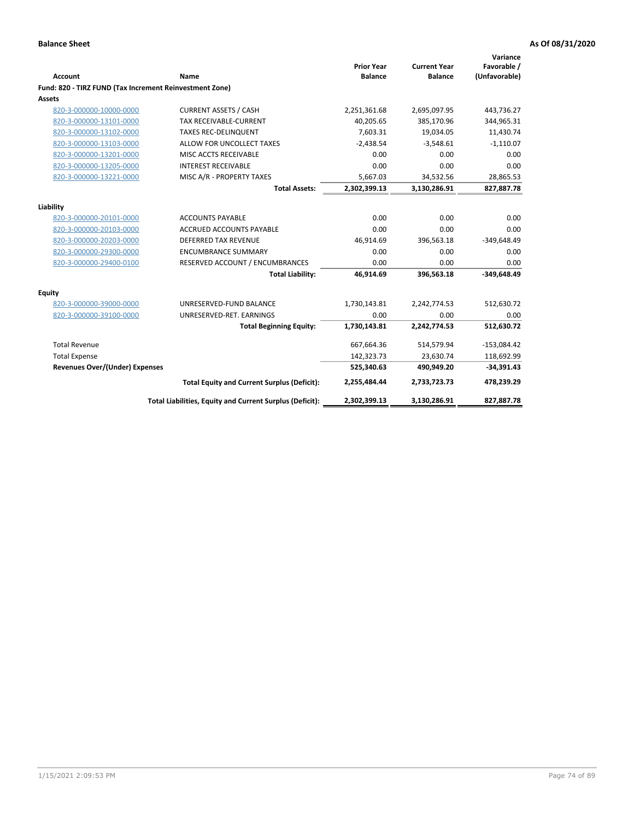|                                                         |                                                          | <b>Prior Year</b> | <b>Current Year</b> | Variance<br>Favorable / |
|---------------------------------------------------------|----------------------------------------------------------|-------------------|---------------------|-------------------------|
| <b>Account</b>                                          | Name                                                     | <b>Balance</b>    | <b>Balance</b>      | (Unfavorable)           |
| Fund: 820 - TIRZ FUND (Tax Increment Reinvestment Zone) |                                                          |                   |                     |                         |
| Assets                                                  |                                                          |                   |                     |                         |
| 820-3-000000-10000-0000                                 | <b>CURRENT ASSETS / CASH</b>                             | 2,251,361.68      | 2,695,097.95        | 443,736.27              |
| 820-3-000000-13101-0000                                 | <b>TAX RECEIVABLE-CURRENT</b>                            | 40,205.65         | 385,170.96          | 344,965.31              |
| 820-3-000000-13102-0000                                 | <b>TAXES REC-DELINQUENT</b>                              | 7,603.31          | 19,034.05           | 11,430.74               |
| 820-3-000000-13103-0000                                 | ALLOW FOR UNCOLLECT TAXES                                | $-2,438.54$       | $-3,548.61$         | $-1,110.07$             |
| 820-3-000000-13201-0000                                 | MISC ACCTS RECEIVABLE                                    | 0.00              | 0.00                | 0.00                    |
| 820-3-000000-13205-0000                                 | <b>INTEREST RECEIVABLE</b>                               | 0.00              | 0.00                | 0.00                    |
| 820-3-000000-13221-0000                                 | MISC A/R - PROPERTY TAXES                                | 5,667.03          | 34,532.56           | 28,865.53               |
|                                                         | <b>Total Assets:</b>                                     | 2,302,399.13      | 3,130,286.91        | 827,887.78              |
| Liability                                               |                                                          |                   |                     |                         |
| 820-3-000000-20101-0000                                 | <b>ACCOUNTS PAYABLE</b>                                  | 0.00              | 0.00                | 0.00                    |
| 820-3-000000-20103-0000                                 | <b>ACCRUED ACCOUNTS PAYABLE</b>                          | 0.00              | 0.00                | 0.00                    |
| 820-3-000000-20203-0000                                 | <b>DEFERRED TAX REVENUE</b>                              | 46,914.69         | 396,563.18          | $-349,648.49$           |
| 820-3-000000-29300-0000                                 | <b>ENCUMBRANCE SUMMARY</b>                               | 0.00              | 0.00                | 0.00                    |
| 820-3-000000-29400-0100                                 | RESERVED ACCOUNT / ENCUMBRANCES                          | 0.00              | 0.00                | 0.00                    |
|                                                         | <b>Total Liability:</b>                                  | 46,914.69         | 396,563.18          | $-349,648.49$           |
| Equity                                                  |                                                          |                   |                     |                         |
| 820-3-000000-39000-0000                                 | UNRESERVED-FUND BALANCE                                  | 1,730,143.81      | 2,242,774.53        | 512,630.72              |
| 820-3-000000-39100-0000                                 | UNRESERVED-RET. EARNINGS                                 | 0.00              | 0.00                | 0.00                    |
|                                                         | <b>Total Beginning Equity:</b>                           | 1,730,143.81      | 2,242,774.53        | 512,630.72              |
| <b>Total Revenue</b>                                    |                                                          | 667,664.36        | 514,579.94          | $-153,084.42$           |
| <b>Total Expense</b>                                    |                                                          | 142,323.73        | 23,630.74           | 118,692.99              |
| <b>Revenues Over/(Under) Expenses</b>                   |                                                          | 525,340.63        | 490,949.20          | $-34,391.43$            |
|                                                         | <b>Total Equity and Current Surplus (Deficit):</b>       | 2,255,484.44      | 2,733,723.73        | 478,239.29              |
|                                                         | Total Liabilities, Equity and Current Surplus (Deficit): | 2,302,399.13      | 3,130,286.91        | 827,887.78              |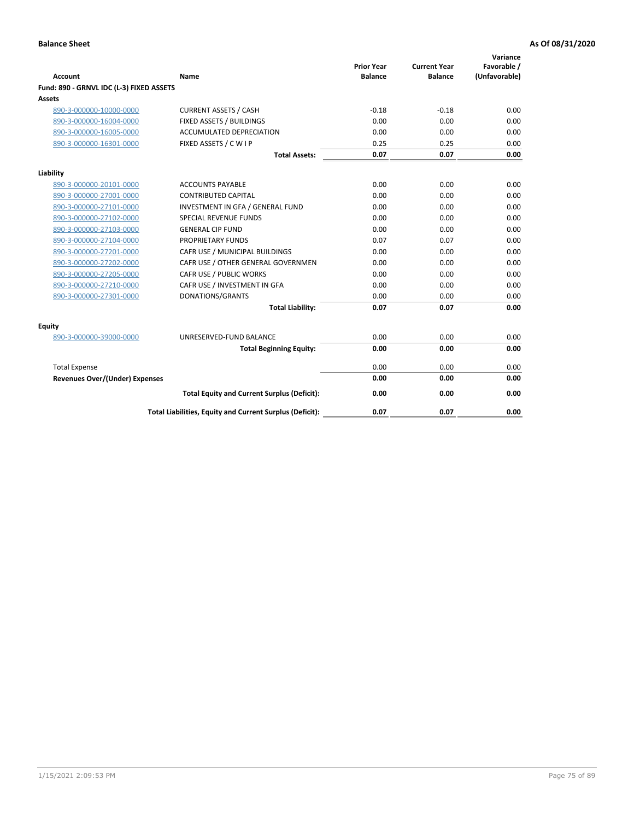| <b>Account</b>                           | Name                                                     | <b>Prior Year</b><br><b>Balance</b> | <b>Current Year</b><br><b>Balance</b> | Variance<br>Favorable /<br>(Unfavorable) |
|------------------------------------------|----------------------------------------------------------|-------------------------------------|---------------------------------------|------------------------------------------|
| Fund: 890 - GRNVL IDC (L-3) FIXED ASSETS |                                                          |                                     |                                       |                                          |
| <b>Assets</b>                            |                                                          |                                     |                                       |                                          |
| 890-3-000000-10000-0000                  | <b>CURRENT ASSETS / CASH</b>                             | $-0.18$                             | $-0.18$                               | 0.00                                     |
| 890-3-000000-16004-0000                  | FIXED ASSETS / BUILDINGS                                 | 0.00                                | 0.00                                  | 0.00                                     |
| 890-3-000000-16005-0000                  | <b>ACCUMULATED DEPRECIATION</b>                          | 0.00                                | 0.00                                  | 0.00                                     |
| 890-3-000000-16301-0000                  | FIXED ASSETS / C W I P                                   | 0.25                                | 0.25                                  | 0.00                                     |
|                                          | <b>Total Assets:</b>                                     | 0.07                                | 0.07                                  | 0.00                                     |
| Liability                                |                                                          |                                     |                                       |                                          |
| 890-3-000000-20101-0000                  | <b>ACCOUNTS PAYABLE</b>                                  | 0.00                                | 0.00                                  | 0.00                                     |
| 890-3-000000-27001-0000                  | <b>CONTRIBUTED CAPITAL</b>                               | 0.00                                | 0.00                                  | 0.00                                     |
| 890-3-000000-27101-0000                  | INVESTMENT IN GFA / GENERAL FUND                         | 0.00                                | 0.00                                  | 0.00                                     |
| 890-3-000000-27102-0000                  | SPECIAL REVENUE FUNDS                                    | 0.00                                | 0.00                                  | 0.00                                     |
| 890-3-000000-27103-0000                  | <b>GENERAL CIP FUND</b>                                  | 0.00                                | 0.00                                  | 0.00                                     |
| 890-3-000000-27104-0000                  | PROPRIETARY FUNDS                                        | 0.07                                | 0.07                                  | 0.00                                     |
| 890-3-000000-27201-0000                  | CAFR USE / MUNICIPAL BUILDINGS                           | 0.00                                | 0.00                                  | 0.00                                     |
| 890-3-000000-27202-0000                  | CAFR USE / OTHER GENERAL GOVERNMEN                       | 0.00                                | 0.00                                  | 0.00                                     |
| 890-3-000000-27205-0000                  | CAFR USE / PUBLIC WORKS                                  | 0.00                                | 0.00                                  | 0.00                                     |
| 890-3-000000-27210-0000                  | CAFR USE / INVESTMENT IN GFA                             | 0.00                                | 0.00                                  | 0.00                                     |
| 890-3-000000-27301-0000                  | DONATIONS/GRANTS                                         | 0.00                                | 0.00                                  | 0.00                                     |
|                                          | <b>Total Liability:</b>                                  | 0.07                                | 0.07                                  | 0.00                                     |
| Equity                                   |                                                          |                                     |                                       |                                          |
| 890-3-000000-39000-0000                  | UNRESERVED-FUND BALANCE                                  | 0.00                                | 0.00                                  | 0.00                                     |
|                                          | <b>Total Beginning Equity:</b>                           | 0.00                                | 0.00                                  | 0.00                                     |
| <b>Total Expense</b>                     |                                                          | 0.00                                | 0.00                                  | 0.00                                     |
| Revenues Over/(Under) Expenses           |                                                          | 0.00                                | 0.00                                  | 0.00                                     |
|                                          | <b>Total Equity and Current Surplus (Deficit):</b>       | 0.00                                | 0.00                                  | 0.00                                     |
|                                          | Total Liabilities, Equity and Current Surplus (Deficit): | 0.07                                | 0.07                                  | 0.00                                     |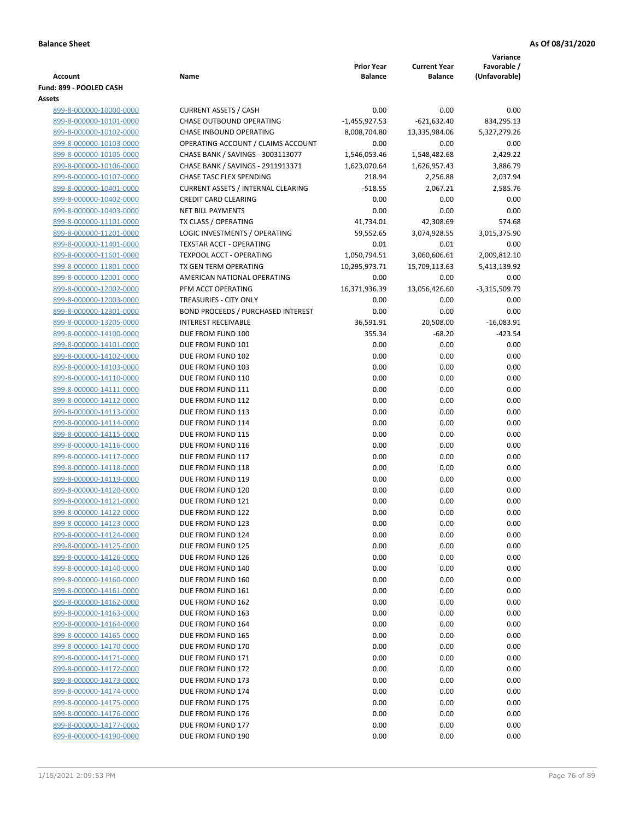|                                                    |                                                          |                                     |                                       | Variance                     |
|----------------------------------------------------|----------------------------------------------------------|-------------------------------------|---------------------------------------|------------------------------|
| <b>Account</b>                                     | Name                                                     | <b>Prior Year</b><br><b>Balance</b> | <b>Current Year</b><br><b>Balance</b> | Favorable /<br>(Unfavorable) |
| Fund: 899 - POOLED CASH                            |                                                          |                                     |                                       |                              |
| Assets                                             |                                                          |                                     |                                       |                              |
| 899-8-000000-10000-0000                            | <b>CURRENT ASSETS / CASH</b>                             | 0.00                                | 0.00                                  | 0.00                         |
| 899-8-000000-10101-0000                            | CHASE OUTBOUND OPERATING                                 | $-1,455,927.53$                     | $-621,632.40$                         | 834,295.13                   |
| 899-8-000000-10102-0000                            | CHASE INBOUND OPERATING                                  | 8,008,704.80                        | 13,335,984.06                         | 5,327,279.26                 |
| 899-8-000000-10103-0000                            | OPERATING ACCOUNT / CLAIMS ACCOUNT                       | 0.00                                | 0.00                                  | 0.00                         |
| 899-8-000000-10105-0000                            | CHASE BANK / SAVINGS - 3003113077                        | 1,546,053.46                        | 1,548,482.68                          | 2,429.22                     |
| 899-8-000000-10106-0000                            | CHASE BANK / SAVINGS - 2911913371                        | 1,623,070.64                        | 1,626,957.43                          | 3,886.79                     |
| 899-8-000000-10107-0000                            | <b>CHASE TASC FLEX SPENDING</b>                          | 218.94                              | 2,256.88                              | 2,037.94                     |
| 899-8-000000-10401-0000                            | <b>CURRENT ASSETS / INTERNAL CLEARING</b>                | $-518.55$                           | 2,067.21                              | 2,585.76                     |
| 899-8-000000-10402-0000                            | <b>CREDIT CARD CLEARING</b>                              | 0.00                                | 0.00                                  | 0.00                         |
| 899-8-000000-10403-0000                            | <b>NET BILL PAYMENTS</b>                                 | 0.00                                | 0.00                                  | 0.00                         |
| 899-8-000000-11101-0000                            | TX CLASS / OPERATING                                     | 41,734.01                           | 42,308.69                             | 574.68                       |
| 899-8-000000-11201-0000                            | LOGIC INVESTMENTS / OPERATING                            | 59,552.65                           | 3,074,928.55                          | 3,015,375.90                 |
| 899-8-000000-11401-0000                            | <b>TEXSTAR ACCT - OPERATING</b>                          | 0.01                                | 0.01                                  | 0.00                         |
| 899-8-000000-11601-0000                            | <b>TEXPOOL ACCT - OPERATING</b><br>TX GEN TERM OPERATING | 1,050,794.51<br>10,295,973.71       | 3,060,606.61                          | 2,009,812.10                 |
| 899-8-000000-11801-0000<br>899-8-000000-12001-0000 | AMERICAN NATIONAL OPERATING                              | 0.00                                | 15,709,113.63<br>0.00                 | 5,413,139.92<br>0.00         |
| 899-8-000000-12002-0000                            | PFM ACCT OPERATING                                       | 16,371,936.39                       | 13,056,426.60                         | $-3,315,509.79$              |
| 899-8-000000-12003-0000                            | TREASURIES - CITY ONLY                                   | 0.00                                | 0.00                                  | 0.00                         |
| 899-8-000000-12301-0000                            | <b>BOND PROCEEDS / PURCHASED INTEREST</b>                | 0.00                                | 0.00                                  | 0.00                         |
| 899-8-000000-13205-0000                            | <b>INTEREST RECEIVABLE</b>                               | 36,591.91                           | 20,508.00                             | $-16,083.91$                 |
| 899-8-000000-14100-0000                            | DUE FROM FUND 100                                        | 355.34                              | $-68.20$                              | $-423.54$                    |
| 899-8-000000-14101-0000                            | DUE FROM FUND 101                                        | 0.00                                | 0.00                                  | 0.00                         |
| 899-8-000000-14102-0000                            | DUE FROM FUND 102                                        | 0.00                                | 0.00                                  | 0.00                         |
| 899-8-000000-14103-0000                            | DUE FROM FUND 103                                        | 0.00                                | 0.00                                  | 0.00                         |
| 899-8-000000-14110-0000                            | DUE FROM FUND 110                                        | 0.00                                | 0.00                                  | 0.00                         |
| 899-8-000000-14111-0000                            | DUE FROM FUND 111                                        | 0.00                                | 0.00                                  | 0.00                         |
| 899-8-000000-14112-0000                            | DUE FROM FUND 112                                        | 0.00                                | 0.00                                  | 0.00                         |
| 899-8-000000-14113-0000                            | DUE FROM FUND 113                                        | 0.00                                | 0.00                                  | 0.00                         |
| 899-8-000000-14114-0000                            | DUE FROM FUND 114                                        | 0.00                                | 0.00                                  | 0.00                         |
| 899-8-000000-14115-0000                            | DUE FROM FUND 115                                        | 0.00                                | 0.00                                  | 0.00                         |
| 899-8-000000-14116-0000                            | DUE FROM FUND 116                                        | 0.00                                | 0.00                                  | 0.00                         |
| 899-8-000000-14117-0000                            | DUE FROM FUND 117                                        | 0.00                                | 0.00                                  | 0.00                         |
| 899-8-000000-14118-0000                            | DUE FROM FUND 118                                        | 0.00                                | 0.00                                  | 0.00                         |
| 899-8-000000-14119-0000                            | DUE FROM FUND 119<br>DUE FROM FUND 120                   | 0.00                                | 0.00                                  | 0.00<br>0.00                 |
| 899-8-000000-14120-0000<br>899-8-000000-14121-0000 | DUE FROM FUND 121                                        | 0.00<br>0.00                        | 0.00<br>0.00                          | 0.00                         |
| 899-8-000000-14122-0000                            | DUE FROM FUND 122                                        | 0.00                                | 0.00                                  | 0.00                         |
| 899-8-000000-14123-0000                            | DUE FROM FUND 123                                        | 0.00                                | 0.00                                  | 0.00                         |
| 899-8-000000-14124-0000                            | DUE FROM FUND 124                                        | 0.00                                | 0.00                                  | 0.00                         |
| 899-8-000000-14125-0000                            | DUE FROM FUND 125                                        | 0.00                                | 0.00                                  | 0.00                         |
| 899-8-000000-14126-0000                            | DUE FROM FUND 126                                        | 0.00                                | 0.00                                  | 0.00                         |
| 899-8-000000-14140-0000                            | DUE FROM FUND 140                                        | 0.00                                | 0.00                                  | 0.00                         |
| 899-8-000000-14160-0000                            | DUE FROM FUND 160                                        | 0.00                                | 0.00                                  | 0.00                         |
| 899-8-000000-14161-0000                            | DUE FROM FUND 161                                        | 0.00                                | 0.00                                  | 0.00                         |
| 899-8-000000-14162-0000                            | DUE FROM FUND 162                                        | 0.00                                | 0.00                                  | 0.00                         |
| 899-8-000000-14163-0000                            | DUE FROM FUND 163                                        | 0.00                                | 0.00                                  | 0.00                         |
| 899-8-000000-14164-0000                            | DUE FROM FUND 164                                        | 0.00                                | 0.00                                  | 0.00                         |
| 899-8-000000-14165-0000                            | DUE FROM FUND 165                                        | 0.00                                | 0.00                                  | 0.00                         |
| 899-8-000000-14170-0000                            | DUE FROM FUND 170                                        | 0.00                                | 0.00                                  | 0.00                         |
| 899-8-000000-14171-0000                            | DUE FROM FUND 171                                        | 0.00                                | 0.00                                  | 0.00                         |
| 899-8-000000-14172-0000                            | DUE FROM FUND 172                                        | 0.00                                | 0.00                                  | 0.00                         |
| 899-8-000000-14173-0000                            | DUE FROM FUND 173                                        | 0.00                                | 0.00                                  | 0.00                         |
| 899-8-000000-14174-0000                            | DUE FROM FUND 174                                        | 0.00                                | 0.00                                  | 0.00                         |
| 899-8-000000-14175-0000<br>899-8-000000-14176-0000 | DUE FROM FUND 175<br>DUE FROM FUND 176                   | 0.00<br>0.00                        | 0.00<br>0.00                          | 0.00<br>0.00                 |
| 899-8-000000-14177-0000                            | DUE FROM FUND 177                                        | 0.00                                | 0.00                                  | 0.00                         |
| 899-8-000000-14190-0000                            | DUE FROM FUND 190                                        | 0.00                                | 0.00                                  | 0.00                         |
|                                                    |                                                          |                                     |                                       |                              |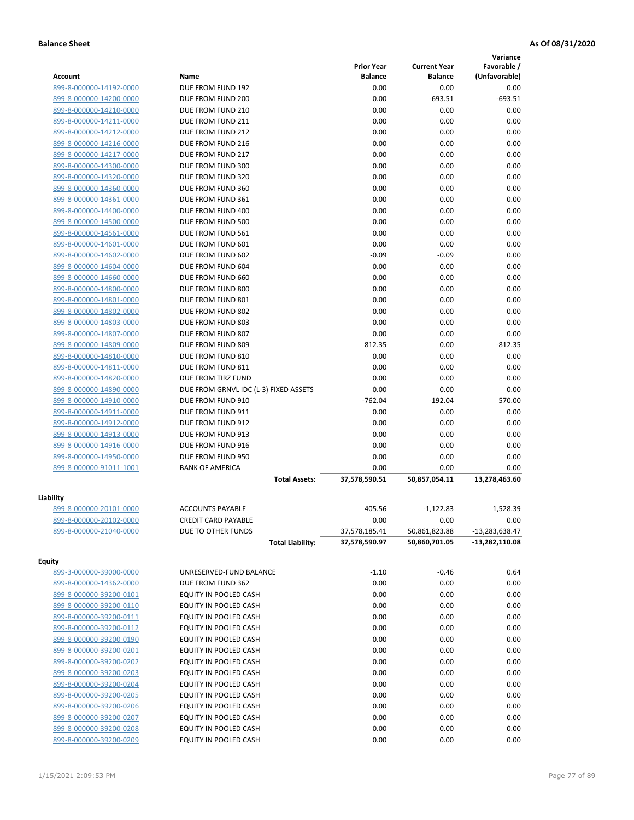|                         |                                       |                                     |                                       | Variance                     |
|-------------------------|---------------------------------------|-------------------------------------|---------------------------------------|------------------------------|
| <b>Account</b>          | Name                                  | <b>Prior Year</b><br><b>Balance</b> | <b>Current Year</b><br><b>Balance</b> | Favorable /<br>(Unfavorable) |
| 899-8-000000-14192-0000 | DUE FROM FUND 192                     | 0.00                                | 0.00                                  | 0.00                         |
| 899-8-000000-14200-0000 | DUE FROM FUND 200                     | 0.00                                | $-693.51$                             | $-693.51$                    |
| 899-8-000000-14210-0000 | DUE FROM FUND 210                     | 0.00                                | 0.00                                  | 0.00                         |
| 899-8-000000-14211-0000 | DUE FROM FUND 211                     | 0.00                                | 0.00                                  | 0.00                         |
| 899-8-000000-14212-0000 | DUE FROM FUND 212                     | 0.00                                | 0.00                                  | 0.00                         |
| 899-8-000000-14216-0000 | DUE FROM FUND 216                     | 0.00                                | 0.00                                  | 0.00                         |
| 899-8-000000-14217-0000 | DUE FROM FUND 217                     | 0.00                                | 0.00                                  | 0.00                         |
| 899-8-000000-14300-0000 | DUE FROM FUND 300                     | 0.00                                | 0.00                                  | 0.00                         |
| 899-8-000000-14320-0000 | DUE FROM FUND 320                     | 0.00                                | 0.00                                  | 0.00                         |
| 899-8-000000-14360-0000 | DUE FROM FUND 360                     | 0.00                                | 0.00                                  | 0.00                         |
| 899-8-000000-14361-0000 | DUE FROM FUND 361                     | 0.00                                | 0.00                                  | 0.00                         |
| 899-8-000000-14400-0000 | DUE FROM FUND 400                     | 0.00                                | 0.00                                  | 0.00                         |
| 899-8-000000-14500-0000 | DUE FROM FUND 500                     | 0.00                                | 0.00                                  | 0.00                         |
| 899-8-000000-14561-0000 | DUE FROM FUND 561                     | 0.00                                | 0.00                                  | 0.00                         |
| 899-8-000000-14601-0000 | DUE FROM FUND 601                     | 0.00                                | 0.00                                  | 0.00                         |
| 899-8-000000-14602-0000 | DUE FROM FUND 602                     | $-0.09$                             | $-0.09$                               | 0.00                         |
| 899-8-000000-14604-0000 | DUE FROM FUND 604                     | 0.00                                | 0.00                                  | 0.00                         |
| 899-8-000000-14660-0000 | DUE FROM FUND 660                     | 0.00                                | 0.00                                  | 0.00                         |
| 899-8-000000-14800-0000 | DUE FROM FUND 800                     | 0.00                                | 0.00                                  | 0.00                         |
| 899-8-000000-14801-0000 | DUE FROM FUND 801                     | 0.00                                | 0.00                                  | 0.00                         |
| 899-8-000000-14802-0000 | DUE FROM FUND 802                     | 0.00                                | 0.00                                  | 0.00                         |
| 899-8-000000-14803-0000 | DUE FROM FUND 803                     | 0.00                                | 0.00                                  | 0.00                         |
| 899-8-000000-14807-0000 | DUE FROM FUND 807                     | 0.00                                | 0.00                                  | 0.00                         |
| 899-8-000000-14809-0000 | DUE FROM FUND 809                     | 812.35                              | 0.00                                  | $-812.35$                    |
| 899-8-000000-14810-0000 | DUE FROM FUND 810                     | 0.00                                | 0.00                                  | 0.00                         |
| 899-8-000000-14811-0000 | DUE FROM FUND 811                     | 0.00                                | 0.00                                  | 0.00                         |
| 899-8-000000-14820-0000 | DUE FROM TIRZ FUND                    | 0.00                                | 0.00                                  | 0.00                         |
| 899-8-000000-14890-0000 | DUE FROM GRNVL IDC (L-3) FIXED ASSETS | 0.00                                | 0.00                                  | 0.00                         |
| 899-8-000000-14910-0000 | DUE FROM FUND 910                     | $-762.04$                           | $-192.04$                             | 570.00                       |
| 899-8-000000-14911-0000 | DUE FROM FUND 911                     | 0.00                                | 0.00                                  | 0.00                         |
| 899-8-000000-14912-0000 | DUE FROM FUND 912                     | 0.00                                | 0.00                                  | 0.00                         |
| 899-8-000000-14913-0000 | DUE FROM FUND 913                     | 0.00                                | 0.00                                  | 0.00                         |
| 899-8-000000-14916-0000 | DUE FROM FUND 916                     | 0.00                                | 0.00                                  | 0.00                         |
| 899-8-000000-14950-0000 | DUE FROM FUND 950                     | 0.00                                | 0.00                                  | 0.00                         |
| 899-8-000000-91011-1001 | <b>BANK OF AMERICA</b>                | 0.00                                | 0.00                                  | 0.00                         |
|                         | <b>Total Assets:</b>                  | 37,578,590.51                       | 50,857,054.11                         | 13,278,463.60                |
| Liability               |                                       |                                     |                                       |                              |
| 899-8-000000-20101-0000 | <b>ACCOUNTS PAYABLE</b>               | 405.56                              | $-1,122.83$                           | 1,528.39                     |
| 899-8-000000-20102-0000 | <b>CREDIT CARD PAYABLE</b>            | 0.00                                | 0.00                                  | 0.00                         |
| 899-8-000000-21040-0000 | DUE TO OTHER FUNDS                    | 37,578,185.41                       | 50,861,823.88                         | -13,283,638.47               |
|                         | <b>Total Liability:</b>               | 37,578,590.97                       | 50,860,701.05                         | -13,282,110.08               |
| <b>Equity</b>           |                                       |                                     |                                       |                              |
| 899-3-000000-39000-0000 | UNRESERVED-FUND BALANCE               | $-1.10$                             | $-0.46$                               | 0.64                         |
| 899-8-000000-14362-0000 | DUE FROM FUND 362                     | 0.00                                | 0.00                                  | 0.00                         |
| 899-8-000000-39200-0101 | EQUITY IN POOLED CASH                 | 0.00                                | 0.00                                  | 0.00                         |
| 899-8-000000-39200-0110 | EQUITY IN POOLED CASH                 | 0.00                                | 0.00                                  | 0.00                         |
| 899-8-000000-39200-0111 | EQUITY IN POOLED CASH                 | 0.00                                | 0.00                                  | 0.00                         |
| 899-8-000000-39200-0112 | EQUITY IN POOLED CASH                 | 0.00                                | 0.00                                  | 0.00                         |
| 899-8-000000-39200-0190 | EQUITY IN POOLED CASH                 | 0.00                                | 0.00                                  | 0.00                         |
| 899-8-000000-39200-0201 | EQUITY IN POOLED CASH                 | 0.00                                | 0.00                                  | 0.00                         |
| 899-8-000000-39200-0202 | EQUITY IN POOLED CASH                 | 0.00                                | 0.00                                  | 0.00                         |
| 899-8-000000-39200-0203 | EQUITY IN POOLED CASH                 | 0.00                                | 0.00                                  | 0.00                         |
| 899-8-000000-39200-0204 | EQUITY IN POOLED CASH                 | 0.00                                | 0.00                                  | 0.00                         |
| 899-8-000000-39200-0205 | EQUITY IN POOLED CASH                 | 0.00                                | 0.00                                  | 0.00                         |
| 899-8-000000-39200-0206 | EQUITY IN POOLED CASH                 | 0.00                                | 0.00                                  | 0.00                         |
| 899-8-000000-39200-0207 | EQUITY IN POOLED CASH                 | 0.00                                | 0.00                                  | 0.00                         |
| 899-8-000000-39200-0208 | EQUITY IN POOLED CASH                 | 0.00                                | 0.00                                  | 0.00                         |
| 899-8-000000-39200-0209 | EQUITY IN POOLED CASH                 | 0.00                                | 0.00                                  | 0.00                         |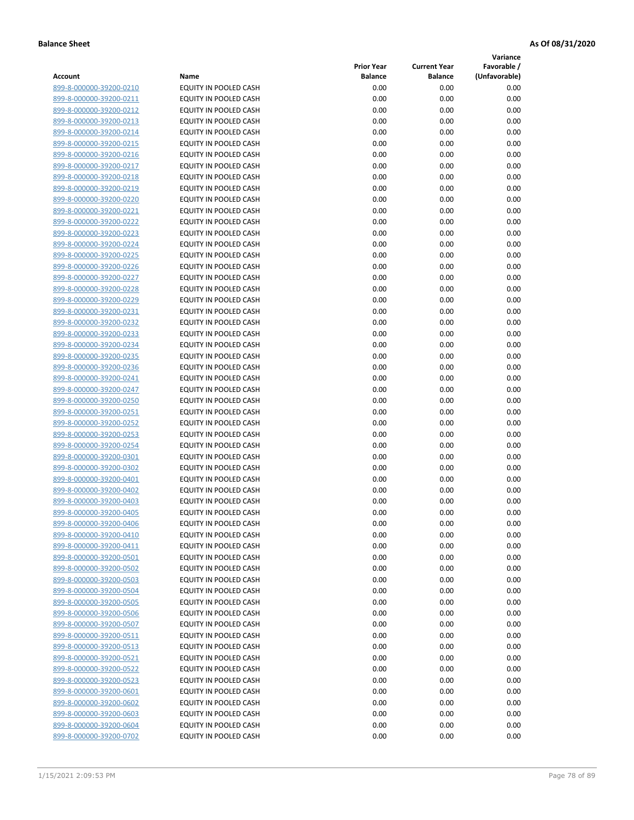**Variance**

|                         |                              | <b>Prior Year</b> | <b>Current Year</b> | Favorable /   |
|-------------------------|------------------------------|-------------------|---------------------|---------------|
| Account                 | Name                         | <b>Balance</b>    | <b>Balance</b>      | (Unfavorable) |
| 899-8-000000-39200-0210 | EQUITY IN POOLED CASH        | 0.00              | 0.00                | 0.00          |
| 899-8-000000-39200-0211 | EQUITY IN POOLED CASH        | 0.00              | 0.00                | 0.00          |
| 899-8-000000-39200-0212 | EQUITY IN POOLED CASH        | 0.00              | 0.00                | 0.00          |
| 899-8-000000-39200-0213 | EQUITY IN POOLED CASH        | 0.00              | 0.00                | 0.00          |
| 899-8-000000-39200-0214 | <b>EQUITY IN POOLED CASH</b> | 0.00              | 0.00                | 0.00          |
| 899-8-000000-39200-0215 | EQUITY IN POOLED CASH        | 0.00              | 0.00                | 0.00          |
| 899-8-000000-39200-0216 | EQUITY IN POOLED CASH        | 0.00              | 0.00                | 0.00          |
| 899-8-000000-39200-0217 | EQUITY IN POOLED CASH        | 0.00              | 0.00                | 0.00          |
| 899-8-000000-39200-0218 | EQUITY IN POOLED CASH        | 0.00              | 0.00                | 0.00          |
| 899-8-000000-39200-0219 | EQUITY IN POOLED CASH        | 0.00              | 0.00                | 0.00          |
| 899-8-000000-39200-0220 | EQUITY IN POOLED CASH        | 0.00              | 0.00                | 0.00          |
| 899-8-000000-39200-0221 | EQUITY IN POOLED CASH        | 0.00              | 0.00                | 0.00          |
| 899-8-000000-39200-0222 | EQUITY IN POOLED CASH        | 0.00              | 0.00                | 0.00          |
| 899-8-000000-39200-0223 | EQUITY IN POOLED CASH        | 0.00              | 0.00                | 0.00          |
| 899-8-000000-39200-0224 | EQUITY IN POOLED CASH        | 0.00              | 0.00                | 0.00          |
| 899-8-000000-39200-0225 | EQUITY IN POOLED CASH        | 0.00              | 0.00                | 0.00          |
| 899-8-000000-39200-0226 | EQUITY IN POOLED CASH        | 0.00              | 0.00                | 0.00          |
| 899-8-000000-39200-0227 | EQUITY IN POOLED CASH        | 0.00              | 0.00                | 0.00          |
| 899-8-000000-39200-0228 | EQUITY IN POOLED CASH        | 0.00              | 0.00                | 0.00          |
| 899-8-000000-39200-0229 | EQUITY IN POOLED CASH        | 0.00              | 0.00                | 0.00          |
| 899-8-000000-39200-0231 | EQUITY IN POOLED CASH        | 0.00              | 0.00                | 0.00          |
| 899-8-000000-39200-0232 | EQUITY IN POOLED CASH        | 0.00              | 0.00                | 0.00          |
| 899-8-000000-39200-0233 | EQUITY IN POOLED CASH        | 0.00              | 0.00                | 0.00          |
| 899-8-000000-39200-0234 | <b>EQUITY IN POOLED CASH</b> | 0.00              | 0.00                | 0.00          |
| 899-8-000000-39200-0235 | EQUITY IN POOLED CASH        | 0.00              | 0.00                | 0.00          |
| 899-8-000000-39200-0236 | EQUITY IN POOLED CASH        | 0.00              | 0.00                | 0.00          |
| 899-8-000000-39200-0241 | EQUITY IN POOLED CASH        | 0.00              | 0.00                | 0.00          |
| 899-8-000000-39200-0247 | EQUITY IN POOLED CASH        | 0.00              | 0.00                | 0.00          |
| 899-8-000000-39200-0250 | EQUITY IN POOLED CASH        | 0.00              | 0.00                | 0.00          |
| 899-8-000000-39200-0251 | EQUITY IN POOLED CASH        | 0.00              | 0.00                | 0.00          |
| 899-8-000000-39200-0252 | EQUITY IN POOLED CASH        | 0.00              | 0.00                | 0.00          |
| 899-8-000000-39200-0253 | EQUITY IN POOLED CASH        | 0.00              | 0.00                | 0.00          |
| 899-8-000000-39200-0254 | EQUITY IN POOLED CASH        | 0.00              | 0.00                | 0.00          |
| 899-8-000000-39200-0301 | EQUITY IN POOLED CASH        | 0.00              | 0.00                | 0.00          |
| 899-8-000000-39200-0302 | EQUITY IN POOLED CASH        | 0.00              | 0.00                | 0.00          |
| 899-8-000000-39200-0401 | <b>EQUITY IN POOLED CASH</b> | 0.00              | 0.00                | 0.00          |
| 899-8-000000-39200-0402 | EQUITY IN POOLED CASH        | 0.00              | 0.00                | 0.00          |
| 899-8-000000-39200-0403 | EQUITY IN POOLED CASH        | 0.00              | 0.00                | 0.00          |
| 899-8-000000-39200-0405 | <b>EQUITY IN POOLED CASH</b> | 0.00              | 0.00                | 0.00          |
| 899-8-000000-39200-0406 | EQUITY IN POOLED CASH        | 0.00              | 0.00                | 0.00          |
| 899-8-000000-39200-0410 | EQUITY IN POOLED CASH        | 0.00              | 0.00                | 0.00          |
| 899-8-000000-39200-0411 | EQUITY IN POOLED CASH        | 0.00              | 0.00                | 0.00          |
| 899-8-000000-39200-0501 | EQUITY IN POOLED CASH        | 0.00              | 0.00                | 0.00          |
| 899-8-000000-39200-0502 | EQUITY IN POOLED CASH        | 0.00              | 0.00                | 0.00          |
| 899-8-000000-39200-0503 | EQUITY IN POOLED CASH        | 0.00              | 0.00                | 0.00          |
| 899-8-000000-39200-0504 | EQUITY IN POOLED CASH        | 0.00              | 0.00                | 0.00          |
| 899-8-000000-39200-0505 | EQUITY IN POOLED CASH        | 0.00              | 0.00                | 0.00          |
| 899-8-000000-39200-0506 | EQUITY IN POOLED CASH        | 0.00              | 0.00                | 0.00          |
| 899-8-000000-39200-0507 | EQUITY IN POOLED CASH        | 0.00              | 0.00                | 0.00          |
| 899-8-000000-39200-0511 | EQUITY IN POOLED CASH        | 0.00              | 0.00                | 0.00          |
| 899-8-000000-39200-0513 | <b>EQUITY IN POOLED CASH</b> | 0.00              | 0.00                | 0.00          |
| 899-8-000000-39200-0521 | EQUITY IN POOLED CASH        | 0.00              | 0.00                | 0.00          |
| 899-8-000000-39200-0522 | EQUITY IN POOLED CASH        | 0.00              | 0.00                | 0.00          |
| 899-8-000000-39200-0523 | EQUITY IN POOLED CASH        | 0.00              | 0.00                | 0.00          |
| 899-8-000000-39200-0601 | EQUITY IN POOLED CASH        | 0.00              | 0.00                | 0.00          |
| 899-8-000000-39200-0602 | EQUITY IN POOLED CASH        | 0.00              | 0.00                | 0.00          |
| 899-8-000000-39200-0603 | EQUITY IN POOLED CASH        | 0.00              | 0.00                | 0.00          |
| 899-8-000000-39200-0604 | EQUITY IN POOLED CASH        | 0.00              | 0.00                | 0.00          |
| 899-8-000000-39200-0702 | EQUITY IN POOLED CASH        | 0.00              |                     | 0.00          |
|                         |                              |                   | 0.00                |               |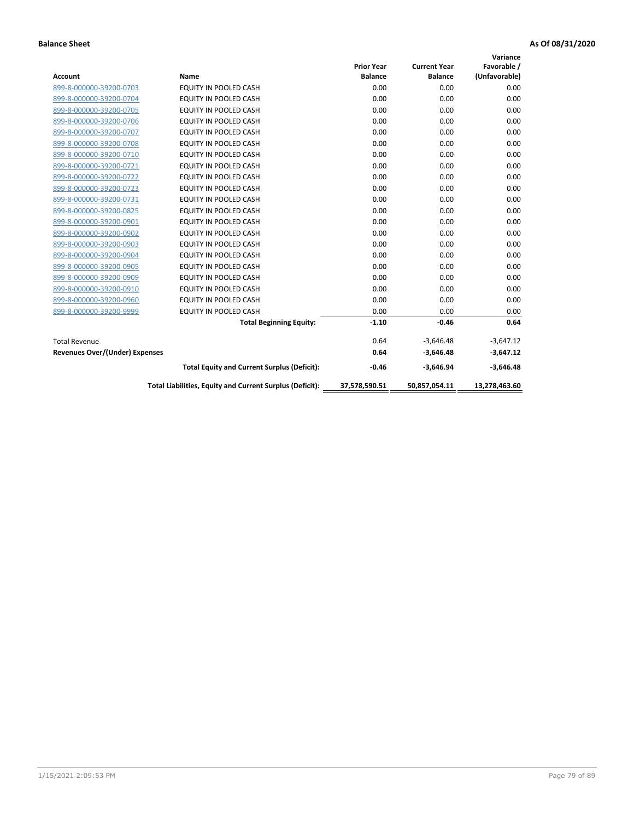|                                       |                                                          |                   |                     | Variance      |
|---------------------------------------|----------------------------------------------------------|-------------------|---------------------|---------------|
|                                       |                                                          | <b>Prior Year</b> | <b>Current Year</b> | Favorable /   |
| <b>Account</b>                        | <b>Name</b>                                              | <b>Balance</b>    | <b>Balance</b>      | (Unfavorable) |
| 899-8-000000-39200-0703               | EQUITY IN POOLED CASH                                    | 0.00              | 0.00                | 0.00          |
| 899-8-000000-39200-0704               | <b>EQUITY IN POOLED CASH</b>                             | 0.00              | 0.00                | 0.00          |
| 899-8-000000-39200-0705               | <b>EQUITY IN POOLED CASH</b>                             | 0.00              | 0.00                | 0.00          |
| 899-8-000000-39200-0706               | <b>EQUITY IN POOLED CASH</b>                             | 0.00              | 0.00                | 0.00          |
| 899-8-000000-39200-0707               | <b>EQUITY IN POOLED CASH</b>                             | 0.00              | 0.00                | 0.00          |
| 899-8-000000-39200-0708               | <b>EQUITY IN POOLED CASH</b>                             | 0.00              | 0.00                | 0.00          |
| 899-8-000000-39200-0710               | <b>EQUITY IN POOLED CASH</b>                             | 0.00              | 0.00                | 0.00          |
| 899-8-000000-39200-0721               | <b>EQUITY IN POOLED CASH</b>                             | 0.00              | 0.00                | 0.00          |
| 899-8-000000-39200-0722               | EQUITY IN POOLED CASH                                    | 0.00              | 0.00                | 0.00          |
| 899-8-000000-39200-0723               | EQUITY IN POOLED CASH                                    | 0.00              | 0.00                | 0.00          |
| 899-8-000000-39200-0731               | <b>EQUITY IN POOLED CASH</b>                             | 0.00              | 0.00                | 0.00          |
| 899-8-000000-39200-0825               | EQUITY IN POOLED CASH                                    | 0.00              | 0.00                | 0.00          |
| 899-8-000000-39200-0901               | EQUITY IN POOLED CASH                                    | 0.00              | 0.00                | 0.00          |
| 899-8-000000-39200-0902               | EQUITY IN POOLED CASH                                    | 0.00              | 0.00                | 0.00          |
| 899-8-000000-39200-0903               | <b>EQUITY IN POOLED CASH</b>                             | 0.00              | 0.00                | 0.00          |
| 899-8-000000-39200-0904               | <b>EQUITY IN POOLED CASH</b>                             | 0.00              | 0.00                | 0.00          |
| 899-8-000000-39200-0905               | EQUITY IN POOLED CASH                                    | 0.00              | 0.00                | 0.00          |
| 899-8-000000-39200-0909               | EQUITY IN POOLED CASH                                    | 0.00              | 0.00                | 0.00          |
| 899-8-000000-39200-0910               | <b>EQUITY IN POOLED CASH</b>                             | 0.00              | 0.00                | 0.00          |
| 899-8-000000-39200-0960               | <b>EQUITY IN POOLED CASH</b>                             | 0.00              | 0.00                | 0.00          |
| 899-8-000000-39200-9999               | EQUITY IN POOLED CASH                                    | 0.00              | 0.00                | 0.00          |
|                                       | <b>Total Beginning Equity:</b>                           | $-1.10$           | $-0.46$             | 0.64          |
| <b>Total Revenue</b>                  |                                                          | 0.64              | $-3,646.48$         | $-3,647.12$   |
| <b>Revenues Over/(Under) Expenses</b> |                                                          | 0.64              | $-3.646.48$         | $-3,647.12$   |
|                                       | <b>Total Equity and Current Surplus (Deficit):</b>       | $-0.46$           | $-3,646.94$         | $-3,646.48$   |
|                                       | Total Liabilities, Equity and Current Surplus (Deficit): | 37,578,590.51     | 50,857,054.11       | 13,278,463.60 |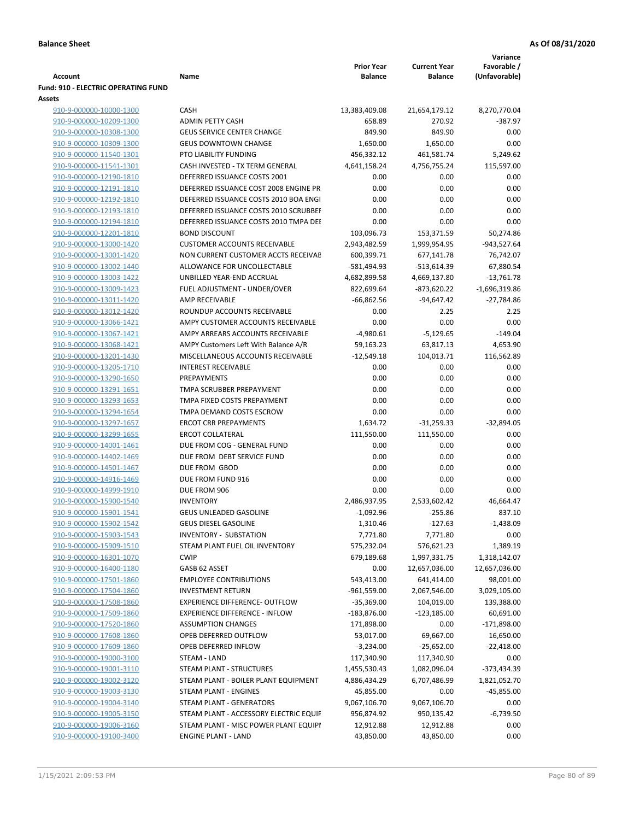|                                                    |                                                                                |                                     |                                       | Variance                     |
|----------------------------------------------------|--------------------------------------------------------------------------------|-------------------------------------|---------------------------------------|------------------------------|
| <b>Account</b>                                     | Name                                                                           | <b>Prior Year</b><br><b>Balance</b> | <b>Current Year</b><br><b>Balance</b> | Favorable /<br>(Unfavorable) |
| <b>Fund: 910 - ELECTRIC OPERATING FUND</b>         |                                                                                |                                     |                                       |                              |
| Assets<br>910-9-000000-10000-1300                  | <b>CASH</b>                                                                    | 13,383,409.08                       | 21,654,179.12                         | 8,270,770.04                 |
| 910-9-000000-10209-1300                            | <b>ADMIN PETTY CASH</b>                                                        | 658.89                              | 270.92                                | $-387.97$                    |
| 910-9-000000-10308-1300                            | <b>GEUS SERVICE CENTER CHANGE</b>                                              | 849.90                              | 849.90                                | 0.00                         |
| 910-9-000000-10309-1300                            | <b>GEUS DOWNTOWN CHANGE</b>                                                    | 1,650.00                            | 1,650.00                              | 0.00                         |
| 910-9-000000-11540-1301                            | PTO LIABILITY FUNDING                                                          | 456,332.12                          | 461,581.74                            | 5,249.62                     |
| 910-9-000000-11541-1301                            | CASH INVESTED - TX TERM GENERAL                                                | 4,641,158.24                        | 4,756,755.24                          | 115,597.00                   |
| 910-9-000000-12190-1810                            | DEFERRED ISSUANCE COSTS 2001                                                   | 0.00                                | 0.00                                  | 0.00                         |
| 910-9-000000-12191-1810                            | DEFERRED ISSUANCE COST 2008 ENGINE PR                                          | 0.00                                | 0.00                                  | 0.00                         |
| 910-9-000000-12192-1810                            | DEFERRED ISSUANCE COSTS 2010 BOA ENGI                                          | 0.00                                | 0.00                                  | 0.00                         |
| 910-9-000000-12193-1810                            | DEFERRED ISSUANCE COSTS 2010 SCRUBBEI                                          | 0.00                                | 0.00                                  | 0.00                         |
| 910-9-000000-12194-1810                            | DEFERRED ISSUANCE COSTS 2010 TMPA DEI                                          | 0.00                                | 0.00                                  | 0.00                         |
| 910-9-000000-12201-1810                            | <b>BOND DISCOUNT</b>                                                           | 103,096.73                          | 153,371.59                            | 50,274.86                    |
| 910-9-000000-13000-1420                            | <b>CUSTOMER ACCOUNTS RECEIVABLE</b>                                            | 2,943,482.59                        | 1,999,954.95                          | -943,527.64                  |
| 910-9-000000-13001-1420                            | NON CURRENT CUSTOMER ACCTS RECEIVAE                                            | 600,399.71                          | 677,141.78                            | 76,742.07                    |
| 910-9-000000-13002-1440                            | ALLOWANCE FOR UNCOLLECTABLE                                                    | -581,494.93                         | $-513,614.39$                         | 67,880.54                    |
| 910-9-000000-13003-1422                            | UNBILLED YEAR-END ACCRUAL                                                      | 4,682,899.58                        | 4,669,137.80                          | $-13,761.78$                 |
| 910-9-000000-13009-1423                            | FUEL ADJUSTMENT - UNDER/OVER                                                   | 822,699.64                          | -873,620.22                           | $-1,696,319.86$              |
| 910-9-000000-13011-1420                            | AMP RECEIVABLE                                                                 | $-66,862.56$                        | $-94,647.42$                          | $-27,784.86$                 |
| 910-9-000000-13012-1420                            | ROUNDUP ACCOUNTS RECEIVABLE                                                    | 0.00                                | 2.25                                  | 2.25                         |
| 910-9-000000-13066-1421                            | AMPY CUSTOMER ACCOUNTS RECEIVABLE                                              | 0.00                                | 0.00                                  | 0.00                         |
| 910-9-000000-13067-1421                            | AMPY ARREARS ACCOUNTS RECEIVABLE                                               | $-4,980.61$                         | $-5,129.65$                           | $-149.04$                    |
| 910-9-000000-13068-1421                            | AMPY Customers Left With Balance A/R                                           | 59,163.23                           | 63,817.13                             | 4,653.90                     |
| 910-9-000000-13201-1430                            | MISCELLANEOUS ACCOUNTS RECEIVABLE                                              | $-12,549.18$                        | 104,013.71                            | 116,562.89                   |
| 910-9-000000-13205-1710                            | <b>INTEREST RECEIVABLE</b>                                                     | 0.00                                | 0.00                                  | 0.00                         |
| 910-9-000000-13290-1650                            | PREPAYMENTS                                                                    | 0.00                                | 0.00                                  | 0.00                         |
| 910-9-000000-13291-1651                            | TMPA SCRUBBER PREPAYMENT                                                       | 0.00                                | 0.00                                  | 0.00                         |
| 910-9-000000-13293-1653                            | TMPA FIXED COSTS PREPAYMENT                                                    | 0.00                                | 0.00                                  | 0.00                         |
| 910-9-000000-13294-1654                            | TMPA DEMAND COSTS ESCROW                                                       | 0.00                                | 0.00                                  | 0.00                         |
| 910-9-000000-13297-1657                            | <b>ERCOT CRR PREPAYMENTS</b>                                                   | 1,634.72                            | $-31,259.33$                          | $-32,894.05$                 |
| 910-9-000000-13299-1655                            | <b>ERCOT COLLATERAL</b>                                                        | 111,550.00                          | 111,550.00                            | 0.00                         |
| 910-9-000000-14001-1461                            | DUE FROM COG - GENERAL FUND                                                    | 0.00                                | 0.00                                  | 0.00                         |
| 910-9-000000-14402-1469                            | DUE FROM DEBT SERVICE FUND                                                     | 0.00                                | 0.00                                  | 0.00                         |
| 910-9-000000-14501-1467                            | DUE FROM GBOD                                                                  | 0.00                                | 0.00                                  | 0.00                         |
| 910-9-000000-14916-1469                            | DUE FROM FUND 916                                                              | 0.00                                | 0.00                                  | 0.00                         |
| 910-9-000000-14999-1910                            | DUE FROM 906                                                                   | 0.00                                | 0.00                                  | 0.00                         |
| 910-9-000000-15900-1540                            | <b>INVENTORY</b>                                                               | 2,486,937.95                        | 2,533,602.42                          | 46,664.47                    |
| 910-9-000000-15901-1541                            | <b>GEUS UNLEADED GASOLINE</b>                                                  | $-1,092.96$                         | $-255.86$                             | 837.10                       |
| 910-9-000000-15902-1542                            | <b>GEUS DIESEL GASOLINE</b>                                                    | 1,310.46                            | $-127.63$                             | $-1,438.09$                  |
| 910-9-000000-15903-1543                            | <b>INVENTORY - SUBSTATION</b>                                                  | 7,771.80                            | 7,771.80                              | 0.00                         |
| 910-9-000000-15909-1510                            | STEAM PLANT FUEL OIL INVENTORY                                                 | 575,232.04                          | 576,621.23                            | 1,389.19                     |
| 910-9-000000-16301-1070                            | <b>CWIP</b>                                                                    | 679,189.68                          | 1,997,331.75                          | 1,318,142.07                 |
| 910-9-000000-16400-1180                            | GASB 62 ASSET                                                                  | 0.00                                | 12,657,036.00                         | 12,657,036.00                |
| 910-9-000000-17501-1860                            | <b>EMPLOYEE CONTRIBUTIONS</b>                                                  | 543,413.00                          | 641,414.00                            | 98,001.00                    |
| 910-9-000000-17504-1860                            | <b>INVESTMENT RETURN</b>                                                       | $-961,559.00$                       | 2,067,546.00                          | 3,029,105.00                 |
| 910-9-000000-17508-1860                            | <b>EXPERIENCE DIFFERENCE- OUTFLOW</b><br><b>EXPERIENCE DIFFERENCE - INFLOW</b> | $-35,369.00$                        | 104,019.00                            | 139,388.00                   |
| 910-9-000000-17509-1860<br>910-9-000000-17520-1860 | <b>ASSUMPTION CHANGES</b>                                                      | -183,876.00<br>171,898.00           | $-123,185.00$<br>0.00                 | 60,691.00<br>$-171,898.00$   |
| 910-9-000000-17608-1860                            | OPEB DEFERRED OUTFLOW                                                          | 53,017.00                           | 69,667.00                             | 16,650.00                    |
| 910-9-000000-17609-1860                            | OPEB DEFERRED INFLOW                                                           | $-3,234.00$                         | $-25,652.00$                          | $-22,418.00$                 |
| 910-9-000000-19000-3100                            | STEAM - LAND                                                                   | 117,340.90                          | 117,340.90                            | 0.00                         |
| 910-9-000000-19001-3110                            | STEAM PLANT - STRUCTURES                                                       | 1,455,530.43                        | 1,082,096.04                          | -373,434.39                  |
| 910-9-000000-19002-3120                            | STEAM PLANT - BOILER PLANT EQUIPMENT                                           | 4,886,434.29                        | 6,707,486.99                          | 1,821,052.70                 |
| 910-9-000000-19003-3130                            | STEAM PLANT - ENGINES                                                          | 45,855.00                           | 0.00                                  | -45,855.00                   |
| 910-9-000000-19004-3140                            | STEAM PLANT - GENERATORS                                                       | 9,067,106.70                        | 9,067,106.70                          | 0.00                         |
| 910-9-000000-19005-3150                            | STEAM PLANT - ACCESSORY ELECTRIC EQUIF                                         | 956,874.92                          | 950,135.42                            | $-6,739.50$                  |
| 910-9-000000-19006-3160                            | STEAM PLANT - MISC POWER PLANT EQUIPI                                          | 12,912.88                           | 12,912.88                             | 0.00                         |
| 910-9-000000-19100-3400                            | <b>ENGINE PLANT - LAND</b>                                                     | 43,850.00                           | 43,850.00                             | 0.00                         |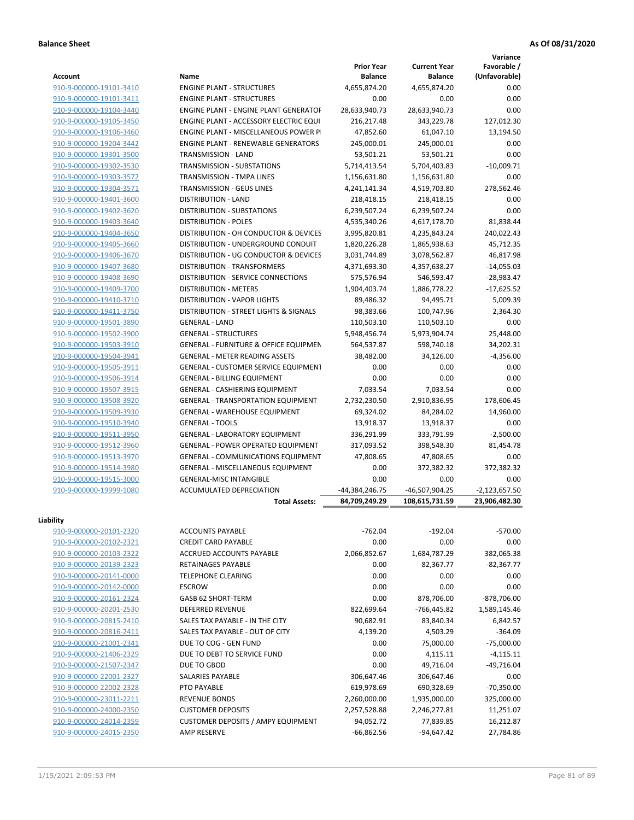**Variance**

| Account                                            | Name                                             | <b>Prior Year</b><br><b>Balance</b> | <b>Current Year</b><br><b>Balance</b> | Favorable /<br>(Unfavorable) |
|----------------------------------------------------|--------------------------------------------------|-------------------------------------|---------------------------------------|------------------------------|
| 910-9-000000-19101-3410                            | <b>ENGINE PLANT - STRUCTURES</b>                 | 4,655,874.20                        | 4,655,874.20                          | 0.00                         |
| 910-9-000000-19101-3411                            | <b>ENGINE PLANT - STRUCTURES</b>                 | 0.00                                | 0.00                                  | 0.00                         |
| 910-9-000000-19104-3440                            | ENGINE PLANT - ENGINE PLANT GENERATOF            | 28,633,940.73                       | 28,633,940.73                         | 0.00                         |
| 910-9-000000-19105-3450                            | ENGINE PLANT - ACCESSORY ELECTRIC EQUI           | 216,217.48                          | 343,229.78                            | 127,012.30                   |
| 910-9-000000-19106-3460                            | ENGINE PLANT - MISCELLANEOUS POWER P             | 47,852.60                           | 61,047.10                             | 13,194.50                    |
| 910-9-000000-19204-3442                            | <b>ENGINE PLANT - RENEWABLE GENERATORS</b>       | 245,000.01                          | 245,000.01                            | 0.00                         |
| 910-9-000000-19301-3500                            | TRANSMISSION - LAND                              | 53,501.21                           | 53,501.21                             | 0.00                         |
| 910-9-000000-19302-3530                            | TRANSMISSION - SUBSTATIONS                       | 5,714,413.54                        | 5,704,403.83                          | $-10,009.71$                 |
| 910-9-000000-19303-3572                            | TRANSMISSION - TMPA LINES                        | 1,156,631.80                        | 1,156,631.80                          | 0.00                         |
| 910-9-000000-19304-3571                            | TRANSMISSION - GEUS LINES                        | 4,241,141.34                        | 4,519,703.80                          | 278,562.46                   |
| 910-9-000000-19401-3600                            | <b>DISTRIBUTION - LAND</b>                       | 218,418.15                          | 218,418.15                            | 0.00                         |
| 910-9-000000-19402-3620                            | DISTRIBUTION - SUBSTATIONS                       | 6,239,507.24                        | 6,239,507.24                          | 0.00                         |
| 910-9-000000-19403-3640                            | <b>DISTRIBUTION - POLES</b>                      | 4,535,340.26                        | 4,617,178.70                          | 81,838.44                    |
| 910-9-000000-19404-3650                            | DISTRIBUTION - OH CONDUCTOR & DEVICES            | 3,995,820.81                        | 4,235,843.24                          | 240,022.43                   |
| 910-9-000000-19405-3660                            | DISTRIBUTION - UNDERGROUND CONDUIT               | 1,820,226.28                        | 1,865,938.63                          | 45,712.35                    |
| 910-9-000000-19406-3670                            | DISTRIBUTION - UG CONDUCTOR & DEVICES            | 3,031,744.89                        | 3,078,562.87                          | 46,817.98                    |
| 910-9-000000-19407-3680                            | <b>DISTRIBUTION - TRANSFORMERS</b>               | 4,371,693.30                        | 4,357,638.27                          | $-14,055.03$                 |
| 910-9-000000-19408-3690                            | DISTRIBUTION - SERVICE CONNECTIONS               | 575,576.94                          | 546,593.47                            | $-28,983.47$                 |
| 910-9-000000-19409-3700                            | <b>DISTRIBUTION - METERS</b>                     | 1,904,403.74                        | 1,886,778.22                          | $-17,625.52$                 |
| 910-9-000000-19410-3710                            | DISTRIBUTION - VAPOR LIGHTS                      | 89,486.32                           | 94,495.71                             | 5,009.39                     |
| 910-9-000000-19411-3750                            | DISTRIBUTION - STREET LIGHTS & SIGNALS           | 98,383.66                           | 100,747.96                            | 2,364.30                     |
| 910-9-000000-19501-3890                            | <b>GENERAL - LAND</b>                            | 110,503.10                          | 110,503.10                            | 0.00                         |
| 910-9-000000-19502-3900                            | <b>GENERAL - STRUCTURES</b>                      | 5,948,456.74                        | 5,973,904.74                          | 25,448.00                    |
| 910-9-000000-19503-3910                            | <b>GENERAL - FURNITURE &amp; OFFICE EQUIPMEN</b> | 564,537.87                          | 598,740.18                            | 34,202.31                    |
| 910-9-000000-19504-3941                            | <b>GENERAL - METER READING ASSETS</b>            | 38,482.00                           | 34,126.00                             | $-4,356.00$                  |
| 910-9-000000-19505-3911                            | GENERAL - CUSTOMER SERVICE EQUIPMENT             | 0.00                                | 0.00                                  | 0.00                         |
| 910-9-000000-19506-3914                            | <b>GENERAL - BILLING EQUIPMENT</b>               | 0.00                                | 0.00                                  | 0.00                         |
| 910-9-000000-19507-3915                            | GENERAL - CASHIERING EQUIPMENT                   | 7,033.54                            | 7,033.54                              | 0.00                         |
|                                                    | <b>GENERAL - TRANSPORTATION EQUIPMENT</b>        | 2,732,230.50                        | 2,910,836.95                          |                              |
| 910-9-000000-19508-3920                            | <b>GENERAL - WAREHOUSE EQUIPMENT</b>             |                                     |                                       | 178,606.45                   |
| 910-9-000000-19509-3930<br>910-9-000000-19510-3940 | <b>GENERAL - TOOLS</b>                           | 69,324.02                           | 84,284.02                             | 14,960.00<br>0.00            |
| 910-9-000000-19511-3950                            | GENERAL - LABORATORY EQUIPMENT                   | 13,918.37<br>336,291.99             | 13,918.37<br>333,791.99               | $-2,500.00$                  |
| 910-9-000000-19512-3960                            | <b>GENERAL - POWER OPERATED EQUIPMENT</b>        | 317,093.52                          | 398,548.30                            | 81,454.78                    |
| 910-9-000000-19513-3970                            | GENERAL - COMMUNICATIONS EQUIPMENT               | 47,808.65                           | 47,808.65                             | 0.00                         |
| 910-9-000000-19514-3980                            | <b>GENERAL - MISCELLANEOUS EQUIPMENT</b>         | 0.00                                | 372,382.32                            | 372,382.32                   |
| 910-9-000000-19515-3000                            | GENERAL-MISC INTANGIBLE                          | 0.00                                | 0.00                                  | 0.00                         |
| 910-9-000000-19999-1080                            | <b>ACCUMULATED DEPRECIATION</b>                  | -44,384,246.75                      | -46,507,904.25                        | $-2,123,657.50$              |
|                                                    | <b>Total Assets:</b>                             | 84.709.249.29                       | 108.615.731.59                        | 23,906,482.30                |
|                                                    |                                                  |                                     |                                       |                              |
| Liability                                          |                                                  |                                     |                                       |                              |
| 910-9-000000-20101-2320                            | <b>ACCOUNTS PAYABLE</b>                          | $-762.04$                           | $-192.04$                             | $-570.00$                    |
| 910-9-000000-20102-2321                            | <b>CREDIT CARD PAYABLE</b>                       | 0.00                                | 0.00                                  | 0.00                         |
| 910-9-000000-20103-2322                            | ACCRUED ACCOUNTS PAYABLE                         | 2,066,852.67                        | 1,684,787.29                          | 382,065.38                   |
| 910-9-000000-20139-2323                            | <b>RETAINAGES PAYABLE</b>                        | 0.00                                | 82,367.77                             | $-82,367.77$                 |
| 910-9-000000-20141-0000                            | TELEPHONE CLEARING                               | 0.00                                | 0.00                                  | 0.00                         |
| 910-9-000000-20142-0000                            | <b>ESCROW</b>                                    | 0.00                                | 0.00                                  | 0.00                         |
| 910-9-000000-20161-2324                            | GASB 62 SHORT-TERM                               | 0.00                                | 878,706.00                            | -878,706.00                  |
| 910-9-000000-20201-2530                            | <b>DEFERRED REVENUE</b>                          | 822,699.64                          | -766,445.82                           | 1,589,145.46                 |
| 910-9-000000-20815-2410                            | SALES TAX PAYABLE - IN THE CITY                  | 90,682.91                           | 83,840.34                             | 6,842.57                     |
| 910-9-000000-20816-2411                            | SALES TAX PAYABLE - OUT OF CITY                  | 4,139.20                            | 4,503.29                              | $-364.09$                    |
| 910-9-000000-21001-2341                            | DUE TO COG - GEN FUND                            | 0.00                                | 75,000.00                             | $-75,000.00$                 |
| 910-9-000000-21406-2329                            | DUE TO DEBT TO SERVICE FUND                      | 0.00                                | 4,115.11                              | $-4,115.11$                  |
| 910-9-000000-21507-2347                            | DUE TO GBOD                                      | 0.00                                | 49,716.04                             | $-49,716.04$                 |
| 910-9-000000-22001-2327                            | SALARIES PAYABLE                                 | 306,647.46                          | 306,647.46                            | 0.00                         |
| 910-9-000000-22002-2328                            | PTO PAYABLE                                      | 619,978.69                          | 690,328.69                            | $-70,350.00$                 |
| 910-9-000000-23011-2211                            | <b>REVENUE BONDS</b>                             | 2,260,000.00                        | 1,935,000.00                          | 325,000.00                   |
| 910-9-000000-24000-2350                            | <b>CUSTOMER DEPOSITS</b>                         | 2,257,528.88                        | 2,246,277.81                          | 11,251.07                    |
| 910-9-000000-24014-2359                            | <b>CUSTOMER DEPOSITS / AMPY EQUIPMENT</b>        | 94,052.72                           | 77,839.85                             | 16,212.87                    |
| 910-9-000000-24015-2350                            | AMP RESERVE                                      | $-66,862.56$                        | -94,647.42                            | 27,784.86                    |
|                                                    |                                                  |                                     |                                       |                              |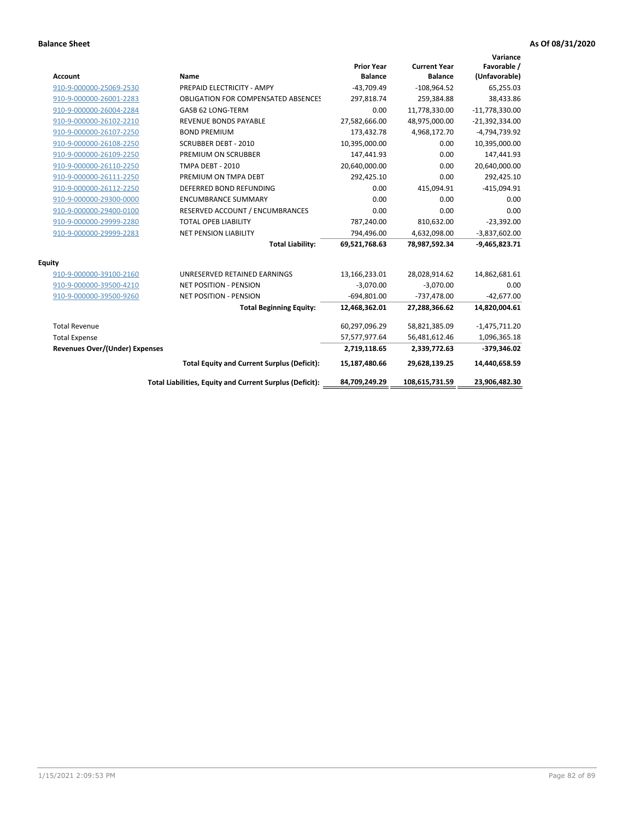| <b>Account</b>                        | Name                                                     | <b>Prior Year</b><br><b>Balance</b> | <b>Current Year</b><br><b>Balance</b> | Variance<br>Favorable /<br>(Unfavorable) |
|---------------------------------------|----------------------------------------------------------|-------------------------------------|---------------------------------------|------------------------------------------|
| 910-9-000000-25069-2530               | PREPAID ELECTRICITY - AMPY                               | $-43,709.49$                        | $-108,964.52$                         | 65,255.03                                |
| 910-9-000000-26001-2283               | <b>OBLIGATION FOR COMPENSATED ABSENCES</b>               | 297,818.74                          | 259,384.88                            | 38,433.86                                |
| 910-9-000000-26004-2284               | GASB 62 LONG-TERM                                        | 0.00                                | 11,778,330.00                         | $-11,778,330.00$                         |
| 910-9-000000-26102-2210               | <b>REVENUE BONDS PAYABLE</b>                             | 27,582,666.00                       | 48,975,000.00                         | $-21,392,334.00$                         |
| 910-9-000000-26107-2250               | <b>BOND PREMIUM</b>                                      | 173,432.78                          | 4,968,172.70                          | -4,794,739.92                            |
| 910-9-000000-26108-2250               | <b>SCRUBBER DEBT - 2010</b>                              | 10,395,000.00                       | 0.00                                  | 10,395,000.00                            |
| 910-9-000000-26109-2250               | PREMIUM ON SCRUBBER                                      | 147,441.93                          | 0.00                                  | 147,441.93                               |
| 910-9-000000-26110-2250               | <b>TMPA DEBT - 2010</b>                                  | 20,640,000.00                       | 0.00                                  | 20,640,000.00                            |
| 910-9-000000-26111-2250               | PREMIUM ON TMPA DEBT                                     | 292,425.10                          | 0.00                                  | 292,425.10                               |
| 910-9-000000-26112-2250               | DEFERRED BOND REFUNDING                                  | 0.00                                | 415,094.91                            | $-415,094.91$                            |
| 910-9-000000-29300-0000               | <b>ENCUMBRANCE SUMMARY</b>                               | 0.00                                | 0.00                                  | 0.00                                     |
| 910-9-000000-29400-0100               | RESERVED ACCOUNT / ENCUMBRANCES                          | 0.00                                | 0.00                                  | 0.00                                     |
| 910-9-000000-29999-2280               | <b>TOTAL OPEB LIABILITY</b>                              | 787,240.00                          | 810,632.00                            | $-23,392.00$                             |
| 910-9-000000-29999-2283               | <b>NET PENSION LIABILITY</b>                             | 794,496.00                          | 4,632,098.00                          | $-3,837,602.00$                          |
|                                       | <b>Total Liability:</b>                                  | 69,521,768.63                       | 78,987,592.34                         | $-9,465,823.71$                          |
| <b>Equity</b>                         |                                                          |                                     |                                       |                                          |
| 910-9-000000-39100-2160               | UNRESERVED RETAINED EARNINGS                             | 13,166,233.01                       | 28,028,914.62                         | 14,862,681.61                            |
| 910-9-000000-39500-4210               | <b>NET POSITION - PENSION</b>                            | $-3,070.00$                         | $-3,070.00$                           | 0.00                                     |
| 910-9-000000-39500-9260               | <b>NET POSITION - PENSION</b>                            | $-694,801.00$                       | $-737,478.00$                         | $-42,677.00$                             |
|                                       | <b>Total Beginning Equity:</b>                           | 12,468,362.01                       | 27,288,366.62                         | 14,820,004.61                            |
| <b>Total Revenue</b>                  |                                                          | 60,297,096.29                       | 58,821,385.09                         | $-1,475,711.20$                          |
| <b>Total Expense</b>                  |                                                          | 57,577,977.64                       | 56,481,612.46                         | 1,096,365.18                             |
| <b>Revenues Over/(Under) Expenses</b> |                                                          | 2,719,118.65                        | 2,339,772.63                          | -379,346.02                              |
|                                       | <b>Total Equity and Current Surplus (Deficit):</b>       | 15,187,480.66                       | 29,628,139.25                         | 14,440,658.59                            |
|                                       | Total Liabilities, Equity and Current Surplus (Deficit): | 84,709,249.29                       | 108,615,731.59                        | 23,906,482.30                            |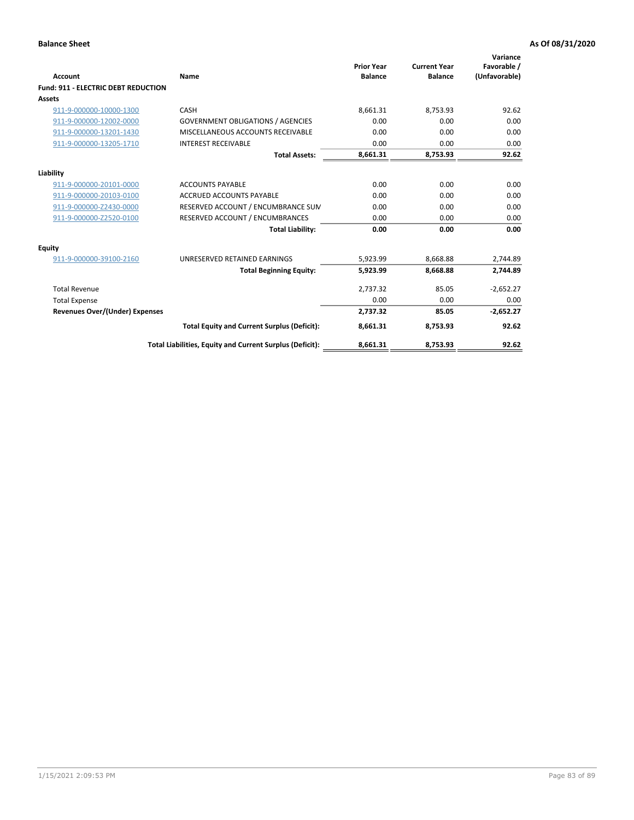| <b>Account</b>                             | Name                                                     | <b>Prior Year</b><br><b>Balance</b> | <b>Current Year</b><br><b>Balance</b> | Variance<br>Favorable /<br>(Unfavorable) |
|--------------------------------------------|----------------------------------------------------------|-------------------------------------|---------------------------------------|------------------------------------------|
| <b>Fund: 911 - ELECTRIC DEBT REDUCTION</b> |                                                          |                                     |                                       |                                          |
| Assets                                     |                                                          |                                     |                                       |                                          |
| 911-9-000000-10000-1300                    | CASH                                                     | 8,661.31                            | 8.753.93                              | 92.62                                    |
| 911-9-000000-12002-0000                    | <b>GOVERNMENT OBLIGATIONS / AGENCIES</b>                 | 0.00                                | 0.00                                  | 0.00                                     |
| 911-9-000000-13201-1430                    | MISCELLANEOUS ACCOUNTS RECEIVABLE                        | 0.00                                | 0.00                                  | 0.00                                     |
| 911-9-000000-13205-1710                    | <b>INTEREST RECEIVABLE</b>                               | 0.00                                | 0.00                                  | 0.00                                     |
|                                            | <b>Total Assets:</b>                                     | 8,661.31                            | 8,753.93                              | 92.62                                    |
| Liability                                  |                                                          |                                     |                                       |                                          |
| 911-9-000000-20101-0000                    | <b>ACCOUNTS PAYABLE</b>                                  | 0.00                                | 0.00                                  | 0.00                                     |
| 911-9-000000-20103-0100                    | <b>ACCRUED ACCOUNTS PAYABLE</b>                          | 0.00                                | 0.00                                  | 0.00                                     |
| 911-9-000000-Z2430-0000                    | RESERVED ACCOUNT / ENCUMBRANCE SUM                       | 0.00                                | 0.00                                  | 0.00                                     |
| 911-9-000000-Z2520-0100                    | RESERVED ACCOUNT / ENCUMBRANCES                          | 0.00                                | 0.00                                  | 0.00                                     |
|                                            | <b>Total Liability:</b>                                  | 0.00                                | 0.00                                  | 0.00                                     |
| <b>Equity</b>                              |                                                          |                                     |                                       |                                          |
| 911-9-000000-39100-2160                    | UNRESERVED RETAINED EARNINGS                             | 5,923.99                            | 8,668.88                              | 2,744.89                                 |
|                                            | <b>Total Beginning Equity:</b>                           | 5,923.99                            | 8.668.88                              | 2,744.89                                 |
| <b>Total Revenue</b>                       |                                                          | 2,737.32                            | 85.05                                 | $-2,652.27$                              |
| <b>Total Expense</b>                       |                                                          | 0.00                                | 0.00                                  | 0.00                                     |
| <b>Revenues Over/(Under) Expenses</b>      |                                                          | 2,737.32                            | 85.05                                 | $-2,652.27$                              |
|                                            | <b>Total Equity and Current Surplus (Deficit):</b>       | 8,661.31                            | 8,753.93                              | 92.62                                    |
|                                            | Total Liabilities, Equity and Current Surplus (Deficit): | 8,661.31                            | 8,753.93                              | 92.62                                    |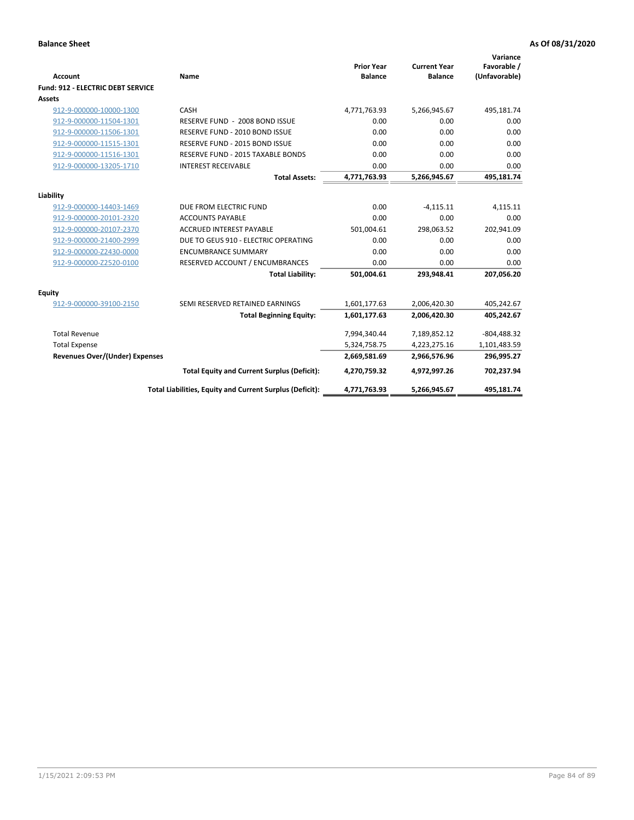| <b>Account</b>                    | Name                                                     | <b>Prior Year</b><br><b>Balance</b> | <b>Current Year</b><br><b>Balance</b> | Variance<br>Favorable /<br>(Unfavorable) |
|-----------------------------------|----------------------------------------------------------|-------------------------------------|---------------------------------------|------------------------------------------|
| Fund: 912 - ELECTRIC DEBT SERVICE |                                                          |                                     |                                       |                                          |
| <b>Assets</b>                     |                                                          |                                     |                                       |                                          |
| 912-9-000000-10000-1300           | CASH                                                     | 4,771,763.93                        | 5,266,945.67                          | 495,181.74                               |
| 912-9-000000-11504-1301           | RESERVE FUND - 2008 BOND ISSUE                           | 0.00                                | 0.00                                  | 0.00                                     |
| 912-9-000000-11506-1301           | RESERVE FUND - 2010 BOND ISSUE                           | 0.00                                | 0.00                                  | 0.00                                     |
| 912-9-000000-11515-1301           | RESERVE FUND - 2015 BOND ISSUE                           | 0.00                                | 0.00                                  | 0.00                                     |
| 912-9-000000-11516-1301           | RESERVE FUND - 2015 TAXABLE BONDS                        | 0.00                                | 0.00                                  | 0.00                                     |
| 912-9-000000-13205-1710           | <b>INTEREST RECEIVABLE</b>                               | 0.00                                | 0.00                                  | 0.00                                     |
|                                   | <b>Total Assets:</b>                                     | 4,771,763.93                        | 5,266,945.67                          | 495,181.74                               |
|                                   |                                                          |                                     |                                       |                                          |
| Liability                         |                                                          |                                     |                                       |                                          |
| 912-9-000000-14403-1469           | DUE FROM ELECTRIC FUND                                   | 0.00                                | $-4,115.11$                           | 4,115.11                                 |
| 912-9-000000-20101-2320           | <b>ACCOUNTS PAYABLE</b>                                  | 0.00                                | 0.00                                  | 0.00                                     |
| 912-9-000000-20107-2370           | <b>ACCRUED INTEREST PAYABLE</b>                          | 501,004.61                          | 298,063.52                            | 202,941.09                               |
| 912-9-000000-21400-2999           | DUE TO GEUS 910 - ELECTRIC OPERATING                     | 0.00                                | 0.00                                  | 0.00                                     |
| 912-9-000000-Z2430-0000           | <b>ENCUMBRANCE SUMMARY</b>                               | 0.00                                | 0.00                                  | 0.00                                     |
| 912-9-000000-Z2520-0100           | RESERVED ACCOUNT / ENCUMBRANCES                          | 0.00                                | 0.00                                  | 0.00                                     |
|                                   | <b>Total Liability:</b>                                  | 501,004.61                          | 293,948.41                            | 207,056.20                               |
| <b>Equity</b>                     |                                                          |                                     |                                       |                                          |
| 912-9-000000-39100-2150           | SEMI RESERVED RETAINED EARNINGS                          | 1,601,177.63                        | 2,006,420.30                          | 405,242.67                               |
|                                   | <b>Total Beginning Equity:</b>                           | 1,601,177.63                        | 2,006,420.30                          | 405,242.67                               |
| <b>Total Revenue</b>              |                                                          | 7,994,340.44                        | 7,189,852.12                          | $-804,488.32$                            |
| <b>Total Expense</b>              |                                                          | 5,324,758.75                        | 4,223,275.16                          | 1,101,483.59                             |
| Revenues Over/(Under) Expenses    |                                                          | 2,669,581.69                        | 2,966,576.96                          | 296,995.27                               |
|                                   | <b>Total Equity and Current Surplus (Deficit):</b>       | 4,270,759.32                        | 4,972,997.26                          | 702,237.94                               |
|                                   | Total Liabilities, Equity and Current Surplus (Deficit): | 4,771,763.93                        | 5,266,945.67                          | 495,181.74                               |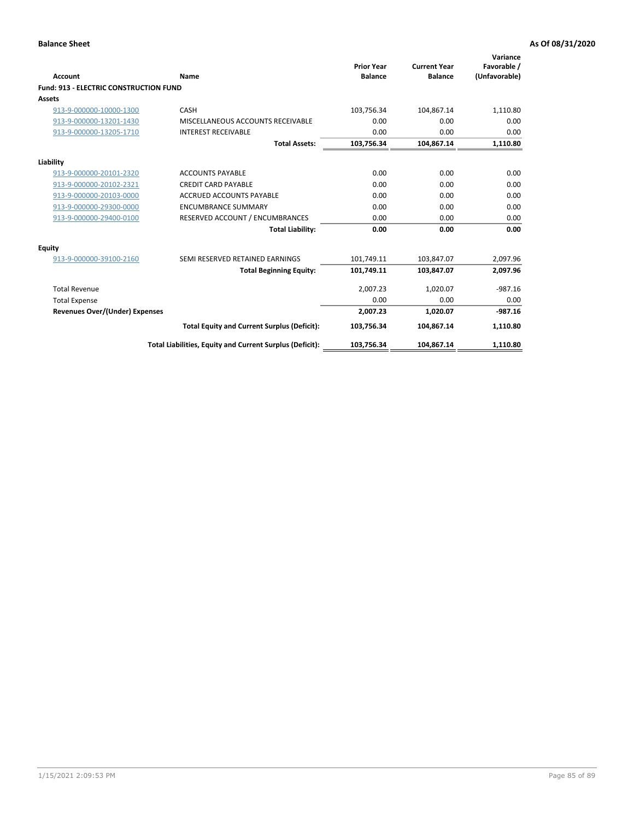| Account                                       | Name                                                     | <b>Prior Year</b><br><b>Balance</b> | <b>Current Year</b><br><b>Balance</b> | Variance<br>Favorable /<br>(Unfavorable) |
|-----------------------------------------------|----------------------------------------------------------|-------------------------------------|---------------------------------------|------------------------------------------|
| <b>Fund: 913 - ELECTRIC CONSTRUCTION FUND</b> |                                                          |                                     |                                       |                                          |
| <b>Assets</b>                                 |                                                          |                                     |                                       |                                          |
| 913-9-000000-10000-1300                       | CASH                                                     | 103,756.34                          | 104,867.14                            | 1,110.80                                 |
| 913-9-000000-13201-1430                       | MISCELLANEOUS ACCOUNTS RECEIVABLE                        | 0.00                                | 0.00                                  | 0.00                                     |
| 913-9-000000-13205-1710                       | <b>INTEREST RECEIVABLE</b>                               | 0.00                                | 0.00                                  | 0.00                                     |
|                                               | <b>Total Assets:</b>                                     | 103,756.34                          | 104,867.14                            | 1,110.80                                 |
| Liability                                     |                                                          |                                     |                                       |                                          |
| 913-9-000000-20101-2320                       | <b>ACCOUNTS PAYABLE</b>                                  | 0.00                                | 0.00                                  | 0.00                                     |
| 913-9-000000-20102-2321                       | <b>CREDIT CARD PAYABLE</b>                               | 0.00                                | 0.00                                  | 0.00                                     |
| 913-9-000000-20103-0000                       | <b>ACCRUED ACCOUNTS PAYABLE</b>                          | 0.00                                | 0.00                                  | 0.00                                     |
| 913-9-000000-29300-0000                       | <b>ENCUMBRANCE SUMMARY</b>                               | 0.00                                | 0.00                                  | 0.00                                     |
| 913-9-000000-29400-0100                       | RESERVED ACCOUNT / ENCUMBRANCES                          | 0.00                                | 0.00                                  | 0.00                                     |
|                                               | <b>Total Liability:</b>                                  | 0.00                                | 0.00                                  | 0.00                                     |
|                                               |                                                          |                                     |                                       |                                          |
| <b>Equity</b>                                 |                                                          |                                     |                                       |                                          |
| 913-9-000000-39100-2160                       | SEMI RESERVED RETAINED EARNINGS                          | 101,749.11                          | 103,847.07                            | 2,097.96                                 |
|                                               | <b>Total Beginning Equity:</b>                           | 101,749.11                          | 103.847.07                            | 2,097.96                                 |
| <b>Total Revenue</b>                          |                                                          | 2,007.23                            | 1,020.07                              | $-987.16$                                |
| <b>Total Expense</b>                          |                                                          | 0.00                                | 0.00                                  | 0.00                                     |
| <b>Revenues Over/(Under) Expenses</b>         |                                                          | 2,007.23                            | 1,020.07                              | $-987.16$                                |
|                                               | <b>Total Equity and Current Surplus (Deficit):</b>       | 103,756.34                          | 104.867.14                            | 1,110.80                                 |
|                                               | Total Liabilities, Equity and Current Surplus (Deficit): | 103,756.34                          | 104,867.14                            | 1,110.80                                 |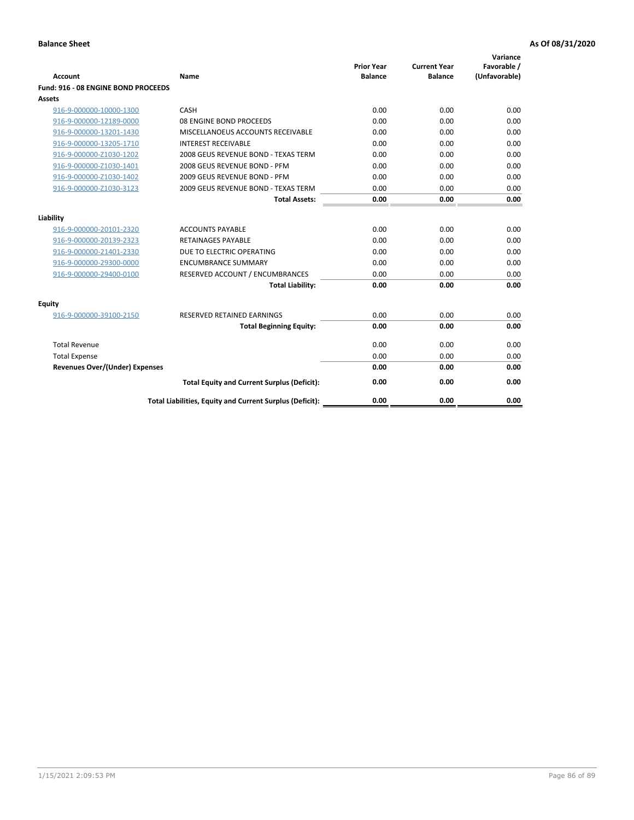| <b>Account</b>                        | Name                                                     | <b>Prior Year</b><br><b>Balance</b> | <b>Current Year</b><br><b>Balance</b> | Variance<br>Favorable /<br>(Unfavorable) |
|---------------------------------------|----------------------------------------------------------|-------------------------------------|---------------------------------------|------------------------------------------|
| Fund: 916 - 08 ENGINE BOND PROCEEDS   |                                                          |                                     |                                       |                                          |
| Assets                                |                                                          |                                     |                                       |                                          |
| 916-9-000000-10000-1300               | CASH                                                     | 0.00                                | 0.00                                  | 0.00                                     |
| 916-9-000000-12189-0000               | 08 ENGINE BOND PROCEEDS                                  | 0.00                                | 0.00                                  | 0.00                                     |
| 916-9-000000-13201-1430               | MISCELLANOEUS ACCOUNTS RECEIVABLE                        | 0.00                                | 0.00                                  | 0.00                                     |
| 916-9-000000-13205-1710               | <b>INTEREST RECEIVABLE</b>                               | 0.00                                | 0.00                                  | 0.00                                     |
| 916-9-000000-Z1030-1202               | 2008 GEUS REVENUE BOND - TEXAS TERM                      | 0.00                                | 0.00                                  | 0.00                                     |
| 916-9-000000-Z1030-1401               | 2008 GEUS REVENUE BOND - PFM                             | 0.00                                | 0.00                                  | 0.00                                     |
| 916-9-000000-Z1030-1402               | 2009 GEUS REVENUE BOND - PFM                             | 0.00                                | 0.00                                  | 0.00                                     |
| 916-9-000000-Z1030-3123               | 2009 GEUS REVENUE BOND - TEXAS TERM                      | 0.00                                | 0.00                                  | 0.00                                     |
|                                       | <b>Total Assets:</b>                                     | 0.00                                | 0.00                                  | 0.00                                     |
| Liability                             |                                                          |                                     |                                       |                                          |
| 916-9-000000-20101-2320               | <b>ACCOUNTS PAYABLE</b>                                  | 0.00                                | 0.00                                  | 0.00                                     |
| 916-9-000000-20139-2323               | <b>RETAINAGES PAYABLE</b>                                | 0.00                                | 0.00                                  | 0.00                                     |
| 916-9-000000-21401-2330               | DUE TO ELECTRIC OPERATING                                | 0.00                                | 0.00                                  | 0.00                                     |
| 916-9-000000-29300-0000               | <b>ENCUMBRANCE SUMMARY</b>                               | 0.00                                | 0.00                                  | 0.00                                     |
| 916-9-000000-29400-0100               | RESERVED ACCOUNT / ENCUMBRANCES                          | 0.00                                | 0.00                                  | 0.00                                     |
|                                       | <b>Total Liability:</b>                                  | 0.00                                | 0.00                                  | 0.00                                     |
|                                       |                                                          |                                     |                                       |                                          |
| Equity                                |                                                          |                                     |                                       |                                          |
| 916-9-000000-39100-2150               | <b>RESERVED RETAINED EARNINGS</b>                        | 0.00                                | 0.00                                  | 0.00                                     |
|                                       | <b>Total Beginning Equity:</b>                           | 0.00                                | 0.00                                  | 0.00                                     |
| <b>Total Revenue</b>                  |                                                          | 0.00                                | 0.00                                  | 0.00                                     |
| <b>Total Expense</b>                  |                                                          | 0.00                                | 0.00                                  | 0.00                                     |
| <b>Revenues Over/(Under) Expenses</b> |                                                          | 0.00                                | 0.00                                  | 0.00                                     |
|                                       | <b>Total Equity and Current Surplus (Deficit):</b>       | 0.00                                | 0.00                                  | 0.00                                     |
|                                       | Total Liabilities, Equity and Current Surplus (Deficit): | 0.00                                | 0.00                                  | 0.00                                     |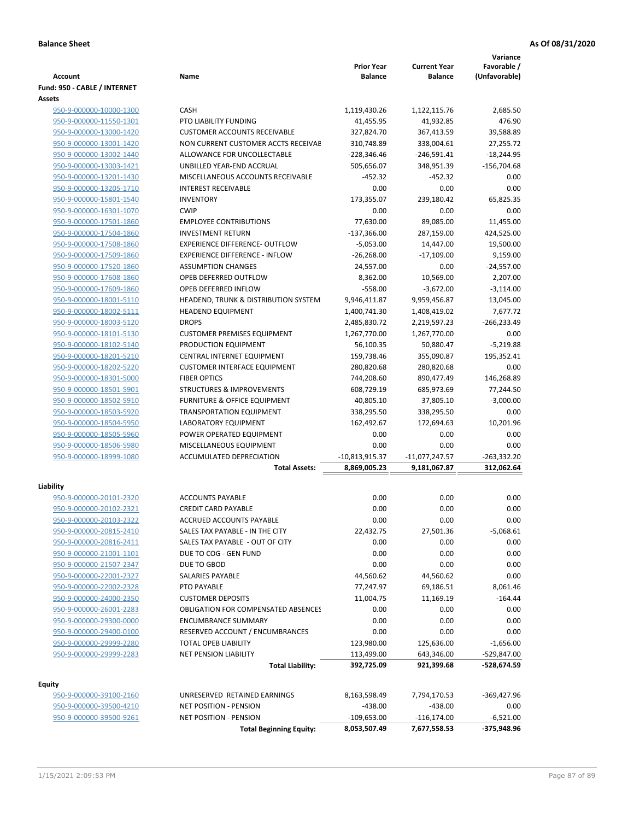|                                                    |                                                                 | <b>Prior Year</b>       | <b>Current Year</b>     | Variance<br>Favorable / |
|----------------------------------------------------|-----------------------------------------------------------------|-------------------------|-------------------------|-------------------------|
| <b>Account</b>                                     | Name                                                            | <b>Balance</b>          | <b>Balance</b>          | (Unfavorable)           |
| Fund: 950 - CABLE / INTERNET<br>Assets             |                                                                 |                         |                         |                         |
| 950-9-000000-10000-1300                            | <b>CASH</b>                                                     | 1,119,430.26            | 1,122,115.76            | 2,685.50                |
| 950-9-000000-11550-1301                            | PTO LIABILITY FUNDING                                           | 41,455.95               | 41,932.85               | 476.90                  |
| 950-9-000000-13000-1420                            | <b>CUSTOMER ACCOUNTS RECEIVABLE</b>                             | 327,824.70              | 367,413.59              | 39,588.89               |
| 950-9-000000-13001-1420                            | NON CURRENT CUSTOMER ACCTS RECEIVAE                             | 310,748.89              | 338,004.61              | 27,255.72               |
| 950-9-000000-13002-1440                            | ALLOWANCE FOR UNCOLLECTABLE                                     | $-228,346.46$           | $-246,591.41$           | $-18,244.95$            |
| 950-9-000000-13003-1421                            | UNBILLED YEAR-END ACCRUAL                                       | 505,656.07              | 348,951.39              | $-156,704.68$           |
| 950-9-000000-13201-1430                            | MISCELLANEOUS ACCOUNTS RECEIVABLE                               | $-452.32$               | $-452.32$               | 0.00                    |
| 950-9-000000-13205-1710                            | <b>INTEREST RECEIVABLE</b>                                      | 0.00                    | 0.00                    | 0.00                    |
| 950-9-000000-15801-1540                            | <b>INVENTORY</b>                                                | 173,355.07              | 239,180.42              | 65,825.35               |
| 950-9-000000-16301-1070                            | <b>CWIP</b>                                                     | 0.00                    | 0.00                    | 0.00                    |
| 950-9-000000-17501-1860                            | <b>EMPLOYEE CONTRIBUTIONS</b>                                   | 77,630.00               | 89,085.00               | 11,455.00               |
| 950-9-000000-17504-1860                            | <b>INVESTMENT RETURN</b>                                        | $-137,366.00$           | 287,159.00              | 424,525.00              |
| 950-9-000000-17508-1860                            | <b>EXPERIENCE DIFFERENCE- OUTFLOW</b>                           | $-5,053.00$             | 14,447.00               | 19,500.00               |
| 950-9-000000-17509-1860                            | <b>EXPERIENCE DIFFERENCE - INFLOW</b>                           | $-26,268.00$            | $-17,109.00$            | 9,159.00                |
| 950-9-000000-17520-1860                            | <b>ASSUMPTION CHANGES</b>                                       | 24,557.00               | 0.00                    | $-24,557.00$            |
| 950-9-000000-17608-1860                            | OPEB DEFERRED OUTFLOW                                           | 8,362.00                | 10,569.00               | 2,207.00                |
| 950-9-000000-17609-1860                            | OPEB DEFERRED INFLOW                                            | $-558.00$               | $-3,672.00$             | $-3,114.00$             |
| 950-9-000000-18001-5110                            | HEADEND, TRUNK & DISTRIBUTION SYSTEM                            | 9,946,411.87            | 9,959,456.87            | 13,045.00               |
| 950-9-000000-18002-5111                            | <b>HEADEND EQUIPMENT</b>                                        | 1,400,741.30            | 1,408,419.02            | 7,677.72                |
| 950-9-000000-18003-5120                            | <b>DROPS</b>                                                    | 2,485,830.72            | 2,219,597.23            | $-266,233.49$           |
| 950-9-000000-18101-5130                            | <b>CUSTOMER PREMISES EQUIPMENT</b>                              | 1,267,770.00            | 1,267,770.00            | 0.00                    |
| 950-9-000000-18102-5140                            | PRODUCTION EQUIPMENT                                            | 56,100.35               | 50,880.47               | $-5,219.88$             |
| 950-9-000000-18201-5210                            | CENTRAL INTERNET EQUIPMENT                                      | 159,738.46              | 355,090.87              | 195,352.41              |
| 950-9-000000-18202-5220                            | <b>CUSTOMER INTERFACE EQUIPMENT</b>                             | 280,820.68              | 280,820.68              | 0.00                    |
| 950-9-000000-18301-5000                            | <b>FIBER OPTICS</b>                                             | 744,208.60              | 890,477.49              | 146,268.89              |
| 950-9-000000-18501-5901                            | <b>STRUCTURES &amp; IMPROVEMENTS</b>                            | 608,729.19              | 685,973.69              | 77,244.50               |
| 950-9-000000-18502-5910<br>950-9-000000-18503-5920 | FURNITURE & OFFICE EQUIPMENT<br><b>TRANSPORTATION EQUIPMENT</b> | 40,805.10<br>338,295.50 | 37,805.10<br>338,295.50 | $-3,000.00$<br>0.00     |
| 950-9-000000-18504-5950                            | LABORATORY EQUIPMENT                                            | 162,492.67              | 172,694.63              | 10,201.96               |
| 950-9-000000-18505-5960                            | POWER OPERATED EQUIPMENT                                        | 0.00                    | 0.00                    | 0.00                    |
| 950-9-000000-18506-5980                            | MISCELLANEOUS EQUIPMENT                                         | 0.00                    | 0.00                    | 0.00                    |
| 950-9-000000-18999-1080                            | ACCUMULATED DEPRECIATION                                        | -10,813,915.37          | $-11,077,247.57$        | $-263,332.20$           |
|                                                    | <b>Total Assets:</b>                                            | 8,869,005.23            | 9,181,067.87            | 312,062.64              |
|                                                    |                                                                 |                         |                         |                         |
| Liability                                          |                                                                 |                         |                         |                         |
| 950-9-000000-20101-2320                            | <b>ACCOUNTS PAYABLE</b>                                         | 0.00                    | 0.00                    | 0.00                    |
| 950-9-000000-20102-2321                            | <b>CREDIT CARD PAYABLE</b>                                      | 0.00                    | 0.00                    | 0.00                    |
| 950-9-000000-20103-2322                            | ACCRUED ACCOUNTS PAYABLE                                        | 0.00                    | 0.00                    | 0.00                    |
| 950-9-000000-20815-2410                            | SALES TAX PAYABLE - IN THE CITY                                 | 22,432.75               | 27,501.36               | $-5,068.61$             |
| 950-9-000000-20816-2411                            | SALES TAX PAYABLE - OUT OF CITY                                 | 0.00                    | 0.00                    | 0.00                    |
| 950-9-000000-21001-1101                            | DUE TO COG - GEN FUND                                           | 0.00                    | 0.00                    | 0.00                    |
| 950-9-000000-21507-2347                            | DUE TO GBOD                                                     | 0.00                    | 0.00                    | 0.00                    |
| 950-9-000000-22001-2327                            | SALARIES PAYABLE                                                | 44,560.62               | 44,560.62               | 0.00                    |
| 950-9-000000-22002-2328                            | PTO PAYABLE                                                     | 77,247.97               | 69,186.51               | 8,061.46                |
| 950-9-000000-24000-2350                            | <b>CUSTOMER DEPOSITS</b>                                        | 11,004.75               | 11,169.19               | $-164.44$               |
| 950-9-000000-26001-2283                            | <b>OBLIGATION FOR COMPENSATED ABSENCES</b>                      | 0.00                    | 0.00                    | 0.00                    |
| 950-9-000000-29300-0000                            | <b>ENCUMBRANCE SUMMARY</b>                                      | 0.00                    | 0.00                    | 0.00                    |
| 950-9-000000-29400-0100                            | RESERVED ACCOUNT / ENCUMBRANCES                                 | 0.00                    | 0.00                    | 0.00                    |
| 950-9-000000-29999-2280                            | TOTAL OPEB LIABILITY                                            | 123,980.00              | 125,636.00              | $-1,656.00$             |
| 950-9-000000-29999-2283                            | <b>NET PENSION LIABILITY</b>                                    | 113,499.00              | 643,346.00              | -529,847.00             |
|                                                    | <b>Total Liability:</b>                                         | 392,725.09              | 921,399.68              | -528,674.59             |
| <b>Equity</b>                                      |                                                                 |                         |                         |                         |
| 950-9-000000-39100-2160                            | UNRESERVED RETAINED EARNINGS                                    | 8,163,598.49            | 7,794,170.53            | -369,427.96             |
| 950-9-000000-39500-4210                            | <b>NET POSITION - PENSION</b>                                   | $-438.00$               | $-438.00$               | 0.00                    |
| 950-9-000000-39500-9261                            | <b>NET POSITION - PENSION</b>                                   | $-109,653.00$           | $-116, 174.00$          | $-6,521.00$             |
|                                                    | <b>Total Beginning Equity:</b>                                  | 8,053,507.49            | 7,677,558.53            | -375,948.96             |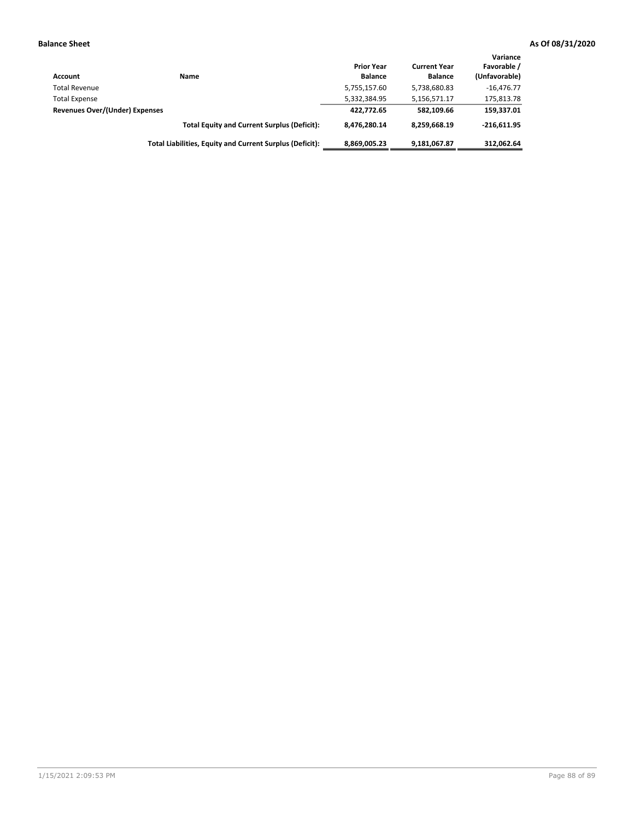| Account                        | Name                                                     | <b>Prior Year</b><br><b>Balance</b> | <b>Current Year</b><br><b>Balance</b> | Variance<br>Favorable /<br>(Unfavorable) |
|--------------------------------|----------------------------------------------------------|-------------------------------------|---------------------------------------|------------------------------------------|
| <b>Total Revenue</b>           |                                                          | 5,755,157.60                        | 5,738,680.83                          | $-16.476.77$                             |
| <b>Total Expense</b>           |                                                          | 5,332,384.95                        | 5,156,571.17                          | 175,813.78                               |
| Revenues Over/(Under) Expenses |                                                          | 422.772.65                          | 582.109.66                            | 159,337.01                               |
|                                | <b>Total Equity and Current Surplus (Deficit):</b>       | 8.476.280.14                        | 8,259,668.19                          | $-216.611.95$                            |
|                                | Total Liabilities, Equity and Current Surplus (Deficit): | 8,869,005.23                        | 9,181,067.87                          | 312.062.64                               |